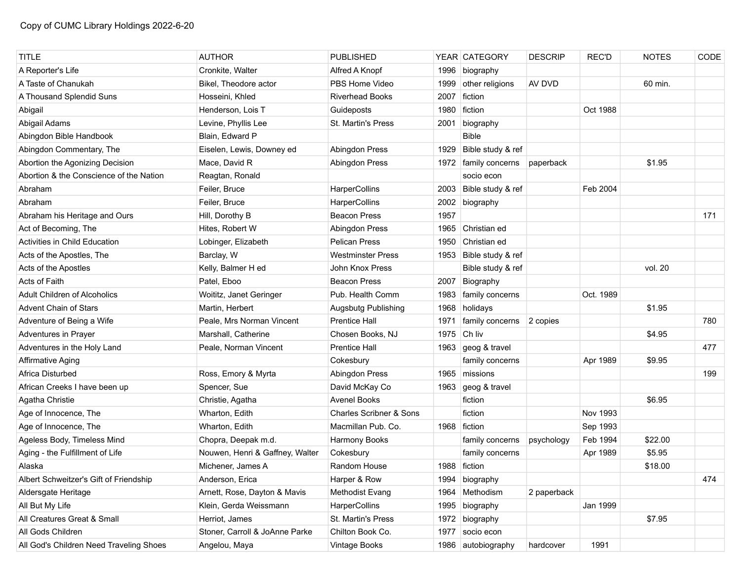| <b>TITLE</b>                            | <b>AUTHOR</b>                   | <b>PUBLISHED</b>                   |      | YEAR CATEGORY          | <b>DESCRIP</b> | <b>REC'D</b> | <b>NOTES</b> | CODE |
|-----------------------------------------|---------------------------------|------------------------------------|------|------------------------|----------------|--------------|--------------|------|
| A Reporter's Life                       | Cronkite, Walter                | Alfred A Knopf                     | 1996 | biography              |                |              |              |      |
| A Taste of Chanukah                     | Bikel, Theodore actor           | PBS Home Video                     | 1999 | other religions        | AV DVD         |              | 60 min.      |      |
| A Thousand Splendid Suns                | Hosseini, Khled                 | <b>Riverhead Books</b>             | 2007 | fiction                |                |              |              |      |
| Abigail                                 | Henderson, Lois T               | Guideposts                         | 1980 | fiction                |                | Oct 1988     |              |      |
| Abigail Adams                           | Levine, Phyllis Lee             | St. Martin's Press                 | 2001 | biography              |                |              |              |      |
| Abingdon Bible Handbook                 | Blain, Edward P                 |                                    |      | <b>Bible</b>           |                |              |              |      |
| Abingdon Commentary, The                | Eiselen, Lewis, Downey ed       | Abingdon Press                     | 1929 | Bible study & ref      |                |              |              |      |
| Abortion the Agonizing Decision         | Mace, David R                   | Abingdon Press                     |      | 1972   family concerns | paperback      |              | \$1.95       |      |
| Abortion & the Conscience of the Nation | Reagtan, Ronald                 |                                    |      | socio econ             |                |              |              |      |
| Abraham                                 | Feiler, Bruce                   | HarperCollins                      | 2003 | Bible study & ref      |                | Feb 2004     |              |      |
| Abraham                                 | Feiler, Bruce                   | HarperCollins                      |      | 2002 biography         |                |              |              |      |
| Abraham his Heritage and Ours           | Hill, Dorothy B                 | <b>Beacon Press</b>                | 1957 |                        |                |              |              | 171  |
| Act of Becoming, The                    | Hites, Robert W                 | Abingdon Press                     | 1965 | Christian ed           |                |              |              |      |
| <b>Activities in Child Education</b>    | Lobinger, Elizabeth             | Pelican Press                      | 1950 | Christian ed           |                |              |              |      |
| Acts of the Apostles, The               | Barclay, W                      | <b>Westminster Press</b>           |      | 1953 Bible study & ref |                |              |              |      |
| Acts of the Apostles                    | Kelly, Balmer H ed              | John Knox Press                    |      | Bible study & ref      |                |              | vol. 20      |      |
| Acts of Faith                           | Patel, Eboo                     | <b>Beacon Press</b>                | 2007 | Biography              |                |              |              |      |
| <b>Adult Children of Alcoholics</b>     | Woititz, Janet Geringer         | Pub. Health Comm                   | 1983 | family concerns        |                | Oct. 1989    |              |      |
| <b>Advent Chain of Stars</b>            | Martin, Herbert                 | Augsbutg Publishing                | 1968 | holidays               |                |              | \$1.95       |      |
| Adventure of Being a Wife               | Peale, Mrs Norman Vincent       | <b>Prentice Hall</b>               | 1971 | family concerns        | 2 copies       |              |              | 780  |
| Adventures in Prayer                    | Marshall, Catherine             | Chosen Books, NJ                   | 1975 | Ch liv                 |                |              | \$4.95       |      |
| Adventures in the Holy Land             | Peale, Norman Vincent           | <b>Prentice Hall</b>               |      | 1963 geog & travel     |                |              |              | 477  |
| Affirmative Aging                       |                                 | Cokesbury                          |      | family concerns        |                | Apr 1989     | \$9.95       |      |
| Africa Disturbed                        | Ross, Emory & Myrta             | Abingdon Press                     | 1965 | missions               |                |              |              | 199  |
| African Creeks I have been up           | Spencer, Sue                    | David McKay Co                     | 1963 | geog & travel          |                |              |              |      |
| Agatha Christie                         | Christie, Agatha                | <b>Avenel Books</b>                |      | fiction                |                |              | \$6.95       |      |
| Age of Innocence, The                   | Wharton, Edith                  | <b>Charles Scribner &amp; Sons</b> |      | fiction                |                | Nov 1993     |              |      |
| Age of Innocence, The                   | Wharton, Edith                  | Macmillan Pub. Co.                 |      | 1968 fiction           |                | Sep 1993     |              |      |
| Ageless Body, Timeless Mind             | Chopra, Deepak m.d.             | Harmony Books                      |      | family concerns        | psychology     | Feb 1994     | \$22.00      |      |
| Aging - the Fulfillment of Life         | Nouwen, Henri & Gaffney, Walter | Cokesbury                          |      | family concerns        |                | Apr 1989     | \$5.95       |      |
| Alaska                                  | Michener, James A               | Random House                       |      | 1988 fiction           |                |              | \$18.00      |      |
| Albert Schweitzer's Gift of Friendship  | Anderson, Erica                 | Harper & Row                       |      | 1994 biography         |                |              |              | 474  |
| Aldersgate Heritage                     | Arnett, Rose, Dayton & Mavis    | Methodist Evang                    | 1964 | Methodism              | 2 paperback    |              |              |      |
| All But My Life                         | Klein, Gerda Weissmann          | HarperCollins                      | 1995 | biography              |                | Jan 1999     |              |      |
| All Creatures Great & Small             | Herriot, James                  | St. Martin's Press                 | 1972 | biography              |                |              | \$7.95       |      |
| All Gods Children                       | Stoner, Carroll & JoAnne Parke  | Chilton Book Co.                   | 1977 | socio econ             |                |              |              |      |
| All God's Children Need Traveling Shoes | Angelou, Maya                   | Vintage Books                      |      | 1986 autobiography     | hardcover      | 1991         |              |      |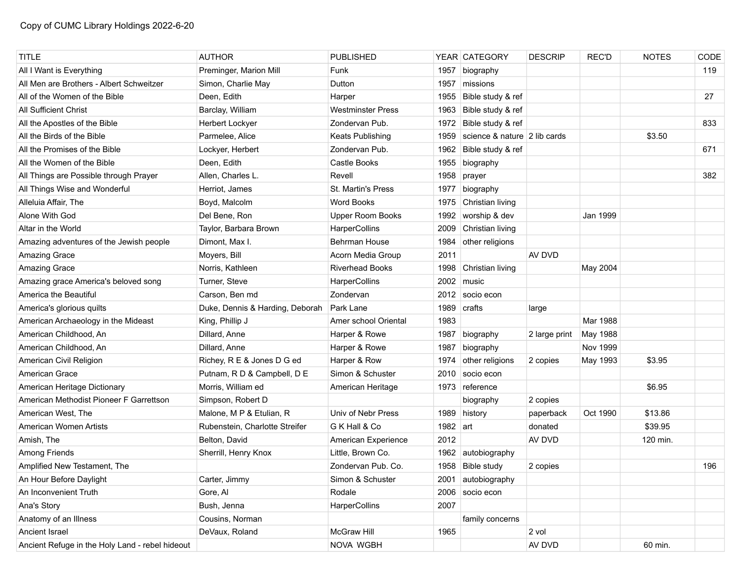| <b>TITLE</b>                                    | <b>AUTHOR</b>                   | <b>PUBLISHED</b>         |          | YEAR CATEGORY                | <b>DESCRIP</b> | REC'D    | <b>NOTES</b> | CODE |
|-------------------------------------------------|---------------------------------|--------------------------|----------|------------------------------|----------------|----------|--------------|------|
| All I Want is Everything                        | Preminger, Marion Mill          | Funk                     | 1957     | biography                    |                |          |              | 119  |
| All Men are Brothers - Albert Schweitzer        | Simon, Charlie May              | Dutton                   | 1957     | missions                     |                |          |              |      |
| All of the Women of the Bible                   | Deen, Edith                     | Harper                   | 1955     | Bible study & ref            |                |          |              | 27   |
| All Sufficient Christ                           | Barclay, William                | <b>Westminster Press</b> | 1963     | Bible study & ref            |                |          |              |      |
| All the Apostles of the Bible                   | Herbert Lockyer                 | Zondervan Pub.           | 1972     | Bible study & ref            |                |          |              | 833  |
| All the Birds of the Bible                      | Parmelee, Alice                 | Keats Publishing         | 1959     | science & nature 2 lib cards |                |          | \$3.50       |      |
| All the Promises of the Bible                   | Lockyer, Herbert                | Zondervan Pub.           | 1962     | Bible study & ref            |                |          |              | 671  |
| All the Women of the Bible                      | Deen, Edith                     | Castle Books             | 1955     | biography                    |                |          |              |      |
| All Things are Possible through Prayer          | Allen, Charles L.               | Revell                   | 1958     | prayer                       |                |          |              | 382  |
| All Things Wise and Wonderful                   | Herriot, James                  | St. Martin's Press       | 1977     | biography                    |                |          |              |      |
| Alleluia Affair, The                            | Boyd, Malcolm                   | <b>Word Books</b>        | 1975     | Christian living             |                |          |              |      |
| Alone With God                                  | Del Bene, Ron                   | <b>Upper Room Books</b>  | 1992     | worship & dev                |                | Jan 1999 |              |      |
| Altar in the World                              | Taylor, Barbara Brown           | HarperCollins            | 2009     | Christian living             |                |          |              |      |
| Amazing adventures of the Jewish people         | Dimont, Max I.                  | <b>Behrman House</b>     | 1984     | other religions              |                |          |              |      |
| Amazing Grace                                   | Moyers, Bill                    | Acorn Media Group        | 2011     |                              | AV DVD         |          |              |      |
| Amazing Grace                                   | Norris, Kathleen                | <b>Riverhead Books</b>   | 1998     | Christian living             |                | May 2004 |              |      |
| Amazing grace America's beloved song            | Turner, Steve                   | HarperCollins            | 2002     | music                        |                |          |              |      |
| America the Beautiful                           | Carson, Ben md                  | Zondervan                | 2012     | socio econ                   |                |          |              |      |
| America's glorious quilts                       | Duke, Dennis & Harding, Deborah | Park Lane                | 1989     | crafts                       | large          |          |              |      |
| American Archaeology in the Mideast             | King, Phillip J                 | Amer school Oriental     | 1983     |                              |                | Mar 1988 |              |      |
| American Childhood, An                          | Dillard, Anne                   | Harper & Rowe            | 1987     | biography                    | 2 large print  | May 1988 |              |      |
| American Childhood, An                          | Dillard, Anne                   | Harper & Rowe            | 1987     | biography                    |                | Nov 1999 |              |      |
| American Civil Religion                         | Richey, R E & Jones D G ed      | Harper & Row             | 1974     | other religions              | 2 copies       | May 1993 | \$3.95       |      |
| American Grace                                  | Putnam, R D & Campbell, D E     | Simon & Schuster         | 2010     | socio econ                   |                |          |              |      |
| American Heritage Dictionary                    | Morris, William ed              | American Heritage        |          | 1973 reference               |                |          | \$6.95       |      |
| American Methodist Pioneer F Garrettson         | Simpson, Robert D               |                          |          | biography                    | 2 copies       |          |              |      |
| American West, The                              | Malone, M P & Etulian, R        | Univ of Nebr Press       | 1989     | history                      | paperback      | Oct 1990 | \$13.86      |      |
| American Women Artists                          | Rubenstein, Charlotte Streifer  | G K Hall & Co            | 1982 art |                              | donated        |          | \$39.95      |      |
| Amish, The                                      | Belton, David                   | American Experience      | 2012     |                              | AV DVD         |          | 120 min.     |      |
| Among Friends                                   | Sherrill, Henry Knox            | Little, Brown Co.        | 1962     | autobiography                |                |          |              |      |
| Amplified New Testament, The                    |                                 | Zondervan Pub. Co.       |          | 1958 Bible study             | 2 copies       |          |              | 196  |
| An Hour Before Daylight                         | Carter, Jimmy                   | Simon & Schuster         | 2001     | autobiography                |                |          |              |      |
| An Inconvenient Truth                           | Gore, Al                        | Rodale                   | 2006     | socio econ                   |                |          |              |      |
| Ana's Story                                     | Bush, Jenna                     | HarperCollins            | 2007     |                              |                |          |              |      |
| Anatomy of an Illness                           | Cousins, Norman                 |                          |          | family concerns              |                |          |              |      |
| Ancient Israel                                  | DeVaux, Roland                  | McGraw Hill              | 1965     |                              | 2 vol          |          |              |      |
| Ancient Refuge in the Holy Land - rebel hideout |                                 | NOVA WGBH                |          |                              | AV DVD         |          | 60 min.      |      |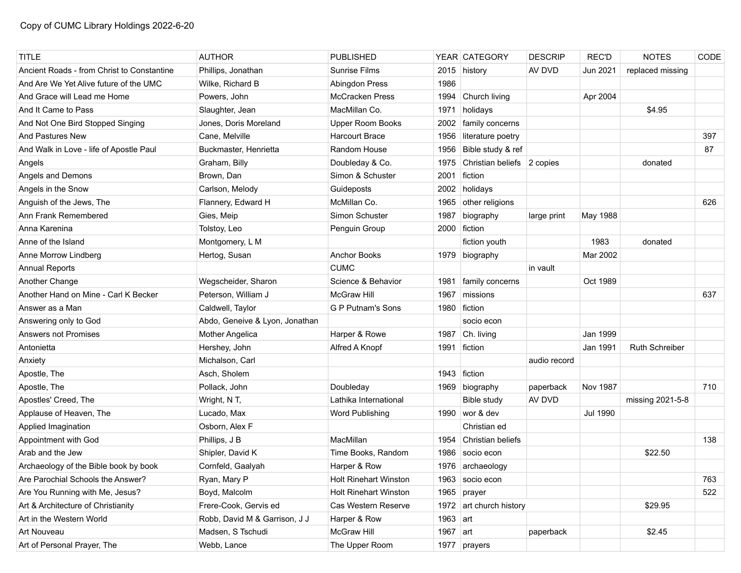| <b>TITLE</b>                               | <b>AUTHOR</b>                  | <b>PUBLISHED</b>             |            | YEAR CATEGORY              | <b>DESCRIP</b> | <b>REC'D</b>    | <b>NOTES</b>     | CODE |
|--------------------------------------------|--------------------------------|------------------------------|------------|----------------------------|----------------|-----------------|------------------|------|
| Ancient Roads - from Christ to Constantine | Phillips, Jonathan             | <b>Sunrise Films</b>         |            | 2015 history               | AV DVD         | Jun 2021        | replaced missing |      |
| And Are We Yet Alive future of the UMC     | Wilke, Richard B               | Abingdon Press               | 1986       |                            |                |                 |                  |      |
| And Grace will Lead me Home                | Powers, John                   | <b>McCracken Press</b>       | 1994       | Church living              |                | Apr 2004        |                  |      |
| And It Came to Pass                        | Slaughter, Jean                | MacMillan Co.                | 1971       | holidays                   |                |                 | \$4.95           |      |
| And Not One Bird Stopped Singing           | Jones, Doris Moreland          | <b>Upper Room Books</b>      | 2002       | family concerns            |                |                 |                  |      |
| <b>And Pastures New</b>                    | Cane, Melville                 | <b>Harcourt Brace</b>        | 1956       | literature poetry          |                |                 |                  | 397  |
| And Walk in Love - life of Apostle Paul    | Buckmaster, Henrietta          | Random House                 | 1956       | Bible study & ref          |                |                 |                  | 87   |
| Angels                                     | Graham, Billy                  | Doubleday & Co.              | 1975       | Christian beliefs 2 copies |                |                 | donated          |      |
| Angels and Demons                          | Brown, Dan                     | Simon & Schuster             | 2001       | fiction                    |                |                 |                  |      |
| Angels in the Snow                         | Carlson, Melody                | Guideposts                   | 2002       | holidays                   |                |                 |                  |      |
| Anguish of the Jews, The                   | Flannery, Edward H             | McMillan Co.                 | 1965       | other religions            |                |                 |                  | 626  |
| Ann Frank Remembered                       | Gies, Meip                     | Simon Schuster               | 1987       | biography                  | large print    | May 1988        |                  |      |
| Anna Karenina                              | Tolstoy, Leo                   | Penguin Group                | 2000       | fiction                    |                |                 |                  |      |
| Anne of the Island                         | Montgomery, L M                |                              |            | fiction youth              |                | 1983            | donated          |      |
| Anne Morrow Lindberg                       | Hertog, Susan                  | <b>Anchor Books</b>          |            | 1979 biography             |                | Mar 2002        |                  |      |
| <b>Annual Reports</b>                      |                                | <b>CUMC</b>                  |            |                            | in vault       |                 |                  |      |
| Another Change                             | Wegscheider, Sharon            | Science & Behavior           | 1981       | family concerns            |                | Oct 1989        |                  |      |
| Another Hand on Mine - Carl K Becker       | Peterson, William J            | McGraw Hill                  | 1967       | missions                   |                |                 |                  | 637  |
| Answer as a Man                            | Caldwell, Taylor               | <b>G P Putnam's Sons</b>     | 1980       | fiction                    |                |                 |                  |      |
| Answering only to God                      | Abdo, Geneive & Lyon, Jonathan |                              |            | socio econ                 |                |                 |                  |      |
| Answers not Promises                       | <b>Mother Angelica</b>         | Harper & Rowe                | 1987       | Ch. living                 |                | Jan 1999        |                  |      |
| Antonietta                                 | Hershey, John                  | Alfred A Knopf               | 1991       | fiction                    |                | Jan 1991        | Ruth Schreiber   |      |
| Anxiety                                    | Michalson, Carl                |                              |            |                            | audio record   |                 |                  |      |
| Apostle, The                               | Asch, Sholem                   |                              | 1943       | fiction                    |                |                 |                  |      |
| Apostle, The                               | Pollack, John                  | Doubleday                    |            | 1969 biography             | paperback      | <b>Nov 1987</b> |                  | 710  |
| Apostles' Creed, The                       | Wright, N T,                   | Lathika International        |            | Bible study                | AV DVD         |                 | missing 2021-5-8 |      |
| Applause of Heaven, The                    | Lucado, Max                    | Word Publishing              |            | 1990 wor & dev             |                | <b>Jul 1990</b> |                  |      |
| Applied Imagination                        | Osborn, Alex F                 |                              |            | Christian ed               |                |                 |                  |      |
| Appointment with God                       | Phillips, J B                  | MacMillan                    | 1954       | Christian beliefs          |                |                 |                  | 138  |
| Arab and the Jew                           | Shipler, David K               | Time Books, Random           | 1986       | socio econ                 |                |                 | \$22.50          |      |
| Archaeology of the Bible book by book      | Cornfeld, Gaalyah              | Harper & Row                 |            | 1976 archaeology           |                |                 |                  |      |
| Are Parochial Schools the Answer?          | Ryan, Mary P                   | <b>Holt Rinehart Winston</b> |            | 1963 socio econ            |                |                 |                  | 763  |
| Are You Running with Me, Jesus?            | Boyd, Malcolm                  | <b>Holt Rinehart Winston</b> | 1965       | prayer                     |                |                 |                  | 522  |
| Art & Architecture of Christianity         | Frere-Cook, Gervis ed          | Cas Western Reserve          |            | 1972 art church history    |                |                 | \$29.95          |      |
| Art in the Western World                   | Robb, David M & Garrison, J J  | Harper & Row                 | $1963$ art |                            |                |                 |                  |      |
| Art Nouveau                                | Madsen, S Tschudi              | McGraw Hill                  | 1967 $art$ |                            | paperback      |                 | \$2.45           |      |
| Art of Personal Prayer, The                | Webb, Lance                    | The Upper Room               |            | 1977 prayers               |                |                 |                  |      |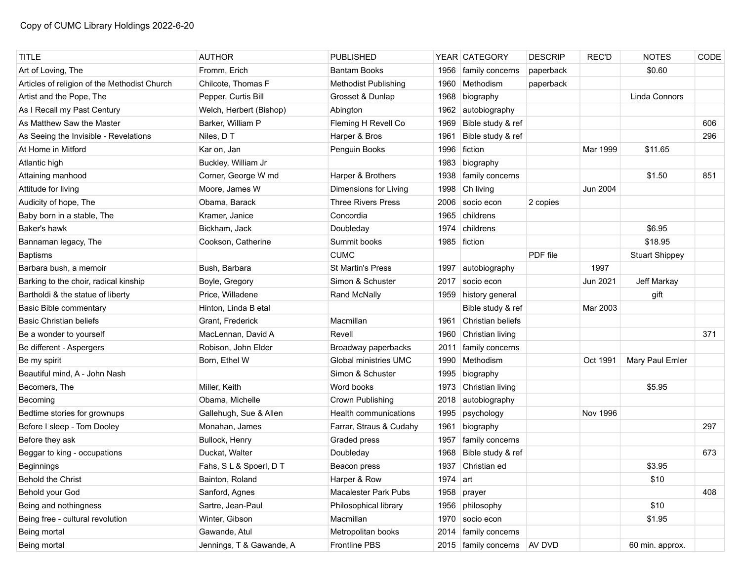| <b>TITLE</b>                                 | <b>AUTHOR</b>            | <b>PUBLISHED</b>            |          | YEAR CATEGORY          | <b>DESCRIP</b> | <b>REC'D</b> | <b>NOTES</b>          | CODE |
|----------------------------------------------|--------------------------|-----------------------------|----------|------------------------|----------------|--------------|-----------------------|------|
| Art of Loving, The                           | Fromm, Erich             | <b>Bantam Books</b>         | 1956     | family concerns        | paperback      |              | \$0.60                |      |
| Articles of religion of the Methodist Church | Chilcote, Thomas F       | <b>Methodist Publishing</b> | 1960     | Methodism              | paperback      |              |                       |      |
| Artist and the Pope, The                     | Pepper, Curtis Bill      | Grosset & Dunlap            | 1968     | biography              |                |              | Linda Connors         |      |
| As I Recall my Past Century                  | Welch, Herbert (Bishop)  | Abington                    | 1962     | autobiography          |                |              |                       |      |
| As Matthew Saw the Master                    | Barker, William P        | Fleming H Revell Co         | 1969     | Bible study & ref      |                |              |                       | 606  |
| As Seeing the Invisible - Revelations        | Niles, DT                | Harper & Bros               | 1961     | Bible study & ref      |                |              |                       | 296  |
| At Home in Mitford                           | Kar on. Jan              | Penguin Books               | 1996     | fiction                |                | Mar 1999     | \$11.65               |      |
| Atlantic high                                | Buckley, William Jr      |                             | 1983     | biography              |                |              |                       |      |
| Attaining manhood                            | Corner, George W md      | Harper & Brothers           | 1938     | family concerns        |                |              | \$1.50                | 851  |
| Attitude for living                          | Moore, James W           | Dimensions for Living       | 1998     | Ch living              |                | Jun 2004     |                       |      |
| Audicity of hope, The                        | Obama, Barack            | <b>Three Rivers Press</b>   | 2006     | socio econ             | 2 copies       |              |                       |      |
| Baby born in a stable, The                   | Kramer, Janice           | Concordia                   | 1965     | childrens              |                |              |                       |      |
| Baker's hawk                                 | Bickham, Jack            | Doubleday                   | 1974     | childrens              |                |              | \$6.95                |      |
| Bannaman legacy, The                         | Cookson, Catherine       | Summit books                |          | 1985 fiction           |                |              | \$18.95               |      |
| <b>Baptisms</b>                              |                          | <b>CUMC</b>                 |          |                        | PDF file       |              | <b>Stuart Shippey</b> |      |
| Barbara bush, a memoir                       | Bush, Barbara            | <b>St Martin's Press</b>    | 1997     | autobiography          |                | 1997         |                       |      |
| Barking to the choir, radical kinship        | Boyle, Gregory           | Simon & Schuster            | 2017     | socio econ             |                | Jun 2021     | Jeff Markay           |      |
| Bartholdi & the statue of liberty            | Price, Willadene         | Rand McNally                | 1959     | history general        |                |              | gift                  |      |
| <b>Basic Bible commentary</b>                | Hinton, Linda B etal     |                             |          | Bible study & ref      |                | Mar 2003     |                       |      |
| <b>Basic Christian beliefs</b>               | Grant, Frederick         | Macmillan                   | 1961     | Christian beliefs      |                |              |                       |      |
| Be a wonder to yourself                      | MacLennan, David A       | Revell                      | 1960     | Christian living       |                |              |                       | 371  |
| Be different - Aspergers                     | Robison, John Elder      | Broadway paperbacks         |          | 2011   family concerns |                |              |                       |      |
| Be my spirit                                 | Born, Ethel W            | Global ministries UMC       | 1990     | Methodism              |                | Oct 1991     | Mary Paul Emler       |      |
| Beautiful mind, A - John Nash                |                          | Simon & Schuster            | 1995     | biography              |                |              |                       |      |
| Becomers, The                                | Miller, Keith            | Word books                  | 1973     | Christian living       |                |              | \$5.95                |      |
| Becoming                                     | Obama, Michelle          | Crown Publishing            | 2018     | autobiography          |                |              |                       |      |
| Bedtime stories for grownups                 | Gallehugh, Sue & Allen   | Health communications       | 1995     | psychology             |                | Nov 1996     |                       |      |
| Before I sleep - Tom Dooley                  | Monahan, James           | Farrar, Straus & Cudahy     | 1961     | biography              |                |              |                       | 297  |
| Before they ask                              | Bullock, Henry           | Graded press                | 1957     | family concerns        |                |              |                       |      |
| Beggar to king - occupations                 | Duckat, Walter           | Doubleday                   | 1968     | Bible study & ref      |                |              |                       | 673  |
| <b>Beginnings</b>                            | Fahs, S L & Spoerl, D T  | Beacon press                |          | 1937 Christian ed      |                |              | \$3.95                |      |
| <b>Behold the Christ</b>                     | Bainton, Roland          | Harper & Row                | 1974 art |                        |                |              | \$10                  |      |
| Behold your God                              | Sanford, Agnes           | <b>Macalester Park Pubs</b> | 1958     | prayer                 |                |              |                       | 408  |
| Being and nothingness                        | Sartre, Jean-Paul        | Philosophical library       | 1956     | philosophy             |                |              | \$10                  |      |
| Being free - cultural revolution             | Winter, Gibson           | Macmillan                   | 1970     | socio econ             |                |              | \$1.95                |      |
| Being mortal                                 | Gawande, Atul            | Metropolitan books          |          | 2014   family concerns |                |              |                       |      |
| Being mortal                                 | Jennings, T & Gawande, A | Frontline PBS               |          | 2015   family concerns | AV DVD         |              | 60 min. approx.       |      |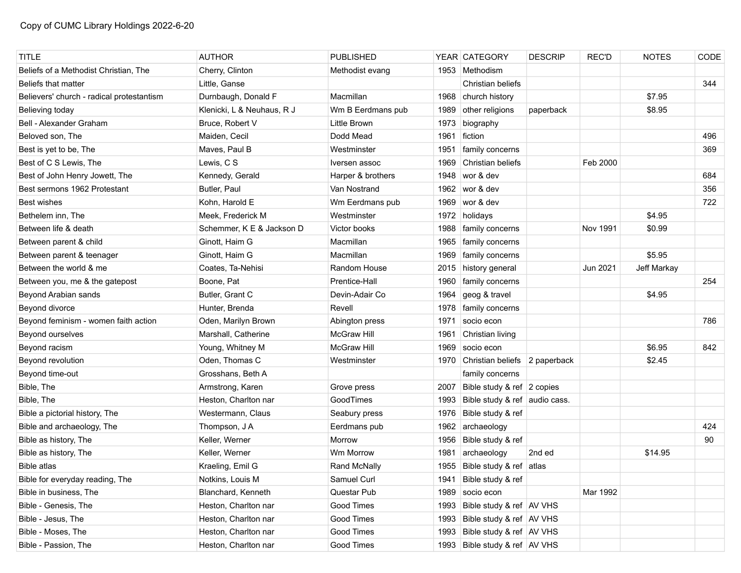| <b>TITLE</b>                              | <b>AUTHOR</b>              | <b>PUBLISHED</b>   |      | YEAR CATEGORY                      | <b>DESCRIP</b> | <b>REC'D</b> | <b>NOTES</b> | CODE |
|-------------------------------------------|----------------------------|--------------------|------|------------------------------------|----------------|--------------|--------------|------|
| Beliefs of a Methodist Christian, The     | Cherry, Clinton            | Methodist evang    |      | 1953 Methodism                     |                |              |              |      |
| Beliefs that matter                       | Little, Ganse              |                    |      | Christian beliefs                  |                |              |              | 344  |
| Believers' church - radical protestantism | Durnbaugh, Donald F        | Macmillan          |      | 1968 church history                |                |              | \$7.95       |      |
| Believing today                           | Klenicki, L & Neuhaus, R J | Wm B Eerdmans pub  | 1989 | other religions                    | paperback      |              | \$8.95       |      |
| Bell - Alexander Graham                   | Bruce, Robert V            | Little Brown       | 1973 | biography                          |                |              |              |      |
| Beloved son, The                          | Maiden, Cecil              | Dodd Mead          | 1961 | fiction                            |                |              |              | 496  |
| Best is yet to be, The                    | Maves, Paul B              | Westminster        | 1951 | family concerns                    |                |              |              | 369  |
| Best of C S Lewis, The                    | Lewis, C S                 | Iversen assoc      | 1969 | Christian beliefs                  |                | Feb 2000     |              |      |
| Best of John Henry Jowett, The            | Kennedy, Gerald            | Harper & brothers  | 1948 | wor & dev                          |                |              |              | 684  |
| Best sermons 1962 Protestant              | Butler, Paul               | Van Nostrand       | 1962 | wor & dev                          |                |              |              | 356  |
| <b>Best wishes</b>                        | Kohn, Harold E             | Wm Eerdmans pub    | 1969 | wor & dev                          |                |              |              | 722  |
| Bethelem inn, The                         | Meek, Frederick M          | Westminster        |      | 1972 holidays                      |                |              | \$4.95       |      |
| Between life & death                      | Schemmer, K E & Jackson D  | Victor books       | 1988 | family concerns                    |                | Nov 1991     | \$0.99       |      |
| Between parent & child                    | Ginott, Haim G             | Macmillan          | 1965 | family concerns                    |                |              |              |      |
| Between parent & teenager                 | Ginott, Haim G             | Macmillan          | 1969 | family concerns                    |                |              | \$5.95       |      |
| Between the world & me                    | Coates, Ta-Nehisi          | Random House       | 2015 | history general                    |                | Jun 2021     | Jeff Markay  |      |
| Between you, me & the gatepost            | Boone, Pat                 | Prentice-Hall      | 1960 | family concerns                    |                |              |              | 254  |
| Beyond Arabian sands                      | Butler, Grant C            | Devin-Adair Co     | 1964 | geog & travel                      |                |              | \$4.95       |      |
| Beyond divorce                            | Hunter, Brenda             | Revell             | 1978 | family concerns                    |                |              |              |      |
| Beyond feminism - women faith action      | Oden, Marilyn Brown        | Abington press     | 1971 | socio econ                         |                |              |              | 786  |
| Beyond ourselves                          | Marshall, Catherine        | <b>McGraw Hill</b> | 1961 | Christian living                   |                |              |              |      |
| Beyond racism                             | Young, Whitney M           | <b>McGraw Hill</b> | 1969 | socio econ                         |                |              | \$6.95       | 842  |
| Beyond revolution                         | Oden, Thomas C             | Westminster        |      | 1970 Christian beliefs 2 paperback |                |              | \$2.45       |      |
| Beyond time-out                           | Grosshans, Beth A          |                    |      | family concerns                    |                |              |              |      |
| Bible, The                                | Armstrong, Karen           | Grove press        | 2007 | Bible study & ref 2 copies         |                |              |              |      |
| Bible, The                                | Heston, Charlton nar       | GoodTimes          | 1993 | Bible study & ref audio cass.      |                |              |              |      |
| Bible a pictorial history, The            | Westermann, Claus          | Seabury press      | 1976 | Bible study & ref                  |                |              |              |      |
| Bible and archaeology, The                | Thompson, J A              | Eerdmans pub       | 1962 | archaeology                        |                |              |              | 424  |
| Bible as history, The                     | Keller, Werner             | Morrow             | 1956 | Bible study & ref                  |                |              |              | 90   |
| Bible as history, The                     | Keller, Werner             | Wm Morrow          | 1981 | archaeology                        | 2nd ed         |              | \$14.95      |      |
| Bible atlas                               | Kraeling, Emil G           | Rand McNally       | 1955 | Bible study & ref atlas            |                |              |              |      |
| Bible for everyday reading, The           | Notkins, Louis M           | Samuel Curl        |      | 1941 Bible study & ref             |                |              |              |      |
| Bible in business, The                    | Blanchard, Kenneth         | Questar Pub        | 1989 | socio econ                         |                | Mar 1992     |              |      |
| Bible - Genesis, The                      | Heston, Charlton nar       | Good Times         |      | 1993 Bible study & ref AV VHS      |                |              |              |      |
| Bible - Jesus, The                        | Heston, Charlton nar       | Good Times         | 1993 | Bible study & ref AV VHS           |                |              |              |      |
| Bible - Moses, The                        | Heston, Charlton nar       | Good Times         |      | 1993 Bible study & ref AV VHS      |                |              |              |      |
| Bible - Passion, The                      | Heston, Charlton nar       | Good Times         |      | 1993 Bible study & ref AV VHS      |                |              |              |      |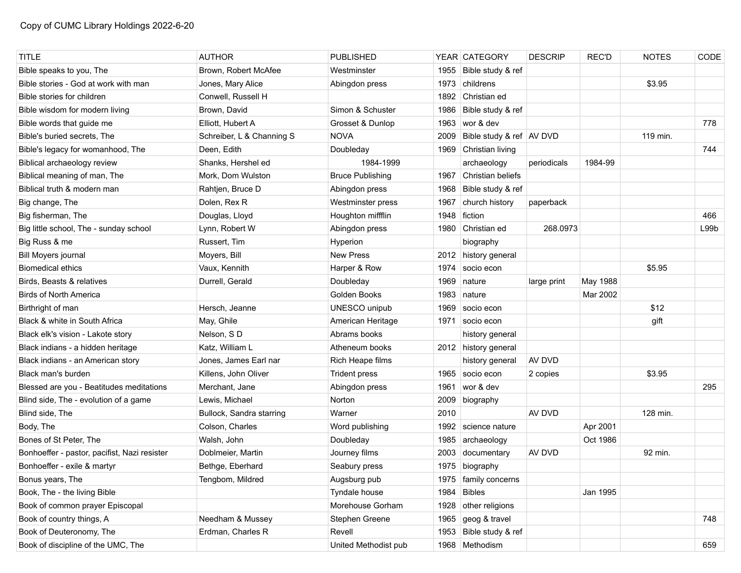| <b>TITLE</b>                                 | <b>AUTHOR</b>             | <b>PUBLISHED</b>        |      | YEAR CATEGORY              | <b>DESCRIP</b> | <b>REC'D</b> | <b>NOTES</b> | CODE             |
|----------------------------------------------|---------------------------|-------------------------|------|----------------------------|----------------|--------------|--------------|------------------|
| Bible speaks to you, The                     | Brown, Robert McAfee      | Westminster             |      | 1955 Bible study & ref     |                |              |              |                  |
| Bible stories - God at work with man         | Jones, Mary Alice         | Abingdon press          | 1973 | childrens                  |                |              | \$3.95       |                  |
| Bible stories for children                   | Conwell, Russell H        |                         | 1892 | Christian ed               |                |              |              |                  |
| Bible wisdom for modern living               | Brown, David              | Simon & Schuster        | 1986 | Bible study & ref          |                |              |              |                  |
| Bible words that guide me                    | Elliott, Hubert A         | Grosset & Dunlop        |      | 1963 wor & dev             |                |              |              | 778              |
| Bible's buried secrets, The                  | Schreiber, L & Channing S | <b>NOVA</b>             | 2009 | Bible study & ref   AV DVD |                |              | 119 min.     |                  |
| Bible's legacy for womanhood, The            | Deen, Edith               | Doubleday               | 1969 | Christian living           |                |              |              | 744              |
| Biblical archaeology review                  | Shanks, Hershel ed        | 1984-1999               |      | archaeology                | periodicals    | 1984-99      |              |                  |
| Biblical meaning of man, The                 | Mork, Dom Wulston         | <b>Bruce Publishing</b> | 1967 | Christian beliefs          |                |              |              |                  |
| Biblical truth & modern man                  | Rahtjen, Bruce D          | Abingdon press          | 1968 | Bible study & ref          |                |              |              |                  |
| Big change, The                              | Dolen, Rex R              | Westminster press       | 1967 | church history             | paperback      |              |              |                  |
| Big fisherman, The                           | Douglas, Lloyd            | Houghton miffflin       | 1948 | fiction                    |                |              |              | 466              |
| Big little school, The - sunday school       | Lynn, Robert W            | Abingdon press          |      | 1980 Christian ed          | 268.0973       |              |              | L99 <sub>b</sub> |
| Big Russ & me                                | Russert, Tim              | Hyperion                |      | biography                  |                |              |              |                  |
| Bill Moyers journal                          | Moyers, Bill              | <b>New Press</b>        |      | 2012 history general       |                |              |              |                  |
| <b>Biomedical ethics</b>                     | Vaux, Kennith             | Harper & Row            | 1974 | socio econ                 |                |              | \$5.95       |                  |
| Birds, Beasts & relatives                    | Durrell, Gerald           | Doubleday               | 1969 | nature                     | large print    | May 1988     |              |                  |
| <b>Birds of North America</b>                |                           | Golden Books            | 1983 | nature                     |                | Mar 2002     |              |                  |
| Birthright of man                            | Hersch, Jeanne            | UNESCO unipub           | 1969 | socio econ                 |                |              | \$12         |                  |
| Black & white in South Africa                | May, Ghile                | American Heritage       | 1971 | socio econ                 |                |              | gift         |                  |
| Black elk's vision - Lakote story            | Nelson, SD                | Abrams books            |      | history general            |                |              |              |                  |
| Black indians - a hidden heritage            | Katz, William L           | Atheneum books          |      | 2012 history general       |                |              |              |                  |
| Black indians - an American story            | Jones, James Earl nar     | Rich Heape films        |      | history general            | AV DVD         |              |              |                  |
| Black man's burden                           | Killens, John Oliver      | <b>Trident press</b>    | 1965 | socio econ                 | 2 copies       |              | \$3.95       |                  |
| Blessed are you - Beatitudes meditations     | Merchant, Jane            | Abingdon press          | 1961 | wor & dev                  |                |              |              | 295              |
| Blind side, The - evolution of a game        | Lewis, Michael            | Norton                  | 2009 | biography                  |                |              |              |                  |
| Blind side, The                              | Bullock, Sandra starring  | Warner                  | 2010 |                            | AV DVD         |              | 128 min.     |                  |
| Body, The                                    | Colson, Charles           | Word publishing         | 1992 | science nature             |                | Apr 2001     |              |                  |
| Bones of St Peter. The                       | Walsh, John               | Doubleday               | 1985 | archaeology                |                | Oct 1986     |              |                  |
| Bonhoeffer - pastor, pacifist, Nazi resister | Doblmeier, Martin         | Journey films           | 2003 | documentary                | AV DVD         |              | 92 min.      |                  |
| Bonhoeffer - exile & martyr                  | Bethge, Eberhard          | Seabury press           |      | 1975 biography             |                |              |              |                  |
| Bonus years, The                             | Tengbom, Mildred          | Augsburg pub            |      | 1975   family concerns     |                |              |              |                  |
| Book, The - the living Bible                 |                           | Tyndale house           | 1984 | <b>Bibles</b>              |                | Jan 1995     |              |                  |
| Book of common prayer Episcopal              |                           | Morehouse Gorham        | 1928 | other religions            |                |              |              |                  |
| Book of country things, A                    | Needham & Mussey          | Stephen Greene          | 1965 | geog & travel              |                |              |              | 748              |
| Book of Deuteronomy, The                     | Erdman, Charles R         | Revell                  | 1953 | Bible study & ref          |                |              |              |                  |
| Book of discipline of the UMC, The           |                           | United Methodist pub    |      | 1968 Methodism             |                |              |              | 659              |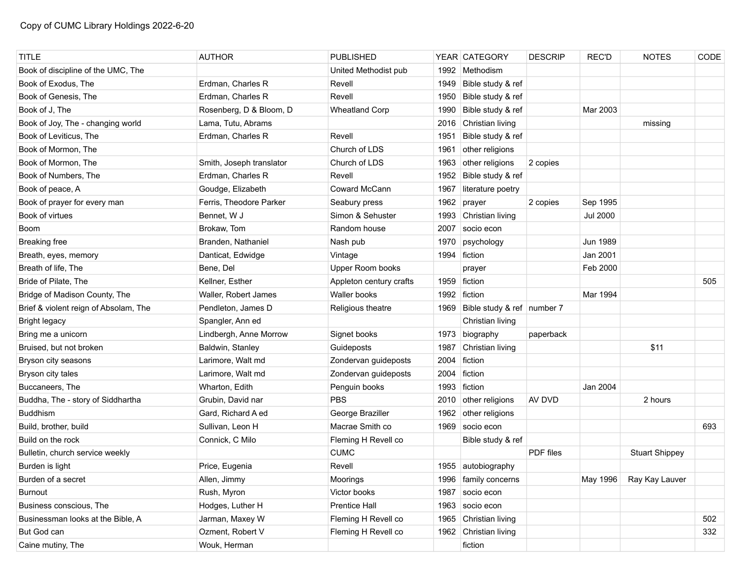| <b>TITLE</b>                          | <b>AUTHOR</b>            | <b>PUBLISHED</b>        |      | YEAR CATEGORY                     | <b>DESCRIP</b> | <b>REC'D</b>    | <b>NOTES</b>          | CODE |
|---------------------------------------|--------------------------|-------------------------|------|-----------------------------------|----------------|-----------------|-----------------------|------|
| Book of discipline of the UMC, The    |                          | United Methodist pub    |      | 1992   Methodism                  |                |                 |                       |      |
| Book of Exodus, The                   | Erdman, Charles R        | Revell                  | 1949 | Bible study & ref                 |                |                 |                       |      |
| Book of Genesis, The                  | Erdman, Charles R        | Revell                  | 1950 | Bible study & ref                 |                |                 |                       |      |
| Book of J, The                        | Rosenberg, D & Bloom, D  | <b>Wheatland Corp</b>   | 1990 | Bible study & ref                 |                | Mar 2003        |                       |      |
| Book of Joy, The - changing world     | Lama, Tutu, Abrams       |                         |      | 2016 Christian living             |                |                 | missing               |      |
| Book of Leviticus, The                | Erdman, Charles R        | Revell                  | 1951 | Bible study & ref                 |                |                 |                       |      |
| Book of Mormon, The                   |                          | Church of LDS           | 1961 | other religions                   |                |                 |                       |      |
| Book of Mormon, The                   | Smith, Joseph translator | Church of LDS           | 1963 | other religions                   | 2 copies       |                 |                       |      |
| Book of Numbers, The                  | Erdman, Charles R        | Revell                  | 1952 | Bible study & ref                 |                |                 |                       |      |
| Book of peace, A                      | Goudge, Elizabeth        | Coward McCann           | 1967 | literature poetry                 |                |                 |                       |      |
| Book of prayer for every man          | Ferris, Theodore Parker  | Seabury press           | 1962 | prayer                            | 2 copies       | Sep 1995        |                       |      |
| Book of virtues                       | Bennet, W J              | Simon & Sehuster        | 1993 | Christian living                  |                | <b>Jul 2000</b> |                       |      |
| Boom                                  | Brokaw, Tom              | Random house            | 2007 | socio econ                        |                |                 |                       |      |
| <b>Breaking free</b>                  | Branden, Nathaniel       | Nash pub                | 1970 | psychology                        |                | Jun 1989        |                       |      |
| Breath, eyes, memory                  | Danticat, Edwidge        | Vintage                 | 1994 | fiction                           |                | Jan 2001        |                       |      |
| Breath of life, The                   | Bene, Del                | Upper Room books        |      | prayer                            |                | Feb 2000        |                       |      |
| Bride of Pilate, The                  | Kellner, Esther          | Appleton century crafts |      | 1959 fiction                      |                |                 |                       | 505  |
| Bridge of Madison County, The         | Waller, Robert James     | Waller books            |      | 1992 fiction                      |                | Mar 1994        |                       |      |
| Brief & violent reign of Absolam, The | Pendleton, James D       | Religious theatre       |      | 1969 Bible study & ref   number 7 |                |                 |                       |      |
| <b>Bright legacy</b>                  | Spangler, Ann ed         |                         |      | Christian living                  |                |                 |                       |      |
| Bring me a unicorn                    | Lindbergh, Anne Morrow   | Signet books            | 1973 | biography                         | paperback      |                 |                       |      |
| Bruised, but not broken               | Baldwin, Stanley         | Guideposts              | 1987 | Christian living                  |                |                 | \$11                  |      |
| Bryson city seasons                   | Larimore, Walt md        | Zondervan guideposts    | 2004 | fiction                           |                |                 |                       |      |
| Bryson city tales                     | Larimore, Walt md        | Zondervan guideposts    | 2004 | fiction                           |                |                 |                       |      |
| Buccaneers, The                       | Wharton, Edith           | Penguin books           | 1993 | fiction                           |                | Jan 2004        |                       |      |
| Buddha, The - story of Siddhartha     | Grubin, David nar        | <b>PBS</b>              | 2010 | other religions                   | AV DVD         |                 | 2 hours               |      |
| <b>Buddhism</b>                       | Gard, Richard A ed       | George Braziller        | 1962 | other religions                   |                |                 |                       |      |
| Build, brother, build                 | Sullivan, Leon H         | Macrae Smith co         |      | 1969 socio econ                   |                |                 |                       | 693  |
| Build on the rock                     | Connick, C Milo          | Fleming H Revell co     |      | Bible study & ref                 |                |                 |                       |      |
| Bulletin, church service weekly       |                          | <b>CUMC</b>             |      |                                   | PDF files      |                 | <b>Stuart Shippey</b> |      |
| Burden is light                       | Price, Eugenia           | Revell                  |      | 1955 autobiography                |                |                 |                       |      |
| Burden of a secret                    | Allen, Jimmy             | Moorings                |      | 1996   family concerns            |                | May 1996        | Ray Kay Lauver        |      |
| Burnout                               | Rush, Myron              | Victor books            | 1987 | socio econ                        |                |                 |                       |      |
| Business conscious, The               | Hodges, Luther H         | <b>Prentice Hall</b>    | 1963 | socio econ                        |                |                 |                       |      |
| Businessman looks at the Bible, A     | Jarman, Maxey W          | Fleming H Revell co     | 1965 | Christian living                  |                |                 |                       | 502  |
| But God can                           | Ozment, Robert V         | Fleming H Revell co     |      | 1962 Christian living             |                |                 |                       | 332  |
| Caine mutiny, The                     | Wouk, Herman             |                         |      | fiction                           |                |                 |                       |      |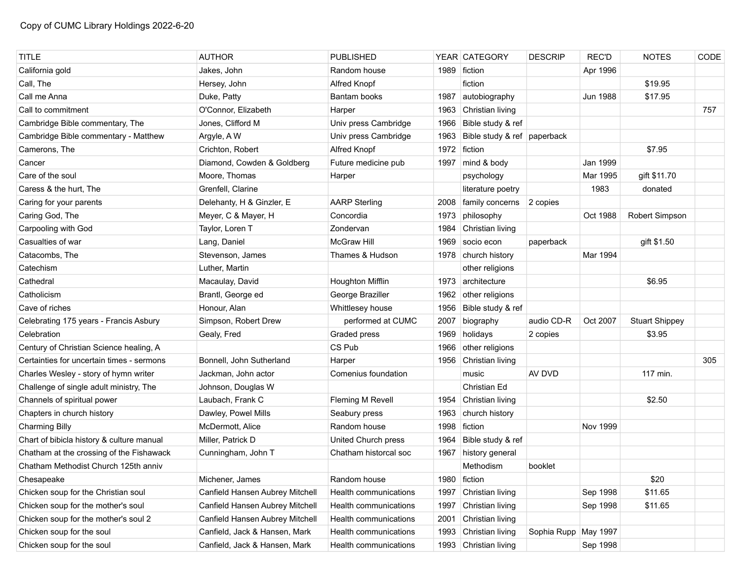| <b>TITLE</b>                              | <b>AUTHOR</b>                   | <b>PUBLISHED</b>      |      | YEAR CATEGORY               | <b>DESCRIP</b>       | <b>REC'D</b>    | <b>NOTES</b>          | CODE |
|-------------------------------------------|---------------------------------|-----------------------|------|-----------------------------|----------------------|-----------------|-----------------------|------|
| California gold                           | Jakes, John                     | Random house          | 1989 | fiction                     |                      | Apr 1996        |                       |      |
| Call, The                                 | Hersey, John                    | Alfred Knopf          |      | fiction                     |                      |                 | \$19.95               |      |
| Call me Anna                              | Duke, Patty                     | Bantam books          | 1987 | autobiography               |                      | <b>Jun 1988</b> | \$17.95               |      |
| Call to commitment                        | O'Connor, Elizabeth             | Harper                | 1963 | Christian living            |                      |                 |                       | 757  |
| Cambridge Bible commentary, The           | Jones, Clifford M               | Univ press Cambridge  | 1966 | Bible study & ref           |                      |                 |                       |      |
| Cambridge Bible commentary - Matthew      | Argyle, A W                     | Univ press Cambridge  | 1963 | Bible study & ref paperback |                      |                 |                       |      |
| Camerons, The                             | Crichton, Robert                | Alfred Knopf          | 1972 | fiction                     |                      |                 | \$7.95                |      |
| Cancer                                    | Diamond, Cowden & Goldberg      | Future medicine pub   | 1997 | mind & body                 |                      | Jan 1999        |                       |      |
| Care of the soul                          | Moore, Thomas                   | Harper                |      | psychology                  |                      | Mar 1995        | gift \$11.70          |      |
| Caress & the hurt, The                    | Grenfell, Clarine               |                       |      | literature poetry           |                      | 1983            | donated               |      |
| Caring for your parents                   | Delehanty, H & Ginzler, E       | <b>AARP Sterling</b>  | 2008 | family concerns             | 2 copies             |                 |                       |      |
| Caring God, The                           | Meyer, C & Mayer, H             | Concordia             | 1973 | philosophy                  |                      | Oct 1988        | Robert Simpson        |      |
| Carpooling with God                       | Taylor, Loren T                 | Zondervan             | 1984 | Christian living            |                      |                 |                       |      |
| Casualties of war                         | Lang, Daniel                    | <b>McGraw Hill</b>    | 1969 | socio econ                  | paperback            |                 | gift \$1.50           |      |
| Catacombs, The                            | Stevenson, James                | Thames & Hudson       |      | 1978 church history         |                      | Mar 1994        |                       |      |
| Catechism                                 | Luther, Martin                  |                       |      | other religions             |                      |                 |                       |      |
| Cathedral                                 | Macaulay, David                 | Houghton Mifflin      |      | 1973 architecture           |                      |                 | \$6.95                |      |
| Catholicism                               | Brantl, George ed               | George Braziller      | 1962 | other religions             |                      |                 |                       |      |
| Cave of riches                            | Honour, Alan                    | Whittlesey house      | 1956 | Bible study & ref           |                      |                 |                       |      |
| Celebrating 175 years - Francis Asbury    | Simpson, Robert Drew            | performed at CUMC     | 2007 | biography                   | audio CD-R           | Oct 2007        | <b>Stuart Shippey</b> |      |
| Celebration                               | Gealy, Fred                     | Graded press          | 1969 | holidays                    | 2 copies             |                 | \$3.95                |      |
| Century of Christian Science healing, A   |                                 | CS Pub                |      | 1966 other religions        |                      |                 |                       |      |
| Certainties for uncertain times - sermons | Bonnell, John Sutherland        | Harper                |      | 1956 Christian living       |                      |                 |                       | 305  |
| Charles Wesley - story of hymn writer     | Jackman, John actor             | Comenius foundation   |      | music                       | AV DVD               |                 | 117 min.              |      |
| Challenge of single adult ministry, The   | Johnson, Douglas W              |                       |      | Christian Ed                |                      |                 |                       |      |
| Channels of spiritual power               | Laubach, Frank C                | Fleming M Revell      | 1954 | Christian living            |                      |                 | \$2.50                |      |
| Chapters in church history                | Dawley, Powel Mills             | Seabury press         | 1963 | church history              |                      |                 |                       |      |
| <b>Charming Billy</b>                     | McDermott, Alice                | Random house          | 1998 | fiction                     |                      | Nov 1999        |                       |      |
| Chart of bibicla history & culture manual | Miller, Patrick D               | United Church press   | 1964 | Bible study & ref           |                      |                 |                       |      |
| Chatham at the crossing of the Fishawack  | Cunningham, John T              | Chatham historcal soc | 1967 | history general             |                      |                 |                       |      |
| Chatham Methodist Church 125th anniv      |                                 |                       |      | Methodism                   | booklet              |                 |                       |      |
| Chesapeake                                | Michener, James                 | Random house          |      | 1980 fiction                |                      |                 | \$20                  |      |
| Chicken soup for the Christian soul       | Canfield Hansen Aubrey Mitchell | Health communications | 1997 | Christian living            |                      | Sep 1998        | \$11.65               |      |
| Chicken soup for the mother's soul        | Canfield Hansen Aubrey Mitchell | Health communications | 1997 | Christian living            |                      | Sep 1998        | \$11.65               |      |
| Chicken soup for the mother's soul 2      | Canfield Hansen Aubrey Mitchell | Health communications | 2001 | Christian living            |                      |                 |                       |      |
| Chicken soup for the soul                 | Canfield, Jack & Hansen, Mark   | Health communications | 1993 | Christian living            | Sophia Rupp May 1997 |                 |                       |      |
| Chicken soup for the soul                 | Canfield, Jack & Hansen, Mark   | Health communications |      | 1993 Christian living       |                      | Sep 1998        |                       |      |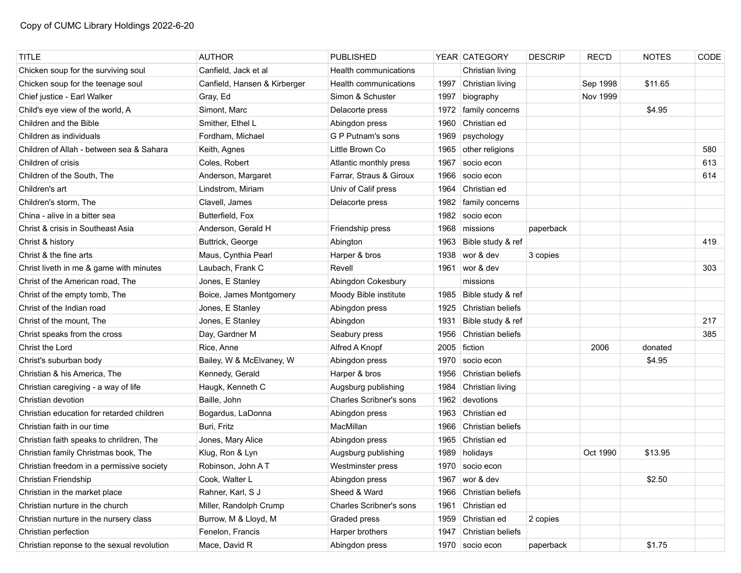| <b>TITLE</b>                               | <b>AUTHOR</b>                | <b>PUBLISHED</b>               |      | YEAR CATEGORY            | <b>DESCRIP</b> | <b>REC'D</b> | <b>NOTES</b> | CODE |
|--------------------------------------------|------------------------------|--------------------------------|------|--------------------------|----------------|--------------|--------------|------|
| Chicken soup for the surviving soul        | Canfield, Jack et al         | Health communications          |      | Christian living         |                |              |              |      |
| Chicken soup for the teenage soul          | Canfield, Hansen & Kirberger | Health communications          | 1997 | Christian living         |                | Sep 1998     | \$11.65      |      |
| Chief justice - Earl Walker                | Gray, Ed                     | Simon & Schuster               | 1997 | biography                |                | Nov 1999     |              |      |
| Child's eye view of the world, A           | Simont, Marc                 | Delacorte press                | 1972 | family concerns          |                |              | \$4.95       |      |
| Children and the Bible                     | Smither, Ethel L             | Abingdon press                 | 1960 | Christian ed             |                |              |              |      |
| Children as individuals                    | Fordham, Michael             | G P Putnam's sons              | 1969 | psychology               |                |              |              |      |
| Children of Allah - between sea & Sahara   | Keith, Agnes                 | Little Brown Co                | 1965 | other religions          |                |              |              | 580  |
| Children of crisis                         | Coles, Robert                | Atlantic monthly press         | 1967 | socio econ               |                |              |              | 613  |
| Children of the South, The                 | Anderson, Margaret           | Farrar, Straus & Giroux        | 1966 | socio econ               |                |              |              | 614  |
| Children's art                             | Lindstrom, Miriam            | Univ of Calif press            | 1964 | Christian ed             |                |              |              |      |
| Children's storm, The                      | Clavell, James               | Delacorte press                | 1982 | family concerns          |                |              |              |      |
| China - alive in a bitter sea              | Butterfield, Fox             |                                | 1982 | socio econ               |                |              |              |      |
| Christ & crisis in Southeast Asia          | Anderson, Gerald H           | Friendship press               | 1968 | missions                 | paperback      |              |              |      |
| Christ & history                           | Buttrick, George             | Abington                       | 1963 | Bible study & ref        |                |              |              | 419  |
| Christ & the fine arts                     | Maus, Cynthia Pearl          | Harper & bros                  | 1938 | wor & dev                | 3 copies       |              |              |      |
| Christ liveth in me & game with minutes    | Laubach, Frank C             | Revell                         | 1961 | wor & dev                |                |              |              | 303  |
| Christ of the American road, The           | Jones, E Stanley             | Abingdon Cokesbury             |      | missions                 |                |              |              |      |
| Christ of the empty tomb, The              | Boice, James Montgomery      | Moody Bible institute          | 1985 | Bible study & ref        |                |              |              |      |
| Christ of the Indian road                  | Jones, E Stanley             | Abingdon press                 | 1925 | <b>Christian beliefs</b> |                |              |              |      |
| Christ of the mount, The                   | Jones, E Stanley             | Abingdon                       | 1931 | Bible study & ref        |                |              |              | 217  |
| Christ speaks from the cross               | Day, Gardner M               | Seabury press                  | 1956 | Christian beliefs        |                |              |              | 385  |
| Christ the Lord                            | Rice, Anne                   | Alfred A Knopf                 | 2005 | fiction                  |                | 2006         | donated      |      |
| Christ's suburban body                     | Bailey, W & McElvaney, W     | Abingdon press                 | 1970 | socio econ               |                |              | \$4.95       |      |
| Christian & his America, The               | Kennedy, Gerald              | Harper & bros                  | 1956 | Christian beliefs        |                |              |              |      |
| Christian caregiving - a way of life       | Haugk, Kenneth C             | Augsburg publishing            | 1984 | Christian living         |                |              |              |      |
| Christian devotion                         | Baille, John                 | <b>Charles Scribner's sons</b> | 1962 | devotions                |                |              |              |      |
| Christian education for retarded children  | Bogardus, LaDonna            | Abingdon press                 | 1963 | Christian ed             |                |              |              |      |
| Christian faith in our time                | Buri, Fritz                  | MacMillan                      | 1966 | Christian beliefs        |                |              |              |      |
| Christian faith speaks to chrildren, The   | Jones, Mary Alice            | Abingdon press                 | 1965 | Christian ed             |                |              |              |      |
| Christian family Christmas book, The       | Klug, Ron & Lyn              | Augsburg publishing            | 1989 | holidays                 |                | Oct 1990     | \$13.95      |      |
| Christian freedom in a permissive society  | Robinson, John AT            | Westminster press              | 1970 | socio econ               |                |              |              |      |
| Christian Friendship                       | Cook, Walter L               | Abingdon press                 | 1967 | wor & dev                |                |              | \$2.50       |      |
| Christian in the market place              | Rahner, Karl, S J            | Sheed & Ward                   | 1966 | Christian beliefs        |                |              |              |      |
| Christian nurture in the church            | Miller, Randolph Crump       | <b>Charles Scribner's sons</b> | 1961 | Christian ed             |                |              |              |      |
| Christian nurture in the nursery class     | Burrow, M & Lloyd, M         | Graded press                   | 1959 | Christian ed             | 2 copies       |              |              |      |
| Christian perfection                       | Fenelon, Francis             | Harper brothers                | 1947 | Christian beliefs        |                |              |              |      |
| Christian reponse to the sexual revolution | Mace, David R                | Abingdon press                 |      | 1970 socio econ          | paperback      |              | \$1.75       |      |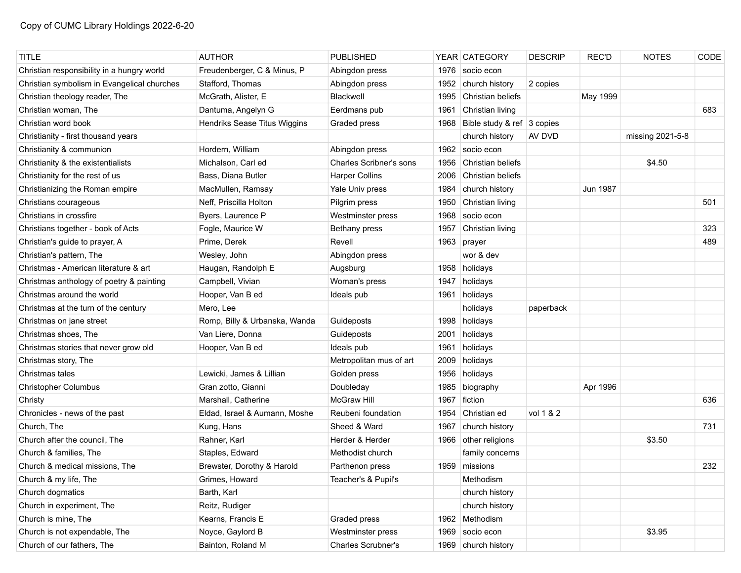| <b>TITLE</b>                                | <b>AUTHOR</b>                 | <b>PUBLISHED</b>               |      | YEAR CATEGORY              | <b>DESCRIP</b> | <b>REC'D</b> | <b>NOTES</b>     | CODE |
|---------------------------------------------|-------------------------------|--------------------------------|------|----------------------------|----------------|--------------|------------------|------|
| Christian responsibility in a hungry world  | Freudenberger, C & Minus, P   | Abingdon press                 | 1976 | socio econ                 |                |              |                  |      |
| Christian symbolism in Evangelical churches | Stafford, Thomas              | Abingdon press                 | 1952 | church history             | 2 copies       |              |                  |      |
| Christian theology reader, The              | McGrath, Alister, E           | Blackwell                      | 1995 | Christian beliefs          |                | May 1999     |                  |      |
| Christian woman, The                        | Dantuma, Angelyn G            | Eerdmans pub                   | 1961 | Christian living           |                |              |                  | 683  |
| Christian word book                         | Hendriks Sease Titus Wiggins  | Graded press                   | 1968 | Bible study & ref 3 copies |                |              |                  |      |
| Christianity - first thousand years         |                               |                                |      | church history             | AV DVD         |              | missing 2021-5-8 |      |
| Christianity & communion                    | Hordern, William              | Abingdon press                 | 1962 | socio econ                 |                |              |                  |      |
| Christianity & the existentialists          | Michalson, Carl ed            | <b>Charles Scribner's sons</b> | 1956 | Christian beliefs          |                |              | \$4.50           |      |
| Christianity for the rest of us             | Bass, Diana Butler            | <b>Harper Collins</b>          | 2006 | Christian beliefs          |                |              |                  |      |
| Christianizing the Roman empire             | MacMullen, Ramsay             | Yale Univ press                | 1984 | church history             |                | Jun 1987     |                  |      |
| Christians courageous                       | Neff, Priscilla Holton        | Pilgrim press                  | 1950 | Christian living           |                |              |                  | 501  |
| Christians in crossfire                     | Byers, Laurence P             | Westminster press              | 1968 | socio econ                 |                |              |                  |      |
| Christians together - book of Acts          | Fogle, Maurice W              | Bethany press                  | 1957 | Christian living           |                |              |                  | 323  |
| Christian's guide to prayer, A              | Prime, Derek                  | Revell                         | 1963 | prayer                     |                |              |                  | 489  |
| Christian's pattern, The                    | Wesley, John                  | Abingdon press                 |      | wor & dev                  |                |              |                  |      |
| Christmas - American literature & art       | Haugan, Randolph E            | Augsburg                       |      | 1958 holidays              |                |              |                  |      |
| Christmas anthology of poetry & painting    | Campbell, Vivian              | Woman's press                  | 1947 | holidays                   |                |              |                  |      |
| Christmas around the world                  | Hooper, Van B ed              | Ideals pub                     | 1961 | holidays                   |                |              |                  |      |
| Christmas at the turn of the century        | Mero, Lee                     |                                |      | holidays                   | paperback      |              |                  |      |
| Christmas on jane street                    | Romp, Billy & Urbanska, Wanda | Guideposts                     | 1998 | holidays                   |                |              |                  |      |
| Christmas shoes, The                        | Van Liere, Donna              | Guideposts                     | 2001 | holidays                   |                |              |                  |      |
| Christmas stories that never grow old       | Hooper, Van B ed              | Ideals pub                     | 1961 | holidays                   |                |              |                  |      |
| Christmas story, The                        |                               | Metropolitan mus of art        | 2009 | holidays                   |                |              |                  |      |
| Christmas tales                             | Lewicki, James & Lillian      | Golden press                   | 1956 | holidays                   |                |              |                  |      |
| <b>Christopher Columbus</b>                 | Gran zotto, Gianni            | Doubleday                      | 1985 | biography                  |                | Apr 1996     |                  |      |
| Christy                                     | Marshall, Catherine           | <b>McGraw Hill</b>             | 1967 | fiction                    |                |              |                  | 636  |
| Chronicles - news of the past               | Eldad, Israel & Aumann, Moshe | Reubeni foundation             | 1954 | Christian ed               | vol 1 & 2      |              |                  |      |
| Church, The                                 | Kung, Hans                    | Sheed & Ward                   | 1967 | church history             |                |              |                  | 731  |
| Church after the council, The               | Rahner, Karl                  | Herder & Herder                | 1966 | other religions            |                |              | \$3.50           |      |
| Church & families, The                      | Staples, Edward               | Methodist church               |      | family concerns            |                |              |                  |      |
| Church & medical missions, The              | Brewster, Dorothy & Harold    | Parthenon press                |      | 1959 missions              |                |              |                  | 232  |
| Church & my life, The                       | Grimes, Howard                | Teacher's & Pupil's            |      | Methodism                  |                |              |                  |      |
| Church dogmatics                            | Barth, Karl                   |                                |      | church history             |                |              |                  |      |
| Church in experiment, The                   | Reitz, Rudiger                |                                |      | church history             |                |              |                  |      |
| Church is mine, The                         | Kearns, Francis E             | Graded press                   |      | 1962 Methodism             |                |              |                  |      |
| Church is not expendable, The               | Noyce, Gaylord B              | Westminster press              | 1969 | socio econ                 |                |              | \$3.95           |      |
| Church of our fathers, The                  | Bainton, Roland M             | Charles Scrubner's             |      | 1969 church history        |                |              |                  |      |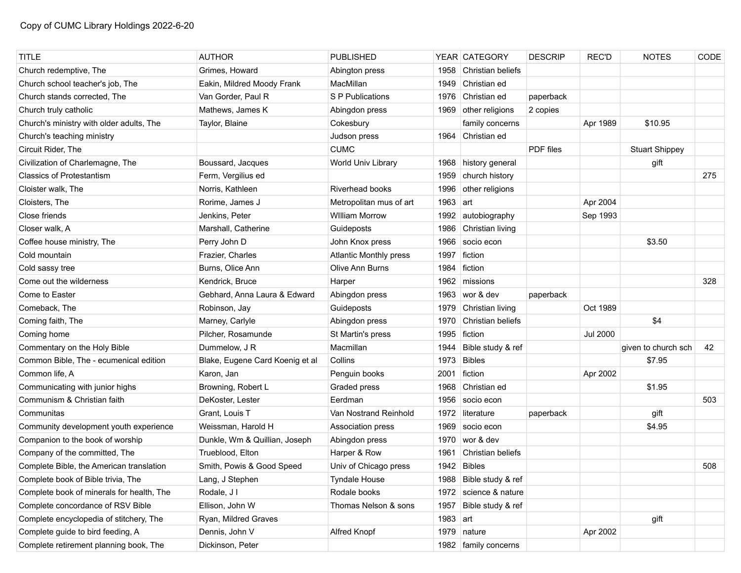| <b>TITLE</b>                              | <b>AUTHOR</b>                   | <b>PUBLISHED</b>              |            | YEAR CATEGORY          | <b>DESCRIP</b> | <b>REC'D</b>    | <b>NOTES</b>          | CODE |
|-------------------------------------------|---------------------------------|-------------------------------|------------|------------------------|----------------|-----------------|-----------------------|------|
| Church redemptive, The                    | Grimes, Howard                  | Abington press                | 1958       | Christian beliefs      |                |                 |                       |      |
| Church school teacher's job, The          | Eakin, Mildred Moody Frank      | MacMillan                     | 1949       | Christian ed           |                |                 |                       |      |
| Church stands corrected. The              | Van Gorder, Paul R              | S P Publications              | 1976       | Christian ed           | paperback      |                 |                       |      |
| Church truly catholic                     | Mathews, James K                | Abingdon press                | 1969       | other religions        | 2 copies       |                 |                       |      |
| Church's ministry with older adults, The  | Taylor, Blaine                  | Cokesbury                     |            | family concerns        |                | Apr 1989        | \$10.95               |      |
| Church's teaching ministry                |                                 | Judson press                  |            | 1964 Christian ed      |                |                 |                       |      |
| Circuit Rider, The                        |                                 | <b>CUMC</b>                   |            |                        | PDF files      |                 | <b>Stuart Shippey</b> |      |
| Civilization of Charlemagne, The          | Boussard, Jacques               | World Univ Library            |            | 1968 history general   |                |                 | gift                  |      |
| <b>Classics of Protestantism</b>          | Ferm, Vergilius ed              |                               | 1959       | church history         |                |                 |                       | 275  |
| Cloister walk, The                        | Norris, Kathleen                | <b>Riverhead books</b>        | 1996       | other religions        |                |                 |                       |      |
| Cloisters, The                            | Rorime, James J                 | Metropolitan mus of art       | 1963       | art                    |                | Apr 2004        |                       |      |
| Close friends                             | Jenkins, Peter                  | <b>William Morrow</b>         | 1992       | autobiography          |                | Sep 1993        |                       |      |
| Closer walk, A                            | Marshall, Catherine             | Guideposts                    | 1986       | Christian living       |                |                 |                       |      |
| Coffee house ministry, The                | Perry John D                    | John Knox press               | 1966       | socio econ             |                |                 | \$3.50                |      |
| Cold mountain                             | Frazier, Charles                | <b>Atlantic Monthly press</b> | 1997       | fiction                |                |                 |                       |      |
| Cold sassy tree                           | Burns, Olice Ann                | Olive Ann Burns               | 1984       | fiction                |                |                 |                       |      |
| Come out the wilderness                   | Kendrick, Bruce                 | Harper                        | 1962       | missions               |                |                 |                       | 328  |
| Come to Easter                            | Gebhard, Anna Laura & Edward    | Abingdon press                | 1963       | wor & dev              | paperback      |                 |                       |      |
| Comeback, The                             | Robinson, Jay                   | Guideposts                    | 1979       | Christian living       |                | Oct 1989        |                       |      |
| Coming faith, The                         | Marney, Carlyle                 | Abingdon press                | 1970       | Christian beliefs      |                |                 | \$4                   |      |
| Coming home                               | Pilcher, Rosamunde              | St Martin's press             | 1995       | fiction                |                | <b>Jul 2000</b> |                       |      |
| Commentary on the Holy Bible              | Dummelow, J R                   | Macmillan                     | 1944       | Bible study & ref      |                |                 | given to church sch   | 42   |
| Common Bible, The - ecumenical edition    | Blake, Eugene Card Koenig et al | Collins                       | 1973       | <b>Bibles</b>          |                |                 | \$7.95                |      |
| Common life, A                            | Karon, Jan                      | Penguin books                 | 2001       | fiction                |                | Apr 2002        |                       |      |
| Communicating with junior highs           | Browning, Robert L              | Graded press                  | 1968       | Christian ed           |                |                 | \$1.95                |      |
| Communism & Christian faith               | DeKoster, Lester                | Eerdman                       | 1956       | socio econ             |                |                 |                       | 503  |
| Communitas                                | Grant, Louis T                  | Van Nostrand Reinhold         | 1972       | literature             | paperback      |                 | gift                  |      |
| Community development youth experience    | Weissman, Harold H              | Association press             | 1969       | socio econ             |                |                 | \$4.95                |      |
| Companion to the book of worship          | Dunkle, Wm & Quillian, Joseph   | Abingdon press                | 1970       | wor & dev              |                |                 |                       |      |
| Company of the committed, The             | Trueblood, Elton                | Harper & Row                  | 1961       | Christian beliefs      |                |                 |                       |      |
| Complete Bible, the American translation  | Smith, Powis & Good Speed       | Univ of Chicago press         |            | 1942 Bibles            |                |                 |                       | 508  |
| Complete book of Bible trivia, The        | Lang, J Stephen                 | <b>Tyndale House</b>          |            | 1988 Bible study & ref |                |                 |                       |      |
| Complete book of minerals for health, The | Rodale, J I                     | Rodale books                  |            | 1972 science & nature  |                |                 |                       |      |
| Complete concordance of RSV Bible         | Ellison, John W                 | Thomas Nelson & sons          | 1957       | Bible study & ref      |                |                 |                       |      |
| Complete encyclopedia of stitchery, The   | Ryan, Mildred Graves            |                               | $1983$ art |                        |                |                 | gift                  |      |
| Complete guide to bird feeding, A         | Dennis, John V                  | Alfred Knopf                  | 1979       | nature                 |                | Apr 2002        |                       |      |
| Complete retirement planning book, The    | Dickinson, Peter                |                               |            | 1982   family concerns |                |                 |                       |      |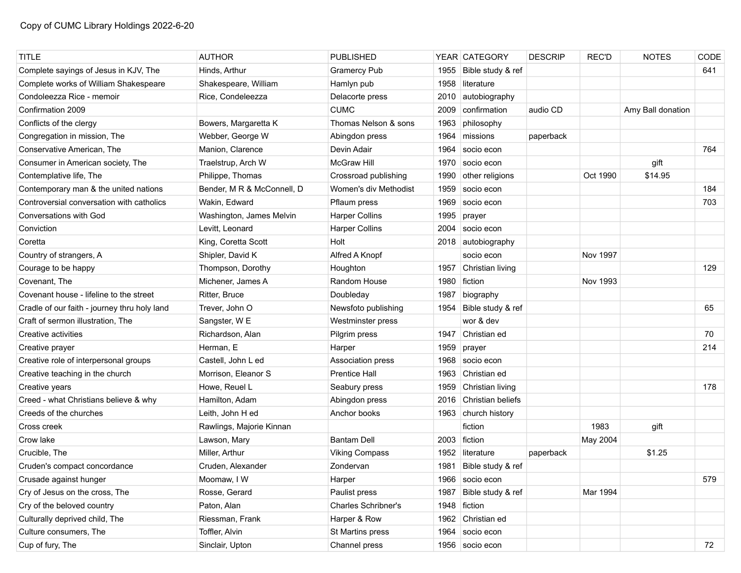| <b>TITLE</b>                                 | <b>AUTHOR</b>              | <b>PUBLISHED</b>           |      | YEAR CATEGORY          | <b>DESCRIP</b> | <b>REC'D</b> | <b>NOTES</b>      | CODE |
|----------------------------------------------|----------------------------|----------------------------|------|------------------------|----------------|--------------|-------------------|------|
| Complete sayings of Jesus in KJV, The        | Hinds, Arthur              | <b>Gramercy Pub</b>        | 1955 | Bible study & ref      |                |              |                   | 641  |
| Complete works of William Shakespeare        | Shakespeare, William       | Hamlyn pub                 | 1958 | literature             |                |              |                   |      |
| Condoleezza Rice - memoir                    | Rice, Condeleezza          | Delacorte press            | 2010 | autobiography          |                |              |                   |      |
| Confirmation 2009                            |                            | <b>CUMC</b>                | 2009 | confirmation           | audio CD       |              | Amy Ball donation |      |
| Conflicts of the clergy                      | Bowers, Margaretta K       | Thomas Nelson & sons       | 1963 | philosophy             |                |              |                   |      |
| Congregation in mission, The                 | Webber, George W           | Abingdon press             | 1964 | missions               | paperback      |              |                   |      |
| Conservative American, The                   | Manion, Clarence           | Devin Adair                | 1964 | socio econ             |                |              |                   | 764  |
| Consumer in American society, The            | Traelstrup, Arch W         | <b>McGraw Hill</b>         | 1970 | socio econ             |                |              | gift              |      |
| Contemplative life, The                      | Philippe, Thomas           | Crossroad publishing       | 1990 | other religions        |                | Oct 1990     | \$14.95           |      |
| Contemporary man & the united nations        | Bender, M R & McConnell, D | Women's div Methodist      | 1959 | socio econ             |                |              |                   | 184  |
| Controversial conversation with catholics    | Wakin, Edward              | Pflaum press               | 1969 | socio econ             |                |              |                   | 703  |
| Conversations with God                       | Washington, James Melvin   | <b>Harper Collins</b>      | 1995 | prayer                 |                |              |                   |      |
| Conviction                                   | Levitt, Leonard            | <b>Harper Collins</b>      | 2004 | socio econ             |                |              |                   |      |
| Coretta                                      | King, Coretta Scott        | Holt                       | 2018 | autobiography          |                |              |                   |      |
| Country of strangers, A                      | Shipler, David K           | Alfred A Knopf             |      | socio econ             |                | Nov 1997     |                   |      |
| Courage to be happy                          | Thompson, Dorothy          | Houghton                   | 1957 | Christian living       |                |              |                   | 129  |
| Covenant, The                                | Michener, James A          | Random House               | 1980 | fiction                |                | Nov 1993     |                   |      |
| Covenant house - lifeline to the street      | Ritter, Bruce              | Doubleday                  | 1987 | biography              |                |              |                   |      |
| Cradle of our faith - journey thru holy land | Trever, John O             | Newsfoto publishing        | 1954 | Bible study & ref      |                |              |                   | 65   |
| Craft of sermon illustration, The            | Sangster, W E              | Westminster press          |      | wor & dev              |                |              |                   |      |
| Creative activities                          | Richardson, Alan           | Pilgrim press              | 1947 | Christian ed           |                |              |                   | 70   |
| Creative prayer                              | Herman, E                  | Harper                     | 1959 | prayer                 |                |              |                   | 214  |
| Creative role of interpersonal groups        | Castell, John L ed         | Association press          | 1968 | socio econ             |                |              |                   |      |
| Creative teaching in the church              | Morrison, Eleanor S        | <b>Prentice Hall</b>       | 1963 | Christian ed           |                |              |                   |      |
| Creative years                               | Howe, Reuel L              | Seabury press              | 1959 | Christian living       |                |              |                   | 178  |
| Creed - what Christians believe & why        | Hamilton, Adam             | Abingdon press             | 2016 | Christian beliefs      |                |              |                   |      |
| Creeds of the churches                       | Leith, John H ed           | Anchor books               | 1963 | church history         |                |              |                   |      |
| Cross creek                                  | Rawlings, Majorie Kinnan   |                            |      | fiction                |                | 1983         | gift              |      |
| Crow lake                                    | Lawson, Mary               | <b>Bantam Dell</b>         |      | 2003 fiction           |                | May 2004     |                   |      |
| Crucible, The                                | Miller, Arthur             | <b>Viking Compass</b>      | 1952 | literature             | paperback      |              | \$1.25            |      |
| Cruden's compact concordance                 | Cruden, Alexander          | Zondervan                  |      | 1981 Bible study & ref |                |              |                   |      |
| Crusade against hunger                       | Moomaw, I W                | Harper                     |      | 1966 socio econ        |                |              |                   | 579  |
| Cry of Jesus on the cross, The               | Rosse, Gerard              | Paulist press              | 1987 | Bible study & ref      |                | Mar 1994     |                   |      |
| Cry of the beloved country                   | Paton, Alan                | <b>Charles Schribner's</b> |      | 1948 fiction           |                |              |                   |      |
| Culturally deprived child, The               | Riessman, Frank            | Harper & Row               | 1962 | Christian ed           |                |              |                   |      |
| Culture consumers, The                       | Toffler, Alvin             | St Martins press           | 1964 | socio econ             |                |              |                   |      |
| Cup of fury, The                             | Sinclair, Upton            | Channel press              |      | 1956 socio econ        |                |              |                   | 72   |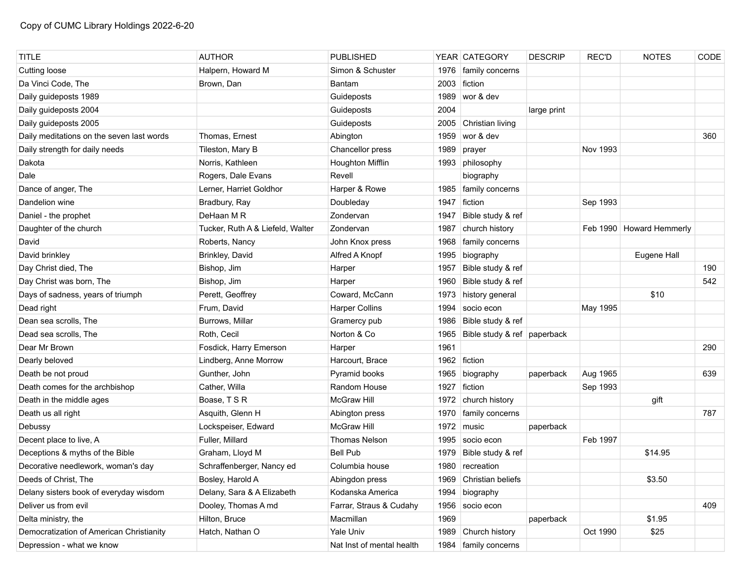| <b>TITLE</b>                              | <b>AUTHOR</b>                    | <b>PUBLISHED</b>          |      | YEAR CATEGORY               | <b>DESCRIP</b> | <b>REC'D</b> | <b>NOTES</b>             | CODE |
|-------------------------------------------|----------------------------------|---------------------------|------|-----------------------------|----------------|--------------|--------------------------|------|
| <b>Cutting loose</b>                      | Halpern, Howard M                | Simon & Schuster          | 1976 | family concerns             |                |              |                          |      |
| Da Vinci Code, The                        | Brown, Dan                       | Bantam                    | 2003 | fiction                     |                |              |                          |      |
| Daily guideposts 1989                     |                                  | Guideposts                | 1989 | wor & dev                   |                |              |                          |      |
| Daily guideposts 2004                     |                                  | Guideposts                | 2004 |                             | large print    |              |                          |      |
| Daily guideposts 2005                     |                                  | Guideposts                | 2005 | Christian living            |                |              |                          |      |
| Daily meditations on the seven last words | Thomas, Ernest                   | Abington                  | 1959 | wor & dev                   |                |              |                          | 360  |
| Daily strength for daily needs            | Tileston, Mary B                 | Chancellor press          | 1989 | prayer                      |                | Nov 1993     |                          |      |
| Dakota                                    | Norris, Kathleen                 | Houghton Mifflin          | 1993 | philosophy                  |                |              |                          |      |
| Dale                                      | Rogers, Dale Evans               | Revell                    |      | biography                   |                |              |                          |      |
| Dance of anger, The                       | Lerner, Harriet Goldhor          | Harper & Rowe             | 1985 | family concerns             |                |              |                          |      |
| Dandelion wine                            | Bradbury, Ray                    | Doubleday                 | 1947 | fiction                     |                | Sep 1993     |                          |      |
| Daniel - the prophet                      | DeHaan MR                        | Zondervan                 | 1947 | Bible study & ref           |                |              |                          |      |
| Daughter of the church                    | Tucker, Ruth A & Liefeld, Walter | Zondervan                 | 1987 | church history              |                |              | Feb 1990 Howard Hemmerly |      |
| David                                     | Roberts, Nancy                   | John Knox press           | 1968 | family concerns             |                |              |                          |      |
| David brinkley                            | Brinkley, David                  | Alfred A Knopf            | 1995 | biography                   |                |              | Eugene Hall              |      |
| Day Christ died, The                      | Bishop, Jim                      | Harper                    | 1957 | Bible study & ref           |                |              |                          | 190  |
| Day Christ was born, The                  | Bishop, Jim                      | Harper                    | 1960 | Bible study & ref           |                |              |                          | 542  |
| Days of sadness, years of triumph         | Perett, Geoffrey                 | Coward, McCann            | 1973 | history general             |                |              | \$10                     |      |
| Dead right                                | Frum, David                      | <b>Harper Collins</b>     | 1994 | socio econ                  |                | May 1995     |                          |      |
| Dean sea scrolls, The                     | Burrows, Millar                  | Gramercy pub              | 1986 | Bible study & ref           |                |              |                          |      |
| Dead sea scrolls, The                     | Roth, Cecil                      | Norton & Co               | 1965 | Bible study & ref paperback |                |              |                          |      |
| Dear Mr Brown                             | Fosdick, Harry Emerson           | Harper                    | 1961 |                             |                |              |                          | 290  |
| Dearly beloved                            | Lindberg, Anne Morrow            | Harcourt, Brace           |      | 1962 fiction                |                |              |                          |      |
| Death be not proud                        | Gunther, John                    | Pyramid books             | 1965 | biography                   | paperback      | Aug 1965     |                          | 639  |
| Death comes for the archbishop            | Cather, Willa                    | Random House              | 1927 | fiction                     |                | Sep 1993     |                          |      |
| Death in the middle ages                  | Boase, TSR                       | McGraw Hill               | 1972 | church history              |                |              | gift                     |      |
| Death us all right                        | Asquith, Glenn H                 | Abington press            | 1970 | family concerns             |                |              |                          | 787  |
| Debussy                                   | Lockspeiser, Edward              | <b>McGraw Hill</b>        | 1972 | music                       | paperback      |              |                          |      |
| Decent place to live, A                   | Fuller, Millard                  | <b>Thomas Nelson</b>      | 1995 | socio econ                  |                | Feb 1997     |                          |      |
| Deceptions & myths of the Bible           | Graham, Lloyd M                  | <b>Bell Pub</b>           | 1979 | Bible study & ref           |                |              | \$14.95                  |      |
| Decorative needlework, woman's day        | Schraffenberger, Nancy ed        | Columbia house            | 1980 | recreation                  |                |              |                          |      |
| Deeds of Christ, The                      | Bosley, Harold A                 | Abingdon press            |      | 1969 Christian beliefs      |                |              | \$3.50                   |      |
| Delany sisters book of everyday wisdom    | Delany, Sara & A Elizabeth       | Kodanska America          | 1994 | biography                   |                |              |                          |      |
| Deliver us from evil                      | Dooley, Thomas A md              | Farrar, Straus & Cudahy   | 1956 | socio econ                  |                |              |                          | 409  |
| Delta ministry, the                       | Hilton, Bruce                    | Macmillan                 | 1969 |                             | paperback      |              | \$1.95                   |      |
| Democratization of American Christianity  | Hatch, Nathan O                  | Yale Univ                 | 1989 | Church history              |                | Oct 1990     | \$25                     |      |
| Depression - what we know                 |                                  | Nat Inst of mental health |      | 1984   family concerns      |                |              |                          |      |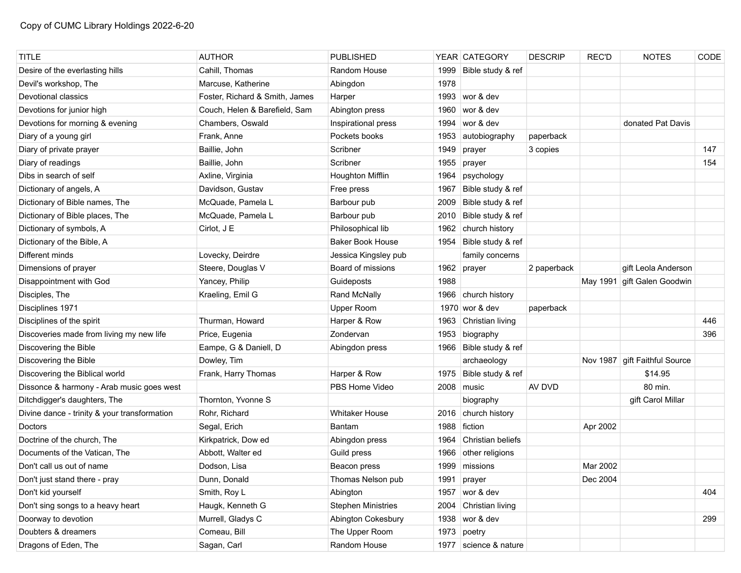| <b>TITLE</b>                                 | <b>AUTHOR</b>                  | <b>PUBLISHED</b>          |      | YEAR CATEGORY          | <b>DESCRIP</b> | <b>REC'D</b> | <b>NOTES</b>                    | CODE |
|----------------------------------------------|--------------------------------|---------------------------|------|------------------------|----------------|--------------|---------------------------------|------|
| Desire of the everlasting hills              | Cahill, Thomas                 | Random House              | 1999 | Bible study & ref      |                |              |                                 |      |
| Devil's workshop, The                        | Marcuse, Katherine             | Abingdon                  | 1978 |                        |                |              |                                 |      |
| Devotional classics                          | Foster, Richard & Smith, James | Harper                    | 1993 | wor & dev              |                |              |                                 |      |
| Devotions for junior high                    | Couch, Helen & Barefield, Sam  | Abington press            | 1960 | wor & dev              |                |              |                                 |      |
| Devotions for morning & evening              | Chambers, Oswald               | Inspirational press       | 1994 | wor & dev              |                |              | donated Pat Davis               |      |
| Diary of a young girl                        | Frank, Anne                    | Pockets books             | 1953 | autobiography          | paperback      |              |                                 |      |
| Diary of private prayer                      | Baillie, John                  | Scribner                  | 1949 | prayer                 | 3 copies       |              |                                 | 147  |
| Diary of readings                            | Baillie, John                  | Scribner                  | 1955 | prayer                 |                |              |                                 | 154  |
| Dibs in search of self                       | Axline, Virginia               | <b>Houghton Mifflin</b>   | 1964 | psychology             |                |              |                                 |      |
| Dictionary of angels, A                      | Davidson, Gustav               | Free press                | 1967 | Bible study & ref      |                |              |                                 |      |
| Dictionary of Bible names, The               | McQuade, Pamela L              | Barbour pub               | 2009 | Bible study & ref      |                |              |                                 |      |
| Dictionary of Bible places, The              | McQuade, Pamela L              | Barbour pub               | 2010 | Bible study & ref      |                |              |                                 |      |
| Dictionary of symbols, A                     | Cirlot, J E                    | Philosophical lib         | 1962 | church history         |                |              |                                 |      |
| Dictionary of the Bible, A                   |                                | <b>Baker Book House</b>   | 1954 | Bible study & ref      |                |              |                                 |      |
| Different minds                              | Lovecky, Deirdre               | Jessica Kingsley pub      |      | family concerns        |                |              |                                 |      |
| Dimensions of prayer                         | Steere, Douglas V              | Board of missions         |      | 1962 prayer            | 2 paperback    |              | gift Leola Anderson             |      |
| Disappointment with God                      | Yancey, Philip                 | Guideposts                | 1988 |                        |                |              | May 1991 gift Galen Goodwin     |      |
| Disciples, The                               | Kraeling, Emil G               | Rand McNally              | 1966 | church history         |                |              |                                 |      |
| Disciplines 1971                             |                                | <b>Upper Room</b>         |      | 1970 wor & dev         | paperback      |              |                                 |      |
| Disciplines of the spirit                    | Thurman, Howard                | Harper & Row              |      | 1963 Christian living  |                |              |                                 | 446  |
| Discoveries made from living my new life     | Price, Eugenia                 | Zondervan                 | 1953 | biography              |                |              |                                 | 396  |
| Discovering the Bible                        | Eampe, G & Daniell, D          | Abingdon press            |      | 1966 Bible study & ref |                |              |                                 |      |
| Discovering the Bible                        | Dowley, Tim                    |                           |      | archaeology            |                |              | Nov 1987   gift Faithful Source |      |
| Discovering the Biblical world               | Frank, Harry Thomas            | Harper & Row              | 1975 | Bible study & ref      |                |              | \$14.95                         |      |
| Dissonce & harmony - Arab music goes west    |                                | PBS Home Video            |      | 2008 music             | AV DVD         |              | 80 min.                         |      |
| Ditchdigger's daughters, The                 | Thornton, Yvonne S             |                           |      | biography              |                |              | gift Carol Millar               |      |
| Divine dance - trinity & your transformation | Rohr, Richard                  | <b>Whitaker House</b>     | 2016 | church history         |                |              |                                 |      |
| Doctors                                      | Segal, Erich                   | <b>Bantam</b>             | 1988 | fiction                |                | Apr 2002     |                                 |      |
| Doctrine of the church, The                  | Kirkpatrick, Dow ed            | Abingdon press            | 1964 | Christian beliefs      |                |              |                                 |      |
| Documents of the Vatican, The                | Abbott, Walter ed              | Guild press               | 1966 | other religions        |                |              |                                 |      |
| Don't call us out of name                    | Dodson, Lisa                   | Beacon press              |      | 1999 missions          |                | Mar 2002     |                                 |      |
| Don't just stand there - pray                | Dunn, Donald                   | Thomas Nelson pub         | 1991 | prayer                 |                | Dec 2004     |                                 |      |
| Don't kid yourself                           | Smith, Roy L                   | Abington                  | 1957 | wor & dev              |                |              |                                 | 404  |
| Don't sing songs to a heavy heart            | Haugk, Kenneth G               | <b>Stephen Ministries</b> | 2004 | Christian living       |                |              |                                 |      |
| Doorway to devotion                          | Murrell, Gladys C              | Abington Cokesbury        | 1938 | wor & dev              |                |              |                                 | 299  |
| Doubters & dreamers                          | Comeau, Bill                   | The Upper Room            | 1973 | poetry                 |                |              |                                 |      |
| Dragons of Eden, The                         | Sagan, Carl                    | Random House              | 1977 | science & nature       |                |              |                                 |      |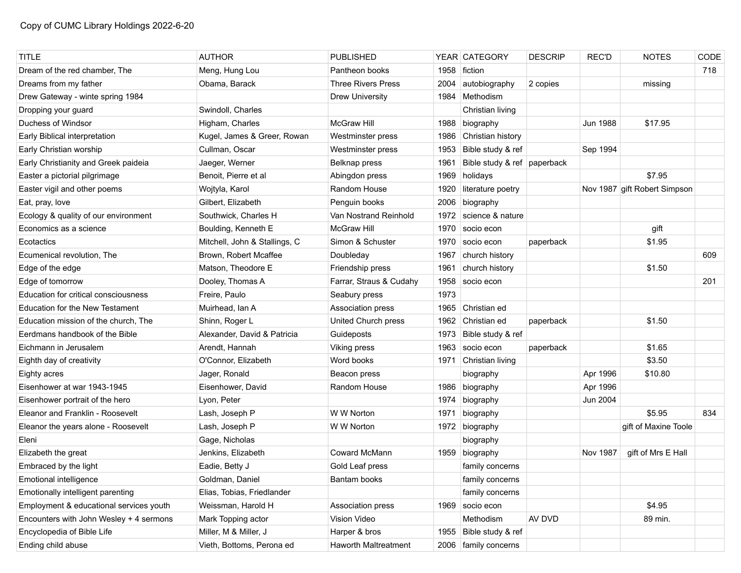| <b>TITLE</b>                            | <b>AUTHOR</b>                 | <b>PUBLISHED</b>          |      | YEAR   CATEGORY             | <b>DESCRIP</b> | <b>REC'D</b>    | <b>NOTES</b>                 | CODE |
|-----------------------------------------|-------------------------------|---------------------------|------|-----------------------------|----------------|-----------------|------------------------------|------|
| Dream of the red chamber, The           | Meng, Hung Lou                | Pantheon books            | 1958 | fiction                     |                |                 |                              | 718  |
| Dreams from my father                   | Obama, Barack                 | <b>Three Rivers Press</b> | 2004 | autobiography               | 2 copies       |                 | missing                      |      |
| Drew Gateway - winte spring 1984        |                               | <b>Drew University</b>    | 1984 | ∣Methodism                  |                |                 |                              |      |
| Dropping your guard                     | Swindoll, Charles             |                           |      | Christian living            |                |                 |                              |      |
| Duchess of Windsor                      | Higham, Charles               | <b>McGraw Hill</b>        | 1988 | biography                   |                | <b>Jun 1988</b> | \$17.95                      |      |
| Early Biblical interpretation           | Kugel, James & Greer, Rowan   | Westminster press         | 1986 | Christian history           |                |                 |                              |      |
| Early Christian worship                 | Cullman, Oscar                | Westminster press         | 1953 | Bible study & ref           |                | Sep 1994        |                              |      |
| Early Christianity and Greek paideia    | Jaeger, Werner                | Belknap press             | 1961 | Bible study & ref paperback |                |                 |                              |      |
| Easter a pictorial pilgrimage           | Benoit, Pierre et al          | Abingdon press            | 1969 | holidays                    |                |                 | \$7.95                       |      |
| Easter vigil and other poems            | Wojtyla, Karol                | Random House              | 1920 | literature poetry           |                |                 | Nov 1987 gift Robert Simpson |      |
| Eat, pray, love                         | Gilbert, Elizabeth            | Penguin books             | 2006 | biography                   |                |                 |                              |      |
| Ecology & quality of our environment    | Southwick, Charles H          | Van Nostrand Reinhold     | 1972 | science & nature            |                |                 |                              |      |
| Economics as a science                  | Boulding, Kenneth E           | <b>McGraw Hill</b>        | 1970 | socio econ                  |                |                 | gift                         |      |
| Ecotactics                              | Mitchell, John & Stallings, C | Simon & Schuster          | 1970 | socio econ                  | paperback      |                 | \$1.95                       |      |
| Ecumenical revolution. The              | Brown, Robert Mcaffee         | Doubleday                 | 1967 | church history              |                |                 |                              | 609  |
| Edge of the edge                        | Matson, Theodore E            | Friendship press          | 1961 | church history              |                |                 | \$1.50                       |      |
| Edge of tomorrow                        | Dooley, Thomas A              | Farrar, Straus & Cudahy   | 1958 | socio econ                  |                |                 |                              | 201  |
| Education for critical consciousness    | Freire, Paulo                 | Seabury press             | 1973 |                             |                |                 |                              |      |
| Education for the New Testament         | Muirhead, Ian A               | Association press         | 1965 | Christian ed                |                |                 |                              |      |
| Education mission of the church, The    | Shinn, Roger L                | United Church press       |      | 1962 Christian ed           | paperback      |                 | \$1.50                       |      |
| Eerdmans handbook of the Bible          | Alexander, David & Patricia   | Guideposts                | 1973 | Bible study & ref           |                |                 |                              |      |
| Eichmann in Jerusalem                   | Arendt, Hannah                | Viking press              | 1963 | socio econ                  | paperback      |                 | \$1.65                       |      |
| Eighth day of creativity                | O'Connor, Elizabeth           | Word books                | 1971 | Christian living            |                |                 | \$3.50                       |      |
| Eighty acres                            | Jager, Ronald                 | Beacon press              |      | biography                   |                | Apr 1996        | \$10.80                      |      |
| Eisenhower at war 1943-1945             | Eisenhower, David             | Random House              | 1986 | biography                   |                | Apr 1996        |                              |      |
| Eisenhower portrait of the hero         | Lyon, Peter                   |                           | 1974 | biography                   |                | Jun 2004        |                              |      |
| Eleanor and Franklin - Roosevelt        | Lash, Joseph P                | W W Norton                | 1971 | biography                   |                |                 | \$5.95                       | 834  |
| Eleanor the years alone - Roosevelt     | Lash, Joseph P                | W W Norton                |      | 1972 biography              |                |                 | gift of Maxine Toole         |      |
| Eleni                                   | Gage, Nicholas                |                           |      | biography                   |                |                 |                              |      |
| Elizabeth the great                     | Jenkins, Elizabeth            | <b>Coward McMann</b>      | 1959 | biography                   |                | <b>Nov 1987</b> | gift of Mrs E Hall           |      |
| Embraced by the light                   | Eadie, Betty J                | Gold Leaf press           |      | family concerns             |                |                 |                              |      |
| Emotional intelligence                  | Goldman, Daniel               | Bantam books              |      | family concerns             |                |                 |                              |      |
| Emotionally intelligent parenting       | Elias, Tobias, Friedlander    |                           |      | family concerns             |                |                 |                              |      |
| Employment & educational services youth | Weissman, Harold H            | Association press         |      | 1969 socio econ             |                |                 | \$4.95                       |      |
| Encounters with John Wesley + 4 sermons | Mark Topping actor            | Vision Video              |      | Methodism                   | AV DVD         |                 | 89 min.                      |      |
| Encyclopedia of Bible Life              | Miller, M & Miller, J         | Harper & bros             |      | 1955 Bible study & ref      |                |                 |                              |      |
| Ending child abuse                      | Vieth, Bottoms, Perona ed     | Haworth Maltreatment      |      | 2006 family concerns        |                |                 |                              |      |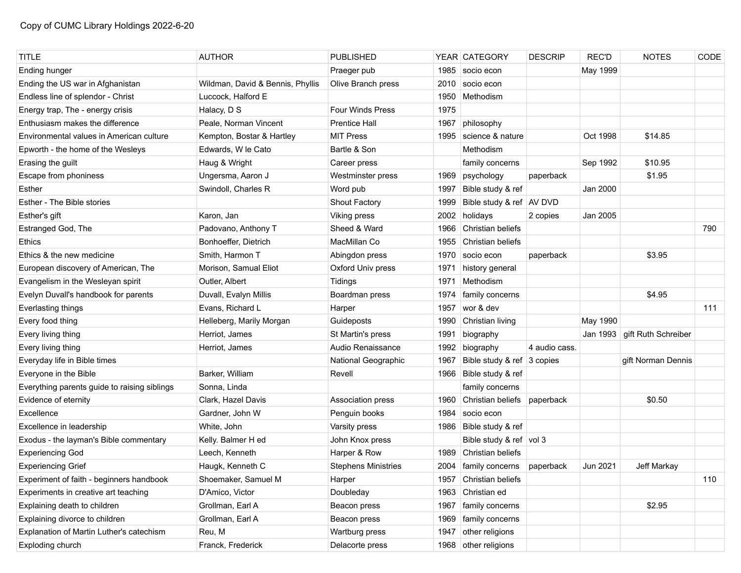| <b>TITLE</b>                                 | <b>AUTHOR</b>                    | <b>PUBLISHED</b>           |      | YEAR CATEGORY               | <b>DESCRIP</b> | <b>REC'D</b> | <b>NOTES</b>        | CODE |
|----------------------------------------------|----------------------------------|----------------------------|------|-----------------------------|----------------|--------------|---------------------|------|
| Ending hunger                                |                                  | Praeger pub                | 1985 | socio econ                  |                | May 1999     |                     |      |
| Ending the US war in Afghanistan             | Wildman, David & Bennis, Phyllis | Olive Branch press         | 2010 | socio econ                  |                |              |                     |      |
| Endless line of splendor - Christ            | Luccock, Halford E               |                            | 1950 | Methodism                   |                |              |                     |      |
| Energy trap, The - energy crisis             | Halacy, D S                      | <b>Four Winds Press</b>    | 1975 |                             |                |              |                     |      |
| Enthusiasm makes the difference              | Peale, Norman Vincent            | <b>Prentice Hall</b>       | 1967 | philosophy                  |                |              |                     |      |
| Environmental values in American culture     | Kempton, Bostar & Hartley        | <b>MIT Press</b>           | 1995 | science & nature            |                | Oct 1998     | \$14.85             |      |
| Epworth - the home of the Wesleys            | Edwards, W le Cato               | Bartle & Son               |      | Methodism                   |                |              |                     |      |
| Erasing the guilt                            | Haug & Wright                    | Career press               |      | family concerns             |                | Sep 1992     | \$10.95             |      |
| Escape from phoniness                        | Ungersma, Aaron J                | Westminster press          | 1969 | psychology                  | paperback      |              | \$1.95              |      |
| Esther                                       | Swindoll, Charles R              | Word pub                   | 1997 | Bible study & ref           |                | Jan 2000     |                     |      |
| Esther - The Bible stories                   |                                  | <b>Shout Factory</b>       | 1999 | Bible study & ref   AV DVD  |                |              |                     |      |
| Esther's gift                                | Karon, Jan                       | Viking press               | 2002 | holidays                    | 2 copies       | Jan 2005     |                     |      |
| Estranged God, The                           | Padovano, Anthony T              | Sheed & Ward               | 1966 | Christian beliefs           |                |              |                     | 790  |
| Ethics                                       | Bonhoeffer, Dietrich             | MacMillan Co               | 1955 | Christian beliefs           |                |              |                     |      |
| Ethics & the new medicine                    | Smith, Harmon T                  | Abingdon press             | 1970 | socio econ                  | paperback      |              | \$3.95              |      |
| European discovery of American, The          | Morison, Samual Eliot            | Oxford Univ press          | 1971 | history general             |                |              |                     |      |
| Evangelism in the Wesleyan spirit            | Outler, Albert                   | Tidings                    | 1971 | Methodism                   |                |              |                     |      |
| Evelyn Duvall's handbook for parents         | Duvall, Evalyn Millis            | Boardman press             | 1974 | family concerns             |                |              | \$4.95              |      |
| Everlasting things                           | Evans, Richard L                 | Harper                     | 1957 | wor & dev                   |                |              |                     | 111  |
| Every food thing                             | Helleberg, Marily Morgan         | Guideposts                 | 1990 | Christian living            |                | May 1990     |                     |      |
| Every living thing                           | Herriot, James                   | St Martin's press          | 1991 | biography                   |                | Jan 1993     | gift Ruth Schreiber |      |
| Every living thing                           | Herriot, James                   | Audio Renaissance          | 1992 | biography                   | 4 audio cass.  |              |                     |      |
| Everyday life in Bible times                 |                                  | National Geographic        | 1967 | Bible study & ref 3 copies  |                |              | gift Norman Dennis  |      |
| Everyone in the Bible                        | Barker, William                  | Revell                     | 1966 | Bible study & ref           |                |              |                     |      |
| Everything parents guide to raising siblings | Sonna, Linda                     |                            |      | family concerns             |                |              |                     |      |
| Evidence of eternity                         | Clark, Hazel Davis               | Association press          | 1960 | Christian beliefs paperback |                |              | \$0.50              |      |
| Excellence                                   | Gardner, John W                  | Penguin books              | 1984 | socio econ                  |                |              |                     |      |
| Excellence in leadership                     | White, John                      | Varsity press              |      | 1986 Bible study & ref      |                |              |                     |      |
| Exodus - the layman's Bible commentary       | Kelly. Balmer H ed               | John Knox press            |      | Bible study & ref vol 3     |                |              |                     |      |
| <b>Experiencing God</b>                      | Leech, Kenneth                   | Harper & Row               | 1989 | Christian beliefs           |                |              |                     |      |
| <b>Experiencing Grief</b>                    | Haugk, Kenneth C                 | <b>Stephens Ministries</b> |      | 2004   family concerns      | paperback      | Jun 2021     | Jeff Markay         |      |
| Experiment of faith - beginners handbook     | Shoemaker, Samuel M              | Harper                     | 1957 | Christian beliefs           |                |              |                     | 110  |
| Experiments in creative art teaching         | D'Amico, Victor                  | Doubleday                  | 1963 | Christian ed                |                |              |                     |      |
| Explaining death to children                 | Grollman, Earl A                 | Beacon press               | 1967 | family concerns             |                |              | \$2.95              |      |
| Explaining divorce to children               | Grollman, Earl A                 | Beacon press               | 1969 | family concerns             |                |              |                     |      |
| Explanation of Martin Luther's catechism     | Reu, M                           | Wartburg press             | 1947 | other religions             |                |              |                     |      |
| Exploding church                             | Franck, Frederick                | Delacorte press            |      | 1968 other religions        |                |              |                     |      |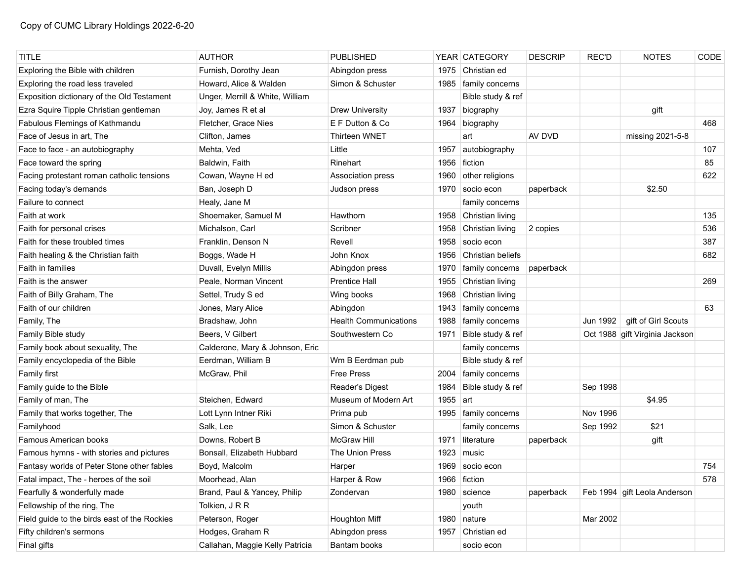| <b>TITLE</b>                                 | <b>AUTHOR</b>                   | <b>PUBLISHED</b>             |      | YEAR CATEGORY     | <b>DESCRIP</b> | <b>REC'D</b> | <b>NOTES</b>                   | CODE |
|----------------------------------------------|---------------------------------|------------------------------|------|-------------------|----------------|--------------|--------------------------------|------|
| Exploring the Bible with children            | Furnish, Dorothy Jean           | Abingdon press               | 1975 | Christian ed      |                |              |                                |      |
| Exploring the road less traveled             | Howard, Alice & Walden          | Simon & Schuster             | 1985 | family concerns   |                |              |                                |      |
| Exposition dictionary of the Old Testament   | Unger, Merrill & White, William |                              |      | Bible study & ref |                |              |                                |      |
| Ezra Squire Tipple Christian gentleman       | Joy, James R et al              | <b>Drew University</b>       | 1937 | biography         |                |              | gift                           |      |
| Fabulous Flemings of Kathmandu               | Fletcher, Grace Nies            | E F Dutton & Co              | 1964 | biography         |                |              |                                | 468  |
| Face of Jesus in art, The                    | Clifton, James                  | Thirteen WNET                |      | art               | AV DVD         |              | missing 2021-5-8               |      |
| Face to face - an autobiography              | Mehta, Ved                      | Little                       | 1957 | autobiography     |                |              |                                | 107  |
| Face toward the spring                       | Baldwin, Faith                  | Rinehart                     | 1956 | fiction           |                |              |                                | 85   |
| Facing protestant roman catholic tensions    | Cowan, Wayne H ed               | Association press            | 1960 | other religions   |                |              |                                | 622  |
| Facing today's demands                       | Ban, Joseph D                   | Judson press                 | 1970 | socio econ        | paperback      |              | \$2.50                         |      |
| Failure to connect                           | Healy, Jane M                   |                              |      | family concerns   |                |              |                                |      |
| Faith at work                                | Shoemaker, Samuel M             | Hawthorn                     | 1958 | Christian living  |                |              |                                | 135  |
| Faith for personal crises                    | Michalson, Carl                 | Scribner                     | 1958 | Christian living  | 2 copies       |              |                                | 536  |
| Faith for these troubled times               | Franklin, Denson N              | Revell                       | 1958 | socio econ        |                |              |                                | 387  |
| Faith healing & the Christian faith          | Boggs, Wade H                   | John Knox                    | 1956 | Christian beliefs |                |              |                                | 682  |
| Faith in families                            | Duvall, Evelyn Millis           | Abingdon press               | 1970 | family concerns   | paperback      |              |                                |      |
| Faith is the answer                          | Peale, Norman Vincent           | <b>Prentice Hall</b>         | 1955 | Christian living  |                |              |                                | 269  |
| Faith of Billy Graham, The                   | Settel, Trudy S ed              | Wing books                   | 1968 | Christian living  |                |              |                                |      |
| Faith of our children                        | Jones, Mary Alice               | Abingdon                     | 1943 | family concerns   |                |              |                                | 63   |
| Family, The                                  | Bradshaw, John                  | <b>Health Communications</b> | 1988 | family concerns   |                | Jun 1992     | gift of Girl Scouts            |      |
| Family Bible study                           | Beers, V Gilbert                | Southwestern Co              | 1971 | Bible study & ref |                |              | Oct 1988 gift Virginia Jackson |      |
| Family book about sexuality, The             | Calderone, Mary & Johnson, Eric |                              |      | family concerns   |                |              |                                |      |
| Family encyclopedia of the Bible             | Eerdman, William B              | Wm B Eerdman pub             |      | Bible study & ref |                |              |                                |      |
| Family first                                 | McGraw, Phil                    | <b>Free Press</b>            | 2004 | family concerns   |                |              |                                |      |
| Family guide to the Bible                    |                                 | Reader's Digest              | 1984 | Bible study & ref |                | Sep 1998     |                                |      |
| Family of man, The                           | Steichen, Edward                | Museum of Modern Art         | 1955 | art               |                |              | \$4.95                         |      |
| Family that works together, The              | Lott Lynn Intner Riki           | Prima pub                    | 1995 | family concerns   |                | Nov 1996     |                                |      |
| Familyhood                                   | Salk, Lee                       | Simon & Schuster             |      | family concerns   |                | Sep 1992     | \$21                           |      |
| <b>Famous American books</b>                 | Downs, Robert B                 | <b>McGraw Hill</b>           | 1971 | literature        | paperback      |              | gift                           |      |
| Famous hymns - with stories and pictures     | Bonsall, Elizabeth Hubbard      | The Union Press              | 1923 | music             |                |              |                                |      |
| Fantasy worlds of Peter Stone other fables   | Boyd, Malcolm                   | Harper                       |      | 1969 socio econ   |                |              |                                | 754  |
| Fatal impact, The - heroes of the soil       | Moorhead, Alan                  | Harper & Row                 |      | 1966 fiction      |                |              |                                | 578  |
| Fearfully & wonderfully made                 | Brand, Paul & Yancey, Philip    | Zondervan                    |      | 1980 science      | paperback      |              | Feb 1994 gift Leola Anderson   |      |
| Fellowship of the ring, The                  | Tolkien, J R R                  |                              |      | youth             |                |              |                                |      |
| Field guide to the birds east of the Rockies | Peterson, Roger                 | Houghton Miff                | 1980 | nature            |                | Mar 2002     |                                |      |
| Fifty children's sermons                     | Hodges, Graham R                | Abingdon press               | 1957 | Christian ed      |                |              |                                |      |
| Final gifts                                  | Callahan, Maggie Kelly Patricia | Bantam books                 |      | socio econ        |                |              |                                |      |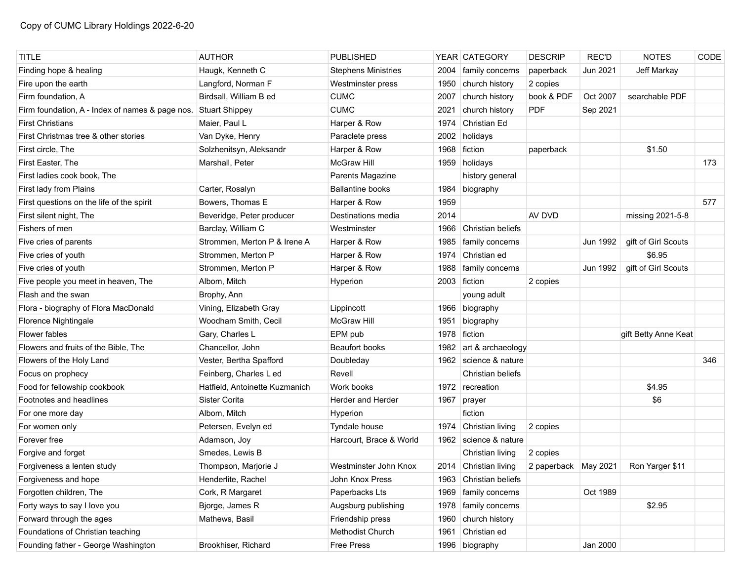| <b>TITLE</b>                                    | <b>AUTHOR</b>                  | <b>PUBLISHED</b>           |      | YEAR CATEGORY          | <b>DESCRIP</b>         | <b>REC'D</b> | <b>NOTES</b>         | CODE |
|-------------------------------------------------|--------------------------------|----------------------------|------|------------------------|------------------------|--------------|----------------------|------|
| Finding hope & healing                          | Haugk, Kenneth C               | <b>Stephens Ministries</b> | 2004 | family concerns        | paperback              | Jun 2021     | Jeff Markay          |      |
| Fire upon the earth                             | Langford, Norman F             | Westminster press          | 1950 | church history         | 2 copies               |              |                      |      |
| Firm foundation, A                              | Birdsall, William B ed         | <b>CUMC</b>                | 2007 | church history         | book & PDF             | Oct 2007     | searchable PDF       |      |
| Firm foundation, A - Index of names & page nos. | Stuart Shippey                 | <b>CUMC</b>                | 2021 | church history         | <b>PDF</b>             | Sep 2021     |                      |      |
| <b>First Christians</b>                         | Maier, Paul L                  | Harper & Row               | 1974 | Christian Ed           |                        |              |                      |      |
| First Christmas tree & other stories            | Van Dyke, Henry                | Paraclete press            | 2002 | holidays               |                        |              |                      |      |
| First circle, The                               | Solzhenitsyn, Aleksandr        | Harper & Row               | 1968 | fiction                | paperback              |              | \$1.50               |      |
| First Easter, The                               | Marshall, Peter                | <b>McGraw Hill</b>         |      | 1959 holidays          |                        |              |                      | 173  |
| First ladies cook book, The                     |                                | Parents Magazine           |      | history general        |                        |              |                      |      |
| First lady from Plains                          | Carter, Rosalyn                | <b>Ballantine books</b>    |      | 1984 biography         |                        |              |                      |      |
| First questions on the life of the spirit       | Bowers, Thomas E               | Harper & Row               | 1959 |                        |                        |              |                      | 577  |
| First silent night, The                         | Beveridge, Peter producer      | Destinations media         | 2014 |                        | AV DVD                 |              | missing 2021-5-8     |      |
| Fishers of men                                  | Barclay, William C             | Westminster                | 1966 | Christian beliefs      |                        |              |                      |      |
| Five cries of parents                           | Strommen, Merton P & Irene A   | Harper & Row               | 1985 | family concerns        |                        | Jun 1992     | gift of Girl Scouts  |      |
| Five cries of youth                             | Strommen, Merton P             | Harper & Row               | 1974 | Christian ed           |                        |              | \$6.95               |      |
| Five cries of youth                             | Strommen, Merton P             | Harper & Row               | 1988 | family concerns        |                        | Jun 1992     | gift of Girl Scouts  |      |
| Five people you meet in heaven, The             | Albom, Mitch                   | Hyperion                   |      | 2003 fiction           | 2 copies               |              |                      |      |
| Flash and the swan                              | Brophy, Ann                    |                            |      | young adult            |                        |              |                      |      |
| Flora - biography of Flora MacDonald            | Vining, Elizabeth Gray         | Lippincott                 | 1966 | biography              |                        |              |                      |      |
| Florence Nightingale                            | Woodham Smith, Cecil           | <b>McGraw Hill</b>         | 1951 | biography              |                        |              |                      |      |
| Flower fables                                   | Gary, Charles L                | EPM pub                    | 1978 | fiction                |                        |              | gift Betty Anne Keat |      |
| Flowers and fruits of the Bible, The            | Chancellor, John               | <b>Beaufort books</b>      | 1982 | art & archaeology      |                        |              |                      |      |
| Flowers of the Holy Land                        | Vester, Bertha Spafford        | Doubleday                  | 1962 | science & nature       |                        |              |                      | 346  |
| Focus on prophecy                               | Feinberg, Charles L ed         | Revell                     |      | Christian beliefs      |                        |              |                      |      |
| Food for fellowship cookbook                    | Hatfield, Antoinette Kuzmanich | Work books                 | 1972 | recreation             |                        |              | \$4.95               |      |
| Footnotes and headlines                         | Sister Corita                  | Herder and Herder          | 1967 | prayer                 |                        |              | \$6                  |      |
| For one more day                                | Albom, Mitch                   | Hyperion                   |      | fiction                |                        |              |                      |      |
| For women only                                  | Petersen, Evelyn ed            | Tyndale house              | 1974 | Christian living       | 2 copies               |              |                      |      |
| Forever free                                    | Adamson, Joy                   | Harcourt, Brace & World    | 1962 | science & nature       |                        |              |                      |      |
| Forgive and forget                              | Smedes, Lewis B                |                            |      | Christian living       | 2 copies               |              |                      |      |
| Forgiveness a lenten study                      | Thompson, Marjorie J           | Westminster John Knox      |      | 2014 Christian living  | 2 paperback   May 2021 |              | Ron Yarger \$11      |      |
| Forgiveness and hope                            | Henderlite, Rachel             | John Knox Press            |      | 1963 Christian beliefs |                        |              |                      |      |
| Forgotten children, The                         | Cork, R Margaret               | Paperbacks Lts             |      | 1969 family concerns   |                        | Oct 1989     |                      |      |
| Forty ways to say I love you                    | Bjorge, James R                | Augsburg publishing        |      | 1978   family concerns |                        |              | \$2.95               |      |
| Forward through the ages                        | Mathews, Basil                 | Friendship press           | 1960 | church history         |                        |              |                      |      |
| Foundations of Christian teaching               |                                | Methodist Church           | 1961 | Christian ed           |                        |              |                      |      |
| Founding father - George Washington             | Brookhiser, Richard            | Free Press                 |      | 1996 biography         |                        | Jan 2000     |                      |      |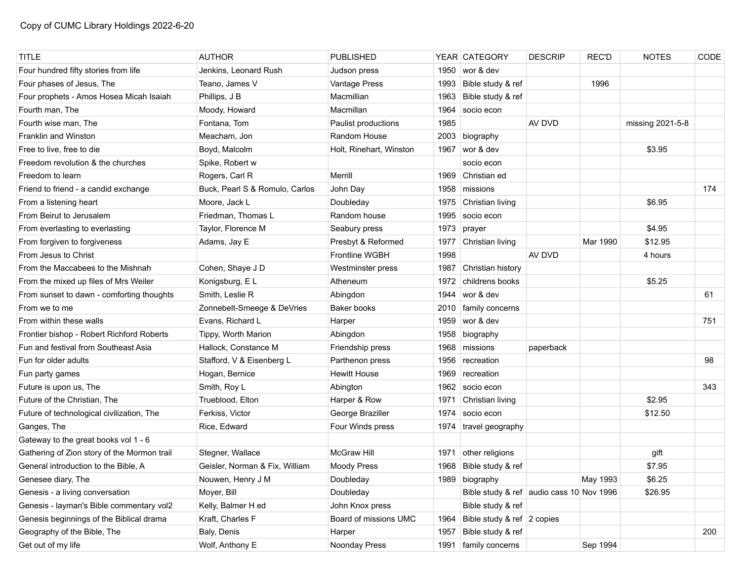| <b>TITLE</b>                                | <b>AUTHOR</b>                  | <b>PUBLISHED</b>        |      | YEAR CATEGORY                            | <b>DESCRIP</b> | <b>REC'D</b> | <b>NOTES</b>     | CODE |
|---------------------------------------------|--------------------------------|-------------------------|------|------------------------------------------|----------------|--------------|------------------|------|
| Four hundred fifty stories from life        | Jenkins, Leonard Rush          | Judson press            | 1950 | wor & dev                                |                |              |                  |      |
| Four phases of Jesus, The                   | Teano, James V                 | Vantage Press           | 1993 | Bible study & ref                        |                | 1996         |                  |      |
| Four prophets - Amos Hosea Micah Isaiah     | Phillips, J B                  | Macmillian              | 1963 | Bible study & ref                        |                |              |                  |      |
| Fourth man, The                             | Moody, Howard                  | Macmillan               | 1964 | socio econ                               |                |              |                  |      |
| Fourth wise man, The                        | Fontana, Tom                   | Paulist productions     | 1985 |                                          | AV DVD         |              | missing 2021-5-8 |      |
| Franklin and Winston                        | Meacham, Jon                   | Random House            | 2003 | biography                                |                |              |                  |      |
| Free to live, free to die                   | Boyd, Malcolm                  | Holt, Rinehart, Winston | 1967 | wor & dev                                |                |              | \$3.95           |      |
| Freedom revolution & the churches           | Spike, Robert w                |                         |      | socio econ                               |                |              |                  |      |
| Freedom to learn                            | Rogers, Carl R                 | Merrill                 | 1969 | Christian ed                             |                |              |                  |      |
| Friend to friend - a candid exchange        | Buck, Pearl S & Romulo, Carlos | John Day                |      | 1958 missions                            |                |              |                  | 174  |
| From a listening heart                      | Moore, Jack L                  | Doubleday               |      | 1975 Christian living                    |                |              | \$6.95           |      |
| From Beirut to Jerusalem                    | Friedman, Thomas L             | Random house            | 1995 | socio econ                               |                |              |                  |      |
| From everlasting to everlasting             | Taylor, Florence M             | Seabury press           | 1973 | prayer                                   |                |              | \$4.95           |      |
| From forgiven to forgiveness                | Adams, Jay E                   | Presbyt & Reformed      | 1977 | Christian living                         |                | Mar 1990     | \$12.95          |      |
| From Jesus to Christ                        |                                | <b>Frontline WGBH</b>   | 1998 |                                          | AV DVD         |              | 4 hours          |      |
| From the Maccabees to the Mishnah           | Cohen, Shaye J D               | Westminster press       | 1987 | Christian history                        |                |              |                  |      |
| From the mixed up files of Mrs Weiler       | Konigsburg, EL                 | Atheneum                | 1972 | childrens books                          |                |              | \$5.25           |      |
| From sunset to dawn - comforting thoughts   | Smith, Leslie R                | Abingdon                | 1944 | wor & dev                                |                |              |                  | 61   |
| From we to me                               | Zonnebelt-Smeege & DeVries     | Baker books             | 2010 | family concerns                          |                |              |                  |      |
| From within these walls                     | Evans, Richard L               | Harper                  |      | 1959 wor & dev                           |                |              |                  | 751  |
| Frontier bishop - Robert Richford Roberts   | Tippy, Worth Marion            | Abingdon                | 1958 | biography                                |                |              |                  |      |
| Fun and festival from Southeast Asia        | Hallock, Constance M           | Friendship press        |      | 1968 missions                            | paperback      |              |                  |      |
| Fun for older adults                        | Stafford, V & Eisenberg L      | Parthenon press         | 1956 | recreation                               |                |              |                  | 98   |
| Fun party games                             | Hogan, Bernice                 | <b>Hewitt House</b>     | 1969 | recreation                               |                |              |                  |      |
| Future is upon us, The                      | Smith, Roy L                   | Abington                | 1962 | socio econ                               |                |              |                  | 343  |
| Future of the Christian, The                | Trueblood, Elton               | Harper & Row            | 1971 | Christian living                         |                |              | \$2.95           |      |
| Future of technological civilization, The   | Ferkiss, Victor                | George Braziller        | 1974 | socio econ                               |                |              | \$12.50          |      |
| Ganges, The                                 | Rice, Edward                   | Four Winds press        | 1974 | travel geography                         |                |              |                  |      |
| Gateway to the great books vol 1 - 6        |                                |                         |      |                                          |                |              |                  |      |
| Gathering of Zion story of the Mormon trail | Stegner, Wallace               | <b>McGraw Hill</b>      | 1971 | other religions                          |                |              | gift             |      |
| General introduction to the Bible, A        | Geisler, Norman & Fix, William | <b>Moody Press</b>      |      | 1968 Bible study & ref                   |                |              | \$7.95           |      |
| Genesee diary, The                          | Nouwen, Henry J M              | Doubleday               |      | 1989 biography                           |                | May 1993     | \$6.25           |      |
| Genesis - a living conversation             | Moyer, Bill                    | Doubleday               |      | Bible study & ref audio cass 10 Nov 1996 |                |              | \$26.95          |      |
| Genesis - layman's Bible commentary vol2    | Kelly, Balmer H ed             | John Knox press         |      | Bible study & ref                        |                |              |                  |      |
| Genesis beginnings of the Biblical drama    | Kraft, Charles F               | Board of missions UMC   | 1964 | Bible study & ref 2 copies               |                |              |                  |      |
| Geography of the Bible, The                 | Baly, Denis                    | Harper                  | 1957 | Bible study & ref                        |                |              |                  | 200  |
| Get out of my life                          | Wolf, Anthony E                | Noonday Press           | 1991 | family concerns                          |                | Sep 1994     |                  |      |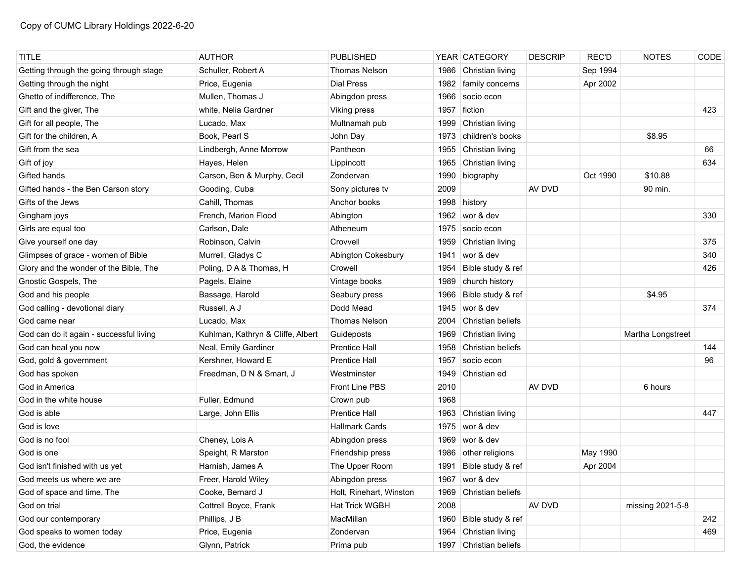| <b>TITLE</b>                            | <b>AUTHOR</b>                     | <b>PUBLISHED</b>        |      | YEAR CATEGORY          | <b>DESCRIP</b> | <b>REC'D</b> | <b>NOTES</b>      | CODE |
|-----------------------------------------|-----------------------------------|-------------------------|------|------------------------|----------------|--------------|-------------------|------|
| Getting through the going through stage | Schuller, Robert A                | <b>Thomas Nelson</b>    | 1986 | Christian living       |                | Sep 1994     |                   |      |
| Getting through the night               | Price, Eugenia                    | <b>Dial Press</b>       | 1982 | family concerns        |                | Apr 2002     |                   |      |
| Ghetto of indifference, The             | Mullen, Thomas J                  | Abingdon press          | 1966 | socio econ             |                |              |                   |      |
| Gift and the giver, The                 | white, Nelia Gardner              | Viking press            | 1957 | fiction                |                |              |                   | 423  |
| Gift for all people, The                | Lucado, Max                       | Multnamah pub           | 1999 | Christian living       |                |              |                   |      |
| Gift for the children, A                | Book, Pearl S                     | John Day                | 1973 | children's books       |                |              | \$8.95            |      |
| Gift from the sea                       | Lindbergh, Anne Morrow            | Pantheon                | 1955 | Christian living       |                |              |                   | 66   |
| Gift of joy                             | Hayes, Helen                      | Lippincott              | 1965 | Christian living       |                |              |                   | 634  |
| Gifted hands                            | Carson, Ben & Murphy, Cecil       | Zondervan               | 1990 | biography              |                | Oct 1990     | \$10.88           |      |
| Gifted hands - the Ben Carson story     | Gooding, Cuba                     | Sony pictures tv        | 2009 |                        | AV DVD         |              | 90 min.           |      |
| Gifts of the Jews                       | Cahill, Thomas                    | Anchor books            | 1998 | history                |                |              |                   |      |
| Gingham joys                            | French, Marion Flood              | Abington                | 1962 | wor & dev              |                |              |                   | 330  |
| Girls are equal too                     | Carlson, Dale                     | Atheneum                | 1975 | socio econ             |                |              |                   |      |
| Give yourself one day                   | Robinson, Calvin                  | Crovvell                | 1959 | Christian living       |                |              |                   | 375  |
| Glimpses of grace - women of Bible      | Murrell, Gladys C                 | Abington Cokesbury      | 1941 | wor & dev              |                |              |                   | 340  |
| Glory and the wonder of the Bible, The  | Poling, D A & Thomas, H           | Crowell                 | 1954 | Bible study & ref      |                |              |                   | 426  |
| Gnostic Gospels, The                    | Pagels, Elaine                    | Vintage books           | 1989 | church history         |                |              |                   |      |
| God and his people                      | Bassage, Harold                   | Seabury press           | 1966 | Bible study & ref      |                |              | \$4.95            |      |
| God calling - devotional diary          | Russell, A J                      | Dodd Mead               | 1945 | wor & dev              |                |              |                   | 374  |
| God came near                           | Lucado, Max                       | <b>Thomas Nelson</b>    | 2004 | Christian beliefs      |                |              |                   |      |
| God can do it again - successful living | Kuhlman, Kathryn & Cliffe, Albert | Guideposts              | 1969 | Christian living       |                |              | Martha Longstreet |      |
| God can heal you now                    | Neal, Emily Gardiner              | <b>Prentice Hall</b>    | 1958 | Christian beliefs      |                |              |                   | 144  |
| God, gold & government                  | Kershner, Howard E                | <b>Prentice Hall</b>    | 1957 | socio econ             |                |              |                   | 96   |
| God has spoken                          | Freedman, D N & Smart, J          | Westminster             | 1949 | Christian ed           |                |              |                   |      |
| God in America                          |                                   | <b>Front Line PBS</b>   | 2010 |                        | AV DVD         |              | 6 hours           |      |
| God in the white house                  | Fuller, Edmund                    | Crown pub               | 1968 |                        |                |              |                   |      |
| God is able                             | Large, John Ellis                 | <b>Prentice Hall</b>    | 1963 | Christian living       |                |              |                   | 447  |
| God is love                             |                                   | <b>Hallmark Cards</b>   | 1975 | wor & dev              |                |              |                   |      |
| God is no fool                          | Cheney, Lois A                    | Abingdon press          | 1969 | wor & dev              |                |              |                   |      |
| God is one                              | Speight, R Marston                | Friendship press        | 1986 | other religions        |                | May 1990     |                   |      |
| God isn't finished with us yet          | Harnish, James A                  | The Upper Room          | 1991 | Bible study & ref      |                | Apr 2004     |                   |      |
| God meets us where we are               | Freer, Harold Wiley               | Abingdon press          |      | 1967 wor & dev         |                |              |                   |      |
| God of space and time, The              | Cooke, Bernard J                  | Holt, Rinehart, Winston | 1969 | Christian beliefs      |                |              |                   |      |
| God on trial                            | Cottrell Boyce, Frank             | Hat Trick WGBH          | 2008 |                        | AV DVD         |              | missing 2021-5-8  |      |
| God our contemporary                    | Phillips, J B                     | MacMillan               | 1960 | Bible study & ref      |                |              |                   | 242  |
| God speaks to women today               | Price, Eugenia                    | Zondervan               | 1964 | Christian living       |                |              |                   | 469  |
| God, the evidence                       | Glynn, Patrick                    | Prima pub               |      | 1997 Christian beliefs |                |              |                   |      |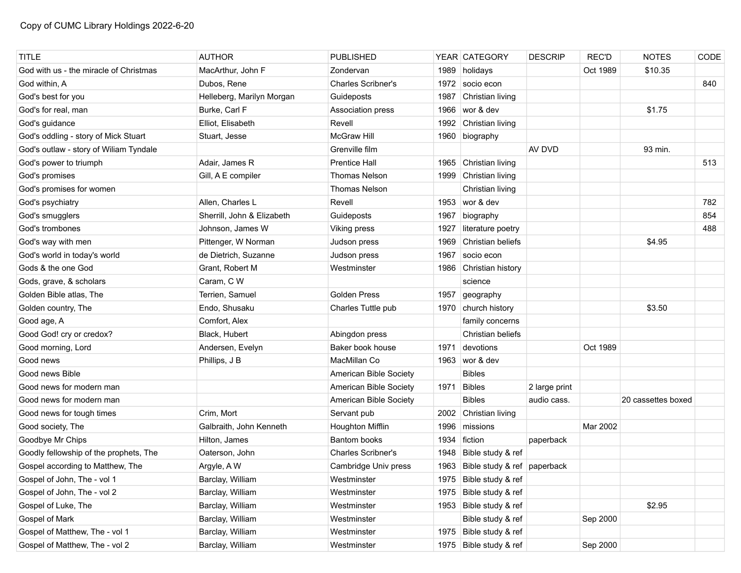| <b>TITLE</b>                           | <b>AUTHOR</b>              | <b>PUBLISHED</b>          |      | YEAR CATEGORY                    | <b>DESCRIP</b> | <b>REC'D</b> | <b>NOTES</b>       | CODE |
|----------------------------------------|----------------------------|---------------------------|------|----------------------------------|----------------|--------------|--------------------|------|
| God with us - the miracle of Christmas | MacArthur, John F          | Zondervan                 | 1989 | holidays                         |                | Oct 1989     | \$10.35            |      |
| God within, A                          | Dubos, Rene                | <b>Charles Scribner's</b> | 1972 | socio econ                       |                |              |                    | 840  |
| God's best for you                     | Helleberg, Marilyn Morgan  | Guideposts                | 1987 | Christian living                 |                |              |                    |      |
| God's for real, man                    | Burke, Carl F              | Association press         | 1966 | wor & dev                        |                |              | \$1.75             |      |
| God's guidance                         | Elliot, Elisabeth          | Revell                    | 1992 | Christian living                 |                |              |                    |      |
| God's oddling - story of Mick Stuart   | Stuart, Jesse              | <b>McGraw Hill</b>        |      | 1960 biography                   |                |              |                    |      |
| God's outlaw - story of Wiliam Tyndale |                            | Grenville film            |      |                                  | AV DVD         |              | 93 min.            |      |
| God's power to triumph                 | Adair, James R             | <b>Prentice Hall</b>      | 1965 | Christian living                 |                |              |                    | 513  |
| God's promises                         | Gill, A E compiler         | Thomas Nelson             | 1999 | Christian living                 |                |              |                    |      |
| God's promises for women               |                            | <b>Thomas Nelson</b>      |      | Christian living                 |                |              |                    |      |
| God's psychiatry                       | Allen, Charles L           | Revell                    |      | 1953 wor & dev                   |                |              |                    | 782  |
| God's smugglers                        | Sherrill, John & Elizabeth | Guideposts                | 1967 | biography                        |                |              |                    | 854  |
| God's trombones                        | Johnson, James W           | Viking press              | 1927 | literature poetry                |                |              |                    | 488  |
| God's way with men                     | Pittenger, W Norman        | Judson press              | 1969 | Christian beliefs                |                |              | \$4.95             |      |
| God's world in today's world           | de Dietrich, Suzanne       | Judson press              | 1967 | socio econ                       |                |              |                    |      |
| Gods & the one God                     | Grant, Robert M            | Westminster               |      | 1986 Christian history           |                |              |                    |      |
| Gods, grave, & scholars                | Caram, C W                 |                           |      | science                          |                |              |                    |      |
| Golden Bible atlas, The                | Terrien, Samuel            | <b>Golden Press</b>       | 1957 | geography                        |                |              |                    |      |
| Golden country, The                    | Endo, Shusaku              | Charles Tuttle pub        |      | 1970 church history              |                |              | \$3.50             |      |
| Good age, A                            | Comfort, Alex              |                           |      | family concerns                  |                |              |                    |      |
| Good God! cry or credox?               | Black, Hubert              | Abingdon press            |      | Christian beliefs                |                |              |                    |      |
| Good morning, Lord                     | Andersen, Evelyn           | Baker book house          | 1971 | devotions                        |                | Oct 1989     |                    |      |
| Good news                              | Phillips, J B              | MacMillan Co              |      | 1963 wor & dev                   |                |              |                    |      |
| Good news Bible                        |                            | American Bible Society    |      | <b>Bibles</b>                    |                |              |                    |      |
| Good news for modern man               |                            | American Bible Society    | 1971 | <b>Bibles</b>                    | 2 large print  |              |                    |      |
| Good news for modern man               |                            | American Bible Society    |      | <b>Bibles</b>                    | audio cass.    |              | 20 cassettes boxed |      |
| Good news for tough times              | Crim, Mort                 | Servant pub               | 2002 | Christian living                 |                |              |                    |      |
| Good society, The                      | Galbraith, John Kenneth    | Houghton Mifflin          | 1996 | missions                         |                | Mar 2002     |                    |      |
| Goodbye Mr Chips                       | Hilton, James              | <b>Bantom books</b>       | 1934 | fiction                          | paperback      |              |                    |      |
| Goodly fellowship of the prophets, The | Oaterson, John             | <b>Charles Scribner's</b> | 1948 | Bible study & ref                |                |              |                    |      |
| Gospel according to Matthew, The       | Argyle, A W                | Cambridge Univ press      |      | 1963 Bible study & ref paperback |                |              |                    |      |
| Gospel of John, The - vol 1            | Barclay, William           | Westminster               |      | 1975 Bible study & ref           |                |              |                    |      |
| Gospel of John, The - vol 2            | Barclay, William           | Westminster               | 1975 | Bible study & ref                |                |              |                    |      |
| Gospel of Luke, The                    | Barclay, William           | Westminster               |      | 1953 Bible study & ref           |                |              | \$2.95             |      |
| Gospel of Mark                         | Barclay, William           | Westminster               |      | Bible study & ref                |                | Sep 2000     |                    |      |
| Gospel of Matthew, The - vol 1         | Barclay, William           | Westminster               |      | 1975 Bible study & ref           |                |              |                    |      |
| Gospel of Matthew, The - vol 2         | Barclay, William           | Westminster               |      | 1975 Bible study & ref           |                | Sep 2000     |                    |      |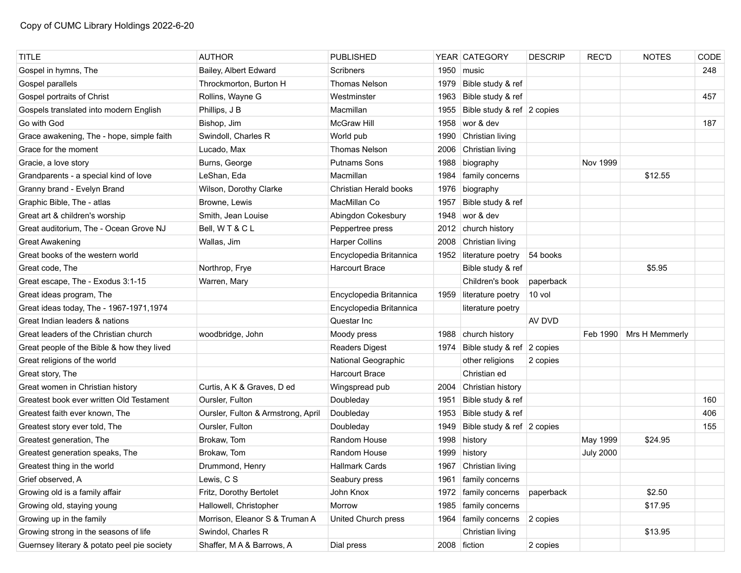| <b>TITLE</b>                                | <b>AUTHOR</b>                      | <b>PUBLISHED</b>        |      | YEAR CATEGORY              | <b>DESCRIP</b> | <b>REC'D</b>     | <b>NOTES</b>   | CODE |
|---------------------------------------------|------------------------------------|-------------------------|------|----------------------------|----------------|------------------|----------------|------|
| Gospel in hymns, The                        | Bailey, Albert Edward              | <b>Scribners</b>        | 1950 | music                      |                |                  |                | 248  |
| Gospel parallels                            | Throckmorton, Burton H             | <b>Thomas Nelson</b>    | 1979 | Bible study & ref          |                |                  |                |      |
| Gospel portraits of Christ                  | Rollins, Wayne G                   | Westminster             | 1963 | Bible study & ref          |                |                  |                | 457  |
| Gospels translated into modern English      | Phillips, J B                      | Macmillan               | 1955 | Bible study & ref 2 copies |                |                  |                |      |
| Go with God                                 | Bishop, Jim                        | <b>McGraw Hill</b>      | 1958 | wor & dev                  |                |                  |                | 187  |
| Grace awakening, The - hope, simple faith   | Swindoll, Charles R                | World pub               | 1990 | Christian living           |                |                  |                |      |
| Grace for the moment                        | Lucado, Max                        | Thomas Nelson           | 2006 | Christian living           |                |                  |                |      |
| Gracie, a love story                        | Burns, George                      | <b>Putnams Sons</b>     | 1988 | biography                  |                | Nov 1999         |                |      |
| Grandparents - a special kind of love       | LeShan, Eda                        | Macmillan               | 1984 | family concerns            |                |                  | \$12.55        |      |
| Granny brand - Evelyn Brand                 | Wilson, Dorothy Clarke             | Christian Herald books  | 1976 | biography                  |                |                  |                |      |
| Graphic Bible, The - atlas                  | Browne, Lewis                      | MacMillan Co            | 1957 | Bible study & ref          |                |                  |                |      |
| Great art & children's worship              | Smith, Jean Louise                 | Abingdon Cokesbury      | 1948 | wor & dev                  |                |                  |                |      |
| Great auditorium, The - Ocean Grove NJ      | Bell, WT&CL                        | Peppertree press        | 2012 | church history             |                |                  |                |      |
| <b>Great Awakening</b>                      | Wallas, Jim                        | <b>Harper Collins</b>   | 2008 | Christian living           |                |                  |                |      |
| Great books of the western world            |                                    | Encyclopedia Britannica | 1952 | literature poetry          | 54 books       |                  |                |      |
| Great code, The                             | Northrop, Frye                     | <b>Harcourt Brace</b>   |      | Bible study & ref          |                |                  | \$5.95         |      |
| Great escape, The - Exodus 3:1-15           | Warren, Mary                       |                         |      | Children's book            | paperback      |                  |                |      |
| Great ideas program, The                    |                                    | Encyclopedia Britannica |      | 1959 literature poetry     | 10 vol         |                  |                |      |
| Great ideas today, The - 1967-1971, 1974    |                                    | Encyclopedia Britannica |      | literature poetry          |                |                  |                |      |
| Great Indian leaders & nations              |                                    | Questar Inc             |      |                            | AV DVD         |                  |                |      |
| Great leaders of the Christian church       | woodbridge, John                   | Moody press             | 1988 | church history             |                | Feb 1990         | Mrs H Memmerly |      |
| Great people of the Bible & how they lived  |                                    | <b>Readers Digest</b>   | 1974 | Bible study & ref 2 copies |                |                  |                |      |
| Great religions of the world                |                                    | National Geographic     |      | other religions            | 2 copies       |                  |                |      |
| Great story, The                            |                                    | <b>Harcourt Brace</b>   |      | Christian ed               |                |                  |                |      |
| Great women in Christian history            | Curtis, A K & Graves, D ed         | Wingspread pub          | 2004 | Christian history          |                |                  |                |      |
| Greatest book ever written Old Testament    | Oursler, Fulton                    | Doubleday               | 1951 | Bible study & ref          |                |                  |                | 160  |
| Greatest faith ever known. The              | Oursler, Fulton & Armstrong, April | Doubleday               | 1953 | Bible study & ref          |                |                  |                | 406  |
| Greatest story ever told, The               | Oursler, Fulton                    | Doubleday               | 1949 | Bible study & ref 2 copies |                |                  |                | 155  |
| Greatest generation, The                    | Brokaw, Tom                        | Random House            | 1998 | history                    |                | May 1999         | \$24.95        |      |
| Greatest generation speaks, The             | Brokaw, Tom                        | Random House            | 1999 | history                    |                | <b>July 2000</b> |                |      |
| Greatest thing in the world                 | Drummond, Henry                    | <b>Hallmark Cards</b>   |      | 1967 Christian living      |                |                  |                |      |
| Grief observed, A                           | Lewis, CS                          | Seabury press           |      | 1961   family concerns     |                |                  |                |      |
| Growing old is a family affair              | Fritz, Dorothy Bertolet            | John Knox               |      | 1972   family concerns     | paperback      |                  | \$2.50         |      |
| Growing old, staying young                  | Hallowell, Christopher             | Morrow                  |      | 1985   family concerns     |                |                  | \$17.95        |      |
| Growing up in the family                    | Morrison, Eleanor S & Truman A     | United Church press     |      | 1964   family concerns     | 2 copies       |                  |                |      |
| Growing strong in the seasons of life       | Swindol, Charles R                 |                         |      | Christian living           |                |                  | \$13.95        |      |
| Guernsey literary & potato peel pie society | Shaffer, MA & Barrows, A           | Dial press              |      | 2008 fiction               | 2 copies       |                  |                |      |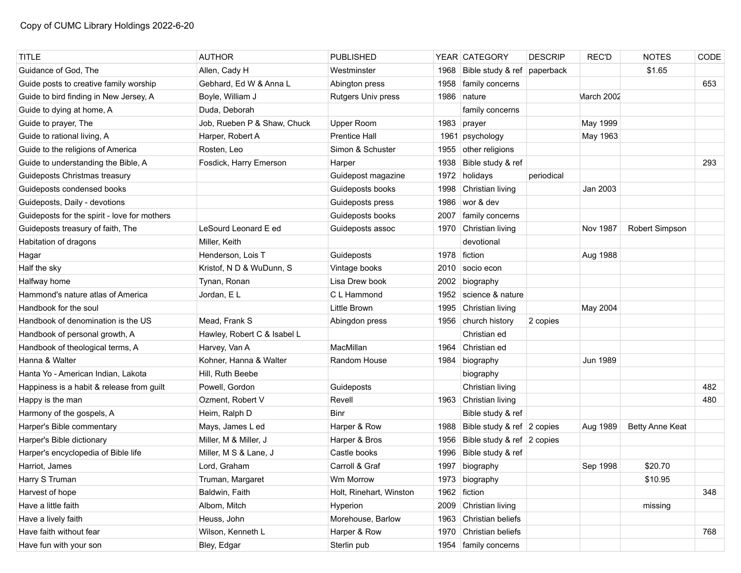| <b>TITLE</b>                                 | <b>AUTHOR</b>               | <b>PUBLISHED</b>        |      | YEAR CATEGORY               | <b>DESCRIP</b> | <b>REC'D</b> | <b>NOTES</b>    | CODE |
|----------------------------------------------|-----------------------------|-------------------------|------|-----------------------------|----------------|--------------|-----------------|------|
| Guidance of God, The                         | Allen, Cady H               | Westminster             | 1968 | Bible study & ref paperback |                |              | \$1.65          |      |
| Guide posts to creative family worship       | Gebhard, Ed W & Anna L      | Abington press          | 1958 | family concerns             |                |              |                 | 653  |
| Guide to bird finding in New Jersey, A       | Boyle, William J            | Rutgers Univ press      | 1986 | nature                      |                | March 2002   |                 |      |
| Guide to dying at home, A                    | Duda, Deborah               |                         |      | family concerns             |                |              |                 |      |
| Guide to prayer, The                         | Job, Rueben P & Shaw, Chuck | Upper Room              | 1983 | prayer                      |                | May 1999     |                 |      |
| Guide to rational living, A                  | Harper, Robert A            | <b>Prentice Hall</b>    | 1961 | psychology                  |                | May 1963     |                 |      |
| Guide to the religions of America            | Rosten, Leo                 | Simon & Schuster        | 1955 | other religions             |                |              |                 |      |
| Guide to understanding the Bible, A          | Fosdick, Harry Emerson      | Harper                  | 1938 | Bible study & ref           |                |              |                 | 293  |
| Guideposts Christmas treasury                |                             | Guidepost magazine      | 1972 | holidays                    | periodical     |              |                 |      |
| Guideposts condensed books                   |                             | Guideposts books        | 1998 | Christian living            |                | Jan 2003     |                 |      |
| Guideposts, Daily - devotions                |                             | Guideposts press        | 1986 | wor & dev                   |                |              |                 |      |
| Guideposts for the spirit - love for mothers |                             | Guideposts books        | 2007 | family concerns             |                |              |                 |      |
| Guideposts treasury of faith, The            | LeSourd Leonard E ed        | Guideposts assoc        | 1970 | Christian living            |                | Nov 1987     | Robert Simpson  |      |
| Habitation of dragons                        | Miller, Keith               |                         |      | devotional                  |                |              |                 |      |
| Hagar                                        | Henderson, Lois T           | Guideposts              | 1978 | fiction                     |                | Aug 1988     |                 |      |
| Half the sky                                 | Kristof, N D & WuDunn, S    | Vintage books           | 2010 | socio econ                  |                |              |                 |      |
| Halfway home                                 | Tynan, Ronan                | Lisa Drew book          | 2002 | biography                   |                |              |                 |      |
| Hammond's nature atlas of America            | Jordan, EL                  | C L Hammond             | 1952 | science & nature            |                |              |                 |      |
| Handbook for the soul                        |                             | Little Brown            | 1995 | Christian living            |                | May 2004     |                 |      |
| Handbook of denomination is the US           | Mead, Frank S               | Abingdon press          | 1956 | church history              | 2 copies       |              |                 |      |
| Handbook of personal growth, A               | Hawley, Robert C & Isabel L |                         |      | Christian ed                |                |              |                 |      |
| Handbook of theological terms, A             | Harvey, Van A               | MacMillan               | 1964 | Christian ed                |                |              |                 |      |
| Hanna & Walter                               | Kohner, Hanna & Walter      | Random House            | 1984 | biography                   |                | Jun 1989     |                 |      |
| Hanta Yo - American Indian, Lakota           | Hill, Ruth Beebe            |                         |      | biography                   |                |              |                 |      |
| Happiness is a habit & release from guilt    | Powell, Gordon              | Guideposts              |      | Christian living            |                |              |                 | 482  |
| Happy is the man                             | Ozment, Robert V            | Revell                  |      | 1963 Christian living       |                |              |                 | 480  |
| Harmony of the gospels, A                    | Heim, Ralph D               | Binr                    |      | Bible study & ref           |                |              |                 |      |
| Harper's Bible commentary                    | Mays, James L ed            | Harper & Row            | 1988 | Bible study & ref 2 copies  |                | Aug 1989     | Betty Anne Keat |      |
| Harper's Bible dictionary                    | Miller, M & Miller, J       | Harper & Bros           | 1956 | Bible study & ref 2 copies  |                |              |                 |      |
| Harper's encyclopedia of Bible life          | Miller, M S & Lane, J       | Castle books            | 1996 | Bible study & ref           |                |              |                 |      |
| Harriot, James                               | Lord, Graham                | Carroll & Graf          | 1997 | biography                   |                | Sep 1998     | \$20.70         |      |
| Harry S Truman                               | Truman, Margaret            | Wm Morrow               |      | 1973 biography              |                |              | \$10.95         |      |
| Harvest of hope                              | Baldwin, Faith              | Holt, Rinehart, Winston | 1962 | fiction                     |                |              |                 | 348  |
| Have a little faith                          | Albom, Mitch                | Hyperion                | 2009 | Christian living            |                |              | missing         |      |
| Have a lively faith                          | Heuss, John                 | Morehouse, Barlow       | 1963 | Christian beliefs           |                |              |                 |      |
| Have faith without fear                      | Wilson, Kenneth L           | Harper & Row            | 1970 | Christian beliefs           |                |              |                 | 768  |
| Have fun with your son                       | Bley, Edgar                 | Sterlin pub             |      | 1954   family concerns      |                |              |                 |      |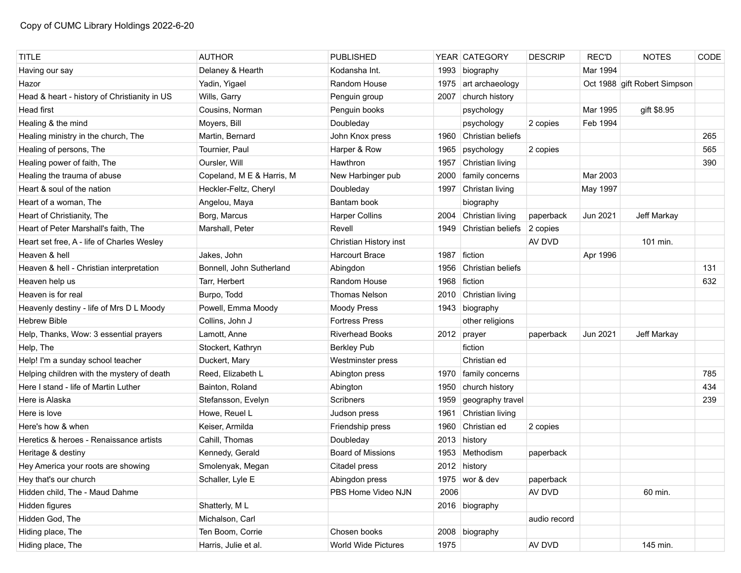| <b>TITLE</b>                                 | <b>AUTHOR</b>             | <b>PUBLISHED</b>         |      | YEAR CATEGORY     | <b>DESCRIP</b> | <b>REC'D</b> | <b>NOTES</b>                 | CODE |
|----------------------------------------------|---------------------------|--------------------------|------|-------------------|----------------|--------------|------------------------------|------|
| Having our say                               | Delaney & Hearth          | Kodansha Int.            | 1993 | biography         |                | Mar 1994     |                              |      |
| Hazor                                        | Yadin, Yigael             | <b>Random House</b>      | 1975 | art archaeology   |                |              | Oct 1988 gift Robert Simpson |      |
| Head & heart - history of Christianity in US | Wills, Garry              | Penguin group            | 2007 | church history    |                |              |                              |      |
| <b>Head first</b>                            | Cousins, Norman           | Penguin books            |      | psychology        |                | Mar 1995     | gift \$8.95                  |      |
| Healing & the mind                           | Moyers, Bill              | Doubleday                |      | psychology        | 2 copies       | Feb 1994     |                              |      |
| Healing ministry in the church, The          | Martin, Bernard           | John Knox press          | 1960 | Christian beliefs |                |              |                              | 265  |
| Healing of persons, The                      | Tournier, Paul            | Harper & Row             | 1965 | psychology        | 2 copies       |              |                              | 565  |
| Healing power of faith, The                  | Oursler, Will             | Hawthron                 | 1957 | Christian living  |                |              |                              | 390  |
| Healing the trauma of abuse                  | Copeland, M E & Harris, M | New Harbinger pub        | 2000 | family concerns   |                | Mar 2003     |                              |      |
| Heart & soul of the nation                   | Heckler-Feltz, Cheryl     | Doubleday                | 1997 | Christan living   |                | May 1997     |                              |      |
| Heart of a woman, The                        | Angelou, Maya             | Bantam book              |      | biography         |                |              |                              |      |
| Heart of Christianity, The                   | Borg, Marcus              | <b>Harper Collins</b>    | 2004 | Christian living  | paperback      | Jun 2021     | Jeff Markay                  |      |
| Heart of Peter Marshall's faith, The         | Marshall, Peter           | Revell                   | 1949 | Christian beliefs | 2 copies       |              |                              |      |
| Heart set free, A - life of Charles Wesley   |                           | Christian History inst   |      |                   | AV DVD         |              | 101 min.                     |      |
| Heaven & hell                                | Jakes, John               | <b>Harcourt Brace</b>    | 1987 | fiction           |                | Apr 1996     |                              |      |
| Heaven & hell - Christian interpretation     | Bonnell, John Sutherland  | Abingdon                 | 1956 | Christian beliefs |                |              |                              | 131  |
| Heaven help us                               | Tarr, Herbert             | Random House             |      | 1968 fiction      |                |              |                              | 632  |
| Heaven is for real                           | Burpo, Todd               | <b>Thomas Nelson</b>     | 2010 | Christian living  |                |              |                              |      |
| Heavenly destiny - life of Mrs D L Moody     | Powell, Emma Moody        | <b>Moody Press</b>       | 1943 | biography         |                |              |                              |      |
| Hebrew Bible                                 | Collins, John J           | <b>Fortress Press</b>    |      | other religions   |                |              |                              |      |
| Help, Thanks, Wow: 3 essential prayers       | Lamott, Anne              | <b>Riverhead Books</b>   |      | 2012 prayer       | paperback      | Jun 2021     | Jeff Markay                  |      |
| Help, The                                    | Stockert, Kathryn         | <b>Berkley Pub</b>       |      | fiction           |                |              |                              |      |
| Help! I'm a sunday school teacher            | Duckert, Mary             | Westminster press        |      | Christian ed      |                |              |                              |      |
| Helping children with the mystery of death   | Reed, Elizabeth L         | Abington press           | 1970 | family concerns   |                |              |                              | 785  |
| Here I stand - life of Martin Luther         | Bainton, Roland           | Abington                 | 1950 | church history    |                |              |                              | 434  |
| Here is Alaska                               | Stefansson, Evelyn        | Scribners                | 1959 | geography travel  |                |              |                              | 239  |
| Here is love                                 | Howe, Reuel L             | Judson press             | 1961 | Christian living  |                |              |                              |      |
| Here's how & when                            | Keiser, Armilda           | Friendship press         | 1960 | Christian ed      | 2 copies       |              |                              |      |
| Heretics & heroes - Renaissance artists      | Cahill, Thomas            | Doubleday                |      | 2013 history      |                |              |                              |      |
| Heritage & destiny                           | Kennedy, Gerald           | <b>Board of Missions</b> |      | 1953 Methodism    | paperback      |              |                              |      |
| Hey America your roots are showing           | Smolenyak, Megan          | Citadel press            |      | 2012 history      |                |              |                              |      |
| Hey that's our church                        | Schaller, Lyle E          | Abingdon press           |      | 1975   wor & dev  | paperback      |              |                              |      |
| Hidden child, The - Maud Dahme               |                           | PBS Home Video NJN       | 2006 |                   | AV DVD         |              | 60 min.                      |      |
| Hidden figures                               | Shatterly, ML             |                          |      | 2016 biography    |                |              |                              |      |
| Hidden God, The                              | Michalson, Carl           |                          |      |                   | audio record   |              |                              |      |
| Hiding place, The                            | Ten Boom, Corrie          | Chosen books             |      | 2008 biography    |                |              |                              |      |
| Hiding place, The                            | Harris, Julie et al.      | World Wide Pictures      | 1975 |                   | AV DVD         |              | 145 min.                     |      |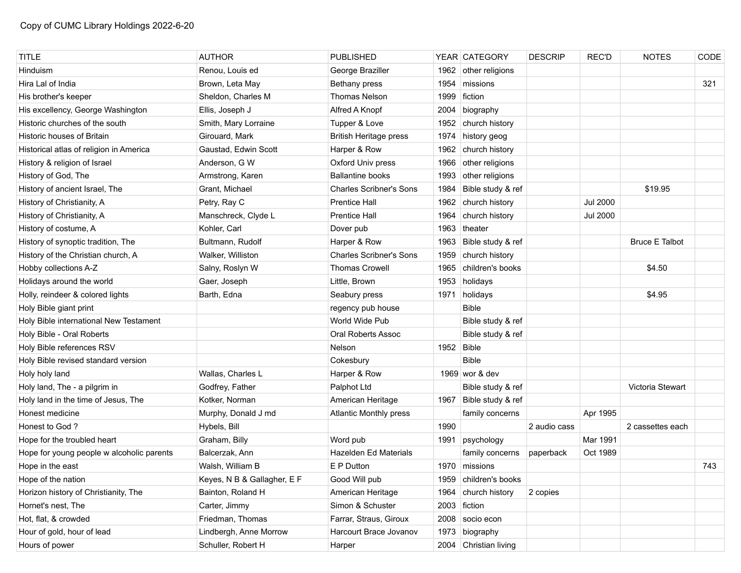| <b>TITLE</b>                              | <b>AUTHOR</b>               | <b>PUBLISHED</b>               |            | YEAR CATEGORY          | <b>DESCRIP</b> | REC'D           | <b>NOTES</b>          | CODE |
|-------------------------------------------|-----------------------------|--------------------------------|------------|------------------------|----------------|-----------------|-----------------------|------|
| Hinduism                                  | Renou, Louis ed             | George Braziller               |            | 1962 other religions   |                |                 |                       |      |
| Hira Lal of India                         | Brown, Leta May             | Bethany press                  | 1954       | missions               |                |                 |                       | 321  |
| His brother's keeper                      | Sheldon, Charles M          | <b>Thomas Nelson</b>           | 1999       | fiction                |                |                 |                       |      |
| His excellency, George Washington         | Ellis, Joseph J             | Alfred A Knopf                 | 2004       | biography              |                |                 |                       |      |
| Historic churches of the south            | Smith, Mary Lorraine        | Tupper & Love                  |            | 1952 church history    |                |                 |                       |      |
| Historic houses of Britain                | Girouard, Mark              | <b>British Heritage press</b>  | 1974       | history geog           |                |                 |                       |      |
| Historical atlas of religion in America   | Gaustad, Edwin Scott        | Harper & Row                   | 1962       | church history         |                |                 |                       |      |
| History & religion of Israel              | Anderson, G W               | Oxford Univ press              | 1966       | other religions        |                |                 |                       |      |
| History of God, The                       | Armstrong, Karen            | <b>Ballantine books</b>        | 1993       | other religions        |                |                 |                       |      |
| History of ancient Israel, The            | Grant, Michael              | <b>Charles Scribner's Sons</b> | 1984       | Bible study & ref      |                |                 | \$19.95               |      |
| History of Christianity, A                | Petry, Ray C                | <b>Prentice Hall</b>           | 1962       | church history         |                | <b>Jul 2000</b> |                       |      |
| History of Christianity, A                | Manschreck, Clyde L         | <b>Prentice Hall</b>           | 1964       | church history         |                | <b>Jul 2000</b> |                       |      |
| History of costume, A                     | Kohler, Carl                | Dover pub                      | 1963       | theater                |                |                 |                       |      |
| History of synoptic tradition, The        | Bultmann, Rudolf            | Harper & Row                   | 1963       | Bible study & ref      |                |                 | <b>Bruce E Talbot</b> |      |
| History of the Christian church, A        | Walker, Williston           | <b>Charles Scribner's Sons</b> | 1959       | church history         |                |                 |                       |      |
| Hobby collections A-Z                     | Salny, Roslyn W             | <b>Thomas Crowell</b>          | 1965       | children's books       |                |                 | \$4.50                |      |
| Holidays around the world                 | Gaer, Joseph                | Little, Brown                  |            | 1953 holidays          |                |                 |                       |      |
| Holly, reindeer & colored lights          | Barth, Edna                 | Seabury press                  | 1971       | holidays               |                |                 | \$4.95                |      |
| Holy Bible giant print                    |                             | regency pub house              |            | <b>Bible</b>           |                |                 |                       |      |
| Holy Bible international New Testament    |                             | World Wide Pub                 |            | Bible study & ref      |                |                 |                       |      |
| Holy Bible - Oral Roberts                 |                             | Oral Roberts Assoc             |            | Bible study & ref      |                |                 |                       |      |
| Holy Bible references RSV                 |                             | Nelson                         | 1952 Bible |                        |                |                 |                       |      |
| Holy Bible revised standard version       |                             | Cokesbury                      |            | <b>Bible</b>           |                |                 |                       |      |
| Holy holy land                            | Wallas, Charles L           | Harper & Row                   |            | 1969 wor & dev         |                |                 |                       |      |
| Holy land, The - a pilgrim in             | Godfrey, Father             | Palphot Ltd                    |            | Bible study & ref      |                |                 | Victoria Stewart      |      |
| Holy land in the time of Jesus, The       | Kotker, Norman              | American Heritage              |            | 1967 Bible study & ref |                |                 |                       |      |
| Honest medicine                           | Murphy, Donald J md         | <b>Atlantic Monthly press</b>  |            | family concerns        |                | Apr 1995        |                       |      |
| Honest to God?                            | Hybels, Bill                |                                | 1990       |                        | 2 audio cass   |                 | 2 cassettes each      |      |
| Hope for the troubled heart               | Graham, Billy               | Word pub                       | 1991       | psychology             |                | Mar 1991        |                       |      |
| Hope for young people w alcoholic parents | Balcerzak, Ann              | Hazelden Ed Materials          |            | family concerns        | paperback      | Oct 1989        |                       |      |
| Hope in the east                          | Walsh, William B            | E P Dutton                     |            | 1970 missions          |                |                 |                       | 743  |
| Hope of the nation                        | Keyes, N B & Gallagher, E F | Good Will pub                  |            | 1959 children's books  |                |                 |                       |      |
| Horizon history of Christianity, The      | Bainton, Roland H           | American Heritage              | 1964       | church history         | 2 copies       |                 |                       |      |
| Hornet's nest, The                        | Carter, Jimmy               | Simon & Schuster               |            | 2003 fiction           |                |                 |                       |      |
| Hot, flat, & crowded                      | Friedman, Thomas            | Farrar, Straus, Giroux         | 2008       | socio econ             |                |                 |                       |      |
| Hour of gold, hour of lead                | Lindbergh, Anne Morrow      | Harcourt Brace Jovanov         |            | 1973 biography         |                |                 |                       |      |
| Hours of power                            | Schuller, Robert H          | Harper                         |            | 2004 Christian living  |                |                 |                       |      |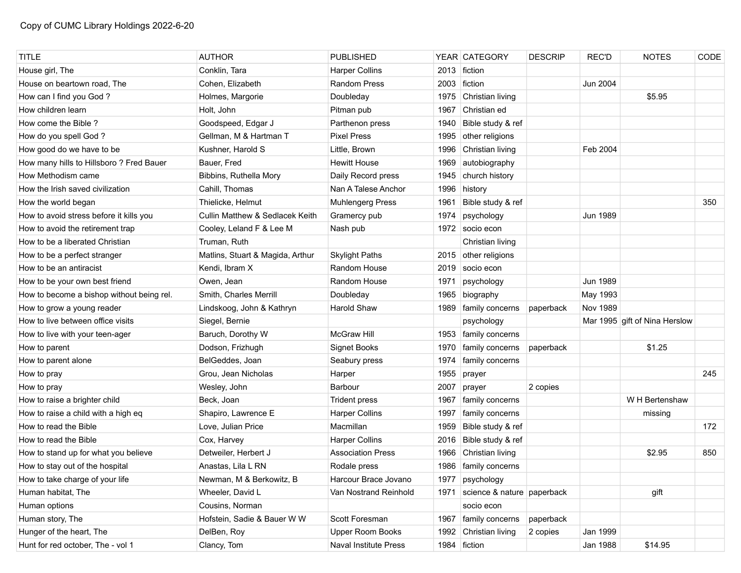| <b>TITLE</b>                              | <b>AUTHOR</b>                              | <b>PUBLISHED</b>             |      | YEAR CATEGORY              | <b>DESCRIP</b> | <b>REC'D</b> | <b>NOTES</b>                  | CODE |
|-------------------------------------------|--------------------------------------------|------------------------------|------|----------------------------|----------------|--------------|-------------------------------|------|
| House girl, The                           | Conklin, Tara                              | <b>Harper Collins</b>        | 2013 | fiction                    |                |              |                               |      |
| House on beartown road, The               | Cohen, Elizabeth                           | <b>Random Press</b>          | 2003 | fiction                    |                | Jun 2004     |                               |      |
| How can I find you God?                   | Holmes, Margorie                           | Doubleday                    |      | 1975 Christian living      |                |              | \$5.95                        |      |
| How children learn                        | Holt, John                                 | Pitman pub                   | 1967 | Christian ed               |                |              |                               |      |
| How come the Bible?                       | Goodspeed, Edgar J                         | Parthenon press              | 1940 | Bible study & ref          |                |              |                               |      |
| How do you spell God?                     | Gellman, M & Hartman T                     | <b>Pixel Press</b>           | 1995 | other religions            |                |              |                               |      |
| How good do we have to be                 | Kushner, Harold S                          | Little, Brown                | 1996 | Christian living           |                | Feb 2004     |                               |      |
| How many hills to Hillsboro ? Fred Bauer  | Bauer, Fred                                | <b>Hewitt House</b>          | 1969 | autobiography              |                |              |                               |      |
| How Methodism came                        | Bibbins, Ruthella Mory                     | Daily Record press           | 1945 | church history             |                |              |                               |      |
| How the Irish saved civilization          | Cahill, Thomas                             | Nan A Talese Anchor          | 1996 | history                    |                |              |                               |      |
| How the world began                       | Thielicke, Helmut                          | <b>Muhlengerg Press</b>      | 1961 | Bible study & ref          |                |              |                               | 350  |
| How to avoid stress before it kills you   | <b>Cullin Matthew &amp; Sedlacek Keith</b> | Gramercy pub                 | 1974 | psychology                 |                | Jun 1989     |                               |      |
| How to avoid the retirement trap          | Cooley, Leland F & Lee M                   | Nash pub                     |      | 1972 socio econ            |                |              |                               |      |
| How to be a liberated Christian           | Truman, Ruth                               |                              |      | Christian living           |                |              |                               |      |
| How to be a perfect stranger              | Matlins, Stuart & Magida, Arthur           | <b>Skylight Paths</b>        | 2015 | other religions            |                |              |                               |      |
| How to be an antiracist                   | Kendi, Ibram X                             | Random House                 | 2019 | socio econ                 |                |              |                               |      |
| How to be your own best friend            | Owen, Jean                                 | Random House                 | 1971 | psychology                 |                | Jun 1989     |                               |      |
| How to become a bishop without being rel. | Smith, Charles Merrill                     | Doubleday                    | 1965 | biography                  |                | May 1993     |                               |      |
| How to grow a young reader                | Lindskoog, John & Kathryn                  | Harold Shaw                  | 1989 | family concerns            | paperback      | Nov 1989     |                               |      |
| How to live between office visits         | Siegel, Bernie                             |                              |      | psychology                 |                |              | Mar 1995 gift of Nina Herslow |      |
| How to live with your teen-ager           | Baruch, Dorothy W                          | <b>McGraw Hill</b>           | 1953 | family concerns            |                |              |                               |      |
| How to parent                             | Dodson, Frizhugh                           | <b>Signet Books</b>          | 1970 | family concerns            | paperback      |              | \$1.25                        |      |
| How to parent alone                       | BelGeddes, Joan                            | Seabury press                | 1974 | family concerns            |                |              |                               |      |
| How to pray                               | Grou, Jean Nicholas                        | Harper                       | 1955 | prayer                     |                |              |                               | 245  |
| How to pray                               | Wesley, John                               | Barbour                      | 2007 | prayer                     | 2 copies       |              |                               |      |
| How to raise a brighter child             | Beck, Joan                                 | <b>Trident press</b>         | 1967 | family concerns            |                |              | W H Bertenshaw                |      |
| How to raise a child with a high eq       | Shapiro, Lawrence E                        | <b>Harper Collins</b>        | 1997 | family concerns            |                |              | missing                       |      |
| How to read the Bible                     | Love, Julian Price                         | Macmillan                    | 1959 | Bible study & ref          |                |              |                               | 172  |
| How to read the Bible                     | Cox, Harvey                                | <b>Harper Collins</b>        | 2016 | Bible study & ref          |                |              |                               |      |
| How to stand up for what you believe      | Detweiler, Herbert J                       | <b>Association Press</b>     | 1966 | Christian living           |                |              | \$2.95                        | 850  |
| How to stay out of the hospital           | Anastas, Lila L RN                         | Rodale press                 | 1986 | family concerns            |                |              |                               |      |
| How to take charge of your life           | Newman, M & Berkowitz, B                   | Harcour Brace Jovano         | 1977 | psychology                 |                |              |                               |      |
| Human habitat, The                        | Wheeler, David L                           | Van Nostrand Reinhold        | 1971 | science & nature paperback |                |              | gift                          |      |
| Human options                             | Cousins, Norman                            |                              |      | socio econ                 |                |              |                               |      |
| Human story, The                          | Hofstein, Sadie & Bauer W W                | Scott Foresman               | 1967 | family concerns            | paperback      |              |                               |      |
| Hunger of the heart, The                  | DelBen, Roy                                | Upper Room Books             | 1992 | Christian living           | 2 copies       | Jan 1999     |                               |      |
| Hunt for red october, The - vol 1         | Clancy, Tom                                | <b>Naval Institute Press</b> |      | 1984 fiction               |                | Jan 1988     | \$14.95                       |      |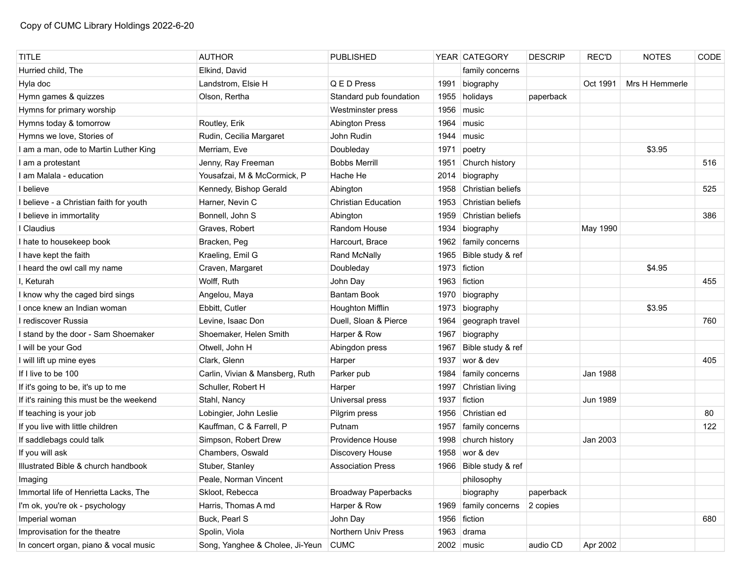| <b>TITLE</b>                             | <b>AUTHOR</b>                   | <b>PUBLISHED</b>           |      | YEAR CATEGORY          | <b>DESCRIP</b> | <b>REC'D</b> | <b>NOTES</b>   | CODE |
|------------------------------------------|---------------------------------|----------------------------|------|------------------------|----------------|--------------|----------------|------|
| Hurried child, The                       | Elkind, David                   |                            |      | family concerns        |                |              |                |      |
| Hyla doc                                 | Landstrom, Elsie H              | Q E D Press                | 1991 | biography              |                | Oct 1991     | Mrs H Hemmerle |      |
| Hymn games & quizzes                     | Olson, Rertha                   | Standard pub foundation    | 1955 | holidays               | paperback      |              |                |      |
| Hymns for primary worship                |                                 | Westminster press          | 1956 | music                  |                |              |                |      |
| Hymns today & tomorrow                   | Routley, Erik                   | <b>Abington Press</b>      | 1964 | music                  |                |              |                |      |
| Hymns we love, Stories of                | Rudin, Cecilia Margaret         | John Rudin                 | 1944 | music                  |                |              |                |      |
| I am a man, ode to Martin Luther King    | Merriam, Eve                    | Doubleday                  | 1971 | poetry                 |                |              | \$3.95         |      |
| I am a protestant                        | Jenny, Ray Freeman              | <b>Bobbs Merrill</b>       | 1951 | Church history         |                |              |                | 516  |
| I am Malala - education                  | Yousafzai, M & McCormick, P     | Hache He                   | 2014 | biography              |                |              |                |      |
| I believe                                | Kennedy, Bishop Gerald          | Abington                   | 1958 | Christian beliefs      |                |              |                | 525  |
| I believe - a Christian faith for youth  | Harner, Nevin C                 | <b>Christian Education</b> | 1953 | Christian beliefs      |                |              |                |      |
| I believe in immortality                 | Bonnell, John S                 | Abington                   | 1959 | Christian beliefs      |                |              |                | 386  |
| I Claudius                               | Graves, Robert                  | Random House               | 1934 | biography              |                | May 1990     |                |      |
| I hate to housekeep book                 | Bracken, Peg                    | Harcourt, Brace            | 1962 | family concerns        |                |              |                |      |
| I have kept the faith                    | Kraeling, Emil G                | Rand McNally               | 1965 | Bible study & ref      |                |              |                |      |
| I heard the owl call my name             | Craven, Margaret                | Doubleday                  | 1973 | fiction                |                |              | \$4.95         |      |
| I. Keturah                               | Wolff, Ruth                     | John Day                   |      | 1963 fiction           |                |              |                | 455  |
| I know why the caged bird sings          | Angelou, Maya                   | <b>Bantam Book</b>         | 1970 | biography              |                |              |                |      |
| I once knew an Indian woman              | Ebbitt, Cutler                  | Houghton Mifflin           | 1973 | biography              |                |              | \$3.95         |      |
| I rediscover Russia                      | Levine, Isaac Don               | Duell, Sloan & Pierce      | 1964 | geograph travel        |                |              |                | 760  |
| I stand by the door - Sam Shoemaker      | Shoemaker, Helen Smith          | Harper & Row               | 1967 | biography              |                |              |                |      |
| I will be your God                       | Otwell, John H                  | Abingdon press             | 1967 | Bible study & ref      |                |              |                |      |
| I will lift up mine eyes                 | Clark, Glenn                    | Harper                     | 1937 | wor & dev              |                |              |                | 405  |
| If I live to be 100                      | Carlin, Vivian & Mansberg, Ruth | Parker pub                 | 1984 | family concerns        |                | Jan 1988     |                |      |
| If it's going to be, it's up to me       | Schuller, Robert H              | Harper                     | 1997 | Christian living       |                |              |                |      |
| If it's raining this must be the weekend | Stahl, Nancy                    | Universal press            | 1937 | fiction                |                | Jun 1989     |                |      |
| If teaching is your job                  | Lobingier, John Leslie          | Pilgrim press              | 1956 | Christian ed           |                |              |                | 80   |
| If you live with little children         | Kauffman, C & Farrell, P        | Putnam                     | 1957 | family concerns        |                |              |                | 122  |
| If saddlebags could talk                 | Simpson, Robert Drew            | Providence House           | 1998 | church history         |                | Jan 2003     |                |      |
| If you will ask                          | Chambers, Oswald                | Discovery House            | 1958 | wor & dev              |                |              |                |      |
| Illustrated Bible & church handbook      | Stuber, Stanley                 | <b>Association Press</b>   |      | 1966 Bible study & ref |                |              |                |      |
| Imaging                                  | Peale, Norman Vincent           |                            |      | philosophy             |                |              |                |      |
| Immortal life of Henrietta Lacks, The    | Skloot, Rebecca                 | <b>Broadway Paperbacks</b> |      | biography              | paperback      |              |                |      |
| I'm ok, you're ok - psychology           | Harris, Thomas A md             | Harper & Row               |      | 1969   family concerns | 2 copies       |              |                |      |
| Imperial woman                           | Buck, Pearl S                   | John Day                   | 1956 | fiction                |                |              |                | 680  |
| Improvisation for the theatre            | Spolin, Viola                   | Northern Univ Press        |      | $1963$ drama           |                |              |                |      |
| In concert organ, piano & vocal music    | Song, Yanghee & Cholee, Ji-Yeun | <b>CUMC</b>                |      | 2002 music             | audio CD       | Apr 2002     |                |      |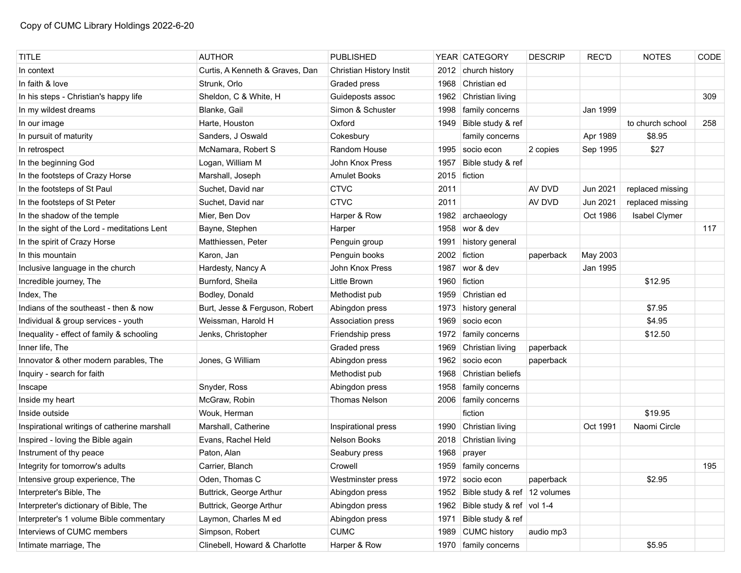| <b>TITLE</b>                                 | <b>AUTHOR</b>                   | <b>PUBLISHED</b>         |      | YEAR CATEGORY                     | <b>DESCRIP</b> | <b>REC'D</b> | <b>NOTES</b>     | CODE |
|----------------------------------------------|---------------------------------|--------------------------|------|-----------------------------------|----------------|--------------|------------------|------|
| In context                                   | Curtis, A Kenneth & Graves, Dan | Christian History Instit | 2012 | church history                    |                |              |                  |      |
| In faith & love                              | Strunk, Orlo                    | Graded press             | 1968 | Christian ed                      |                |              |                  |      |
| In his steps - Christian's happy life        | Sheldon, C & White, H           | Guideposts assoc         | 1962 | Christian living                  |                |              |                  | 309  |
| In my wildest dreams                         | Blanke, Gail                    | Simon & Schuster         | 1998 | family concerns                   |                | Jan 1999     |                  |      |
| In our image                                 | Harte, Houston                  | Oxford                   | 1949 | Bible study & ref                 |                |              | to church school | 258  |
| In pursuit of maturity                       | Sanders, J Oswald               | Cokesbury                |      | family concerns                   |                | Apr 1989     | \$8.95           |      |
| In retrospect                                | McNamara, Robert S              | Random House             | 1995 | socio econ                        | 2 copies       | Sep 1995     | \$27             |      |
| In the beginning God                         | Logan, William M                | John Knox Press          | 1957 | Bible study & ref                 |                |              |                  |      |
| In the footsteps of Crazy Horse              | Marshall, Joseph                | <b>Amulet Books</b>      |      | 2015 fiction                      |                |              |                  |      |
| In the footsteps of St Paul                  | Suchet, David nar               | <b>CTVC</b>              | 2011 |                                   | AV DVD         | Jun 2021     | replaced missing |      |
| In the footsteps of St Peter                 | Suchet, David nar               | <b>CTVC</b>              | 2011 |                                   | AV DVD         | Jun 2021     | replaced missing |      |
| In the shadow of the temple                  | Mier, Ben Dov                   | Harper & Row             | 1982 | archaeology                       |                | Oct 1986     | Isabel Clymer    |      |
| In the sight of the Lord - meditations Lent  | Bayne, Stephen                  | Harper                   | 1958 | wor & dev                         |                |              |                  | 117  |
| In the spirit of Crazy Horse                 | Matthiessen, Peter              | Penguin group            | 1991 | history general                   |                |              |                  |      |
| In this mountain                             | Karon, Jan                      | Penguin books            | 2002 | fiction                           | paperback      | May 2003     |                  |      |
| Inclusive language in the church             | Hardesty, Nancy A               | John Knox Press          | 1987 | wor & dev                         |                | Jan 1995     |                  |      |
| Incredible journey, The                      | Burnford, Sheila                | Little Brown             |      | 1960 fiction                      |                |              | \$12.95          |      |
| Index, The                                   | Bodley, Donald                  | Methodist pub            | 1959 | Christian ed                      |                |              |                  |      |
| Indians of the southeast - then & now        | Burt, Jesse & Ferguson, Robert  | Abingdon press           | 1973 | history general                   |                |              | \$7.95           |      |
| Individual & group services - youth          | Weissman, Harold H              | Association press        | 1969 | socio econ                        |                |              | \$4.95           |      |
| Inequality - effect of family & schooling    | Jenks, Christopher              | Friendship press         | 1972 | family concerns                   |                |              | \$12.50          |      |
| Inner life, The                              |                                 | Graded press             | 1969 | Christian living                  | paperback      |              |                  |      |
| Innovator & other modern parables, The       | Jones, G William                | Abingdon press           | 1962 | socio econ                        | paperback      |              |                  |      |
| Inquiry - search for faith                   |                                 | Methodist pub            | 1968 | Christian beliefs                 |                |              |                  |      |
| Inscape                                      | Snyder, Ross                    | Abingdon press           | 1958 | family concerns                   |                |              |                  |      |
| Inside my heart                              | McGraw, Robin                   | <b>Thomas Nelson</b>     | 2006 | family concerns                   |                |              |                  |      |
| Inside outside                               | Wouk, Herman                    |                          |      | fiction                           |                |              | \$19.95          |      |
| Inspirational writings of catherine marshall | Marshall, Catherine             | Inspirational press      | 1990 | Christian living                  |                | Oct 1991     | Naomi Circle     |      |
| Inspired - loving the Bible again            | Evans, Rachel Held              | Nelson Books             | 2018 | Christian living                  |                |              |                  |      |
| Instrument of thy peace                      | Paton, Alan                     | Seabury press            | 1968 | prayer                            |                |              |                  |      |
| Integrity for tomorrow's adults              | Carrier, Blanch                 | Crowell                  |      | 1959   family concerns            |                |              |                  | 195  |
| Intensive group experience, The              | Oden, Thomas C                  | Westminster press        |      | 1972   socio econ                 | paperback      |              | \$2.95           |      |
| Interpreter's Bible, The                     | Buttrick, George Arthur         | Abingdon press           |      | 1952 Bible study & ref 12 volumes |                |              |                  |      |
| Interpreter's dictionary of Bible, The       | Buttrick, George Arthur         | Abingdon press           |      | 1962 Bible study & ref vol 1-4    |                |              |                  |      |
| Interpreter's 1 volume Bible commentary      | Laymon, Charles M ed            | Abingdon press           | 1971 | Bible study & ref                 |                |              |                  |      |
| Interviews of CUMC members                   | Simpson, Robert                 | <b>CUMC</b>              | 1989 | CUMC history                      | audio mp3      |              |                  |      |
| Intimate marriage, The                       | Clinebell, Howard & Charlotte   | Harper & Row             |      | 1970 family concerns              |                |              | \$5.95           |      |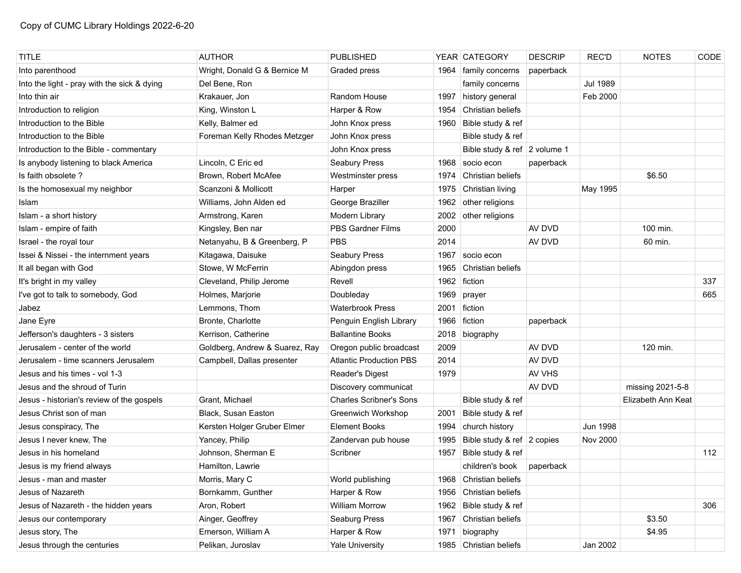| <b>TITLE</b>                                | <b>AUTHOR</b>                  | <b>PUBLISHED</b>               |      | YEAR CATEGORY                | <b>DESCRIP</b> | <b>REC'D</b>    | <b>NOTES</b>       | CODE |
|---------------------------------------------|--------------------------------|--------------------------------|------|------------------------------|----------------|-----------------|--------------------|------|
| Into parenthood                             | Wright, Donald G & Bernice M   | Graded press                   | 1964 | family concerns              | paperback      |                 |                    |      |
| Into the light - pray with the sick & dying | Del Bene, Ron                  |                                |      | family concerns              |                | <b>Jul 1989</b> |                    |      |
| Into thin air                               | Krakauer, Jon                  | Random House                   | 1997 | history general              |                | Feb 2000        |                    |      |
| Introduction to religion                    | King, Winston L                | Harper & Row                   | 1954 | Christian beliefs            |                |                 |                    |      |
| Introduction to the Bible                   | Kelly, Balmer ed               | John Knox press                | 1960 | Bible study & ref            |                |                 |                    |      |
| Introduction to the Bible                   | Foreman Kelly Rhodes Metzger   | John Knox press                |      | Bible study & ref            |                |                 |                    |      |
| Introduction to the Bible - commentary      |                                | John Knox press                |      | Bible study & ref 2 volume 1 |                |                 |                    |      |
| Is anybody listening to black America       | Lincoln, C Eric ed             | Seabury Press                  | 1968 | socio econ                   | paperback      |                 |                    |      |
| Is faith obsolete?                          | Brown, Robert McAfee           | Westminster press              | 1974 | Christian beliefs            |                |                 | \$6.50             |      |
| Is the homosexual my neighbor               | Scanzoni & Mollicott           | Harper                         | 1975 | Christian living             |                | May 1995        |                    |      |
| Islam                                       | Williams, John Alden ed        | George Braziller               | 1962 | other religions              |                |                 |                    |      |
| Islam - a short history                     | Armstrong, Karen               | Modern Library                 | 2002 | other religions              |                |                 |                    |      |
| Islam - empire of faith                     | Kingsley, Ben nar              | PBS Gardner Films              | 2000 |                              | AV DVD         |                 | 100 min.           |      |
| Israel - the royal tour                     | Netanyahu, B & Greenberg, P    | <b>PBS</b>                     | 2014 |                              | AV DVD         |                 | 60 min.            |      |
| Issei & Nissei - the internment years       | Kitagawa, Daisuke              | Seabury Press                  | 1967 | socio econ                   |                |                 |                    |      |
| It all began with God                       | Stowe, W McFerrin              | Abingdon press                 | 1965 | Christian beliefs            |                |                 |                    |      |
| It's bright in my valley                    | Cleveland, Philip Jerome       | Revell                         | 1962 | fiction                      |                |                 |                    | 337  |
| I've got to talk to somebody, God           | Holmes, Marjorie               | Doubleday                      | 1969 | prayer                       |                |                 |                    | 665  |
| Jabez                                       | Lemmons, Thom                  | <b>Waterbrook Press</b>        | 2001 | fiction                      |                |                 |                    |      |
| Jane Eyre                                   | Bronte, Charlotte              | Penguin English Library        | 1966 | fiction                      | paperback      |                 |                    |      |
| Jefferson's daughters - 3 sisters           | Kerrison, Catherine            | <b>Ballantine Books</b>        | 2018 | biography                    |                |                 |                    |      |
| Jerusalem - center of the world             | Goldberg, Andrew & Suarez, Ray | Oregon public broadcast        | 2009 |                              | AV DVD         |                 | 120 min.           |      |
| Jerusalem - time scanners Jerusalem         | Campbell, Dallas presenter     | <b>Atlantic Production PBS</b> | 2014 |                              | AV DVD         |                 |                    |      |
| Jesus and his times - vol 1-3               |                                | Reader's Digest                | 1979 |                              | AV VHS         |                 |                    |      |
| Jesus and the shroud of Turin               |                                | Discovery communicat           |      |                              | AV DVD         |                 | missing 2021-5-8   |      |
| Jesus - historian's review of the gospels   | Grant, Michael                 | <b>Charles Scribner's Sons</b> |      | Bible study & ref            |                |                 | Elizabeth Ann Keat |      |
| Jesus Christ son of man                     | Black, Susan Easton            | Greenwich Workshop             | 2001 | Bible study & ref            |                |                 |                    |      |
| Jesus conspiracy, The                       | Kersten Holger Gruber Elmer    | <b>Element Books</b>           | 1994 | church history               |                | <b>Jun 1998</b> |                    |      |
| Jesus I never knew, The                     | Yancey, Philip                 | Zandervan pub house            | 1995 | Bible study & ref 2 copies   |                | <b>Nov 2000</b> |                    |      |
| Jesus in his homeland                       | Johnson, Sherman E             | Scribner                       | 1957 | Bible study & ref            |                |                 |                    | 112  |
| Jesus is my friend always                   | Hamilton, Lawrie               |                                |      | children's book              | paperback      |                 |                    |      |
| Jesus - man and master                      | Morris, Mary C                 | World publishing               |      | 1968 Christian beliefs       |                |                 |                    |      |
| Jesus of Nazareth                           | Bornkamm, Gunther              | Harper & Row                   | 1956 | Christian beliefs            |                |                 |                    |      |
| Jesus of Nazareth - the hidden years        | Aron, Robert                   | <b>William Morrow</b>          | 1962 | Bible study & ref            |                |                 |                    | 306  |
| Jesus our contemporary                      | Ainger, Geoffrey               | Seaburg Press                  | 1967 | Christian beliefs            |                |                 | \$3.50             |      |
| Jesus story, The                            | Emerson, William A             | Harper & Row                   | 1971 | biography                    |                |                 | \$4.95             |      |
| Jesus through the centuries                 | Pelikan, Juroslav              | <b>Yale University</b>         |      | 1985 Christian beliefs       |                | Jan 2002        |                    |      |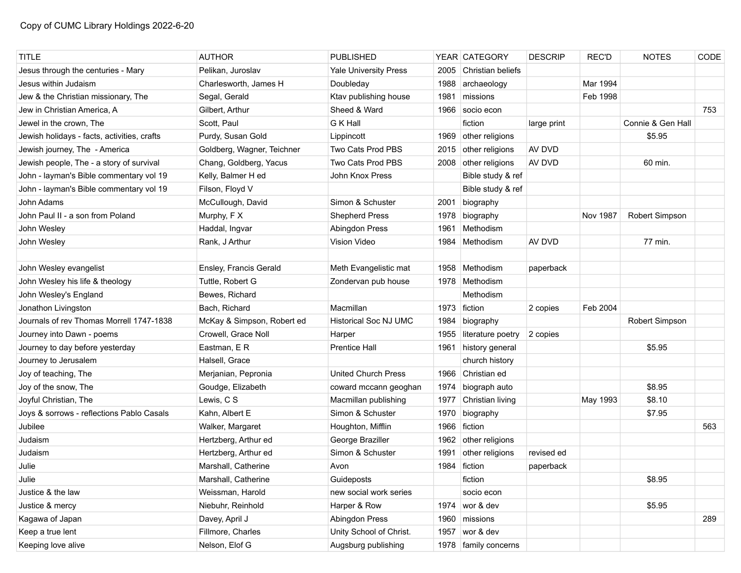| <b>TITLE</b>                                | <b>AUTHOR</b>              | <b>PUBLISHED</b>             |      | YEAR CATEGORY          | <b>DESCRIP</b> | <b>REC'D</b>    | <b>NOTES</b>      | CODE |
|---------------------------------------------|----------------------------|------------------------------|------|------------------------|----------------|-----------------|-------------------|------|
| Jesus through the centuries - Mary          | Pelikan, Juroslav          | <b>Yale University Press</b> | 2005 | Christian beliefs      |                |                 |                   |      |
| Jesus within Judaism                        | Charlesworth, James H      | Doubleday                    | 1988 | archaeology            |                | Mar 1994        |                   |      |
| Jew & the Christian missionary, The         | Segal, Gerald              | Ktav publishing house        | 1981 | missions               |                | Feb 1998        |                   |      |
| Jew in Christian America, A                 | Gilbert. Arthur            | Sheed & Ward                 | 1966 | socio econ             |                |                 |                   | 753  |
| Jewel in the crown, The                     | Scott, Paul                | G K Hall                     |      | fiction                | large print    |                 | Connie & Gen Hall |      |
| Jewish holidays - facts, activities, crafts | Purdy, Susan Gold          | Lippincott                   |      | 1969 other religions   |                |                 | \$5.95            |      |
| Jewish journey, The - America               | Goldberg, Wagner, Teichner | Two Cats Prod PBS            |      | 2015 other religions   | AV DVD         |                 |                   |      |
| Jewish people, The - a story of survival    | Chang, Goldberg, Yacus     | Two Cats Prod PBS            | 2008 | other religions        | AV DVD         |                 | 60 min.           |      |
| John - layman's Bible commentary vol 19     | Kelly, Balmer H ed         | John Knox Press              |      | Bible study & ref      |                |                 |                   |      |
| John - layman's Bible commentary vol 19     | Filson, Floyd V            |                              |      | Bible study & ref      |                |                 |                   |      |
| John Adams                                  | McCullough, David          | Simon & Schuster             | 2001 | biography              |                |                 |                   |      |
| John Paul II - a son from Poland            | Murphy, F X                | <b>Shepherd Press</b>        | 1978 | biography              |                | <b>Nov 1987</b> | Robert Simpson    |      |
| John Wesley                                 | Haddal, Ingvar             | Abingdon Press               | 1961 | Methodism              |                |                 |                   |      |
| John Wesley                                 | Rank, J Arthur             | <b>Vision Video</b>          | 1984 | Methodism              | AV DVD         |                 | 77 min.           |      |
|                                             |                            |                              |      |                        |                |                 |                   |      |
| John Wesley evangelist                      | Ensley, Francis Gerald     | Meth Evangelistic mat        |      | 1958 Methodism         | paperback      |                 |                   |      |
| John Wesley his life & theology             | Tuttle, Robert G           | Zondervan pub house          |      | 1978   Methodism       |                |                 |                   |      |
| John Wesley's England                       | Bewes, Richard             |                              |      | Methodism              |                |                 |                   |      |
| Jonathon Livingston                         | Bach, Richard              | Macmillan                    | 1973 | fiction                | 2 copies       | Feb 2004        |                   |      |
| Journals of rev Thomas Morrell 1747-1838    | McKay & Simpson, Robert ed | <b>Historical Soc NJ UMC</b> | 1984 | biography              |                |                 | Robert Simpson    |      |
| Journey into Dawn - poems                   | Crowell, Grace Noll        | Harper                       | 1955 | literature poetry      | 2 copies       |                 |                   |      |
| Journey to day before yesterday             | Eastman, E R               | <b>Prentice Hall</b>         | 1961 | history general        |                |                 | \$5.95            |      |
| Journey to Jerusalem                        | Halsell, Grace             |                              |      | church history         |                |                 |                   |      |
| Joy of teaching, The                        | Merjanian, Pepronia        | <b>United Church Press</b>   | 1966 | Christian ed           |                |                 |                   |      |
| Joy of the snow, The                        | Goudge, Elizabeth          | coward mccann geoghan        | 1974 | biograph auto          |                |                 | \$8.95            |      |
| Joyful Christian, The                       | Lewis, C S                 | Macmillan publishing         | 1977 | Christian living       |                | May 1993        | \$8.10            |      |
| Joys & sorrows - reflections Pablo Casals   | Kahn, Albert E             | Simon & Schuster             | 1970 | biography              |                |                 | \$7.95            |      |
| Jubilee                                     | Walker, Margaret           | Houghton, Mifflin            | 1966 | fiction                |                |                 |                   | 563  |
| Judaism                                     | Hertzberg, Arthur ed       | George Braziller             | 1962 | other religions        |                |                 |                   |      |
| Judaism                                     | Hertzberg, Arthur ed       | Simon & Schuster             | 1991 | other religions        | revised ed     |                 |                   |      |
| Julie                                       | Marshall, Catherine        | Avon                         |      | 1984 fiction           | paperback      |                 |                   |      |
| Julie                                       | Marshall, Catherine        | Guideposts                   |      | fiction                |                |                 | \$8.95            |      |
| Justice & the law                           | Weissman, Harold           | new social work series       |      | socio econ             |                |                 |                   |      |
| Justice & mercy                             | Niebuhr, Reinhold          | Harper & Row                 | 1974 | wor & dev              |                |                 | \$5.95            |      |
| Kagawa of Japan                             | Davey, April J             | Abingdon Press               | 1960 | missions               |                |                 |                   | 289  |
| Keep a true lent                            | Fillmore, Charles          | Unity School of Christ.      | 1957 | wor & dev              |                |                 |                   |      |
| Keeping love alive                          | Nelson, Elof G             | Augsburg publishing          |      | 1978   family concerns |                |                 |                   |      |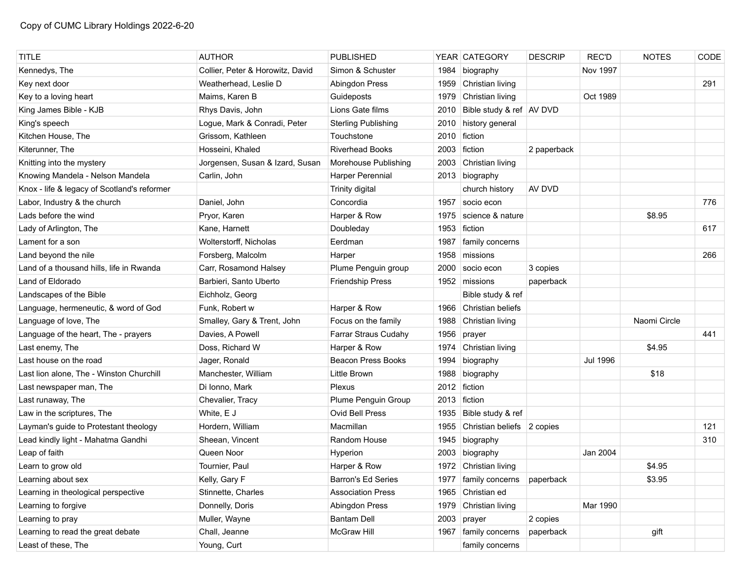| <b>TITLE</b>                                | <b>AUTHOR</b>                    | <b>PUBLISHED</b>           |      | YEAR CATEGORY              | <b>DESCRIP</b> | <b>REC'D</b>    | <b>NOTES</b> | CODE |
|---------------------------------------------|----------------------------------|----------------------------|------|----------------------------|----------------|-----------------|--------------|------|
| Kennedys, The                               | Collier, Peter & Horowitz, David | Simon & Schuster           | 1984 | biography                  |                | Nov 1997        |              |      |
| Key next door                               | Weatherhead, Leslie D            | Abingdon Press             | 1959 | Christian living           |                |                 |              | 291  |
| Key to a loving heart                       | Maims, Karen B                   | Guideposts                 | 1979 | Christian living           |                | Oct 1989        |              |      |
| King James Bible - KJB                      | Rhys Davis, John                 | Lions Gate films           | 2010 | Bible study & ref   AV DVD |                |                 |              |      |
| King's speech                               | Logue, Mark & Conradi, Peter     | <b>Sterling Publishing</b> | 2010 | history general            |                |                 |              |      |
| Kitchen House, The                          | Grissom, Kathleen                | Touchstone                 | 2010 | fiction                    |                |                 |              |      |
| Kiterunner, The                             | Hosseini, Khaled                 | <b>Riverhead Books</b>     | 2003 | fiction                    | 2 paperback    |                 |              |      |
| Knitting into the mystery                   | Jorgensen, Susan & Izard, Susan  | Morehouse Publishing       | 2003 | Christian living           |                |                 |              |      |
| Knowing Mandela - Nelson Mandela            | Carlin, John                     | Harper Perennial           | 2013 | biography                  |                |                 |              |      |
| Knox - life & legacy of Scotland's reformer |                                  | <b>Trinity digital</b>     |      | church history             | AV DVD         |                 |              |      |
| Labor, Industry & the church                | Daniel, John                     | Concordia                  | 1957 | socio econ                 |                |                 |              | 776  |
| Lads before the wind                        | Pryor, Karen                     | Harper & Row               | 1975 | science & nature           |                |                 | \$8.95       |      |
| Lady of Arlington, The                      | Kane, Harnett                    | Doubleday                  | 1953 | fiction                    |                |                 |              | 617  |
| Lament for a son                            | Wolterstorff, Nicholas           | Eerdman                    | 1987 | family concerns            |                |                 |              |      |
| Land beyond the nile                        | Forsberg, Malcolm                | Harper                     | 1958 | missions                   |                |                 |              | 266  |
| Land of a thousand hills, life in Rwanda    | Carr, Rosamond Halsey            | Plume Penguin group        | 2000 | socio econ                 | 3 copies       |                 |              |      |
| Land of Eldorado                            | Barbieri, Santo Uberto           | <b>Friendship Press</b>    |      | 1952 missions              | paperback      |                 |              |      |
| Landscapes of the Bible                     | Eichholz, Georg                  |                            |      | Bible study & ref          |                |                 |              |      |
| Language, hermeneutic, & word of God        | Funk, Robert w                   | Harper & Row               | 1966 | Christian beliefs          |                |                 |              |      |
| Language of love, The                       | Smalley, Gary & Trent, John      | Focus on the family        | 1988 | Christian living           |                |                 | Naomi Circle |      |
| Language of the heart, The - prayers        | Davies, A Powell                 | Farrar Straus Cudahy       | 1956 | prayer                     |                |                 |              | 441  |
| Last enemy, The                             | Doss, Richard W                  | Harper & Row               | 1974 | Christian living           |                |                 | \$4.95       |      |
| Last house on the road                      | Jager, Ronald                    | <b>Beacon Press Books</b>  | 1994 | biography                  |                | <b>Jul 1996</b> |              |      |
| Last lion alone, The - Winston Churchill    | Manchester, William              | Little Brown               | 1988 | biography                  |                |                 | \$18         |      |
| Last newspaper man, The                     | Di Ionno, Mark                   | Plexus                     |      | 2012 fiction               |                |                 |              |      |
| Last runaway, The                           | Chevalier, Tracy                 | Plume Penguin Group        |      | $2013$ fiction             |                |                 |              |      |
| Law in the scriptures, The                  | White, E J                       | Ovid Bell Press            | 1935 | Bible study & ref          |                |                 |              |      |
| Layman's guide to Protestant theology       | Hordern, William                 | Macmillan                  | 1955 | Christian beliefs 2 copies |                |                 |              | 121  |
| Lead kindly light - Mahatma Gandhi          | Sheean, Vincent                  | Random House               | 1945 | biography                  |                |                 |              | 310  |
| Leap of faith                               | Queen Noor                       | Hyperion                   | 2003 | biography                  |                | Jan 2004        |              |      |
| Learn to grow old                           | Tournier, Paul                   | Harper & Row               |      | 1972 Christian living      |                |                 | \$4.95       |      |
| Learning about sex                          | Kelly, Gary F                    | Barron's Ed Series         |      | 1977   family concerns     | paperback      |                 | \$3.95       |      |
| Learning in theological perspective         | Stinnette, Charles               | <b>Association Press</b>   | 1965 | Christian ed               |                |                 |              |      |
| Learning to forgive                         | Donnelly, Doris                  | Abingdon Press             | 1979 | Christian living           |                | Mar 1990        |              |      |
| Learning to pray                            | Muller, Wayne                    | <b>Bantam Dell</b>         | 2003 | prayer                     | 2 copies       |                 |              |      |
| Learning to read the great debate           | Chall, Jeanne                    | McGraw Hill                |      | 1967   family concerns     | paperback      |                 | gift         |      |
| Least of these, The                         | Young, Curt                      |                            |      | family concerns            |                |                 |              |      |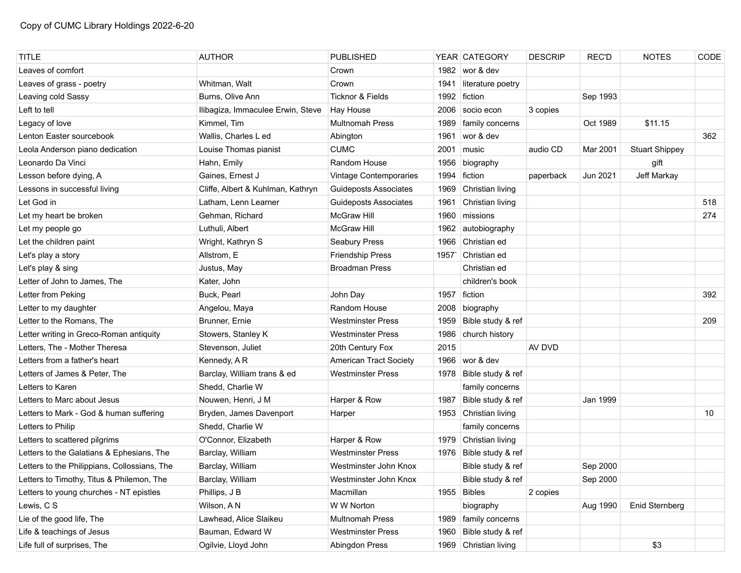| <b>TITLE</b>                                 | <b>AUTHOR</b>                     | <b>PUBLISHED</b>             |      | YEAR CATEGORY         | <b>DESCRIP</b> | <b>REC'D</b> | <b>NOTES</b>          | CODE |
|----------------------------------------------|-----------------------------------|------------------------------|------|-----------------------|----------------|--------------|-----------------------|------|
| Leaves of comfort                            |                                   | Crown                        |      | 1982   wor & dev      |                |              |                       |      |
| Leaves of grass - poetry                     | Whitman, Walt                     | Crown                        | 1941 | literature poetry     |                |              |                       |      |
| Leaving cold Sassy                           | Burns, Olive Ann                  | <b>Ticknor &amp; Fields</b>  | 1992 | fiction               |                | Sep 1993     |                       |      |
| Left to tell                                 | Ilibagiza, Immaculee Erwin, Steve | <b>Hay House</b>             | 2006 | socio econ            | 3 copies       |              |                       |      |
| Legacy of love                               | Kimmel, Tim                       | <b>Multnomah Press</b>       | 1989 | family concerns       |                | Oct 1989     | \$11.15               |      |
| Lenton Easter sourcebook                     | Wallis, Charles L ed              | Abington                     | 1961 | wor & dev             |                |              |                       | 362  |
| Leola Anderson piano dedication              | Louise Thomas pianist             | <b>CUMC</b>                  | 2001 | music                 | audio CD       | Mar 2001     | <b>Stuart Shippey</b> |      |
| Leonardo Da Vinci                            | Hahn, Emily                       | Random House                 | 1956 | biography             |                |              | gift                  |      |
| Lesson before dying, A                       | Gaines, Ernest J                  | Vintage Contemporaries       | 1994 | fiction               | paperback      | Jun 2021     | Jeff Markay           |      |
| Lessons in successful living                 | Cliffe, Albert & Kuhlman, Kathryn | <b>Guideposts Associates</b> | 1969 | Christian living      |                |              |                       |      |
| Let God in                                   | Latham, Lenn Learner              | <b>Guideposts Associates</b> | 1961 | Christian living      |                |              |                       | 518  |
| Let my heart be broken                       | Gehman, Richard                   | <b>McGraw Hill</b>           | 1960 | missions              |                |              |                       | 274  |
| Let my people go                             | Luthuli, Albert                   | <b>McGraw Hill</b>           | 1962 | autobiography         |                |              |                       |      |
| Let the children paint                       | Wright, Kathryn S                 | Seabury Press                | 1966 | Christian ed          |                |              |                       |      |
| Let's play a story                           | Allstrom, E                       | <b>Friendship Press</b>      | 1957 | Christian ed          |                |              |                       |      |
| Let's play & sing                            | Justus, May                       | <b>Broadman Press</b>        |      | Christian ed          |                |              |                       |      |
| Letter of John to James, The                 | Kater, John                       |                              |      | children's book       |                |              |                       |      |
| Letter from Peking                           | Buck, Pearl                       | John Day                     | 1957 | fiction               |                |              |                       | 392  |
| Letter to my daughter                        | Angelou, Maya                     | Random House                 | 2008 | biography             |                |              |                       |      |
| Letter to the Romans, The                    | Brunner, Ernie                    | Westminster Press            | 1959 | Bible study & ref     |                |              |                       | 209  |
| Letter writing in Greco-Roman antiquity      | Stowers, Stanley K                | <b>Westminster Press</b>     | 1986 | church history        |                |              |                       |      |
| Letters, The - Mother Theresa                | Stevenson, Juliet                 | 20th Century Fox             | 2015 |                       | AV DVD         |              |                       |      |
| Letters from a father's heart                | Kennedy, AR                       | American Tract Society       |      | 1966   wor & dev      |                |              |                       |      |
| Letters of James & Peter, The                | Barclay, William trans & ed       | <b>Westminster Press</b>     | 1978 | Bible study & ref     |                |              |                       |      |
| Letters to Karen                             | Shedd, Charlie W                  |                              |      | family concerns       |                |              |                       |      |
| Letters to Marc about Jesus                  | Nouwen, Henri, J M                | Harper & Row                 | 1987 | Bible study & ref     |                | Jan 1999     |                       |      |
| Letters to Mark - God & human suffering      | Bryden, James Davenport           | Harper                       |      | 1953 Christian living |                |              |                       | 10   |
| Letters to Philip                            | Shedd, Charlie W                  |                              |      | family concerns       |                |              |                       |      |
| Letters to scattered pilgrims                | O'Connor, Elizabeth               | Harper & Row                 |      | 1979 Christian living |                |              |                       |      |
| Letters to the Galatians & Ephesians, The    | Barclay, William                  | <b>Westminster Press</b>     | 1976 | Bible study & ref     |                |              |                       |      |
| Letters to the Philippians, Collossians, The | Barclay, William                  | Westminster John Knox        |      | Bible study & ref     |                | Sep 2000     |                       |      |
| Letters to Timothy, Titus & Philemon, The    | Barclay, William                  | Westminster John Knox        |      | Bible study & ref     |                | Sep 2000     |                       |      |
| Letters to young churches - NT epistles      | Phillips, J B                     | Macmillan                    |      | 1955 Bibles           | 2 copies       |              |                       |      |
| Lewis, C S                                   | Wilson, AN                        | W W Norton                   |      | biography             |                | Aug 1990     | Enid Sternberg        |      |
| Lie of the good life, The                    | Lawhead, Alice Slaikeu            | <b>Multnomah Press</b>       | 1989 | family concerns       |                |              |                       |      |
| Life & teachings of Jesus                    | Bauman, Edward W                  | <b>Westminster Press</b>     | 1960 | Bible study & ref     |                |              |                       |      |
| Life full of surprises, The                  | Ogilvie, Lloyd John               | Abingdon Press               |      | 1969 Christian living |                |              | \$3                   |      |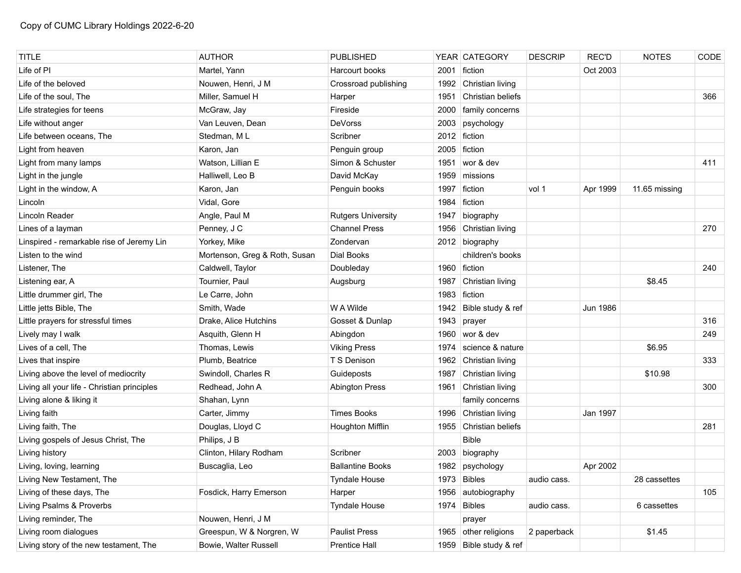| <b>TITLE</b>                                | <b>AUTHOR</b>                 | <b>PUBLISHED</b>          |      | YEAR CATEGORY          | <b>DESCRIP</b> | <b>REC'D</b> | <b>NOTES</b>  | CODE |
|---------------------------------------------|-------------------------------|---------------------------|------|------------------------|----------------|--------------|---------------|------|
| Life of PI                                  | Martel, Yann                  | Harcourt books            | 2001 | fiction                |                | Oct 2003     |               |      |
| Life of the beloved                         | Nouwen, Henri, J M            | Crossroad publishing      | 1992 | Christian living       |                |              |               |      |
| Life of the soul, The                       | Miller, Samuel H              | Harper                    | 1951 | Christian beliefs      |                |              |               | 366  |
| Life strategies for teens                   | McGraw, Jay                   | Fireside                  | 2000 | family concerns        |                |              |               |      |
| Life without anger                          | Van Leuven, Dean              | <b>DeVorss</b>            | 2003 | psychology             |                |              |               |      |
| Life between oceans, The                    | Stedman, ML                   | Scribner                  |      | 2012 fiction           |                |              |               |      |
| Light from heaven                           | Karon, Jan                    | Penguin group             | 2005 | fiction                |                |              |               |      |
| Light from many lamps                       | Watson, Lillian E             | Simon & Schuster          | 1951 | wor & dev              |                |              |               | 411  |
| Light in the jungle                         | Halliwell, Leo B              | David McKay               | 1959 | missions               |                |              |               |      |
| Light in the window, A                      | Karon, Jan                    | Penguin books             | 1997 | fiction                | vol 1          | Apr 1999     | 11.65 missing |      |
| Lincoln                                     | Vidal, Gore                   |                           | 1984 | fiction                |                |              |               |      |
| Lincoln Reader                              | Angle, Paul M                 | <b>Rutgers University</b> | 1947 | biography              |                |              |               |      |
| Lines of a layman                           | Penney, J C                   | <b>Channel Press</b>      | 1956 | Christian living       |                |              |               | 270  |
| Linspired - remarkable rise of Jeremy Lin   | Yorkey, Mike                  | Zondervan                 |      | 2012 biography         |                |              |               |      |
| Listen to the wind                          | Mortenson, Greg & Roth, Susan | Dial Books                |      | children's books       |                |              |               |      |
| Listener, The                               | Caldwell, Taylor              | Doubleday                 |      | 1960 fiction           |                |              |               | 240  |
| Listening ear, A                            | Tournier, Paul                | Augsburg                  | 1987 | Christian living       |                |              | \$8.45        |      |
| Little drummer girl, The                    | Le Carre, John                |                           |      | 1983 fiction           |                |              |               |      |
| Little jetts Bible, The                     | Smith, Wade                   | W A Wilde                 | 1942 | Bible study & ref      |                | Jun 1986     |               |      |
| Little prayers for stressful times          | Drake, Alice Hutchins         | Gosset & Dunlap           | 1943 | prayer                 |                |              |               | 316  |
| Lively may I walk                           | Asquith, Glenn H              | Abingdon                  | 1960 | wor & dev              |                |              |               | 249  |
| Lives of a cell, The                        | Thomas, Lewis                 | <b>Viking Press</b>       | 1974 | science & nature       |                |              | \$6.95        |      |
| Lives that inspire                          | Plumb, Beatrice               | T S Denison               |      | 1962 Christian living  |                |              |               | 333  |
| Living above the level of mediocrity        | Swindoll, Charles R           | Guideposts                | 1987 | Christian living       |                |              | \$10.98       |      |
| Living all your life - Christian principles | Redhead, John A               | <b>Abington Press</b>     | 1961 | Christian living       |                |              |               | 300  |
| Living alone & liking it                    | Shahan, Lynn                  |                           |      | family concerns        |                |              |               |      |
| Living faith                                | Carter, Jimmy                 | <b>Times Books</b>        | 1996 | Christian living       |                | Jan 1997     |               |      |
| Living faith, The                           | Douglas, Lloyd C              | Houghton Mifflin          |      | 1955 Christian beliefs |                |              |               | 281  |
| Living gospels of Jesus Christ, The         | Philips, J B                  |                           |      | <b>Bible</b>           |                |              |               |      |
| Living history                              | Clinton, Hilary Rodham        | Scribner                  | 2003 | biography              |                |              |               |      |
| Living, loving, learning                    | Buscaglia, Leo                | <b>Ballantine Books</b>   |      | 1982   psychology      |                | Apr 2002     |               |      |
| Living New Testament, The                   |                               | <b>Tyndale House</b>      |      | 1973 Bibles            | audio cass.    |              | 28 cassettes  |      |
| Living of these days, The                   | Fosdick, Harry Emerson        | Harper                    | 1956 | autobiography          |                |              |               | 105  |
| Living Psalms & Proverbs                    |                               | <b>Tyndale House</b>      | 1974 | Bibles                 | audio cass.    |              | 6 cassettes   |      |
| Living reminder, The                        | Nouwen, Henri, J M            |                           |      | prayer                 |                |              |               |      |
| Living room dialogues                       | Greespun, W & Norgren, W      | <b>Paulist Press</b>      |      | 1965 other religions   | 2 paperback    |              | \$1.45        |      |
| Living story of the new testament, The      | Bowie, Walter Russell         | <b>Prentice Hall</b>      |      | 1959 Bible study & ref |                |              |               |      |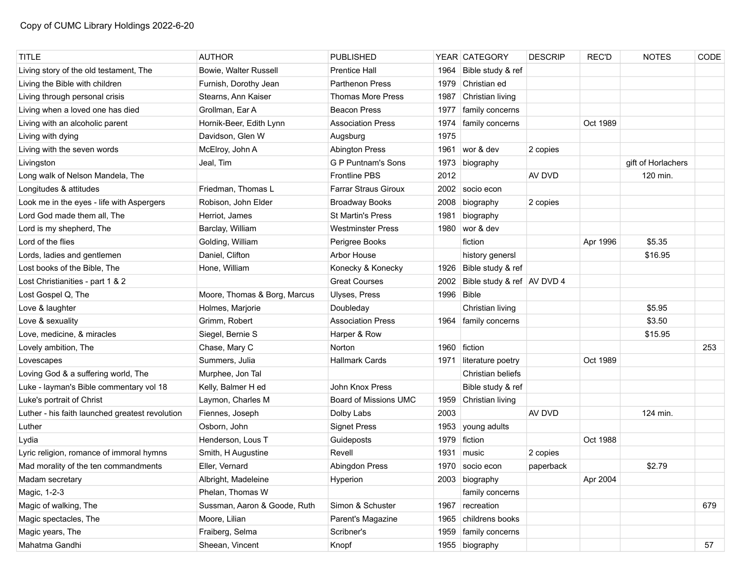| <b>TITLE</b>                                    | <b>AUTHOR</b>                | <b>PUBLISHED</b>            |      | YEAR CATEGORY                | <b>DESCRIP</b> | <b>REC'D</b> | <b>NOTES</b>       | CODE |
|-------------------------------------------------|------------------------------|-----------------------------|------|------------------------------|----------------|--------------|--------------------|------|
| Living story of the old testament, The          | Bowie, Walter Russell        | <b>Prentice Hall</b>        | 1964 | Bible study & ref            |                |              |                    |      |
| Living the Bible with children                  | Furnish, Dorothy Jean        | <b>Parthenon Press</b>      | 1979 | Christian ed                 |                |              |                    |      |
| Living through personal crisis                  | Stearns, Ann Kaiser          | <b>Thomas More Press</b>    | 1987 | Christian living             |                |              |                    |      |
| Living when a loved one has died                | Grollman, Ear A              | <b>Beacon Press</b>         | 1977 | family concerns              |                |              |                    |      |
| Living with an alcoholic parent                 | Hornik-Beer, Edith Lynn      | <b>Association Press</b>    | 1974 | family concerns              |                | Oct 1989     |                    |      |
| Living with dying                               | Davidson, Glen W             | Augsburg                    | 1975 |                              |                |              |                    |      |
| Living with the seven words                     | McElroy, John A              | <b>Abington Press</b>       |      | 1961 wor & dev               | 2 copies       |              |                    |      |
| Livingston                                      | Jeal, Tim                    | <b>G P Puntnam's Sons</b>   | 1973 | biography                    |                |              | gift of Horlachers |      |
| Long walk of Nelson Mandela, The                |                              | <b>Frontline PBS</b>        | 2012 |                              | AV DVD         |              | 120 min.           |      |
| Longitudes & attitudes                          | Friedman, Thomas L           | <b>Farrar Straus Giroux</b> | 2002 | socio econ                   |                |              |                    |      |
| Look me in the eyes - life with Aspergers       | Robison, John Elder          | <b>Broadway Books</b>       | 2008 | biography                    | 2 copies       |              |                    |      |
| Lord God made them all, The                     | Herriot, James               | St Martin's Press           | 1981 | biography                    |                |              |                    |      |
| Lord is my shepherd, The                        | Barclay, William             | <b>Westminster Press</b>    |      | 1980 wor & dev               |                |              |                    |      |
| Lord of the flies                               | Golding, William             | Perigree Books              |      | fiction                      |                | Apr 1996     | \$5.35             |      |
| Lords, ladies and gentlemen                     | Daniel, Clifton              | Arbor House                 |      | history genersl              |                |              | \$16.95            |      |
| Lost books of the Bible, The                    | Hone, William                | Konecky & Konecky           | 1926 | Bible study & ref            |                |              |                    |      |
| Lost Christianities - part 1 & 2                |                              | <b>Great Courses</b>        | 2002 | Bible study & ref   AV DVD 4 |                |              |                    |      |
| Lost Gospel Q, The                              | Moore, Thomas & Borg, Marcus | Ulyses, Press               | 1996 | Bible                        |                |              |                    |      |
| Love & laughter                                 | Holmes, Marjorie             | Doubleday                   |      | Christian living             |                |              | \$5.95             |      |
| Love & sexuality                                | Grimm, Robert                | <b>Association Press</b>    | 1964 | family concerns              |                |              | \$3.50             |      |
| Love, medicine, & miracles                      | Siegel, Bernie S             | Harper & Row                |      |                              |                |              | \$15.95            |      |
| Lovely ambition, The                            | Chase, Mary C                | Norton                      |      | 1960 fiction                 |                |              |                    | 253  |
| Lovescapes                                      | Summers, Julia               | <b>Hallmark Cards</b>       | 1971 | literature poetry            |                | Oct 1989     |                    |      |
| Loving God & a suffering world, The             | Murphee, Jon Tal             |                             |      | Christian beliefs            |                |              |                    |      |
| Luke - layman's Bible commentary vol 18         | Kelly, Balmer H ed           | John Knox Press             |      | Bible study & ref            |                |              |                    |      |
| Luke's portrait of Christ                       | Laymon, Charles M            | Board of Missions UMC       | 1959 | Christian living             |                |              |                    |      |
| Luther - his faith launched greatest revolution | Fiennes, Joseph              | Dolby Labs                  | 2003 |                              | AV DVD         |              | 124 min.           |      |
| Luther                                          | Osborn, John                 | <b>Signet Press</b>         | 1953 | young adults                 |                |              |                    |      |
| Lydia                                           | Henderson, Lous T            | Guideposts                  |      | 1979 fiction                 |                | Oct 1988     |                    |      |
| Lyric religion, romance of immoral hymns        | Smith, H Augustine           | Revell                      | 1931 | music                        | 2 copies       |              |                    |      |
| Mad morality of the ten commandments            | Eller, Vernard               | <b>Abingdon Press</b>       | 1970 | socio econ                   | paperback      |              | \$2.79             |      |
| Madam secretary                                 | Albright, Madeleine          | Hyperion                    |      | 2003 biography               |                | Apr 2004     |                    |      |
| Magic, 1-2-3                                    | Phelan, Thomas W             |                             |      | family concerns              |                |              |                    |      |
| Magic of walking, The                           | Sussman, Aaron & Goode, Ruth | Simon & Schuster            |      | 1967 recreation              |                |              |                    | 679  |
| Magic spectacles, The                           | Moore, Lilian                | Parent's Magazine           | 1965 | childrens books              |                |              |                    |      |
| Magic years, The                                | Fraiberg, Selma              | Scribner's                  |      | 1959 family concerns         |                |              |                    |      |
| Mahatma Gandhi                                  | Sheean, Vincent              | Knopf                       |      | 1955 biography               |                |              |                    | 57   |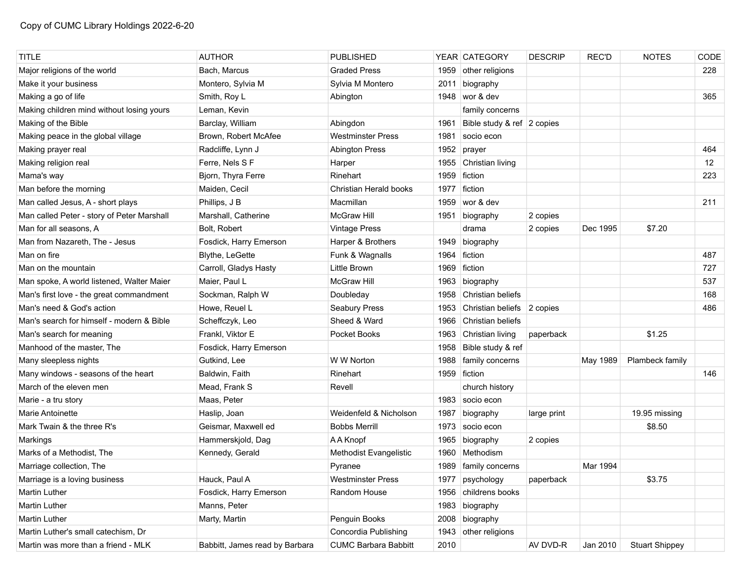| <b>TITLE</b>                               | <b>AUTHOR</b>                  | <b>PUBLISHED</b>            |      | YEAR CATEGORY              | <b>DESCRIP</b> | <b>REC'D</b> | <b>NOTES</b>          | CODE |
|--------------------------------------------|--------------------------------|-----------------------------|------|----------------------------|----------------|--------------|-----------------------|------|
| Major religions of the world               | Bach. Marcus                   | <b>Graded Press</b>         |      | 1959 other religions       |                |              |                       | 228  |
| Make it your business                      | Montero, Sylvia M              | Sylvia M Montero            | 2011 | biography                  |                |              |                       |      |
| Making a go of life                        | Smith, Roy L                   | Abington                    |      | 1948 wor & dev             |                |              |                       | 365  |
| Making children mind without losing yours  | Leman, Kevin                   |                             |      | family concerns            |                |              |                       |      |
| Making of the Bible                        | Barclay, William               | Abingdon                    | 1961 | Bible study & ref 2 copies |                |              |                       |      |
| Making peace in the global village         | Brown, Robert McAfee           | <b>Westminster Press</b>    | 1981 | socio econ                 |                |              |                       |      |
| Making prayer real                         | Radcliffe, Lynn J              | <b>Abington Press</b>       | 1952 | prayer                     |                |              |                       | 464  |
| Making religion real                       | Ferre, Nels S F                | Harper                      | 1955 | Christian living           |                |              |                       | 12   |
| Mama's way                                 | Bjorn, Thyra Ferre             | Rinehart                    | 1959 | fiction                    |                |              |                       | 223  |
| Man before the morning                     | Maiden, Cecil                  | Christian Herald books      | 1977 | fiction                    |                |              |                       |      |
| Man called Jesus, A - short plays          | Phillips, J B                  | Macmillan                   | 1959 | wor & dev                  |                |              |                       | 211  |
| Man called Peter - story of Peter Marshall | Marshall, Catherine            | McGraw Hill                 | 1951 | biography                  | 2 copies       |              |                       |      |
| Man for all seasons, A                     | Bolt, Robert                   | <b>Vintage Press</b>        |      | drama                      | 2 copies       | Dec 1995     | \$7.20                |      |
| Man from Nazareth, The - Jesus             | Fosdick, Harry Emerson         | Harper & Brothers           | 1949 | biography                  |                |              |                       |      |
| Man on fire                                | Blythe, LeGette                | Funk & Wagnalls             | 1964 | fiction                    |                |              |                       | 487  |
| Man on the mountain                        | Carroll, Gladys Hasty          | Little Brown                | 1969 | fiction                    |                |              |                       | 727  |
| Man spoke, A world listened, Walter Maier  | Maier, Paul L                  | <b>McGraw Hill</b>          | 1963 | biography                  |                |              |                       | 537  |
| Man's first love - the great commandment   | Sockman, Ralph W               | Doubleday                   | 1958 | Christian beliefs          |                |              |                       | 168  |
| Man's need & God's action                  | Howe, Reuel L                  | <b>Seabury Press</b>        | 1953 | Christian beliefs 2 copies |                |              |                       | 486  |
| Man's search for himself - modern & Bible  | Scheffczyk, Leo                | Sheed & Ward                | 1966 | Christian beliefs          |                |              |                       |      |
| Man's search for meaning                   | Frankl, Viktor E               | Pocket Books                | 1963 | Christian living           | paperback      |              | \$1.25                |      |
| Manhood of the master, The                 | Fosdick, Harry Emerson         |                             | 1958 | Bible study & ref          |                |              |                       |      |
| Many sleepless nights                      | Gutkind, Lee                   | W W Norton                  | 1988 | family concerns            |                | May 1989     | Plambeck family       |      |
| Many windows - seasons of the heart        | Baldwin, Faith                 | Rinehart                    | 1959 | fiction                    |                |              |                       | 146  |
| March of the eleven men                    | Mead, Frank S                  | Revell                      |      | church history             |                |              |                       |      |
| Marie - a tru story                        | Maas, Peter                    |                             | 1983 | socio econ                 |                |              |                       |      |
| <b>Marie Antoinette</b>                    | Haslip, Joan                   | Weidenfeld & Nicholson      | 1987 | biography                  | large print    |              | 19.95 missing         |      |
| Mark Twain & the three R's                 | Geismar, Maxwell ed            | <b>Bobbs Merrill</b>        | 1973 | socio econ                 |                |              | \$8.50                |      |
| Markings                                   | Hammerskjold, Dag              | A A Knopf                   | 1965 | biography                  | 2 copies       |              |                       |      |
| Marks of a Methodist, The                  | Kennedy, Gerald                | Methodist Evangelistic      | 1960 | Methodism                  |                |              |                       |      |
| Marriage collection, The                   |                                | Pyranee                     |      | 1989   family concerns     |                | Mar 1994     |                       |      |
| Marriage is a loving business              | Hauck, Paul A                  | <b>Westminster Press</b>    | 1977 | psychology                 | paperback      |              | \$3.75                |      |
| Martin Luther                              | Fosdick, Harry Emerson         | Random House                | 1956 | childrens books            |                |              |                       |      |
| Martin Luther                              | Manns, Peter                   |                             | 1983 | biography                  |                |              |                       |      |
| Martin Luther                              | Marty, Martin                  | Penguin Books               | 2008 | biography                  |                |              |                       |      |
| Martin Luther's small catechism, Dr        |                                | Concordia Publishing        | 1943 | other religions            |                |              |                       |      |
| Martin was more than a friend - MLK        | Babbitt, James read by Barbara | <b>CUMC Barbara Babbitt</b> | 2010 |                            | AV DVD-R       | Jan 2010     | <b>Stuart Shippey</b> |      |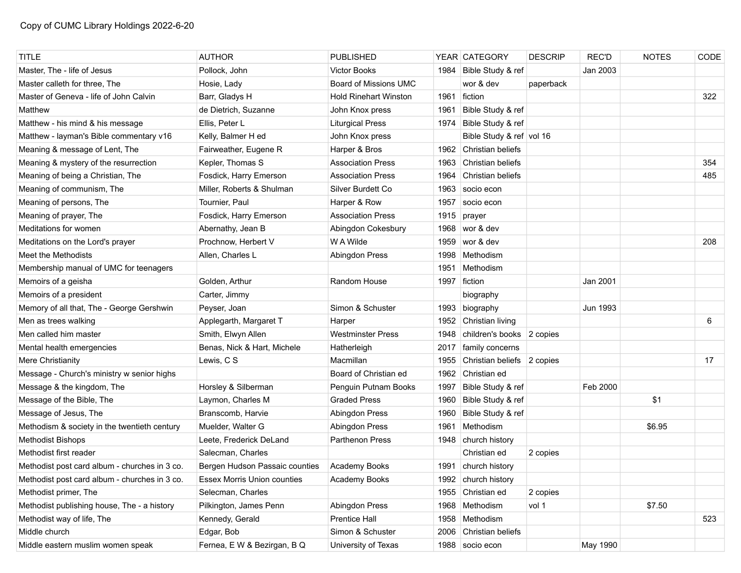| <b>TITLE</b>                                  | <b>AUTHOR</b>                      | <b>PUBLISHED</b>             |      | YEAR CATEGORY              | <b>DESCRIP</b> | <b>REC'D</b> | <b>NOTES</b> | CODE |
|-----------------------------------------------|------------------------------------|------------------------------|------|----------------------------|----------------|--------------|--------------|------|
| Master, The - life of Jesus                   | Pollock, John                      | <b>Victor Books</b>          | 1984 | Bible Study & ref          |                | Jan 2003     |              |      |
| Master calleth for three, The                 | Hosie, Lady                        | Board of Missions UMC        |      | wor & dev                  | paperback      |              |              |      |
| Master of Geneva - life of John Calvin        | Barr, Gladys H                     | <b>Hold Rinehart Winston</b> | 1961 | ∣ fiction                  |                |              |              | 322  |
| Matthew                                       | de Dietrich, Suzanne               | John Knox press              | 1961 | Bible Study & ref          |                |              |              |      |
| Matthew - his mind & his message              | Ellis, Peter L                     | <b>Liturgical Press</b>      | 1974 | Bible Study & ref          |                |              |              |      |
| Matthew - layman's Bible commentary v16       | Kelly, Balmer H ed                 | John Knox press              |      | Bible Study & ref vol 16   |                |              |              |      |
| Meaning & message of Lent, The                | Fairweather, Eugene R              | Harper & Bros                |      | 1962 Christian beliefs     |                |              |              |      |
| Meaning & mystery of the resurrection         | Kepler, Thomas S                   | <b>Association Press</b>     | 1963 | Christian beliefs          |                |              |              | 354  |
| Meaning of being a Christian, The             | Fosdick, Harry Emerson             | <b>Association Press</b>     | 1964 | Christian beliefs          |                |              |              | 485  |
| Meaning of communism, The                     | Miller, Roberts & Shulman          | Silver Burdett Co            | 1963 | socio econ                 |                |              |              |      |
| Meaning of persons, The                       | Tournier, Paul                     | Harper & Row                 | 1957 | socio econ                 |                |              |              |      |
| Meaning of prayer, The                        | Fosdick, Harry Emerson             | <b>Association Press</b>     | 1915 | prayer                     |                |              |              |      |
| Meditations for women                         | Abernathy, Jean B                  | Abingdon Cokesbury           | 1968 | wor & dev                  |                |              |              |      |
| Meditations on the Lord's prayer              | Prochnow, Herbert V                | W A Wilde                    | 1959 | wor & dev                  |                |              |              | 208  |
| Meet the Methodists                           | Allen, Charles L                   | Abingdon Press               | 1998 | Methodism                  |                |              |              |      |
| Membership manual of UMC for teenagers        |                                    |                              | 1951 | Methodism                  |                |              |              |      |
| Memoirs of a geisha                           | Golden, Arthur                     | Random House                 |      | 1997 fiction               |                | Jan 2001     |              |      |
| Memoirs of a president                        | Carter, Jimmy                      |                              |      | biography                  |                |              |              |      |
| Memory of all that, The - George Gershwin     | Peyser, Joan                       | Simon & Schuster             | 1993 | biography                  |                | Jun 1993     |              |      |
| Men as trees walking                          | Applegarth, Margaret T             | Harper                       | 1952 | Christian living           |                |              |              | 6    |
| Men called him master                         | Smith, Elwyn Allen                 | <b>Westminster Press</b>     | 1948 | children's books 2 copies  |                |              |              |      |
| Mental health emergencies                     | Benas, Nick & Hart, Michele        | Hatherleigh                  | 2017 | family concerns            |                |              |              |      |
| Mere Christianity                             | Lewis, C S                         | Macmillan                    | 1955 | Christian beliefs 2 copies |                |              |              | 17   |
| Message - Church's ministry w senior highs    |                                    | Board of Christian ed        | 1962 | Christian ed               |                |              |              |      |
| Message & the kingdom, The                    | Horsley & Silberman                | Penguin Putnam Books         | 1997 | Bible Study & ref          |                | Feb 2000     |              |      |
| Message of the Bible, The                     | Laymon, Charles M                  | <b>Graded Press</b>          | 1960 | Bible Study & ref          |                |              | \$1          |      |
| Message of Jesus, The                         | Branscomb, Harvie                  | Abingdon Press               | 1960 | Bible Study & ref          |                |              |              |      |
| Methodism & society in the twentieth century  | Muelder, Walter G                  | Abingdon Press               | 1961 | Methodism                  |                |              | \$6.95       |      |
| <b>Methodist Bishops</b>                      | Leete, Frederick DeLand            | Parthenon Press              | 1948 | church history             |                |              |              |      |
| Methodist first reader                        | Salecman, Charles                  |                              |      | Christian ed               | 2 copies       |              |              |      |
| Methodist post card album - churches in 3 co. | Bergen Hudson Passaic counties     | Academy Books                | 1991 | church history             |                |              |              |      |
| Methodist post card album - churches in 3 co. | <b>Essex Morris Union counties</b> | Academy Books                |      | 1992 church history        |                |              |              |      |
| Methodist primer, The                         | Selecman, Charles                  |                              |      | 1955 Christian ed          | 2 copies       |              |              |      |
| Methodist publishing house, The - a history   | Pilkington, James Penn             | Abingdon Press               |      | 1968 Methodism             | vol 1          |              | \$7.50       |      |
| Methodist way of life, The                    | Kennedy, Gerald                    | Prentice Hall                |      | 1958 Methodism             |                |              |              | 523  |
| Middle church                                 | Edgar, Bob                         | Simon & Schuster             | 2006 | Christian beliefs          |                |              |              |      |
| Middle eastern muslim women speak             | Fernea, E W & Bezirgan, B Q        | University of Texas          |      | 1988 socio econ            |                | May 1990     |              |      |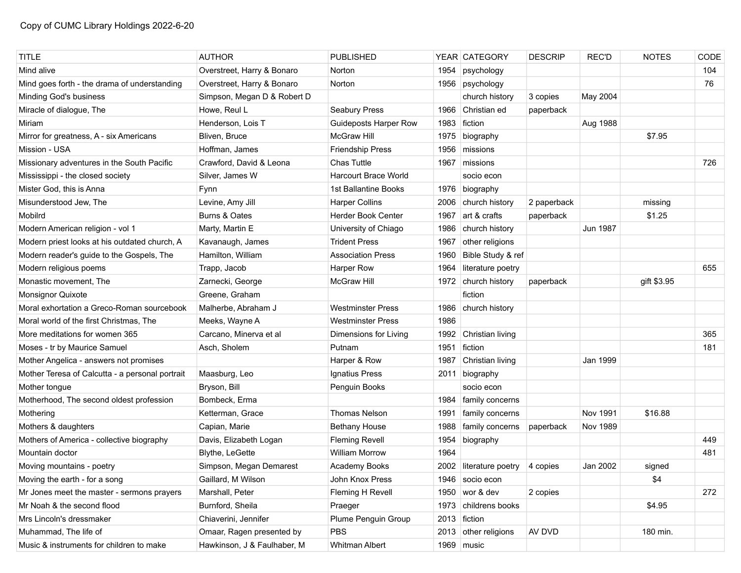| <b>TITLE</b>                                    | <b>AUTHOR</b>               | <b>PUBLISHED</b>            |      | YEAR CATEGORY          | <b>DESCRIP</b> | <b>REC'D</b>    | <b>NOTES</b> | CODE |
|-------------------------------------------------|-----------------------------|-----------------------------|------|------------------------|----------------|-----------------|--------------|------|
| Mind alive                                      | Overstreet, Harry & Bonaro  | Norton                      | 1954 | psychology             |                |                 |              | 104  |
| Mind goes forth - the drama of understanding    | Overstreet, Harry & Bonaro  | Norton                      |      | 1956 psychology        |                |                 |              | 76   |
| Minding God's business                          | Simpson, Megan D & Robert D |                             |      | church history         | 3 copies       | May 2004        |              |      |
| Miracle of dialogue, The                        | Howe, Reul L                | <b>Seabury Press</b>        | 1966 | Christian ed           | paperback      |                 |              |      |
| Miriam                                          | Henderson, Lois T           | Guideposts Harper Row       | 1983 | fiction                |                | Aug 1988        |              |      |
| Mirror for greatness, A - six Americans         | Bliven, Bruce               | <b>McGraw Hill</b>          | 1975 | biography              |                |                 | \$7.95       |      |
| Mission - USA                                   | Hoffman, James              | <b>Friendship Press</b>     | 1956 | missions               |                |                 |              |      |
| Missionary adventures in the South Pacific      | Crawford, David & Leona     | <b>Chas Tuttle</b>          | 1967 | missions               |                |                 |              | 726  |
| Mississippi - the closed society                | Silver, James W             | <b>Harcourt Brace World</b> |      | socio econ             |                |                 |              |      |
| Mister God, this is Anna                        | Fynn                        | 1st Ballantine Books        | 1976 | biography              |                |                 |              |      |
| Misunderstood Jew, The                          | Levine, Amy Jill            | <b>Harper Collins</b>       | 2006 | church history         | 2 paperback    |                 | missing      |      |
| Mobilrd                                         | Burns & Oates               | <b>Herder Book Center</b>   | 1967 | art & crafts           | paperback      |                 | \$1.25       |      |
| Modern American religion - vol 1                | Marty, Martin E             | University of Chiago        | 1986 | church history         |                | Jun 1987        |              |      |
| Modern priest looks at his outdated church, A   | Kavanaugh, James            | <b>Trident Press</b>        | 1967 | other religions        |                |                 |              |      |
| Modern reader's guide to the Gospels, The       | Hamilton, William           | <b>Association Press</b>    | 1960 | Bible Study & ref      |                |                 |              |      |
| Modern religious poems                          | Trapp, Jacob                | Harper Row                  | 1964 | literature poetry      |                |                 |              | 655  |
| Monastic movement, The                          | Zarnecki, George            | <b>McGraw Hill</b>          |      | 1972   church history  | paperback      |                 | gift \$3.95  |      |
| Monsignor Quixote                               | Greene, Graham              |                             |      | fiction                |                |                 |              |      |
| Moral exhortation a Greco-Roman sourcebook      | Malherbe, Abraham J         | <b>Westminster Press</b>    |      | 1986 church history    |                |                 |              |      |
| Moral world of the first Christmas, The         | Meeks, Wayne A              | <b>Westminster Press</b>    | 1986 |                        |                |                 |              |      |
| More meditations for women 365                  | Carcano, Minerva et al      | Dimensions for Living       | 1992 | Christian living       |                |                 |              | 365  |
| Moses - tr by Maurice Samuel                    | Asch, Sholem                | Putnam                      | 1951 | fiction                |                |                 |              | 181  |
| Mother Angelica - answers not promises          |                             | Harper & Row                | 1987 | Christian living       |                | Jan 1999        |              |      |
| Mother Teresa of Calcutta - a personal portrait | Maasburg, Leo               | Ignatius Press              | 2011 | biography              |                |                 |              |      |
| Mother tongue                                   | Bryson, Bill                | Penguin Books               |      | socio econ             |                |                 |              |      |
| Motherhood, The second oldest profession        | Bombeck, Erma               |                             | 1984 | family concerns        |                |                 |              |      |
| Mothering                                       | Ketterman, Grace            | <b>Thomas Nelson</b>        | 1991 | family concerns        |                | Nov 1991        | \$16.88      |      |
| Mothers & daughters                             | Capian, Marie               | <b>Bethany House</b>        | 1988 | family concerns        | paperback      | <b>Nov 1989</b> |              |      |
| Mothers of America - collective biography       | Davis, Elizabeth Logan      | <b>Fleming Revell</b>       | 1954 | biography              |                |                 |              | 449  |
| Mountain doctor                                 | Blythe, LeGette             | <b>William Morrow</b>       | 1964 |                        |                |                 |              | 481  |
| Moving mountains - poetry                       | Simpson, Megan Demarest     | Academy Books               |      | 2002 literature poetry | 4 copies       | Jan 2002        | signed       |      |
| Moving the earth - for a song                   | Gaillard, M Wilson          | John Knox Press             |      | 1946 socio econ        |                |                 | \$4          |      |
| Mr Jones meet the master - sermons prayers      | Marshall, Peter             | Fleming H Revell            |      | 1950 wor & dev         | 2 copies       |                 |              | 272  |
| Mr Noah & the second flood                      | Burnford, Sheila            | Praeger                     | 1973 | childrens books        |                |                 | \$4.95       |      |
| Mrs Lincoln's dressmaker                        | Chiaverini, Jennifer        | Plume Penguin Group         |      | 2013 fiction           |                |                 |              |      |
| Muhammad, The life of                           | Omaar, Ragen presented by   | <b>PBS</b>                  |      | 2013 other religions   | AV DVD         |                 | 180 min.     |      |
| Music & instruments for children to make        | Hawkinson, J & Faulhaber, M | Whitman Albert              |      | 1969 music             |                |                 |              |      |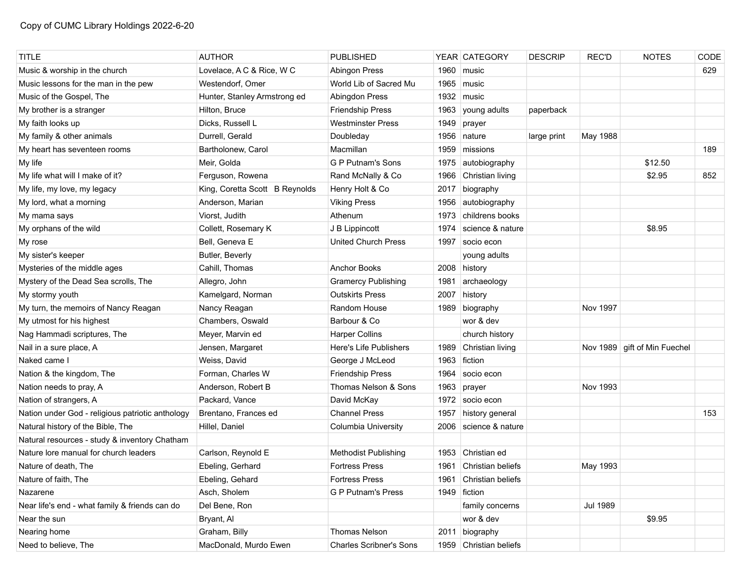| <b>TITLE</b>                                     | <b>AUTHOR</b>                  | <b>PUBLISHED</b>               |      | YEAR CATEGORY          | <b>DESCRIP</b> | <b>REC'D</b>    | <b>NOTES</b>                 | CODE |
|--------------------------------------------------|--------------------------------|--------------------------------|------|------------------------|----------------|-----------------|------------------------------|------|
| Music & worship in the church                    | Lovelace, A C & Rice, W C      | <b>Abingon Press</b>           | 1960 | music                  |                |                 |                              | 629  |
| Music lessons for the man in the pew             | Westendorf, Omer               | World Lib of Sacred Mu         | 1965 | music                  |                |                 |                              |      |
| Music of the Gospel, The                         | Hunter, Stanley Armstrong ed   | Abingdon Press                 | 1932 | music                  |                |                 |                              |      |
| My brother is a stranger                         | Hilton, Bruce                  | <b>Friendship Press</b>        | 1963 | young adults           | paperback      |                 |                              |      |
| My faith looks up                                | Dicks, Russell L               | Westminster Press              | 1949 | prayer                 |                |                 |                              |      |
| My family & other animals                        | Durrell, Gerald                | Doubleday                      | 1956 | nature                 | large print    | May 1988        |                              |      |
| My heart has seventeen rooms                     | Bartholonew, Carol             | Macmillan                      | 1959 | missions               |                |                 |                              | 189  |
| My life                                          | Meir, Golda                    | G P Putnam's Sons              | 1975 | autobiography          |                |                 | \$12.50                      |      |
| My life what will I make of it?                  | Ferguson, Rowena               | Rand McNally & Co              | 1966 | Christian living       |                |                 | \$2.95                       | 852  |
| My life, my love, my legacy                      | King, Coretta Scott B Reynolds | Henry Holt & Co                | 2017 | biography              |                |                 |                              |      |
| My lord, what a morning                          | Anderson, Marian               | <b>Viking Press</b>            | 1956 | autobiography          |                |                 |                              |      |
| My mama says                                     | Viorst, Judith                 | Athenum                        | 1973 | childrens books        |                |                 |                              |      |
| My orphans of the wild                           | Collett, Rosemary K            | J B Lippincott                 | 1974 | science & nature       |                |                 | \$8.95                       |      |
| My rose                                          | Bell, Geneva E                 | <b>United Church Press</b>     | 1997 | socio econ             |                |                 |                              |      |
| My sister's keeper                               | Butler, Beverly                |                                |      | young adults           |                |                 |                              |      |
| Mysteries of the middle ages                     | Cahill, Thomas                 | Anchor Books                   |      | 2008 history           |                |                 |                              |      |
| Mystery of the Dead Sea scrolls, The             | Allegro, John                  | <b>Gramercy Publishing</b>     | 1981 | archaeology            |                |                 |                              |      |
| My stormy youth                                  | Kamelgard, Norman              | <b>Outskirts Press</b>         | 2007 | history                |                |                 |                              |      |
| My turn, the memoirs of Nancy Reagan             | Nancy Reagan                   | Random House                   |      | 1989 biography         |                | Nov 1997        |                              |      |
| My utmost for his highest                        | Chambers, Oswald               | Barbour & Co                   |      | wor & dev              |                |                 |                              |      |
| Nag Hammadi scriptures, The                      | Meyer, Marvin ed               | <b>Harper Collins</b>          |      | church history         |                |                 |                              |      |
| Nail in a sure place, A                          | Jensen, Margaret               | Here's Life Publishers         | 1989 | Christian living       |                |                 | Nov 1989 gift of Min Fuechel |      |
| Naked came I                                     | Weiss, David                   | George J McLeod                | 1963 | fiction                |                |                 |                              |      |
| Nation & the kingdom, The                        | Forman, Charles W              | <b>Friendship Press</b>        | 1964 | socio econ             |                |                 |                              |      |
| Nation needs to pray, A                          | Anderson, Robert B             | Thomas Nelson & Sons           | 1963 | prayer                 |                | Nov 1993        |                              |      |
| Nation of strangers, A                           | Packard, Vance                 | David McKay                    | 1972 | socio econ             |                |                 |                              |      |
| Nation under God - religious patriotic anthology | Brentano, Frances ed           | <b>Channel Press</b>           | 1957 | history general        |                |                 |                              | 153  |
| Natural history of the Bible, The                | Hillel, Daniel                 | Columbia University            | 2006 | science & nature       |                |                 |                              |      |
| Natural resources - study & inventory Chatham    |                                |                                |      |                        |                |                 |                              |      |
| Nature lore manual for church leaders            | Carlson, Reynold E             | <b>Methodist Publishing</b>    | 1953 | Christian ed           |                |                 |                              |      |
| Nature of death. The                             | Ebeling, Gerhard               | <b>Fortress Press</b>          | 1961 | Christian beliefs      |                | May 1993        |                              |      |
| Nature of faith, The                             | Ebeling, Gehard                | <b>Fortress Press</b>          | 1961 | Christian beliefs      |                |                 |                              |      |
| Nazarene                                         | Asch, Sholem                   | <b>G P Putnam's Press</b>      |      | 1949 fiction           |                |                 |                              |      |
| Near life's end - what family & friends can do   | Del Bene, Ron                  |                                |      | family concerns        |                | <b>Jul 1989</b> |                              |      |
| Near the sun                                     | Bryant, Al                     |                                |      | wor & dev              |                |                 | \$9.95                       |      |
| Nearing home                                     | Graham, Billy                  | Thomas Nelson                  | 2011 | biography              |                |                 |                              |      |
| Need to believe, The                             | MacDonald, Murdo Ewen          | <b>Charles Scribner's Sons</b> |      | 1959 Christian beliefs |                |                 |                              |      |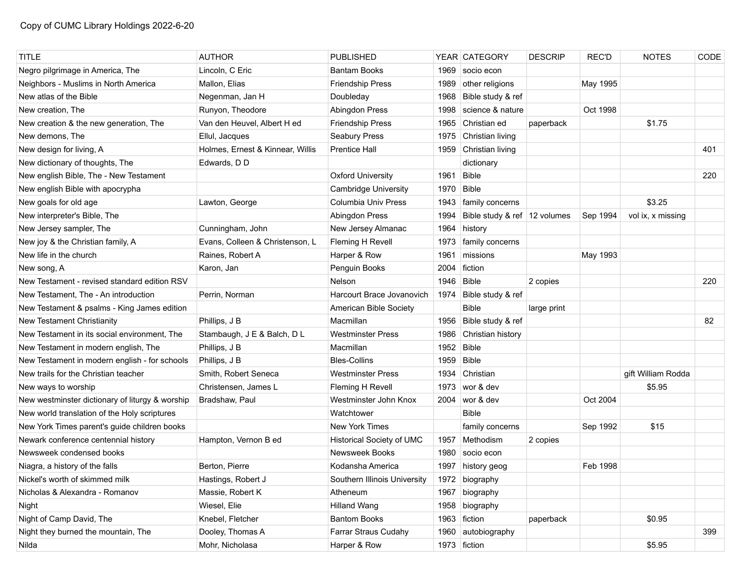| <b>TITLE</b>                                    | <b>AUTHOR</b>                    | <b>PUBLISHED</b>                 |              | YEAR CATEGORY                  | <b>DESCRIP</b> | <b>REC'D</b> | <b>NOTES</b>       | CODE |
|-------------------------------------------------|----------------------------------|----------------------------------|--------------|--------------------------------|----------------|--------------|--------------------|------|
| Negro pilgrimage in America, The                | Lincoln, C Eric                  | <b>Bantam Books</b>              | 1969         | socio econ                     |                |              |                    |      |
| Neighbors - Muslims in North America            | Mallon, Elias                    | Friendship Press                 | 1989         | other religions                |                | May 1995     |                    |      |
| New atlas of the Bible                          | Negenman, Jan H                  | Doubleday                        | 1968         | Bible study & ref              |                |              |                    |      |
| New creation, The                               | Runyon, Theodore                 | Abingdon Press                   | 1998         | science & nature               |                | Oct 1998     |                    |      |
| New creation & the new generation, The          | Van den Heuvel, Albert H ed      | Friendship Press                 | 1965         | Christian ed                   | paperback      |              | \$1.75             |      |
| New demons, The                                 | Ellul, Jacques                   | <b>Seabury Press</b>             | 1975         | Christian living               |                |              |                    |      |
| New design for living, A                        | Holmes, Ernest & Kinnear, Willis | <b>Prentice Hall</b>             | 1959         | Christian living               |                |              |                    | 401  |
| New dictionary of thoughts, The                 | Edwards, D D                     |                                  |              | dictionary                     |                |              |                    |      |
| New english Bible, The - New Testament          |                                  | <b>Oxford University</b>         | 1961         | <b>Bible</b>                   |                |              |                    | 220  |
| New english Bible with apocrypha                |                                  | <b>Cambridge University</b>      | 1970         | <b>Bible</b>                   |                |              |                    |      |
| New goals for old age                           | Lawton, George                   | Columbia Univ Press              | 1943         | family concerns                |                |              | \$3.25             |      |
| New interpreter's Bible, The                    |                                  | Abingdon Press                   | 1994         | Bible study & ref   12 volumes |                | Sep 1994     | vol ix, x missing  |      |
| New Jersey sampler, The                         | Cunningham, John                 | New Jersey Almanac               | 1964         | history                        |                |              |                    |      |
| New joy & the Christian family, A               | Evans, Colleen & Christenson, L  | Fleming H Revell                 | 1973         | family concerns                |                |              |                    |      |
| New life in the church                          | Raines, Robert A                 | Harper & Row                     | 1961         | missions                       |                | May 1993     |                    |      |
| New song, A                                     | Karon, Jan                       | Penguin Books                    | 2004         | fiction                        |                |              |                    |      |
| New Testament - revised standard edition RSV    |                                  | Nelson                           | $1946$ Bible |                                | 2 copies       |              |                    | 220  |
| New Testament, The - An introduction            | Perrin, Norman                   | Harcourt Brace Jovanovich        | 1974         | Bible study & ref              |                |              |                    |      |
| New Testament & psalms - King James edition     |                                  | American Bible Society           |              | <b>Bible</b>                   | large print    |              |                    |      |
| New Testament Christianity                      | Phillips, J B                    | Macmillan                        | 1956         | Bible study & ref              |                |              |                    | 82   |
| New Testament in its social environment, The    | Stambaugh, J E & Balch, D L      | <b>Westminster Press</b>         | 1986         | Christian history              |                |              |                    |      |
| New Testament in modern english, The            | Phillips, J B                    | Macmillan                        | 1952         | <b>Bible</b>                   |                |              |                    |      |
| New Testament in modern english - for schools   | Phillips, J B                    | <b>Bles-Collins</b>              | 1959         | Bible                          |                |              |                    |      |
| New trails for the Christian teacher            | Smith, Robert Seneca             | <b>Westminster Press</b>         | 1934         | Christian                      |                |              | gift William Rodda |      |
| New ways to worship                             | Christensen, James L             | Fleming H Revell                 | 1973         | wor & dev                      |                |              | \$5.95             |      |
| New westminster dictionary of liturgy & worship | Bradshaw, Paul                   | Westminster John Knox            | 2004         | wor & dev                      |                | Oct 2004     |                    |      |
| New world translation of the Holy scriptures    |                                  | Watchtower                       |              | <b>Bible</b>                   |                |              |                    |      |
| New York Times parent's guide children books    |                                  | <b>New York Times</b>            |              | family concerns                |                | Sep 1992     | \$15               |      |
| Newark conference centennial history            | Hampton, Vernon B ed             | <b>Historical Society of UMC</b> | 1957         | Methodism                      | 2 copies       |              |                    |      |
| Newsweek condensed books                        |                                  | Newsweek Books                   | 1980         | socio econ                     |                |              |                    |      |
| Niagra, a history of the falls                  | Berton, Pierre                   | Kodansha America                 |              | 1997 history geog              |                | Feb 1998     |                    |      |
| Nickel's worth of skimmed milk                  | Hastings, Robert J               | Southern Illinois University     |              | 1972 biography                 |                |              |                    |      |
| Nicholas & Alexandra - Romanov                  | Massie, Robert K                 | Atheneum                         |              | 1967 biography                 |                |              |                    |      |
| Night                                           | Wiesel, Elie                     | <b>Hilland Wang</b>              |              | 1958 biography                 |                |              |                    |      |
| Night of Camp David, The                        | Knebel, Fletcher                 | <b>Bantom Books</b>              |              | 1963 fiction                   | paperback      |              | \$0.95             |      |
| Night they burned the mountain, The             | Dooley, Thomas A                 | Farrar Straus Cudahy             |              | 1960 autobiography             |                |              |                    | 399  |
| Nilda                                           | Mohr, Nicholasa                  | Harper & Row                     |              | 1973 fiction                   |                |              | \$5.95             |      |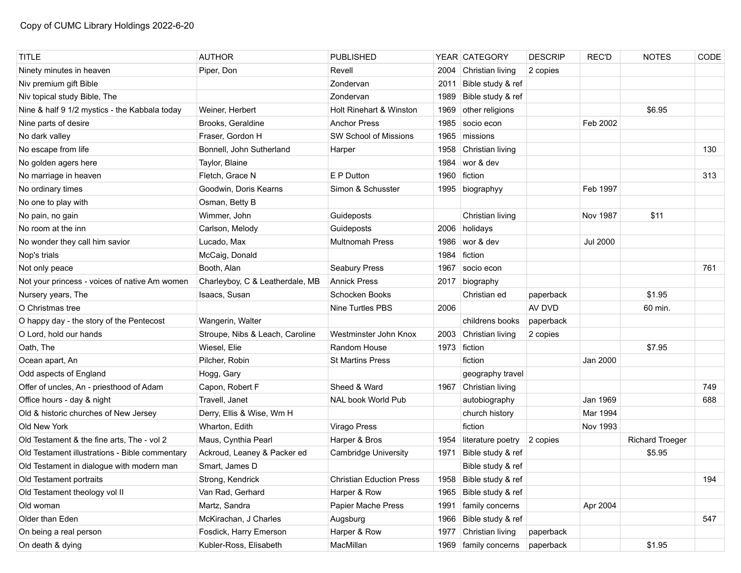| <b>TITLE</b>                                   | <b>AUTHOR</b>                   | <b>PUBLISHED</b>                |      | YEAR CATEGORY          | <b>DESCRIP</b> | <b>REC'D</b>    | <b>NOTES</b>           | CODE |
|------------------------------------------------|---------------------------------|---------------------------------|------|------------------------|----------------|-----------------|------------------------|------|
| Ninety minutes in heaven                       | Piper, Don                      | Revell                          | 2004 | Christian living       | 2 copies       |                 |                        |      |
| Niv premium gift Bible                         |                                 | Zondervan                       | 2011 | Bible study & ref      |                |                 |                        |      |
| Niv topical study Bible, The                   |                                 | Zondervan                       | 1989 | Bible study & ref      |                |                 |                        |      |
| Nine & half 9 1/2 mystics - the Kabbala today  | Weiner. Herbert                 | Holt Rinehart & Winston         | 1969 | other religions        |                |                 | \$6.95                 |      |
| Nine parts of desire                           | Brooks, Geraldine               | <b>Anchor Press</b>             | 1985 | socio econ             |                | Feb 2002        |                        |      |
| No dark valley                                 | Fraser, Gordon H                | <b>SW School of Missions</b>    | 1965 | missions               |                |                 |                        |      |
| No escape from life                            | Bonnell, John Sutherland        | Harper                          | 1958 | Christian living       |                |                 |                        | 130  |
| No golden agers here                           | Taylor, Blaine                  |                                 | 1984 | wor & dev              |                |                 |                        |      |
| No marriage in heaven                          | Fletch, Grace N                 | E P Dutton                      | 1960 | fiction                |                |                 |                        | 313  |
| No ordinary times                              | Goodwin, Doris Kearns           | Simon & Schusster               |      | 1995 biographyy        |                | Feb 1997        |                        |      |
| No one to play with                            | Osman, Betty B                  |                                 |      |                        |                |                 |                        |      |
| No pain, no gain                               | Wimmer, John                    | Guideposts                      |      | Christian living       |                | Nov 1987        | \$11                   |      |
| No room at the inn                             | Carlson, Melody                 | Guideposts                      |      | 2006 holidays          |                |                 |                        |      |
| No wonder they call him savior                 | Lucado, Max                     | <b>Multnomah Press</b>          | 1986 | wor & dev              |                | <b>Jul 2000</b> |                        |      |
| Nop's trials                                   | McCaig, Donald                  |                                 | 1984 | fiction                |                |                 |                        |      |
| Not only peace                                 | Booth, Alan                     | Seabury Press                   | 1967 | socio econ             |                |                 |                        | 761  |
| Not your princess - voices of native Am women  | Charleyboy, C & Leatherdale, MB | <b>Annick Press</b>             |      | 2017 biography         |                |                 |                        |      |
| Nursery years, The                             | Isaacs, Susan                   | Schocken Books                  |      | Christian ed           | paperback      |                 | \$1.95                 |      |
| O Christmas tree                               |                                 | Nine Turtles PBS                | 2006 |                        | AV DVD         |                 | 60 min.                |      |
| O happy day - the story of the Pentecost       | Wangerin, Walter                |                                 |      | childrens books        | paperback      |                 |                        |      |
| O Lord, hold our hands                         | Stroupe, Nibs & Leach, Caroline | Westminster John Knox           | 2003 | Christian living       | 2 copies       |                 |                        |      |
| Oath, The                                      | Wiesel, Elie                    | Random House                    |      | 1973 fiction           |                |                 | \$7.95                 |      |
| Ocean apart, An                                | Pilcher, Robin                  | <b>St Martins Press</b>         |      | fiction                |                | Jan 2000        |                        |      |
| Odd aspects of England                         | Hogg, Gary                      |                                 |      | geography travel       |                |                 |                        |      |
| Offer of uncles, An - priesthood of Adam       | Capon, Robert F                 | Sheed & Ward                    |      | 1967 Christian living  |                |                 |                        | 749  |
| Office hours - day & night                     | Travell, Janet                  | NAL book World Pub              |      | autobiography          |                | Jan 1969        |                        | 688  |
| Old & historic churches of New Jersey          | Derry, Ellis & Wise, Wm H       |                                 |      | church history         |                | Mar 1994        |                        |      |
| Old New York                                   | Wharton, Edith                  | Virago Press                    |      | fiction                |                | Nov 1993        |                        |      |
| Old Testament & the fine arts, The - vol 2     | Maus, Cynthia Pearl             | Harper & Bros                   | 1954 | literature poetry      | 2 copies       |                 | <b>Richard Troeger</b> |      |
| Old Testament illustrations - Bible commentary | Ackroud, Leaney & Packer ed     | <b>Cambridge University</b>     | 1971 | Bible study & ref      |                |                 | \$5.95                 |      |
| Old Testament in dialogue with modern man      | Smart, James D                  |                                 |      | Bible study & ref      |                |                 |                        |      |
| Old Testament portraits                        | Strong, Kendrick                | <b>Christian Eduction Press</b> |      | 1958 Bible study & ref |                |                 |                        | 194  |
| Old Testament theology vol II                  | Van Rad, Gerhard                | Harper & Row                    | 1965 | Bible study & ref      |                |                 |                        |      |
| Old woman                                      | Martz, Sandra                   | Papier Mache Press              | 1991 | family concerns        |                | Apr 2004        |                        |      |
| Older than Eden                                | McKirachan, J Charles           | Augsburg                        | 1966 | Bible study & ref      |                |                 |                        | 547  |
| On being a real person                         | Fosdick, Harry Emerson          | Harper & Row                    | 1977 | Christian living       | paperback      |                 |                        |      |
| On death & dying                               | Kubler-Ross, Elisabeth          | MacMillan                       |      | 1969   family concerns | paperback      |                 | \$1.95                 |      |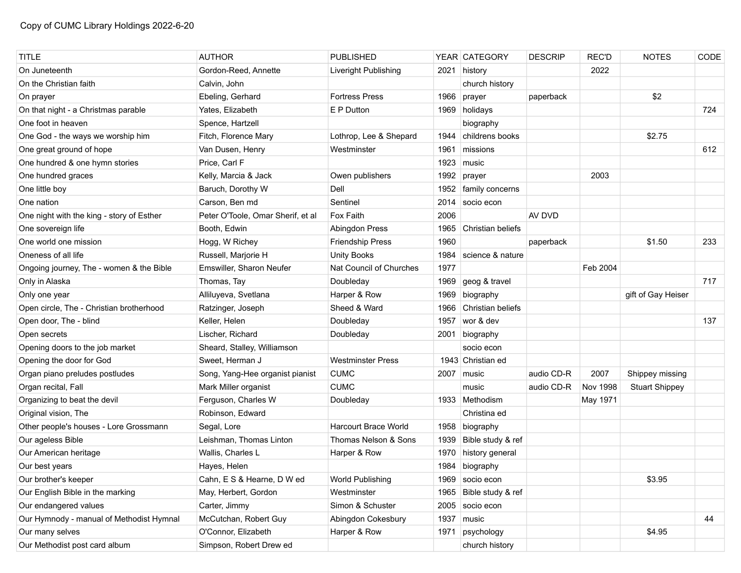| <b>TITLE</b>                              | <b>AUTHOR</b>                     | <b>PUBLISHED</b>            |      | YEAR CATEGORY     | <b>DESCRIP</b> | <b>REC'D</b>    | <b>NOTES</b>          | CODE |
|-------------------------------------------|-----------------------------------|-----------------------------|------|-------------------|----------------|-----------------|-----------------------|------|
| On Juneteenth                             | Gordon-Reed, Annette              | Liveright Publishing        | 2021 | history           |                | 2022            |                       |      |
| On the Christian faith                    | Calvin, John                      |                             |      | church history    |                |                 |                       |      |
| On prayer                                 | Ebeling, Gerhard                  | <b>Fortress Press</b>       | 1966 | prayer            | paperback      |                 | \$2                   |      |
| On that night - a Christmas parable       | Yates, Elizabeth                  | E P Dutton                  |      | 1969 holidays     |                |                 |                       | 724  |
| One foot in heaven                        | Spence, Hartzell                  |                             |      | biography         |                |                 |                       |      |
| One God - the ways we worship him         | Fitch, Florence Mary              | Lothrop, Lee & Shepard      | 1944 | childrens books   |                |                 | \$2.75                |      |
| One great ground of hope                  | Van Dusen, Henry                  | Westminster                 | 1961 | missions          |                |                 |                       | 612  |
| One hundred & one hymn stories            | Price, Carl F                     |                             | 1923 | music             |                |                 |                       |      |
| One hundred graces                        | Kelly, Marcia & Jack              | Owen publishers             | 1992 | prayer            |                | 2003            |                       |      |
| One little boy                            | Baruch, Dorothy W                 | Dell                        | 1952 | family concerns   |                |                 |                       |      |
| One nation                                | Carson, Ben md                    | Sentinel                    | 2014 | socio econ        |                |                 |                       |      |
| One night with the king - story of Esther | Peter O'Toole, Omar Sherif, et al | Fox Faith                   | 2006 |                   | AV DVD         |                 |                       |      |
| One sovereign life                        | Booth, Edwin                      | Abingdon Press              | 1965 | Christian beliefs |                |                 |                       |      |
| One world one mission                     | Hogg, W Richey                    | Friendship Press            | 1960 |                   | paperback      |                 | \$1.50                | 233  |
| Oneness of all life                       | Russell, Marjorie H               | <b>Unity Books</b>          | 1984 | science & nature  |                |                 |                       |      |
| Ongoing journey, The - women & the Bible  | Emswiller, Sharon Neufer          | Nat Council of Churches     | 1977 |                   |                | Feb 2004        |                       |      |
| Only in Alaska                            | Thomas, Tay                       | Doubleday                   | 1969 | geog & travel     |                |                 |                       | 717  |
| Only one year                             | Alliluyeva, Svetlana              | Harper & Row                | 1969 | biography         |                |                 | gift of Gay Heiser    |      |
| Open circle, The - Christian brotherhood  | Ratzinger, Joseph                 | Sheed & Ward                | 1966 | Christian beliefs |                |                 |                       |      |
| Open door, The - blind                    | Keller, Helen                     | Doubleday                   | 1957 | wor & dev         |                |                 |                       | 137  |
| Open secrets                              | Lischer, Richard                  | Doubleday                   | 2001 | biography         |                |                 |                       |      |
| Opening doors to the job market           | Sheard, Stalley, Williamson       |                             |      | socio econ        |                |                 |                       |      |
| Opening the door for God                  | Sweet, Herman J                   | <b>Westminster Press</b>    |      | 1943 Christian ed |                |                 |                       |      |
| Organ piano preludes postludes            | Song, Yang-Hee organist pianist   | <b>CUMC</b>                 | 2007 | music             | audio CD-R     | 2007            | Shippey missing       |      |
| Organ recital, Fall                       | Mark Miller organist              | <b>CUMC</b>                 |      | music             | audio CD-R     | <b>Nov 1998</b> | <b>Stuart Shippey</b> |      |
| Organizing to beat the devil              | Ferguson, Charles W               | Doubleday                   |      | 1933 Methodism    |                | May 1971        |                       |      |
| Original vision, The                      | Robinson, Edward                  |                             |      | Christina ed      |                |                 |                       |      |
| Other people's houses - Lore Grossmann    | Segal, Lore                       | <b>Harcourt Brace World</b> |      | 1958 biography    |                |                 |                       |      |
| Our ageless Bible                         | Leishman, Thomas Linton           | Thomas Nelson & Sons        | 1939 | Bible study & ref |                |                 |                       |      |
| Our American heritage                     | Wallis, Charles L                 | Harper & Row                | 1970 | history general   |                |                 |                       |      |
| Our best years                            | Hayes, Helen                      |                             |      | 1984 biography    |                |                 |                       |      |
| Our brother's keeper                      | Cahn, E S & Hearne, D W ed        | World Publishing            |      | 1969 socio econ   |                |                 | \$3.95                |      |
| Our English Bible in the marking          | May, Herbert, Gordon              | Westminster                 | 1965 | Bible study & ref |                |                 |                       |      |
| Our endangered values                     | Carter, Jimmy                     | Simon & Schuster            | 2005 | socio econ        |                |                 |                       |      |
| Our Hymnody - manual of Methodist Hymnal  | McCutchan, Robert Guy             | Abingdon Cokesbury          | 1937 | music             |                |                 |                       | 44   |
| Our many selves                           | O'Connor, Elizabeth               | Harper & Row                | 1971 | psychology        |                |                 | \$4.95                |      |
| Our Methodist post card album             | Simpson, Robert Drew ed           |                             |      | church history    |                |                 |                       |      |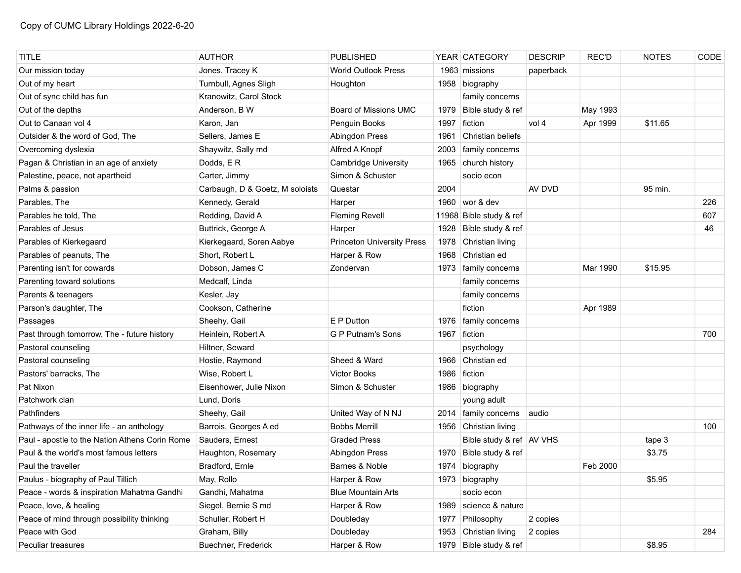| <b>TITLE</b>                                   | <b>AUTHOR</b>                   | <b>PUBLISHED</b>                  |      | YEAR CATEGORY              | <b>DESCRIP</b> | REC'D    | <b>NOTES</b> | CODE |
|------------------------------------------------|---------------------------------|-----------------------------------|------|----------------------------|----------------|----------|--------------|------|
| Our mission today                              | Jones, Tracey K                 | <b>World Outlook Press</b>        |      | 1963 missions              | paperback      |          |              |      |
| Out of my heart                                | Turnbull, Agnes Sligh           | Houghton                          |      | 1958 biography             |                |          |              |      |
| Out of sync child has fun                      | Kranowitz, Carol Stock          |                                   |      | family concerns            |                |          |              |      |
| Out of the depths                              | Anderson, B W                   | Board of Missions UMC             | 1979 | Bible study & ref          |                | May 1993 |              |      |
| Out to Canaan vol 4                            | Karon, Jan                      | Penguin Books                     | 1997 | fiction                    | vol 4          | Apr 1999 | \$11.65      |      |
| Outsider & the word of God, The                | Sellers, James E                | Abingdon Press                    | 1961 | Christian beliefs          |                |          |              |      |
| Overcoming dyslexia                            | Shaywitz, Sally md              | Alfred A Knopf                    | 2003 | family concerns            |                |          |              |      |
| Pagan & Christian in an age of anxiety         | Dodds, ER                       | <b>Cambridge University</b>       |      | 1965 church history        |                |          |              |      |
| Palestine, peace, not apartheid                | Carter, Jimmy                   | Simon & Schuster                  |      | socio econ                 |                |          |              |      |
| Palms & passion                                | Carbaugh, D & Goetz, M soloists | Questar                           | 2004 |                            | AV DVD         |          | 95 min.      |      |
| Parables, The                                  | Kennedy, Gerald                 | Harper                            |      | 1960 wor & dev             |                |          |              | 226  |
| Parables he told, The                          | Redding, David A                | <b>Fleming Revell</b>             |      | 11968 Bible study & ref    |                |          |              | 607  |
| Parables of Jesus                              | Buttrick, George A              | Harper                            |      | 1928 Bible study & ref     |                |          |              | 46   |
| Parables of Kierkegaard                        | Kierkegaard, Soren Aabye        | <b>Princeton University Press</b> | 1978 | Christian living           |                |          |              |      |
| Parables of peanuts, The                       | Short, Robert L                 | Harper & Row                      | 1968 | Christian ed               |                |          |              |      |
| Parenting isn't for cowards                    | Dobson, James C                 | Zondervan                         |      | 1973   family concerns     |                | Mar 1990 | \$15.95      |      |
| Parenting toward solutions                     | Medcalf, Linda                  |                                   |      | family concerns            |                |          |              |      |
| Parents & teenagers                            | Kesler, Jay                     |                                   |      | family concerns            |                |          |              |      |
| Parson's daughter, The                         | Cookson, Catherine              |                                   |      | fiction                    |                | Apr 1989 |              |      |
| Passages                                       | Sheehy, Gail                    | E P Dutton                        | 1976 | family concerns            |                |          |              |      |
| Past through tomorrow, The - future history    | Heinlein, Robert A              | G P Putnam's Sons                 | 1967 | fiction                    |                |          |              | 700  |
| Pastoral counseling                            | Hiltner, Seward                 |                                   |      | psychology                 |                |          |              |      |
| Pastoral counseling                            | Hostie, Raymond                 | Sheed & Ward                      |      | 1966 Christian ed          |                |          |              |      |
| Pastors' barracks, The                         | Wise, Robert L                  | <b>Victor Books</b>               | 1986 | fiction                    |                |          |              |      |
| Pat Nixon                                      | Eisenhower, Julie Nixon         | Simon & Schuster                  | 1986 | biography                  |                |          |              |      |
| Patchwork clan                                 | Lund, Doris                     |                                   |      | young adult                |                |          |              |      |
| Pathfinders                                    | Sheehy, Gail                    | United Way of N NJ                |      | 2014   family concerns     | audio          |          |              |      |
| Pathways of the inner life - an anthology      | Barrois, Georges A ed           | <b>Bobbs Merrill</b>              |      | 1956 Christian living      |                |          |              | 100  |
| Paul - apostle to the Nation Athens Corin Rome | Sauders, Ernest                 | <b>Graded Press</b>               |      | Bible study & ref   AV VHS |                |          | tape 3       |      |
| Paul & the world's most famous letters         | Haughton, Rosemary              | <b>Abingdon Press</b>             | 1970 | Bible study & ref          |                |          | \$3.75       |      |
| Paul the traveller                             | Bradford, Ernle                 | Barnes & Noble                    | 1974 | biography                  |                | Feb 2000 |              |      |
| Paulus - biography of Paul Tillich             | May, Rollo                      | Harper & Row                      |      | 1973 biography             |                |          | \$5.95       |      |
| Peace - words & inspiration Mahatma Gandhi     | Gandhi, Mahatma                 | <b>Blue Mountain Arts</b>         |      | socio econ                 |                |          |              |      |
| Peace, love, & healing                         | Siegel, Bernie S md             | Harper & Row                      |      | 1989 science & nature      |                |          |              |      |
| Peace of mind through possibility thinking     | Schuller, Robert H              | Doubleday                         | 1977 | Philosophy                 | 2 copies       |          |              |      |
| Peace with God                                 | Graham, Billy                   | Doubleday                         |      | 1953 Christian living      | 2 copies       |          |              | 284  |
| Peculiar treasures                             | Buechner, Frederick             | Harper & Row                      |      | 1979 Bible study & ref     |                |          | \$8.95       |      |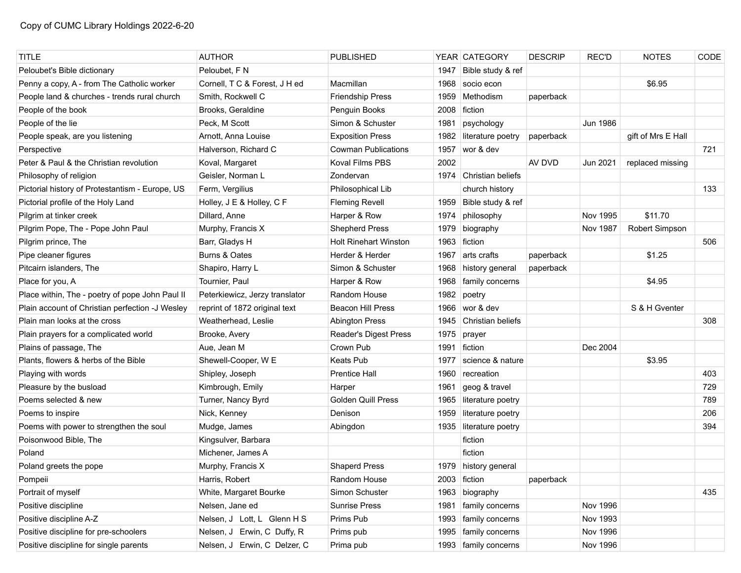| <b>TITLE</b>                                    | <b>AUTHOR</b>                  | <b>PUBLISHED</b>             |      | YEAR CATEGORY          | <b>DESCRIP</b> | <b>REC'D</b>    | <b>NOTES</b>       | CODE |
|-------------------------------------------------|--------------------------------|------------------------------|------|------------------------|----------------|-----------------|--------------------|------|
| Peloubet's Bible dictionary                     | Peloubet, F N                  |                              | 1947 | Bible study & ref      |                |                 |                    |      |
| Penny a copy, A - from The Catholic worker      | Cornell, T C & Forest, J H ed  | Macmillan                    | 1968 | socio econ             |                |                 | \$6.95             |      |
| People land & churches - trends rural church    | Smith, Rockwell C              | <b>Friendship Press</b>      | 1959 | Methodism              | paperback      |                 |                    |      |
| People of the book                              | Brooks, Geraldine              | Penguin Books                | 2008 | fiction                |                |                 |                    |      |
| People of the lie                               | Peck, M Scott                  | Simon & Schuster             | 1981 | psychology             |                | <b>Jun 1986</b> |                    |      |
| People speak, are you listening                 | Arnott, Anna Louise            | <b>Exposition Press</b>      | 1982 | literature poetry      | paperback      |                 | gift of Mrs E Hall |      |
| Perspective                                     | Halverson, Richard C           | <b>Cowman Publications</b>   | 1957 | wor & dev              |                |                 |                    | 721  |
| Peter & Paul & the Christian revolution         | Koval, Margaret                | <b>Koval Films PBS</b>       | 2002 |                        | AV DVD         | Jun 2021        | replaced missing   |      |
| Philosophy of religion                          | Geisler, Norman L              | Zondervan                    | 1974 | Christian beliefs      |                |                 |                    |      |
| Pictorial history of Protestantism - Europe, US | Ferm, Vergilius                | Philosophical Lib            |      | church history         |                |                 |                    | 133  |
| Pictorial profile of the Holy Land              | Holley, J E & Holley, C F      | <b>Fleming Revell</b>        | 1959 | Bible study & ref      |                |                 |                    |      |
| Pilgrim at tinker creek                         | Dillard, Anne                  | Harper & Row                 | 1974 | philosophy             |                | Nov 1995        | \$11.70            |      |
| Pilgrim Pope, The - Pope John Paul              | Murphy, Francis X              | <b>Shepherd Press</b>        | 1979 | biography              |                | <b>Nov 1987</b> | Robert Simpson     |      |
| Pilgrim prince, The                             | Barr, Gladys H                 | <b>Holt Rinehart Winston</b> | 1963 | fiction                |                |                 |                    | 506  |
| Pipe cleaner figures                            | Burns & Oates                  | Herder & Herder              | 1967 | arts crafts            | paperback      |                 | \$1.25             |      |
| Pitcairn islanders, The                         | Shapiro, Harry L               | Simon & Schuster             | 1968 | history general        | paperback      |                 |                    |      |
| Place for you, A                                | Tournier, Paul                 | Harper & Row                 | 1968 | family concerns        |                |                 | \$4.95             |      |
| Place within, The - poetry of pope John Paul II | Peterkiewicz, Jerzy translator | Random House                 | 1982 | poetry                 |                |                 |                    |      |
| Plain account of Christian perfection -J Wesley | reprint of 1872 original text  | <b>Beacon Hill Press</b>     | 1966 | wor & dev              |                |                 | S & H Gventer      |      |
| Plain man looks at the cross                    | Weatherhead, Leslie            | <b>Abington Press</b>        | 1945 | Christian beliefs      |                |                 |                    | 308  |
| Plain prayers for a complicated world           | Brooke, Avery                  | Reader's Digest Press        | 1975 | prayer                 |                |                 |                    |      |
| Plains of passage, The                          | Aue, Jean M                    | Crown Pub                    | 1991 | fiction                |                | Dec 2004        |                    |      |
| Plants, flowers & herbs of the Bible            | Shewell-Cooper, W E            | <b>Keats Pub</b>             | 1977 | science & nature       |                |                 | \$3.95             |      |
| Playing with words                              | Shipley, Joseph                | <b>Prentice Hall</b>         | 1960 | recreation             |                |                 |                    | 403  |
| Pleasure by the busload                         | Kimbrough, Emily               | Harper                       | 1961 | geog & travel          |                |                 |                    | 729  |
| Poems selected & new                            | Turner, Nancy Byrd             | <b>Golden Quill Press</b>    | 1965 | literature poetry      |                |                 |                    | 789  |
| Poems to inspire                                | Nick, Kenney                   | Denison                      | 1959 | literature poetry      |                |                 |                    | 206  |
| Poems with power to strengthen the soul         | Mudge, James                   | Abingdon                     | 1935 | literature poetry      |                |                 |                    | 394  |
| Poisonwood Bible, The                           | Kingsulver, Barbara            |                              |      | fiction                |                |                 |                    |      |
| Poland                                          | Michener, James A              |                              |      | fiction                |                |                 |                    |      |
| Poland greets the pope                          | Murphy, Francis X              | <b>Shaperd Press</b>         |      | 1979 history general   |                |                 |                    |      |
| Pompeii                                         | Harris, Robert                 | Random House                 |      | 2003 fiction           | paperback      |                 |                    |      |
| Portrait of myself                              | White, Margaret Bourke         | Simon Schuster               | 1963 | biography              |                |                 |                    | 435  |
| Positive discipline                             | Nelsen, Jane ed                | <b>Sunrise Press</b>         | 1981 | family concerns        |                | Nov 1996        |                    |      |
| Positive discipline A-Z                         | Nelsen, J Lott, L Glenn H S    | Prims Pub                    | 1993 | family concerns        |                | Nov 1993        |                    |      |
| Positive discipline for pre-schoolers           | Nelsen, J Erwin, C Duffy, R    | Prims pub                    | 1995 | family concerns        |                | Nov 1996        |                    |      |
| Positive discipline for single parents          | Nelsen, J Erwin, C Delzer, C   | Prima pub                    |      | 1993   family concerns |                | <b>Nov 1996</b> |                    |      |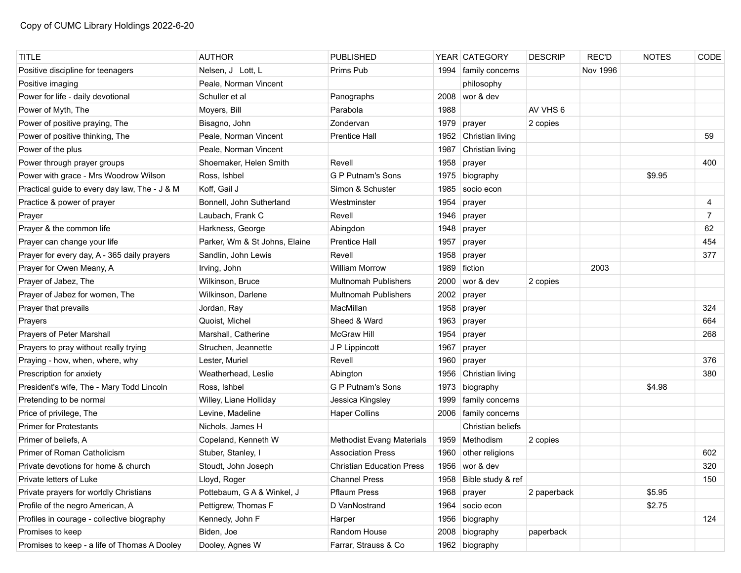| TITLE                                         | <b>AUTHOR</b>                 | <b>PUBLISHED</b>                 |      | YEAR CATEGORY          | <b>DESCRIP</b> | <b>REC'D</b> | <b>NOTES</b> | <b>CODE</b>    |
|-----------------------------------------------|-------------------------------|----------------------------------|------|------------------------|----------------|--------------|--------------|----------------|
| Positive discipline for teenagers             | Nelsen, J Lott, L             | Prims Pub                        | 1994 | family concerns        |                | Nov 1996     |              |                |
| Positive imaging                              | Peale, Norman Vincent         |                                  |      | philosophy             |                |              |              |                |
| Power for life - daily devotional             | Schuller et al                | Panographs                       | 2008 | wor & dev              |                |              |              |                |
| Power of Myth, The                            | Moyers, Bill                  | Parabola                         | 1988 |                        | AV VHS 6       |              |              |                |
| Power of positive praying, The                | Bisagno, John                 | Zondervan                        | 1979 | prayer                 | 2 copies       |              |              |                |
| Power of positive thinking, The               | Peale, Norman Vincent         | <b>Prentice Hall</b>             | 1952 | Christian living       |                |              |              | 59             |
| Power of the plus                             | Peale, Norman Vincent         |                                  | 1987 | Christian living       |                |              |              |                |
| Power through prayer groups                   | Shoemaker, Helen Smith        | Revell                           | 1958 | prayer                 |                |              |              | 400            |
| Power with grace - Mrs Woodrow Wilson         | Ross, Ishbel                  | <b>G P Putnam's Sons</b>         | 1975 | biography              |                |              | \$9.95       |                |
| Practical guide to every day law, The - J & M | Koff, Gail J                  | Simon & Schuster                 | 1985 | socio econ             |                |              |              |                |
| Practice & power of prayer                    | Bonnell, John Sutherland      | Westminster                      | 1954 | prayer                 |                |              |              | 4              |
| Prayer                                        | Laubach, Frank C              | Revell                           | 1946 | prayer                 |                |              |              | $\overline{7}$ |
| Prayer & the common life                      | Harkness, George              | Abingdon                         | 1948 | prayer                 |                |              |              | 62             |
| Prayer can change your life                   | Parker, Wm & St Johns, Elaine | <b>Prentice Hall</b>             | 1957 | prayer                 |                |              |              | 454            |
| Prayer for every day, A - 365 daily prayers   | Sandlin, John Lewis           | Revell                           | 1958 | prayer                 |                |              |              | 377            |
| Prayer for Owen Meany, A                      | Irving, John                  | <b>William Morrow</b>            | 1989 | fiction                |                | 2003         |              |                |
| Prayer of Jabez, The                          | Wilkinson, Bruce              | <b>Multnomah Publishers</b>      | 2000 | wor & dev              | 2 copies       |              |              |                |
| Prayer of Jabez for women, The                | Wilkinson, Darlene            | <b>Multnomah Publishers</b>      | 2002 | prayer                 |                |              |              |                |
| Prayer that prevails                          | Jordan, Ray                   | MacMillan                        | 1958 | prayer                 |                |              |              | 324            |
| Prayers                                       | Quoist, Michel                | Sheed & Ward                     | 1963 | prayer                 |                |              |              | 664            |
| Prayers of Peter Marshall                     | Marshall, Catherine           | <b>McGraw Hill</b>               | 1954 | prayer                 |                |              |              | 268            |
| Prayers to pray without really trying         | Struchen, Jeannette           | J P Lippincott                   | 1967 | prayer                 |                |              |              |                |
| Praying - how, when, where, why               | Lester, Muriel                | Revell                           | 1960 | prayer                 |                |              |              | 376            |
| Prescription for anxiety                      | Weatherhead, Leslie           | Abington                         | 1956 | Christian living       |                |              |              | 380            |
| President's wife, The - Mary Todd Lincoln     | Ross, Ishbel                  | G P Putnam's Sons                | 1973 | biography              |                |              | \$4.98       |                |
| Pretending to be normal                       | Willey, Liane Holliday        | Jessica Kingsley                 | 1999 | family concerns        |                |              |              |                |
| Price of privilege, The                       | Levine, Madeline              | <b>Haper Collins</b>             | 2006 | family concerns        |                |              |              |                |
| <b>Primer for Protestants</b>                 | Nichols, James H              |                                  |      | Christian beliefs      |                |              |              |                |
| Primer of beliefs, A                          | Copeland, Kenneth W           | <b>Methodist Evang Materials</b> | 1959 | Methodism              | 2 copies       |              |              |                |
| Primer of Roman Catholicism                   | Stuber, Stanley, I            | <b>Association Press</b>         | 1960 | other religions        |                |              |              | 602            |
| Private devotions for home & church           | Stoudt, John Joseph           | <b>Christian Education Press</b> |      | 1956 wor & dev         |                |              |              | 320            |
| Private letters of Luke                       | Lloyd, Roger                  | <b>Channel Press</b>             |      | 1958 Bible study & ref |                |              |              | 150            |
| Private prayers for worldly Christians        | Pottebaum, G A & Winkel, J    | <b>Pflaum Press</b>              | 1968 | prayer                 | 2 paperback    |              | \$5.95       |                |
| Profile of the negro American, A              | Pettigrew, Thomas F           | D VanNostrand                    |      | 1964 socio econ        |                |              | \$2.75       |                |
| Profiles in courage - collective biography    | Kennedy, John F               | Harper                           |      | 1956 biography         |                |              |              | 124            |
| Promises to keep                              | Biden, Joe                    | Random House                     | 2008 | biography              | paperback      |              |              |                |
| Promises to keep - a life of Thomas A Dooley  | Dooley, Agnes W               | Farrar, Strauss & Co             |      | 1962 biography         |                |              |              |                |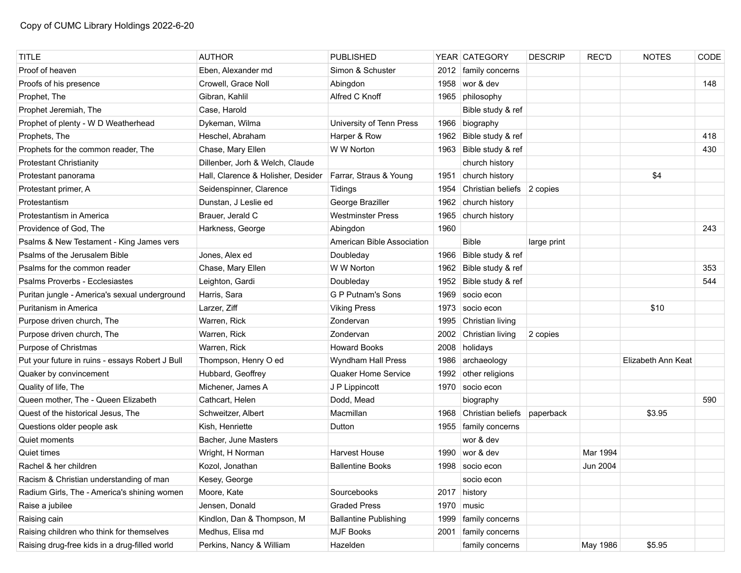| <b>TITLE</b>                                    | <b>AUTHOR</b>                      | <b>PUBLISHED</b>             |      | YEAR CATEGORY              | <b>DESCRIP</b> | <b>REC'D</b> | <b>NOTES</b>       | CODE |
|-------------------------------------------------|------------------------------------|------------------------------|------|----------------------------|----------------|--------------|--------------------|------|
| Proof of heaven                                 | Eben, Alexander md                 | Simon & Schuster             |      | 2012   family concerns     |                |              |                    |      |
| Proofs of his presence                          | Crowell, Grace Noll                | Abingdon                     | 1958 | wor & dev                  |                |              |                    | 148  |
| Prophet, The                                    | Gibran, Kahlil                     | Alfred C Knoff               |      | 1965 philosophy            |                |              |                    |      |
| Prophet Jeremiah, The                           | Case, Harold                       |                              |      | Bible study & ref          |                |              |                    |      |
| Prophet of plenty - W D Weatherhead             | Dykeman, Wilma                     | University of Tenn Press     | 1966 | biography                  |                |              |                    |      |
| Prophets, The                                   | Heschel, Abraham                   | Harper & Row                 | 1962 | Bible study & ref          |                |              |                    | 418  |
| Prophets for the common reader, The             | Chase, Mary Ellen                  | W W Norton                   |      | 1963 Bible study & ref     |                |              |                    | 430  |
| <b>Protestant Christianity</b>                  | Dillenber, Jorh & Welch, Claude    |                              |      | church history             |                |              |                    |      |
| Protestant panorama                             | Hall, Clarence & Holisher, Desider | Farrar, Straus & Young       | 1951 | church history             |                |              | \$4                |      |
| Protestant primer, A                            | Seidenspinner, Clarence            | Tidings                      | 1954 | Christian beliefs 2 copies |                |              |                    |      |
| Protestantism                                   | Dunstan, J Leslie ed               | George Braziller             | 1962 | church history             |                |              |                    |      |
| Protestantism in America                        | Brauer, Jerald C                   | <b>Westminster Press</b>     | 1965 | church history             |                |              |                    |      |
| Providence of God, The                          | Harkness, George                   | Abingdon                     | 1960 |                            |                |              |                    | 243  |
| Psalms & New Testament - King James vers        |                                    | American Bible Association   |      | <b>Bible</b>               | large print    |              |                    |      |
| Psalms of the Jerusalem Bible                   | Jones, Alex ed                     | Doubleday                    | 1966 | Bible study & ref          |                |              |                    |      |
| Psalms for the common reader                    | Chase, Mary Ellen                  | W W Norton                   |      | 1962 Bible study & ref     |                |              |                    | 353  |
| Psalms Proverbs - Ecclesiastes                  | Leighton, Gardi                    | Doubleday                    | 1952 | Bible study & ref          |                |              |                    | 544  |
| Puritan jungle - America's sexual underground   | Harris, Sara                       | <b>G P Putnam's Sons</b>     | 1969 | socio econ                 |                |              |                    |      |
| Puritanism in America                           | Larzer, Ziff                       | <b>Viking Press</b>          | 1973 | socio econ                 |                |              | \$10               |      |
| Purpose driven church, The                      | Warren, Rick                       | Zondervan                    | 1995 | Christian living           |                |              |                    |      |
| Purpose driven church, The                      | Warren, Rick                       | Zondervan                    | 2002 | Christian living           | 2 copies       |              |                    |      |
| Purpose of Christmas                            | Warren, Rick                       | <b>Howard Books</b>          |      | 2008 holidays              |                |              |                    |      |
| Put your future in ruins - essays Robert J Bull | Thompson, Henry O ed               | Wyndham Hall Press           | 1986 | archaeology                |                |              | Elizabeth Ann Keat |      |
| Quaker by convincement                          | Hubbard, Geoffrey                  | Quaker Home Service          | 1992 | other religions            |                |              |                    |      |
| Quality of life, The                            | Michener, James A                  | J P Lippincott               | 1970 | socio econ                 |                |              |                    |      |
| Queen mother, The - Queen Elizabeth             | Cathcart, Helen                    | Dodd, Mead                   |      | biography                  |                |              |                    | 590  |
| Quest of the historical Jesus, The              | Schweitzer, Albert                 | Macmillan                    |      | 1968 Christian beliefs     | paperback      |              | \$3.95             |      |
| Questions older people ask                      | Kish, Henriette                    | Dutton                       |      | 1955   family concerns     |                |              |                    |      |
| Quiet moments                                   | Bacher, June Masters               |                              |      | wor & dev                  |                |              |                    |      |
| Quiet times                                     | Wright, H Norman                   | <b>Harvest House</b>         |      | 1990 wor & dev             |                | Mar 1994     |                    |      |
| Rachel & her children                           | Kozol, Jonathan                    | <b>Ballentine Books</b>      |      | 1998 socio econ            |                | Jun 2004     |                    |      |
| Racism & Christian understanding of man         | Kesey, George                      |                              |      | socio econ                 |                |              |                    |      |
| Radium Girls, The - America's shining women     | Moore, Kate                        | Sourcebooks                  |      | 2017 history               |                |              |                    |      |
| Raise a jubilee                                 | Jensen, Donald                     | <b>Graded Press</b>          | 1970 | music                      |                |              |                    |      |
| Raising cain                                    | Kindlon, Dan & Thompson, M         | <b>Ballantine Publishing</b> | 1999 | family concerns            |                |              |                    |      |
| Raising children who think for themselves       | Medhus, Elisa md                   | <b>MJF Books</b>             | 2001 | family concerns            |                |              |                    |      |
| Raising drug-free kids in a drug-filled world   | Perkins, Nancy & William           | Hazelden                     |      | family concerns            |                | May 1986     | \$5.95             |      |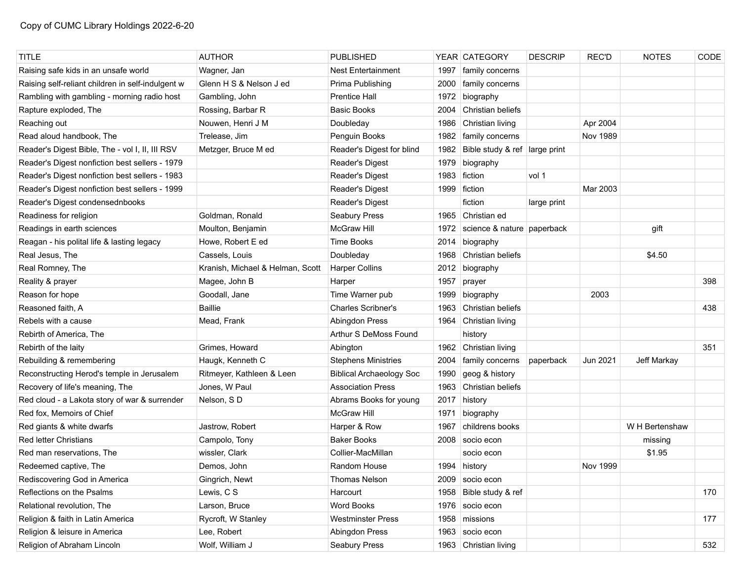| <b>TITLE</b>                                      | <b>AUTHOR</b>                    | <b>PUBLISHED</b>                |      | YEAR   CATEGORY               | <b>DESCRIP</b> | <b>REC'D</b> | <b>NOTES</b>   | CODE |
|---------------------------------------------------|----------------------------------|---------------------------------|------|-------------------------------|----------------|--------------|----------------|------|
| Raising safe kids in an unsafe world              | Wagner, Jan                      | <b>Nest Entertainment</b>       | 1997 | family concerns               |                |              |                |      |
| Raising self-reliant children in self-indulgent w | Glenn H S & Nelson J ed          | Prima Publishing                | 2000 | family concerns               |                |              |                |      |
| Rambling with gambling - morning radio host       | Gambling, John                   | <b>Prentice Hall</b>            | 1972 | biography                     |                |              |                |      |
| Rapture exploded, The                             | Rossing, Barbar R                | <b>Basic Books</b>              | 2004 | Christian beliefs             |                |              |                |      |
| Reaching out                                      | Nouwen, Henri J M                | Doubleday                       | 1986 | Christian living              |                | Apr 2004     |                |      |
| Read aloud handbook, The                          | Trelease, Jim                    | Penguin Books                   | 1982 | family concerns               |                | Nov 1989     |                |      |
| Reader's Digest Bible, The - vol I, II, III RSV   | Metzger, Bruce M ed              | Reader's Digest for blind       | 1982 | Bible study & ref large print |                |              |                |      |
| Reader's Digest nonfiction best sellers - 1979    |                                  | Reader's Digest                 | 1979 | biography                     |                |              |                |      |
| Reader's Digest nonfiction best sellers - 1983    |                                  | <b>Reader's Digest</b>          | 1983 | fiction                       | vol 1          |              |                |      |
| Reader's Digest nonfiction best sellers - 1999    |                                  | <b>Reader's Digest</b>          | 1999 | ∣ fiction                     |                | Mar 2003     |                |      |
| Reader's Digest condensednbooks                   |                                  | <b>Reader's Digest</b>          |      | fiction                       | large print    |              |                |      |
| Readiness for religion                            | Goldman, Ronald                  | Seabury Press                   |      | 1965 Christian ed             |                |              |                |      |
| Readings in earth sciences                        | Moulton, Benjamin                | McGraw Hill                     | 1972 | science & nature paperback    |                |              | gift           |      |
| Reagan - his polital life & lasting legacy        | Howe, Robert E ed                | Time Books                      | 2014 | biography                     |                |              |                |      |
| Real Jesus, The                                   | Cassels, Louis                   | Doubleday                       | 1968 | Christian beliefs             |                |              | \$4.50         |      |
| Real Romney, The                                  | Kranish, Michael & Helman, Scott | <b>Harper Collins</b>           | 2012 | biography                     |                |              |                |      |
| Reality & prayer                                  | Magee, John B                    | Harper                          | 1957 | prayer                        |                |              |                | 398  |
| Reason for hope                                   | Goodall, Jane                    | Time Warner pub                 | 1999 | biography                     |                | 2003         |                |      |
| Reasoned faith, A                                 | <b>Baillie</b>                   | <b>Charles Scribner's</b>       | 1963 | Christian beliefs             |                |              |                | 438  |
| Rebels with a cause                               | Mead, Frank                      | Abingdon Press                  |      | 1964 Christian living         |                |              |                |      |
| Rebirth of America, The                           |                                  | Arthur S DeMoss Found           |      | history                       |                |              |                |      |
| Rebirth of the laity                              | Grimes, Howard                   | Abington                        |      | 1962 Christian living         |                |              |                | 351  |
| Rebuilding & remembering                          | Haugk, Kenneth C                 | <b>Stephens Ministries</b>      | 2004 | family concerns               | paperback      | Jun 2021     | Jeff Markay    |      |
| Reconstructing Herod's temple in Jerusalem        | Ritmeyer, Kathleen & Leen        | <b>Biblical Archaeology Soc</b> | 1990 | geog & history                |                |              |                |      |
| Recovery of life's meaning, The                   | Jones, W Paul                    | <b>Association Press</b>        | 1963 | Christian beliefs             |                |              |                |      |
| Red cloud - a Lakota story of war & surrender     | Nelson, SD                       | Abrams Books for young          | 2017 | history                       |                |              |                |      |
| Red fox. Memoirs of Chief                         |                                  | <b>McGraw Hill</b>              | 1971 | biography                     |                |              |                |      |
| Red giants & white dwarfs                         | Jastrow, Robert                  | Harper & Row                    | 1967 | childrens books               |                |              | W H Bertenshaw |      |
| Red letter Christians                             | Campolo, Tony                    | <b>Baker Books</b>              | 2008 | socio econ                    |                |              | missing        |      |
| Red man reservations, The                         | wissler, Clark                   | Collier-MacMillan               |      | socio econ                    |                |              | \$1.95         |      |
| Redeemed captive, The                             | Demos, John                      | Random House                    |      | 1994 history                  |                | Nov 1999     |                |      |
| Rediscovering God in America                      | Gingrich, Newt                   | Thomas Nelson                   |      | 2009 socio econ               |                |              |                |      |
| Reflections on the Psalms                         | Lewis, C S                       | Harcourt                        |      | 1958 Bible study & ref        |                |              |                | 170  |
| Relational revolution, The                        | Larson, Bruce                    | <b>Word Books</b>               | 1976 | socio econ                    |                |              |                |      |
| Religion & faith in Latin America                 | Rycroft, W Stanley               | <b>Westminster Press</b>        |      | 1958 missions                 |                |              |                | 177  |
| Religion & leisure in America                     | Lee, Robert                      | Abingdon Press                  |      | 1963 socio econ               |                |              |                |      |
| Religion of Abraham Lincoln                       | Wolf, William J                  | Seabury Press                   |      | 1963 Christian living         |                |              |                | 532  |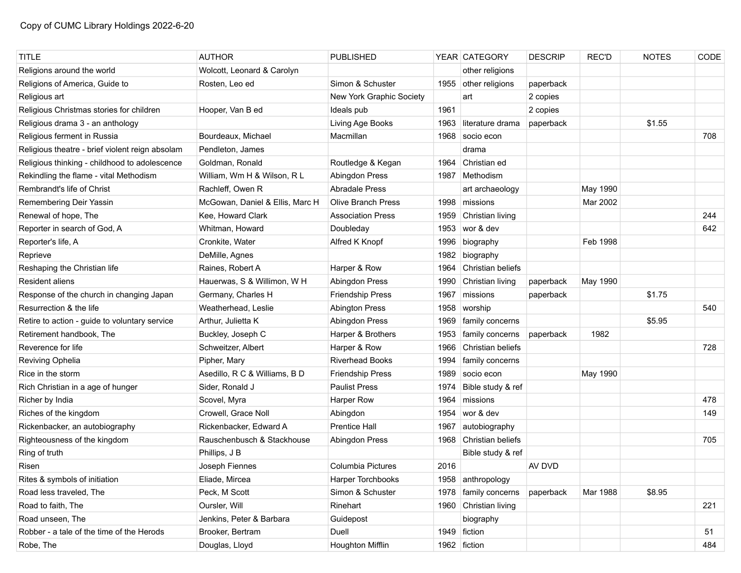| <b>TITLE</b>                                    | <b>AUTHOR</b>                   | PUBLISHED                 |      | YEAR CATEGORY         | <b>DESCRIP</b> | <b>REC'D</b> | <b>NOTES</b> | CODE |
|-------------------------------------------------|---------------------------------|---------------------------|------|-----------------------|----------------|--------------|--------------|------|
| Religions around the world                      | Wolcott, Leonard & Carolyn      |                           |      | other religions       |                |              |              |      |
| Religions of America, Guide to                  | Rosten, Leo ed                  | Simon & Schuster          |      | 1955 other religions  | paperback      |              |              |      |
| Religious art                                   |                                 | New York Graphic Society  |      | art                   | 2 copies       |              |              |      |
| Religious Christmas stories for children        | Hooper, Van B ed                | Ideals pub                | 1961 |                       | 2 copies       |              |              |      |
| Religious drama 3 - an anthology                |                                 | Living Age Books          | 1963 | literature drama      | paperback      |              | \$1.55       |      |
| Religious ferment in Russia                     | Bourdeaux, Michael              | Macmillan                 | 1968 | socio econ            |                |              |              | 708  |
| Religious theatre - brief violent reign absolam | Pendleton, James                |                           |      | drama                 |                |              |              |      |
| Religious thinking - childhood to adolescence   | Goldman, Ronald                 | Routledge & Kegan         | 1964 | Christian ed          |                |              |              |      |
| Rekindling the flame - vital Methodism          | William, Wm H & Wilson, R L     | Abingdon Press            | 1987 | Methodism             |                |              |              |      |
| Rembrandt's life of Christ                      | Rachleff, Owen R                | <b>Abradale Press</b>     |      | art archaeology       |                | May 1990     |              |      |
| Remembering Deir Yassin                         | McGowan, Daniel & Ellis, Marc H | <b>Olive Branch Press</b> | 1998 | missions              |                | Mar 2002     |              |      |
| Renewal of hope, The                            | Kee, Howard Clark               | <b>Association Press</b>  | 1959 | Christian living      |                |              |              | 244  |
| Reporter in search of God, A                    | Whitman, Howard                 | Doubleday                 | 1953 | wor & dev             |                |              |              | 642  |
| Reporter's life, A                              | Cronkite, Water                 | Alfred K Knopf            | 1996 | biography             |                | Feb 1998     |              |      |
| Reprieve                                        | DeMille, Agnes                  |                           | 1982 | biography             |                |              |              |      |
| Reshaping the Christian life                    | Raines, Robert A                | Harper & Row              | 1964 | Christian beliefs     |                |              |              |      |
| <b>Resident aliens</b>                          | Hauerwas, S & Willimon, W H     | Abingdon Press            | 1990 | Christian living      | paperback      | May 1990     |              |      |
| Response of the church in changing Japan        | Germany, Charles H              | <b>Friendship Press</b>   | 1967 | missions              | paperback      |              | \$1.75       |      |
| Resurrection & the life                         | Weatherhead, Leslie             | <b>Abington Press</b>     | 1958 | worship               |                |              |              | 540  |
| Retire to action - guide to voluntary service   | Arthur, Julietta K              | Abingdon Press            | 1969 | family concerns       |                |              | \$5.95       |      |
| Retirement handbook, The                        | Buckley, Joseph C               | Harper & Brothers         | 1953 | family concerns       | paperback      | 1982         |              |      |
| Reverence for life                              | Schweitzer, Albert              | Harper & Row              | 1966 | Christian beliefs     |                |              |              | 728  |
| Reviving Ophelia                                | Pipher, Mary                    | <b>Riverhead Books</b>    | 1994 | family concerns       |                |              |              |      |
| Rice in the storm                               | Asedillo, R C & Williams, B D   | <b>Friendship Press</b>   | 1989 | socio econ            |                | May 1990     |              |      |
| Rich Christian in a age of hunger               | Sider, Ronald J                 | <b>Paulist Press</b>      | 1974 | Bible study & ref     |                |              |              |      |
| Richer by India                                 | Scovel, Myra                    | Harper Row                | 1964 | missions              |                |              |              | 478  |
| Riches of the kingdom                           | Crowell, Grace Noll             | Abingdon                  | 1954 | wor & dev             |                |              |              | 149  |
| Rickenbacker, an autobiography                  | Rickenbacker, Edward A          | <b>Prentice Hall</b>      | 1967 | autobiography         |                |              |              |      |
| Righteousness of the kingdom                    | Rauschenbusch & Stackhouse      | Abingdon Press            | 1968 | Christian beliefs     |                |              |              | 705  |
| Ring of truth                                   | Phillips, J B                   |                           |      | Bible study & ref     |                |              |              |      |
| Risen                                           | Joseph Fiennes                  | <b>Columbia Pictures</b>  | 2016 |                       | AV DVD         |              |              |      |
| Rites & symbols of initiation                   | Eliade, Mircea                  | Harper Torchbooks         |      | 1958 anthropology     |                |              |              |      |
| Road less traveled, The                         | Peck, M Scott                   | Simon & Schuster          | 1978 | family concerns       | paperback      | Mar 1988     | \$8.95       |      |
| Road to faith, The                              | Oursler, Will                   | Rinehart                  |      | 1960 Christian living |                |              |              | 221  |
| Road unseen, The                                | Jenkins, Peter & Barbara        | Guidepost                 |      | biography             |                |              |              |      |
| Robber - a tale of the time of the Herods       | Brooker, Bertram                | Duell                     |      | 1949 fiction          |                |              |              | 51   |
| Robe, The                                       | Douglas, Lloyd                  | Houghton Mifflin          |      | 1962 fiction          |                |              |              | 484  |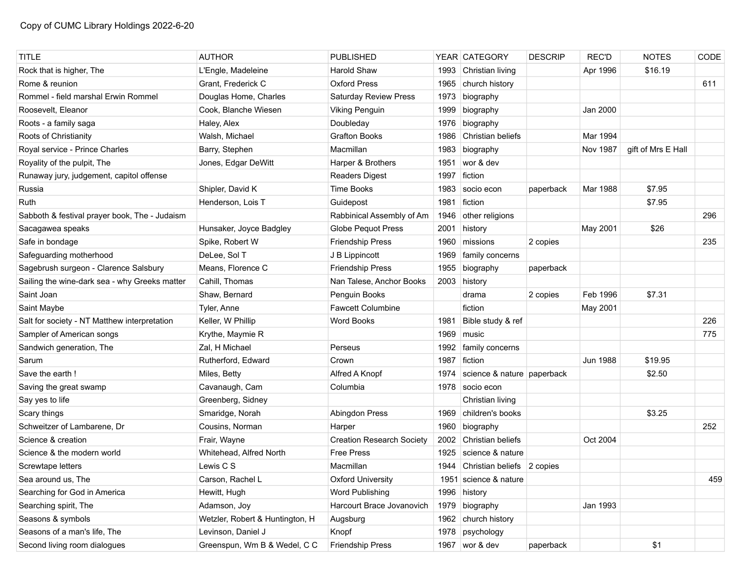| <b>TITLE</b>                                  | <b>AUTHOR</b>                   | <b>PUBLISHED</b>                 |      | YEAR CATEGORY                   | <b>DESCRIP</b> | <b>REC'D</b>    | <b>NOTES</b>       | CODE |
|-----------------------------------------------|---------------------------------|----------------------------------|------|---------------------------------|----------------|-----------------|--------------------|------|
| Rock that is higher, The                      | L'Engle, Madeleine              | <b>Harold Shaw</b>               | 1993 | Christian living                |                | Apr 1996        | \$16.19            |      |
| Rome & reunion                                | Grant, Frederick C              | <b>Oxford Press</b>              | 1965 | church history                  |                |                 |                    | 611  |
| Rommel - field marshal Erwin Rommel           | Douglas Home, Charles           | Saturday Review Press            | 1973 | biography                       |                |                 |                    |      |
| Roosevelt, Eleanor                            | Cook, Blanche Wiesen            | <b>Viking Penguin</b>            | 1999 | biography                       |                | Jan 2000        |                    |      |
| Roots - a family saga                         | Haley, Alex                     | Doubleday                        | 1976 | biography                       |                |                 |                    |      |
| Roots of Christianity                         | Walsh, Michael                  | <b>Grafton Books</b>             | 1986 | Christian beliefs               |                | Mar 1994        |                    |      |
| Royal service - Prince Charles                | Barry, Stephen                  | Macmillan                        | 1983 | biography                       |                | Nov 1987        | gift of Mrs E Hall |      |
| Royality of the pulpit, The                   | Jones, Edgar DeWitt             | Harper & Brothers                | 1951 | wor & dev                       |                |                 |                    |      |
| Runaway jury, judgement, capitol offense      |                                 | <b>Readers Digest</b>            | 1997 | fiction                         |                |                 |                    |      |
| Russia                                        | Shipler, David K                | <b>Time Books</b>                | 1983 | socio econ                      | paperback      | Mar 1988        | \$7.95             |      |
| Ruth                                          | Henderson, Lois T               | Guidepost                        | 1981 | fiction                         |                |                 | \$7.95             |      |
| Sabboth & festival prayer book, The - Judaism |                                 | Rabbinical Assembly of Am        | 1946 | other religions                 |                |                 |                    | 296  |
| Sacagawea speaks                              | Hunsaker, Joyce Badgley         | Globe Pequot Press               | 2001 | history                         |                | May 2001        | \$26               |      |
| Safe in bondage                               | Spike, Robert W                 | <b>Friendship Press</b>          | 1960 | missions                        | 2 copies       |                 |                    | 235  |
| Safeguarding motherhood                       | DeLee, Sol T                    | J B Lippincott                   | 1969 | family concerns                 |                |                 |                    |      |
| Sagebrush surgeon - Clarence Salsbury         | Means, Florence C               | <b>Friendship Press</b>          | 1955 | biography                       | paperback      |                 |                    |      |
| Sailing the wine-dark sea - why Greeks matter | Cahill, Thomas                  | Nan Talese, Anchor Books         | 2003 | history                         |                |                 |                    |      |
| Saint Joan                                    | Shaw, Bernard                   | Penguin Books                    |      | drama                           | 2 copies       | Feb 1996        | \$7.31             |      |
| Saint Maybe                                   | Tyler, Anne                     | <b>Fawcett Columbine</b>         |      | fiction                         |                | May 2001        |                    |      |
| Salt for society - NT Matthew interpretation  | Keller, W Phillip               | Word Books                       | 1981 | Bible study & ref               |                |                 |                    | 226  |
| Sampler of American songs                     | Krythe, Maymie R                |                                  | 1969 | music                           |                |                 |                    | 775  |
| Sandwich generation, The                      | Zal, H Michael                  | Perseus                          | 1992 | family concerns                 |                |                 |                    |      |
| Sarum                                         | Rutherford, Edward              | Crown                            | 1987 | fiction                         |                | <b>Jun 1988</b> | \$19.95            |      |
| Save the earth!                               | Miles, Betty                    | Alfred A Knopf                   | 1974 | science & nature paperback      |                |                 | \$2.50             |      |
| Saving the great swamp                        | Cavanaugh, Cam                  | Columbia                         |      | 1978 socio econ                 |                |                 |                    |      |
| Say yes to life                               | Greenberg, Sidney               |                                  |      | Christian living                |                |                 |                    |      |
| Scary things                                  | Smaridge, Norah                 | Abingdon Press                   | 1969 | children's books                |                |                 | \$3.25             |      |
| Schweitzer of Lambarene, Dr                   | Cousins, Norman                 | Harper                           | 1960 | biography                       |                |                 |                    | 252  |
| Science & creation                            | Frair, Wayne                    | <b>Creation Research Society</b> | 2002 | Christian beliefs               |                | Oct 2004        |                    |      |
| Science & the modern world                    | Whitehead, Alfred North         | <b>Free Press</b>                | 1925 | science & nature                |                |                 |                    |      |
| Screwtape letters                             | Lewis C S                       | Macmillan                        |      | 1944 Christian beliefs 2 copies |                |                 |                    |      |
| Sea around us, The                            | Carson, Rachel L                | <b>Oxford University</b>         |      | 1951 science & nature           |                |                 |                    | 459  |
| Searching for God in America                  | Hewitt, Hugh                    | Word Publishing                  | 1996 | history                         |                |                 |                    |      |
| Searching spirit, The                         | Adamson, Joy                    | Harcourt Brace Jovanovich        | 1979 | biography                       |                | Jan 1993        |                    |      |
| Seasons & symbols                             | Wetzler, Robert & Huntington, H | Augsburg                         |      | 1962 church history             |                |                 |                    |      |
| Seasons of a man's life, The                  | Levinson, Daniel J              | Knopf                            | 1978 | psychology                      |                |                 |                    |      |
| Second living room dialogues                  | Greenspun, Wm B & Wedel, C C    | <b>Friendship Press</b>          |      | 1967 wor & dev                  | paperback      |                 | \$1                |      |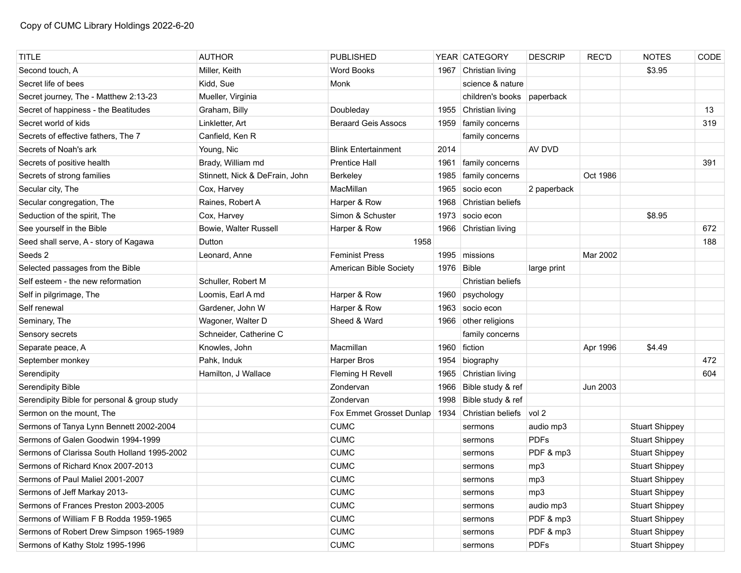| <b>TITLE</b>                                 | <b>AUTHOR</b>                  | <b>PUBLISHED</b>           |            | YEAR CATEGORY              | <b>DESCRIP</b> | REC'D    | <b>NOTES</b>          | CODE |
|----------------------------------------------|--------------------------------|----------------------------|------------|----------------------------|----------------|----------|-----------------------|------|
| Second touch, A                              | Miller, Keith                  | <b>Word Books</b>          | 1967       | Christian living           |                |          | \$3.95                |      |
| Secret life of bees                          | Kidd, Sue                      | Monk                       |            | science & nature           |                |          |                       |      |
| Secret journey, The - Matthew 2:13-23        | Mueller, Virginia              |                            |            | children's books paperback |                |          |                       |      |
| Secret of happiness - the Beatitudes         | Graham, Billy                  | Doubleday                  | 1955       | Christian living           |                |          |                       | 13   |
| Secret world of kids                         | Linkletter, Art                | <b>Beraard Geis Assocs</b> | 1959       | family concerns            |                |          |                       | 319  |
| Secrets of effective fathers, The 7          | Canfield, Ken R                |                            |            | family concerns            |                |          |                       |      |
| Secrets of Noah's ark                        | Young, Nic                     | <b>Blink Entertainment</b> | 2014       |                            | AV DVD         |          |                       |      |
| Secrets of positive health                   | Brady, William md              | <b>Prentice Hall</b>       | 1961       | family concerns            |                |          |                       | 391  |
| Secrets of strong families                   | Stinnett, Nick & DeFrain, John | Berkeley                   | 1985       | family concerns            |                | Oct 1986 |                       |      |
| Secular city, The                            | Cox, Harvey                    | MacMillan                  | 1965       | socio econ                 | 2 paperback    |          |                       |      |
| Secular congregation, The                    | Raines, Robert A               | Harper & Row               | 1968       | Christian beliefs          |                |          |                       |      |
| Seduction of the spirit, The                 | Cox, Harvey                    | Simon & Schuster           | 1973       | socio econ                 |                |          | \$8.95                |      |
| See yourself in the Bible                    | Bowie, Walter Russell          | Harper & Row               | 1966       | Christian living           |                |          |                       | 672  |
| Seed shall serve, A - story of Kagawa        | Dutton                         | 1958                       |            |                            |                |          |                       | 188  |
| Seeds 2                                      | Leonard, Anne                  | <b>Feminist Press</b>      | 1995       | missions                   |                | Mar 2002 |                       |      |
| Selected passages from the Bible             |                                | American Bible Society     | 1976 Bible |                            | large print    |          |                       |      |
| Self esteem - the new reformation            | Schuller, Robert M             |                            |            | Christian beliefs          |                |          |                       |      |
| Self in pilgrimage, The                      | Loomis, Earl A md              | Harper & Row               | 1960       | psychology                 |                |          |                       |      |
| Self renewal                                 | Gardener, John W               | Harper & Row               | 1963       | socio econ                 |                |          |                       |      |
| Seminary, The                                | Wagoner, Walter D              | Sheed & Ward               |            | 1966 other religions       |                |          |                       |      |
| Sensory secrets                              | Schneider, Catherine C         |                            |            | family concerns            |                |          |                       |      |
| Separate peace, A                            | Knowles, John                  | Macmillan                  | 1960       | fiction                    |                | Apr 1996 | \$4.49                |      |
| September monkey                             | Pahk, Induk                    | <b>Harper Bros</b>         | 1954       | biography                  |                |          |                       | 472  |
| Serendipity                                  | Hamilton, J Wallace            | Fleming H Revell           | 1965       | Christian living           |                |          |                       | 604  |
| Serendipity Bible                            |                                | Zondervan                  | 1966       | Bible study & ref          |                | Jun 2003 |                       |      |
| Serendipity Bible for personal & group study |                                | Zondervan                  | 1998       | Bible study & ref          |                |          |                       |      |
| Sermon on the mount, The                     |                                | Fox Emmet Grosset Dunlap   | 1934       | Christian beliefs          | vol 2          |          |                       |      |
| Sermons of Tanya Lynn Bennett 2002-2004      |                                | <b>CUMC</b>                |            | sermons                    | audio mp3      |          | <b>Stuart Shippey</b> |      |
| Sermons of Galen Goodwin 1994-1999           |                                | <b>CUMC</b>                |            | sermons                    | <b>PDFs</b>    |          | <b>Stuart Shippey</b> |      |
| Sermons of Clarissa South Holland 1995-2002  |                                | <b>CUMC</b>                |            | sermons                    | PDF & mp3      |          | <b>Stuart Shippey</b> |      |
| Sermons of Richard Knox 2007-2013            |                                | <b>CUMC</b>                |            | sermons                    | mp3            |          | <b>Stuart Shippey</b> |      |
| Sermons of Paul Maliel 2001-2007             |                                | <b>CUMC</b>                |            | sermons                    | mp3            |          | <b>Stuart Shippey</b> |      |
| Sermons of Jeff Markay 2013-                 |                                | <b>CUMC</b>                |            | sermons                    | mp3            |          | <b>Stuart Shippey</b> |      |
| Sermons of Frances Preston 2003-2005         |                                | <b>CUMC</b>                |            | sermons                    | audio mp3      |          | <b>Stuart Shippey</b> |      |
| Sermons of William F B Rodda 1959-1965       |                                | <b>CUMC</b>                |            | sermons                    | PDF & mp3      |          | <b>Stuart Shippey</b> |      |
| Sermons of Robert Drew Simpson 1965-1989     |                                | <b>CUMC</b>                |            | sermons                    | PDF & mp3      |          | <b>Stuart Shippey</b> |      |
| Sermons of Kathy Stolz 1995-1996             |                                | <b>CUMC</b>                |            | sermons                    | <b>PDFs</b>    |          | <b>Stuart Shippey</b> |      |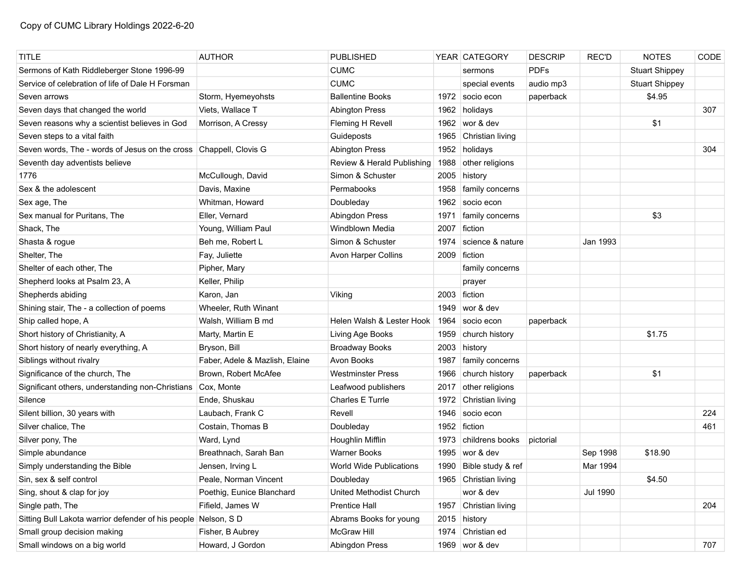| <b>TITLE</b>                                                      | <b>AUTHOR</b>                  | <b>PUBLISHED</b>               |      | YEAR CATEGORY         | <b>DESCRIP</b> | <b>REC'D</b>    | <b>NOTES</b>          | CODE |
|-------------------------------------------------------------------|--------------------------------|--------------------------------|------|-----------------------|----------------|-----------------|-----------------------|------|
| Sermons of Kath Riddleberger Stone 1996-99                        |                                | <b>CUMC</b>                    |      | sermons               | <b>PDFs</b>    |                 | <b>Stuart Shippey</b> |      |
| Service of celebration of life of Dale H Forsman                  |                                | <b>CUMC</b>                    |      | special events        | audio mp3      |                 | <b>Stuart Shippey</b> |      |
| Seven arrows                                                      | Storm, Hyemeyohsts             | <b>Ballentine Books</b>        |      | 1972   socio econ     | paperback      |                 | \$4.95                |      |
| Seven days that changed the world                                 | Viets, Wallace T               | <b>Abington Press</b>          | 1962 | holidays              |                |                 |                       | 307  |
| Seven reasons why a scientist believes in God                     | Morrison, A Cressy             | Fleming H Revell               | 1962 | wor & dev             |                |                 | \$1                   |      |
| Seven steps to a vital faith                                      |                                | Guideposts                     |      | 1965 Christian living |                |                 |                       |      |
| Seven words, The - words of Jesus on the cross Chappell, Clovis G |                                | <b>Abington Press</b>          | 1952 | holidays              |                |                 |                       | 304  |
| Seventh day adventists believe                                    |                                | Review & Herald Publishing     | 1988 | other religions       |                |                 |                       |      |
| 1776                                                              | McCullough, David              | Simon & Schuster               |      | 2005 history          |                |                 |                       |      |
| Sex & the adolescent                                              | Davis, Maxine                  | Permabooks                     | 1958 | family concerns       |                |                 |                       |      |
| Sex age, The                                                      | Whitman, Howard                | Doubleday                      | 1962 | socio econ            |                |                 |                       |      |
| Sex manual for Puritans, The                                      | Eller, Vernard                 | Abingdon Press                 | 1971 | family concerns       |                |                 | \$3                   |      |
| Shack, The                                                        | Young, William Paul            | Windblown Media                | 2007 | fiction               |                |                 |                       |      |
| Shasta & rogue                                                    | Beh me, Robert L               | Simon & Schuster               | 1974 | science & nature      |                | Jan 1993        |                       |      |
| Shelter, The                                                      | Fay, Juliette                  | Avon Harper Collins            |      | 2009 fiction          |                |                 |                       |      |
| Shelter of each other, The                                        | Pipher, Mary                   |                                |      | family concerns       |                |                 |                       |      |
| Shepherd looks at Psalm 23, A                                     | Keller, Philip                 |                                |      | prayer                |                |                 |                       |      |
| Shepherds abiding                                                 | Karon, Jan                     | Viking                         |      | 2003 fiction          |                |                 |                       |      |
| Shining stair, The - a collection of poems                        | Wheeler, Ruth Winant           |                                | 1949 | wor & dev             |                |                 |                       |      |
| Ship called hope, A                                               | Walsh, William B md            | Helen Walsh & Lester Hook      | 1964 | socio econ            | paperback      |                 |                       |      |
| Short history of Christianity, A                                  | Marty, Martin E                | Living Age Books               | 1959 | church history        |                |                 | \$1.75                |      |
| Short history of nearly everything, A                             | Bryson, Bill                   | <b>Broadway Books</b>          | 2003 | history               |                |                 |                       |      |
| Siblings without rivalry                                          | Faber, Adele & Mazlish, Elaine | Avon Books                     | 1987 | family concerns       |                |                 |                       |      |
| Significance of the church, The                                   | Brown, Robert McAfee           | <b>Westminster Press</b>       | 1966 | church history        | paperback      |                 | \$1                   |      |
| Significant others, understanding non-Christians                  | Cox, Monte                     | Leafwood publishers            | 2017 | other religions       |                |                 |                       |      |
| Silence                                                           | Ende, Shuskau                  | Charles E Turrle               | 1972 | Christian living      |                |                 |                       |      |
| Silent billion, 30 years with                                     | Laubach, Frank C               | Revell                         | 1946 | socio econ            |                |                 |                       | 224  |
| Silver chalice, The                                               | Costain, Thomas B              | Doubleday                      |      | 1952 fiction          |                |                 |                       | 461  |
| Silver pony, The                                                  | Ward, Lynd                     | Houghlin Mifflin               | 1973 | childrens books       | pictorial      |                 |                       |      |
| Simple abundance                                                  | Breathnach, Sarah Ban          | <b>Warner Books</b>            | 1995 | wor & dev             |                | Sep 1998        | \$18.90               |      |
| Simply understanding the Bible                                    | Jensen, Irving L               | <b>World Wide Publications</b> | 1990 | Bible study & ref     |                | Mar 1994        |                       |      |
| Sin, sex & self control                                           | Peale, Norman Vincent          | Doubleday                      |      | 1965 Christian living |                |                 | \$4.50                |      |
| Sing, shout & clap for joy                                        | Poethig, Eunice Blanchard      | United Methodist Church        |      | wor & dev             |                | <b>Jul 1990</b> |                       |      |
| Single path, The                                                  | Fifield, James W               | <b>Prentice Hall</b>           | 1957 | Christian living      |                |                 |                       | 204  |
| Sitting Bull Lakota warrior defender of his people Nelson, S D    |                                | Abrams Books for young         |      | 2015 history          |                |                 |                       |      |
| Small group decision making                                       | Fisher, B Aubrey               | McGraw Hill                    | 1974 | Christian ed          |                |                 |                       |      |
| Small windows on a big world                                      | Howard, J Gordon               | Abingdon Press                 |      | 1969 wor & dev        |                |                 |                       | 707  |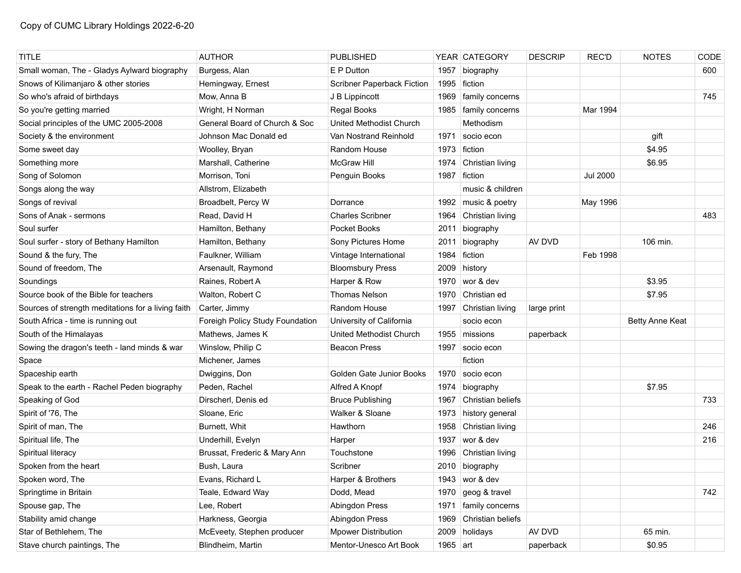| TITLE                                              | <b>AUTHOR</b>                   | <b>PUBLISHED</b>               |              | YEAR CATEGORY       | <b>DESCRIP</b> | <b>REC'D</b>    | <b>NOTES</b>    | CODE |
|----------------------------------------------------|---------------------------------|--------------------------------|--------------|---------------------|----------------|-----------------|-----------------|------|
| Small woman, The - Gladys Aylward biography        | Burgess, Alan                   | E P Dutton                     | 1957         | biography           |                |                 |                 | 600  |
| Snows of Kilimanjaro & other stories               | Hemingway, Ernest               | Scribner Paperback Fiction     | 1995         | fiction             |                |                 |                 |      |
| So who's afraid of birthdays                       | Mow, Anna B                     | J B Lippincott                 | 1969         | family concerns     |                |                 |                 | 745  |
| So you're getting married                          | Wright, H Norman                | <b>Regal Books</b>             | 1985         | family concerns     |                | Mar 1994        |                 |      |
| Social principles of the UMC 2005-2008             | General Board of Church & Soc   | <b>United Methodist Church</b> |              | Methodism           |                |                 |                 |      |
| Society & the environment                          | Johnson Mac Donald ed           | Van Nostrand Reinhold          | 1971         | socio econ          |                |                 | gift            |      |
| Some sweet day                                     | Woolley, Bryan                  | Random House                   | 1973         | fiction             |                |                 | \$4.95          |      |
| Something more                                     | Marshall, Catherine             | <b>McGraw Hill</b>             | 1974         | Christian living    |                |                 | \$6.95          |      |
| Song of Solomon                                    | Morrison, Toni                  | Penguin Books                  | 1987         | fiction             |                | <b>Jul 2000</b> |                 |      |
| Songs along the way                                | Allstrom, Elizabeth             |                                |              | music & children    |                |                 |                 |      |
| Songs of revival                                   | Broadbelt, Percy W              | Dorrance                       |              | 1992 music & poetry |                | May 1996        |                 |      |
| Sons of Anak - sermons                             | Read, David H                   | <b>Charles Scribner</b>        | 1964         | Christian living    |                |                 |                 | 483  |
| Soul surfer                                        | Hamilton, Bethany               | Pocket Books                   | 2011         | biography           |                |                 |                 |      |
| Soul surfer - story of Bethany Hamilton            | Hamilton, Bethany               | Sony Pictures Home             | 2011         | biography           | AV DVD         |                 | 106 min.        |      |
| Sound & the fury, The                              | Faulkner, William               | Vintage International          | 1984         | fiction             |                | Feb 1998        |                 |      |
| Sound of freedom, The                              | Arsenault, Raymond              | <b>Bloomsbury Press</b>        | 2009         | history             |                |                 |                 |      |
| Soundings                                          | Raines, Robert A                | Harper & Row                   | 1970         | wor & dev           |                |                 | \$3.95          |      |
| Source book of the Bible for teachers              | Walton, Robert C                | <b>Thomas Nelson</b>           | 1970         | Christian ed        |                |                 | \$7.95          |      |
| Sources of strength meditations for a living faith | Carter, Jimmy                   | Random House                   | 1997         | Christian living    | large print    |                 |                 |      |
| South Africa - time is running out                 | Foreigh Policy Study Foundation | University of California       |              | socio econ          |                |                 | Betty Anne Keat |      |
| South of the Himalayas                             | Mathews, James K                | <b>United Methodist Church</b> | 1955         | missions            | paperback      |                 |                 |      |
| Sowing the dragon's teeth - land minds & war       | Winslow, Philip C               | <b>Beacon Press</b>            | 1997         | socio econ          |                |                 |                 |      |
| Space                                              | Michener, James                 |                                |              | fiction             |                |                 |                 |      |
| Spaceship earth                                    | Dwiggins, Don                   | Golden Gate Junior Books       | 1970         | socio econ          |                |                 |                 |      |
| Speak to the earth - Rachel Peden biography        | Peden, Rachel                   | Alfred A Knopf                 | 1974         | biography           |                |                 | \$7.95          |      |
| Speaking of God                                    | Dirscherl, Denis ed             | <b>Bruce Publishing</b>        | 1967         | Christian beliefs   |                |                 |                 | 733  |
| Spirit of '76, The                                 | Sloane, Eric                    | Walker & Sloane                | 1973         | history general     |                |                 |                 |      |
| Spirit of man, The                                 | Burnett, Whit                   | Hawthorn                       | 1958         | Christian living    |                |                 |                 | 246  |
| Spiritual life, The                                | Underhill, Evelyn               | Harper                         | 1937         | wor & dev           |                |                 |                 | 216  |
| Spiritual literacy                                 | Brussat, Frederic & Mary Ann    | Touchstone                     | 1996         | Christian living    |                |                 |                 |      |
| Spoken from the heart                              | Bush, Laura                     | Scribner                       |              | 2010 biography      |                |                 |                 |      |
| Spoken word, The                                   | Evans, Richard L                | Harper & Brothers              |              | 1943 wor & dev      |                |                 |                 |      |
| Springtime in Britain                              | Teale, Edward Way               | Dodd, Mead                     | 1970         | geog & travel       |                |                 |                 | 742  |
| Spouse gap, The                                    | Lee, Robert                     | Abingdon Press                 | 1971         | family concerns     |                |                 |                 |      |
| Stability amid change                              | Harkness, Georgia               | Abingdon Press                 | 1969         | Christian beliefs   |                |                 |                 |      |
| Star of Bethlehem, The                             | McEveety, Stephen producer      | <b>Mpower Distribution</b>     | 2009         | holidays            | AV DVD         |                 | 65 min.         |      |
| Stave church paintings, The                        | Blindheim, Martin               | Mentor-Unesco Art Book         | 1965 $ $ art |                     | paperback      |                 | \$0.95          |      |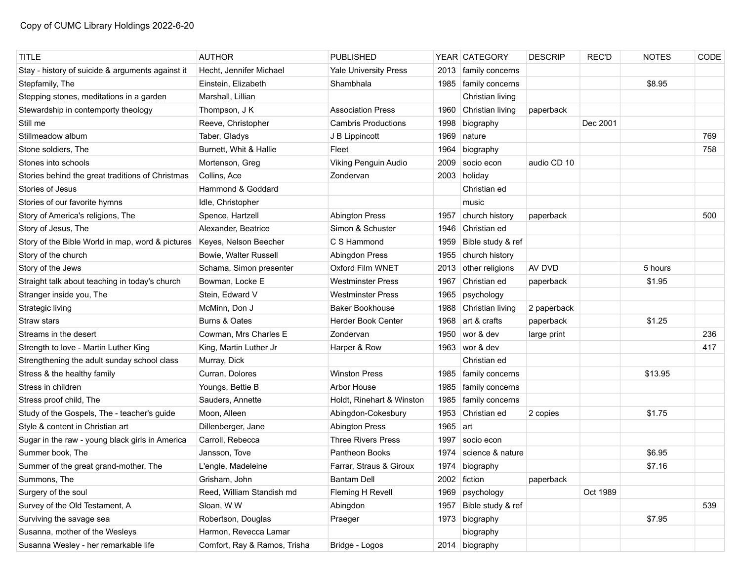| <b>TITLE</b>                                     | <b>AUTHOR</b>                | <b>PUBLISHED</b>             |      | YEAR CATEGORY          | <b>DESCRIP</b> | <b>REC'D</b> | <b>NOTES</b> | CODE |
|--------------------------------------------------|------------------------------|------------------------------|------|------------------------|----------------|--------------|--------------|------|
| Stay - history of suicide & arguments against it | Hecht, Jennifer Michael      | <b>Yale University Press</b> | 2013 | family concerns        |                |              |              |      |
| Stepfamily, The                                  | Einstein, Elizabeth          | Shambhala                    |      | 1985   family concerns |                |              | \$8.95       |      |
| Stepping stones, meditations in a garden         | Marshall, Lillian            |                              |      | Christian living       |                |              |              |      |
| Stewardship in contemporty theology              | Thompson, J K                | <b>Association Press</b>     | 1960 | Christian living       | paperback      |              |              |      |
| Still me                                         | Reeve, Christopher           | <b>Cambris Productions</b>   | 1998 | biography              |                | Dec 2001     |              |      |
| Stillmeadow album                                | Taber, Gladys                | J B Lippincott               | 1969 | nature                 |                |              |              | 769  |
| Stone soldiers, The                              | Burnett, Whit & Hallie       | Fleet                        | 1964 | biography              |                |              |              | 758  |
| Stones into schools                              | Mortenson, Greg              | Viking Penguin Audio         | 2009 | socio econ             | audio CD 10    |              |              |      |
| Stories behind the great traditions of Christmas | Collins, Ace                 | Zondervan                    |      | 2003 holiday           |                |              |              |      |
| Stories of Jesus                                 | Hammond & Goddard            |                              |      | Christian ed           |                |              |              |      |
| Stories of our favorite hymns                    | Idle, Christopher            |                              |      | music                  |                |              |              |      |
| Story of America's religions, The                | Spence, Hartzell             | <b>Abington Press</b>        | 1957 | church history         | paperback      |              |              | 500  |
| Story of Jesus, The                              | Alexander, Beatrice          | Simon & Schuster             | 1946 | Christian ed           |                |              |              |      |
| Story of the Bible World in map, word & pictures | Keyes, Nelson Beecher        | C S Hammond                  | 1959 | Bible study & ref      |                |              |              |      |
| Story of the church                              | Bowie, Walter Russell        | Abingdon Press               | 1955 | church history         |                |              |              |      |
| Story of the Jews                                | Schama, Simon presenter      | Oxford Film WNET             |      | 2013 other religions   | AV DVD         |              | 5 hours      |      |
| Straight talk about teaching in today's church   | Bowman, Locke E              | Westminster Press            | 1967 | Christian ed           | paperback      |              | \$1.95       |      |
| Stranger inside you, The                         | Stein, Edward V              | <b>Westminster Press</b>     | 1965 | psychology             |                |              |              |      |
| Strategic living                                 | McMinn, Don J                | <b>Baker Bookhouse</b>       | 1988 | Christian living       | 2 paperback    |              |              |      |
| Straw stars                                      | Burns & Oates                | <b>Herder Book Center</b>    | 1968 | art & crafts           | paperback      |              | \$1.25       |      |
| Streams in the desert                            | Cowman, Mrs Charles E        | Zondervan                    | 1950 | wor & dev              | large print    |              |              | 236  |
| Strength to love - Martin Luther King            | King, Martin Luther Jr       | Harper & Row                 |      | 1963 wor & dev         |                |              |              | 417  |
| Strengthening the adult sunday school class      | Murray, Dick                 |                              |      | Christian ed           |                |              |              |      |
| Stress & the healthy family                      | Curran, Dolores              | <b>Winston Press</b>         | 1985 | family concerns        |                |              | \$13.95      |      |
| Stress in children                               | Youngs, Bettie B             | Arbor House                  | 1985 | family concerns        |                |              |              |      |
| Stress proof child, The                          | Sauders, Annette             | Holdt, Rinehart & Winston    | 1985 | family concerns        |                |              |              |      |
| Study of the Gospels, The - teacher's guide      | Moon, Alleen                 | Abingdon-Cokesbury           | 1953 | Christian ed           | 2 copies       |              | \$1.75       |      |
| Style & content in Christian art                 | Dillenberger, Jane           | <b>Abington Press</b>        | 1965 | art                    |                |              |              |      |
| Sugar in the raw - young black girls in America  | Carroll, Rebecca             | <b>Three Rivers Press</b>    | 1997 | socio econ             |                |              |              |      |
| Summer book, The                                 | Jansson. Tove                | Pantheon Books               | 1974 | science & nature       |                |              | \$6.95       |      |
| Summer of the great grand-mother, The            | L'engle, Madeleine           | Farrar, Straus & Giroux      | 1974 | biography              |                |              | \$7.16       |      |
| Summons, The                                     | Grisham, John                | <b>Bantam Dell</b>           |      | 2002 fiction           | paperback      |              |              |      |
| Surgery of the soul                              | Reed, William Standish md    | Fleming H Revell             | 1969 | psychology             |                | Oct 1989     |              |      |
| Survey of the Old Testament, A                   | Sloan, W W                   | Abingdon                     | 1957 | Bible study & ref      |                |              |              | 539  |
| Surviving the savage sea                         | Robertson, Douglas           | Praeger                      | 1973 | biography              |                |              | \$7.95       |      |
| Susanna, mother of the Wesleys                   | Harmon, Revecca Lamar        |                              |      | biography              |                |              |              |      |
| Susanna Wesley - her remarkable life             | Comfort, Ray & Ramos, Trisha | Bridge - Logos               |      | 2014 biography         |                |              |              |      |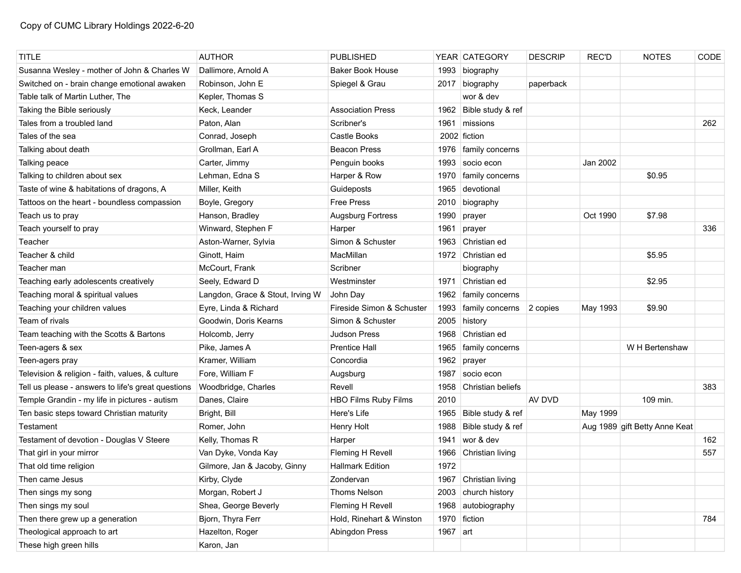| <b>TITLE</b>                                       | <b>AUTHOR</b>                    | <b>PUBLISHED</b>            |          | YEAR CATEGORY     | <b>DESCRIP</b> | <b>REC'D</b> | <b>NOTES</b>                  | CODE |
|----------------------------------------------------|----------------------------------|-----------------------------|----------|-------------------|----------------|--------------|-------------------------------|------|
| Susanna Wesley - mother of John & Charles W        | Dallimore, Arnold A              | <b>Baker Book House</b>     | 1993     | biography         |                |              |                               |      |
| Switched on - brain change emotional awaken        | Robinson, John E                 | Spiegel & Grau              | 2017     | biography         | paperback      |              |                               |      |
| Table talk of Martin Luther, The                   | Kepler, Thomas S                 |                             |          | wor & dev         |                |              |                               |      |
| Taking the Bible seriously                         | Keck, Leander                    | <b>Association Press</b>    | 1962     | Bible study & ref |                |              |                               |      |
| Tales from a troubled land                         | Paton, Alan                      | Scribner's                  | 1961     | missions          |                |              |                               | 262  |
| Tales of the sea                                   | Conrad, Joseph                   | Castle Books                |          | 2002 fiction      |                |              |                               |      |
| Talking about death                                | Grollman, Earl A                 | <b>Beacon Press</b>         | 1976     | family concerns   |                |              |                               |      |
| Talking peace                                      | Carter, Jimmy                    | Penguin books               | 1993     | socio econ        |                | Jan 2002     |                               |      |
| Talking to children about sex                      | Lehman, Edna S                   | Harper & Row                | 1970     | family concerns   |                |              | \$0.95                        |      |
| Taste of wine & habitations of dragons, A          | Miller, Keith                    | Guideposts                  | 1965     | devotional        |                |              |                               |      |
| Tattoos on the heart - boundless compassion        | Boyle, Gregory                   | <b>Free Press</b>           | 2010     | biography         |                |              |                               |      |
| Teach us to pray                                   | Hanson, Bradley                  | <b>Augsburg Fortress</b>    | 1990     | prayer            |                | Oct 1990     | \$7.98                        |      |
| Teach yourself to pray                             | Winward, Stephen F               | Harper                      | 1961     | prayer            |                |              |                               | 336  |
| Teacher                                            | Aston-Warner, Sylvia             | Simon & Schuster            | 1963     | Christian ed      |                |              |                               |      |
| Teacher & child                                    | Ginott, Haim                     | MacMillan                   |          | 1972 Christian ed |                |              | \$5.95                        |      |
| Teacher man                                        | McCourt, Frank                   | Scribner                    |          | biography         |                |              |                               |      |
| Teaching early adolescents creatively              | Seely, Edward D                  | Westminster                 | 1971     | Christian ed      |                |              | \$2.95                        |      |
| Teaching moral & spiritual values                  | Langdon, Grace & Stout, Irving W | John Day                    | 1962     | family concerns   |                |              |                               |      |
| Teaching your children values                      | Eyre, Linda & Richard            | Fireside Simon & Schuster   | 1993     | family concerns   | 2 copies       | May 1993     | \$9.90                        |      |
| Team of rivals                                     | Goodwin, Doris Kearns            | Simon & Schuster            | 2005     | history           |                |              |                               |      |
| Team teaching with the Scotts & Bartons            | Holcomb, Jerry                   | <b>Judson Press</b>         | 1968     | Christian ed      |                |              |                               |      |
| Teen-agers & sex                                   | Pike, James A                    | <b>Prentice Hall</b>        | 1965     | family concerns   |                |              | W H Bertenshaw                |      |
| Teen-agers pray                                    | Kramer, William                  | Concordia                   | 1962     | prayer            |                |              |                               |      |
| Television & religion - faith, values, & culture   | Fore, William F                  | Augsburg                    | 1987     | socio econ        |                |              |                               |      |
| Tell us please - answers to life's great questions | Woodbridge, Charles              | Revell                      | 1958     | Christian beliefs |                |              |                               | 383  |
| Temple Grandin - my life in pictures - autism      | Danes, Claire                    | <b>HBO Films Ruby Films</b> | 2010     |                   | AV DVD         |              | 109 min.                      |      |
| Ten basic steps toward Christian maturity          | Bright, Bill                     | Here's Life                 | 1965     | Bible study & ref |                | May 1999     |                               |      |
| Testament                                          | Romer, John                      | Henry Holt                  | 1988     | Bible study & ref |                |              | Aug 1989 gift Betty Anne Keat |      |
| Testament of devotion - Douglas V Steere           | Kelly, Thomas R                  | Harper                      | 1941     | wor & dev         |                |              |                               | 162  |
| That girl in your mirror                           | Van Dyke, Vonda Kay              | Fleming H Revell            | 1966     | Christian living  |                |              |                               | 557  |
| That old time religion                             | Gilmore, Jan & Jacoby, Ginny     | <b>Hallmark Edition</b>     | 1972     |                   |                |              |                               |      |
| Then came Jesus                                    | Kirby, Clyde                     | Zondervan                   | 1967     | Christian living  |                |              |                               |      |
| Then sings my song                                 | Morgan, Robert J                 | Thoms Nelson                | 2003     | church history    |                |              |                               |      |
| Then sings my soul                                 | Shea, George Beverly             | Fleming H Revell            | 1968     | autobiography     |                |              |                               |      |
| Then there grew up a generation                    | Bjorn, Thyra Ferr                | Hold, Rinehart & Winston    | 1970     | fiction           |                |              |                               | 784  |
| Theological approach to art                        | Hazelton, Roger                  | Abingdon Press              | 1967 art |                   |                |              |                               |      |
| These high green hills                             | Karon, Jan                       |                             |          |                   |                |              |                               |      |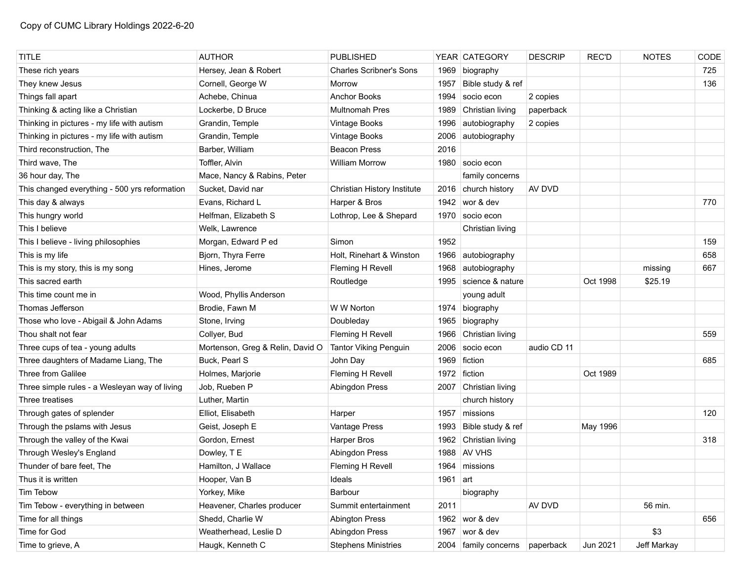| <b>TITLE</b>                                  | <b>AUTHOR</b>                    | <b>PUBLISHED</b>               |            | YEAR CATEGORY          | <b>DESCRIP</b> | REC'D    | <b>NOTES</b> | CODE |
|-----------------------------------------------|----------------------------------|--------------------------------|------------|------------------------|----------------|----------|--------------|------|
| These rich years                              | Hersey, Jean & Robert            | <b>Charles Scribner's Sons</b> | 1969       | biography              |                |          |              | 725  |
| They knew Jesus                               | Cornell, George W                | Morrow                         | 1957       | Bible study & ref      |                |          |              | 136  |
| Things fall apart                             | Achebe, Chinua                   | <b>Anchor Books</b>            | 1994       | socio econ             | 2 copies       |          |              |      |
| Thinking & acting like a Christian            | Lockerbe, D Bruce                | <b>Multnomah Pres</b>          | 1989       | Christian living       | paperback      |          |              |      |
| Thinking in pictures - my life with autism    | Grandin, Temple                  | Vintage Books                  | 1996       | autobiography          | 2 copies       |          |              |      |
| Thinking in pictures - my life with autism    | Grandin, Temple                  | Vintage Books                  | 2006       | autobiography          |                |          |              |      |
| Third reconstruction, The                     | Barber, William                  | <b>Beacon Press</b>            | 2016       |                        |                |          |              |      |
| Third wave, The                               | Toffler, Alvin                   | <b>William Morrow</b>          | 1980       | socio econ             |                |          |              |      |
| 36 hour day, The                              | Mace, Nancy & Rabins, Peter      |                                |            | family concerns        |                |          |              |      |
| This changed everything - 500 yrs reformation | Sucket, David nar                | Christian History Institute    |            | 2016 church history    | AV DVD         |          |              |      |
| This day & always                             | Evans, Richard L                 | Harper & Bros                  |            | 1942 wor & dev         |                |          |              | 770  |
| This hungry world                             | Helfman, Elizabeth S             | Lothrop, Lee & Shepard         | 1970       | socio econ             |                |          |              |      |
| This I believe                                | Welk, Lawrence                   |                                |            | Christian living       |                |          |              |      |
| This I believe - living philosophies          | Morgan, Edward P ed              | Simon                          | 1952       |                        |                |          |              | 159  |
| This is my life                               | Bjorn, Thyra Ferre               | Holt, Rinehart & Winston       | 1966       | autobiography          |                |          |              | 658  |
| This is my story, this is my song             | Hines, Jerome                    | Fleming H Revell               | 1968       | autobiography          |                |          | missing      | 667  |
| This sacred earth                             |                                  | Routledge                      | 1995       | science & nature       |                | Oct 1998 | \$25.19      |      |
| This time count me in                         | Wood, Phyllis Anderson           |                                |            | young adult            |                |          |              |      |
| Thomas Jefferson                              | Brodie, Fawn M                   | W W Norton                     | 1974       | biography              |                |          |              |      |
| Those who love - Abigail & John Adams         | Stone, Irving                    | Doubleday                      | 1965       | biography              |                |          |              |      |
| Thou shalt not fear                           | Collyer, Bud                     | Fleming H Revell               | 1966       | Christian living       |                |          |              | 559  |
| Three cups of tea - young adults              | Mortenson, Greg & Relin, David O | <b>Tantor Viking Penguin</b>   | 2006       | socio econ             | audio CD 11    |          |              |      |
| Three daughters of Madame Liang, The          | Buck, Pearl S                    | John Day                       | 1969       | fiction                |                |          |              | 685  |
| Three from Galilee                            | Holmes, Marjorie                 | Fleming H Revell               | 1972       | fiction                |                | Oct 1989 |              |      |
| Three simple rules - a Wesleyan way of living | Job, Rueben P                    | Abingdon Press                 |            | 2007 Christian living  |                |          |              |      |
| Three treatises                               | Luther, Martin                   |                                |            | church history         |                |          |              |      |
| Through gates of splender                     | Elliot, Elisabeth                | Harper                         | 1957       | missions               |                |          |              | 120  |
| Through the pslams with Jesus                 | Geist, Joseph E                  | Vantage Press                  |            | 1993 Bible study & ref |                | May 1996 |              |      |
| Through the valley of the Kwai                | Gordon, Ernest                   | Harper Bros                    | 1962       | Christian living       |                |          |              | 318  |
| Through Wesley's England                      | Dowley, T E                      | Abingdon Press                 |            | 1988 AV VHS            |                |          |              |      |
| Thunder of bare feet, The                     | Hamilton, J Wallace              | Fleming H Revell               | 1964       | missions               |                |          |              |      |
| Thus it is written                            | Hooper, Van B                    | Ideals                         | 1961 $art$ |                        |                |          |              |      |
| Tim Tebow                                     | Yorkey, Mike                     | Barbour                        |            | biography              |                |          |              |      |
| Tim Tebow - everything in between             | Heavener, Charles producer       | Summit entertainment           | 2011       |                        | AV DVD         |          | 56 min.      |      |
| Time for all things                           | Shedd, Charlie W                 | <b>Abington Press</b>          |            | 1962 wor & dev         |                |          |              | 656  |
| Time for God                                  | Weatherhead, Leslie D            | Abingdon Press                 | 1967       | wor & dev              |                |          | \$3          |      |
| Time to grieve, A                             | Haugk, Kenneth C                 | <b>Stephens Ministries</b>     |            | 2004   family concerns | paperback      | Jun 2021 | Jeff Markay  |      |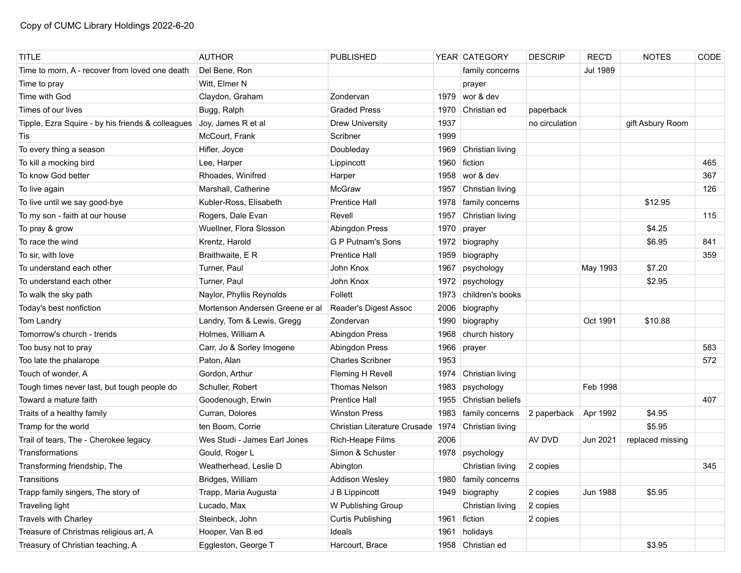| <b>TITLE</b>                                      | <b>AUTHOR</b>                   | PUBLISHED                    |      | YEAR   CATEGORY        | <b>DESCRIP</b> | <b>REC'D</b>    | <b>NOTES</b>     | CODE |
|---------------------------------------------------|---------------------------------|------------------------------|------|------------------------|----------------|-----------------|------------------|------|
| Time to morn, A - recover from loved one death    | Del Bene, Ron                   |                              |      | family concerns        |                | <b>Jul 1989</b> |                  |      |
| Time to pray                                      | Witt, Elmer N                   |                              |      | prayer                 |                |                 |                  |      |
| Time with God                                     | Claydon, Graham                 | Zondervan                    | 1979 | wor & dev              |                |                 |                  |      |
| Times of our lives                                | Bugg, Ralph                     | <b>Graded Press</b>          | 1970 | Christian ed           | paperback      |                 |                  |      |
| Tipple, Ezra Squire - by his friends & colleagues | Joy, James R et al              | <b>Drew University</b>       | 1937 |                        | no circulation |                 | gift Asbury Room |      |
| Tis                                               | McCourt, Frank                  | Scribner                     | 1999 |                        |                |                 |                  |      |
| To every thing a season                           | Hifler, Joyce                   | Doubleday                    | 1969 | Christian living       |                |                 |                  |      |
| To kill a mocking bird                            | Lee, Harper                     | Lippincott                   | 1960 | fiction                |                |                 |                  | 465  |
| To know God better                                | Rhoades, Winifred               | Harper                       | 1958 | wor & dev              |                |                 |                  | 367  |
| To live again                                     | Marshall, Catherine             | McGraw                       | 1957 | Christian living       |                |                 |                  | 126  |
| To live until we say good-bye                     | Kubler-Ross, Elisabeth          | <b>Prentice Hall</b>         | 1978 | family concerns        |                |                 | \$12.95          |      |
| To my son - faith at our house                    | Rogers, Dale Evan               | Revell                       | 1957 | Christian living       |                |                 |                  | 115  |
| To pray & grow                                    | Wuellner, Flora Slosson         | Abingdon Press               | 1970 | prayer                 |                |                 | \$4.25           |      |
| To race the wind                                  | Krentz, Harold                  | <b>G P Putnam's Sons</b>     | 1972 | biography              |                |                 | \$6.95           | 841  |
| To sir, with love                                 | Braithwaite, E R                | <b>Prentice Hall</b>         | 1959 | biography              |                |                 |                  | 359  |
| To understand each other                          | Turner, Paul                    | John Knox                    | 1967 | psychology             |                | May 1993        | \$7.20           |      |
| To understand each other                          | Turner, Paul                    | John Knox                    | 1972 | psychology             |                |                 | \$2.95           |      |
| To walk the sky path                              | Naylor, Phyllis Reynolds        | Follett                      | 1973 | children's books       |                |                 |                  |      |
| Today's best nonfiction                           | Mortenson Andersen Greene er al | Reader's Digest Assoc        | 2006 | biography              |                |                 |                  |      |
| Tom Landry                                        | Landry, Tom & Lewis, Gregg      | Zondervan                    | 1990 | biography              |                | Oct 1991        | \$10.88          |      |
| Tomorrow's church - trends                        | Holmes, William A               | Abingdon Press               | 1968 | church history         |                |                 |                  |      |
| Too busy not to pray                              | Carr, Jo & Sorley Imogene       | Abingdon Press               | 1966 | prayer                 |                |                 |                  | 583  |
| Too late the phalarope                            | Paton, Alan                     | <b>Charles Scribner</b>      | 1953 |                        |                |                 |                  | 572  |
| Touch of wonder, A                                | Gordon, Arthur                  | Fleming H Revell             | 1974 | Christian living       |                |                 |                  |      |
| Tough times never last, but tough people do       | Schuller, Robert                | <b>Thomas Nelson</b>         | 1983 | psychology             |                | Feb 1998        |                  |      |
| Toward a mature faith                             | Goodenough, Erwin               | <b>Prentice Hall</b>         | 1955 | Christian beliefs      |                |                 |                  | 407  |
| Traits of a healthy family                        | Curran, Dolores                 | <b>Winston Press</b>         | 1983 | family concerns        | 2 paperback    | Apr 1992        | \$4.95           |      |
| Tramp for the world                               | ten Boom, Corrie                | Christian Literature Crusade | 1974 | Christian living       |                |                 | \$5.95           |      |
| Trail of tears, The - Cherokee legacy             | Wes Studi - James Earl Jones    | Rich-Heape Films             | 2006 |                        | AV DVD         | Jun 2021        | replaced missing |      |
| Transformations                                   | Gould, Roger L                  | Simon & Schuster             | 1978 | psychology             |                |                 |                  |      |
| Transforming friendship, The                      | Weatherhead, Leslie D           | Abington                     |      | Christian living       | 2 copies       |                 |                  | 345  |
| Transitions                                       | Bridges, William                | <b>Addison Wesley</b>        |      | 1980   family concerns |                |                 |                  |      |
| Trapp family singers, The story of                | Trapp, Maria Augusta            | J B Lippincott               |      | 1949 biography         | 2 copies       | <b>Jun 1988</b> | \$5.95           |      |
| Traveling light                                   | Lucado, Max                     | W Publishing Group           |      | Christian living       | 2 copies       |                 |                  |      |
| Travels with Charley                              | Steinbeck, John                 | Curtis Publishing            | 1961 | fiction                | 2 copies       |                 |                  |      |
| Treasure of Christmas religious art, A            | Hooper, Van B ed                | Ideals                       | 1961 | holidays               |                |                 |                  |      |
| Treasury of Christian teaching, A                 | Eggleston, George T             | Harcourt, Brace              |      | 1958 Christian ed      |                |                 | \$3.95           |      |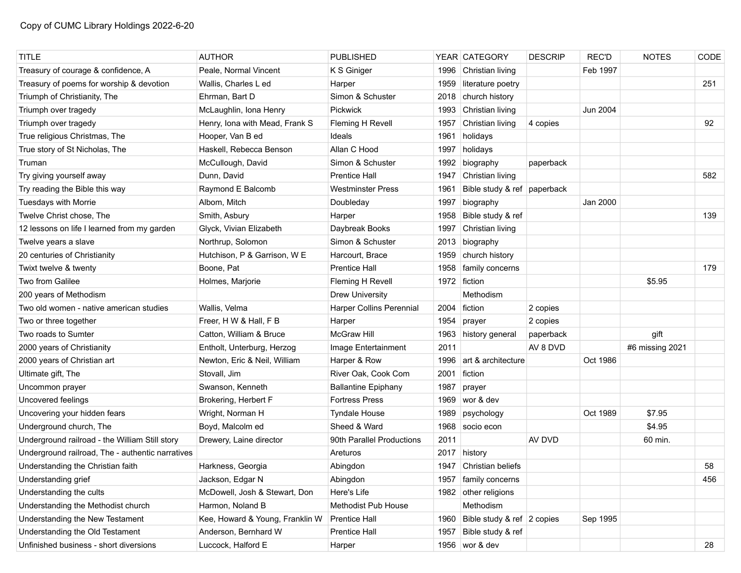| <b>TITLE</b>                                     | <b>AUTHOR</b>                   | <b>PUBLISHED</b>           |      | YEAR CATEGORY               | <b>DESCRIP</b> | <b>REC'D</b> | <b>NOTES</b>    | CODE |
|--------------------------------------------------|---------------------------------|----------------------------|------|-----------------------------|----------------|--------------|-----------------|------|
| Treasury of courage & confidence, A              | Peale, Normal Vincent           | K S Giniger                | 1996 | Christian living            |                | Feb 1997     |                 |      |
| Treasury of poems for worship & devotion         | Wallis, Charles L ed            | Harper                     | 1959 | literature poetry           |                |              |                 | 251  |
| Triumph of Christianity, The                     | Ehrman, Bart D                  | Simon & Schuster           | 2018 | church history              |                |              |                 |      |
| Triumph over tragedy                             | McLaughlin, Iona Henry          | Pickwick                   | 1993 | Christian living            |                | Jun 2004     |                 |      |
| Triumph over tragedy                             | Henry, Iona with Mead, Frank S  | Fleming H Revell           | 1957 | Christian living            | 4 copies       |              |                 | 92   |
| True religious Christmas, The                    | Hooper, Van B ed                | Ideals                     | 1961 | holidays                    |                |              |                 |      |
| True story of St Nicholas, The                   | Haskell, Rebecca Benson         | Allan C Hood               | 1997 | holidays                    |                |              |                 |      |
| Truman                                           | McCullough, David               | Simon & Schuster           | 1992 | biography                   | paperback      |              |                 |      |
| Try giving yourself away                         | Dunn, David                     | <b>Prentice Hall</b>       | 1947 | Christian living            |                |              |                 | 582  |
| Try reading the Bible this way                   | Raymond E Balcomb               | <b>Westminster Press</b>   | 1961 | Bible study & ref paperback |                |              |                 |      |
| Tuesdays with Morrie                             | Albom, Mitch                    | Doubleday                  | 1997 | biography                   |                | Jan 2000     |                 |      |
| Twelve Christ chose, The                         | Smith, Asbury                   | Harper                     | 1958 | Bible study & ref           |                |              |                 | 139  |
| 12 lessons on life I learned from my garden      | Glyck, Vivian Elizabeth         | Daybreak Books             | 1997 | Christian living            |                |              |                 |      |
| Twelve years a slave                             | Northrup, Solomon               | Simon & Schuster           | 2013 | biography                   |                |              |                 |      |
| 20 centuries of Christianity                     | Hutchison, P & Garrison, W E    | Harcourt, Brace            | 1959 | church history              |                |              |                 |      |
| Twixt twelve & twenty                            | Boone, Pat                      | <b>Prentice Hall</b>       | 1958 | family concerns             |                |              |                 | 179  |
| Two from Galilee                                 | Holmes, Marjorie                | Fleming H Revell           |      | 1972 fiction                |                |              | \$5.95          |      |
| 200 years of Methodism                           |                                 | <b>Drew University</b>     |      | Methodism                   |                |              |                 |      |
| Two old women - native american studies          | Wallis, Velma                   | Harper Collins Perennial   | 2004 | fiction                     | 2 copies       |              |                 |      |
| Two or three together                            | Freer, H W & Hall, F B          | Harper                     | 1954 | prayer                      | 2 copies       |              |                 |      |
| Two roads to Sumter                              | Catton, William & Bruce         | <b>McGraw Hill</b>         |      | 1963 history general        | paperback      |              | gift            |      |
| 2000 years of Christianity                       | Entholt, Unterburg, Herzog      | Image Entertainment        | 2011 |                             | AV 8 DVD       |              | #6 missing 2021 |      |
| 2000 years of Christian art                      | Newton, Eric & Neil, William    | Harper & Row               | 1996 | art & architecture          |                | Oct 1986     |                 |      |
| Ultimate gift, The                               | Stovall, Jim                    | River Oak, Cook Com        | 2001 | fiction                     |                |              |                 |      |
| Uncommon prayer                                  | Swanson, Kenneth                | <b>Ballantine Epiphany</b> | 1987 | prayer                      |                |              |                 |      |
| Uncovered feelings                               | Brokering, Herbert F            | <b>Fortress Press</b>      |      | 1969   wor & dev            |                |              |                 |      |
| Uncovering your hidden fears                     | Wright, Norman H                | <b>Tyndale House</b>       | 1989 | psychology                  |                | Oct 1989     | \$7.95          |      |
| Underground church, The                          | Boyd, Malcolm ed                | Sheed & Ward               |      | 1968 socio econ             |                |              | \$4.95          |      |
| Underground railroad - the William Still story   | Drewery, Laine director         | 90th Parallel Productions  | 2011 |                             | AV DVD         |              | 60 min.         |      |
| Underground railroad, The - authentic narratives |                                 | Areturos                   | 2017 | history                     |                |              |                 |      |
| Understanding the Christian faith                | Harkness, Georgia               | Abingdon                   | 1947 | Christian beliefs           |                |              |                 | 58   |
| Understanding grief                              | Jackson, Edgar N                | Abingdon                   |      | 1957   family concerns      |                |              |                 | 456  |
| Understanding the cults                          | McDowell, Josh & Stewart, Don   | Here's Life                |      | 1982 other religions        |                |              |                 |      |
| Understanding the Methodist church               | Harmon, Noland B                | Methodist Pub House        |      | Methodism                   |                |              |                 |      |
| Understanding the New Testament                  | Kee, Howard & Young, Franklin W | <b>Prentice Hall</b>       | 1960 | Bible study & ref 2 copies  |                | Sep 1995     |                 |      |
| Understanding the Old Testament                  | Anderson, Bernhard W            | <b>Prentice Hall</b>       | 1957 | Bible study & ref           |                |              |                 |      |
| Unfinished business - short diversions           | Luccock, Halford E              | Harper                     |      | 1956 wor & dev              |                |              |                 | 28   |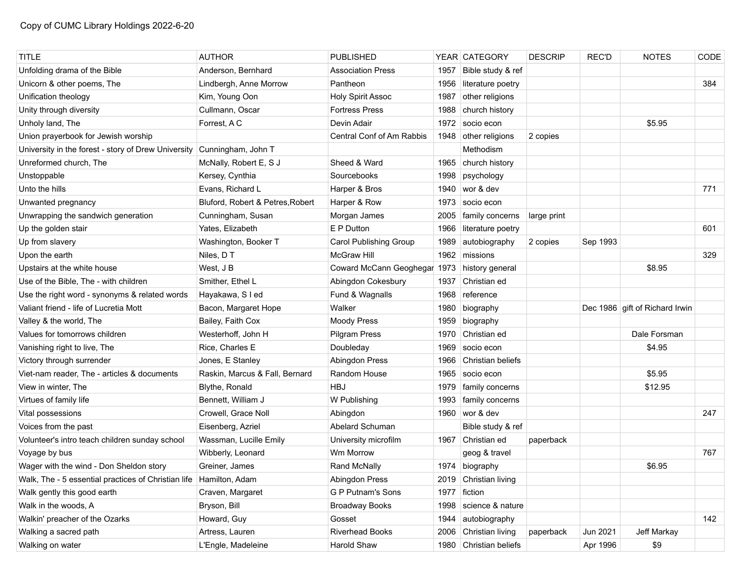| <b>TITLE</b>                                                         | <b>AUTHOR</b>                    | <b>PUBLISHED</b>             |      | YEAR   CATEGORY        | <b>DESCRIP</b> | <b>REC'D</b> | <b>NOTES</b>                   | CODE |
|----------------------------------------------------------------------|----------------------------------|------------------------------|------|------------------------|----------------|--------------|--------------------------------|------|
| Unfolding drama of the Bible                                         | Anderson, Bernhard               | <b>Association Press</b>     | 1957 | Bible study & ref      |                |              |                                |      |
| Unicorn & other poems, The                                           | Lindbergh, Anne Morrow           | Pantheon                     | 1956 | literature poetry      |                |              |                                | 384  |
| Unification theology                                                 | Kim, Young Oon                   | <b>Holy Spirit Assoc</b>     | 1987 | other religions        |                |              |                                |      |
| Unity through diversity                                              | Cullmann, Oscar                  | <b>Fortress Press</b>        | 1988 | church history         |                |              |                                |      |
| Unholy land, The                                                     | Forrest, AC                      | Devin Adair                  | 1972 | socio econ             |                |              | \$5.95                         |      |
| Union prayerbook for Jewish worship                                  |                                  | Central Conf of Am Rabbis    |      | 1948 other religions   | 2 copies       |              |                                |      |
| University in the forest - story of Drew University                  | Cunningham, John T               |                              |      | Methodism              |                |              |                                |      |
| Unreformed church, The                                               | McNally, Robert E, S J           | Sheed & Ward                 | 1965 | church history         |                |              |                                |      |
| Unstoppable                                                          | Kersey, Cynthia                  | Sourcebooks                  | 1998 | psychology             |                |              |                                |      |
| Unto the hills                                                       | Evans, Richard L                 | Harper & Bros                | 1940 | wor & dev              |                |              |                                | 771  |
| Unwanted pregnancy                                                   | Bluford, Robert & Petres, Robert | Harper & Row                 | 1973 | socio econ             |                |              |                                |      |
| Unwrapping the sandwich generation                                   | Cunningham, Susan                | Morgan James                 | 2005 | family concerns        | large print    |              |                                |      |
| Up the golden stair                                                  | Yates, Elizabeth                 | E P Dutton                   | 1966 | literature poetry      |                |              |                                | 601  |
| Up from slavery                                                      | Washington, Booker T             | Carol Publishing Group       | 1989 | autobiography          | 2 copies       | Sep 1993     |                                |      |
| Upon the earth                                                       | Niles, DT                        | <b>McGraw Hill</b>           | 1962 | missions               |                |              |                                | 329  |
| Upstairs at the white house                                          | West, J B                        | Coward McCann Geoghegar 1973 |      | history general        |                |              | \$8.95                         |      |
| Use of the Bible, The - with children                                | Smither, Ethel L                 | Abingdon Cokesbury           | 1937 | Christian ed           |                |              |                                |      |
| Use the right word - synonyms & related words                        | Hayakawa, S I ed                 | Fund & Wagnalls              | 1968 | reference              |                |              |                                |      |
| Valiant friend - life of Lucretia Mott                               | Bacon, Margaret Hope             | Walker                       | 1980 | biography              |                |              | Dec 1986 gift of Richard Irwin |      |
| Valley & the world, The                                              | Bailey, Faith Cox                | <b>Moody Press</b>           | 1959 | biography              |                |              |                                |      |
| Values for tomorrows children                                        | Westerhoff, John H               | <b>Pilgram Press</b>         | 1970 | Christian ed           |                |              | Dale Forsman                   |      |
| Vanishing right to live, The                                         | Rice, Charles E                  | Doubleday                    | 1969 | socio econ             |                |              | \$4.95                         |      |
| Victory through surrender                                            | Jones, E Stanley                 | Abingdon Press               | 1966 | Christian beliefs      |                |              |                                |      |
| Viet-nam reader, The - articles & documents                          | Raskin, Marcus & Fall, Bernard   | Random House                 | 1965 | socio econ             |                |              | \$5.95                         |      |
| View in winter, The                                                  | Blythe, Ronald                   | <b>HBJ</b>                   | 1979 | family concerns        |                |              | \$12.95                        |      |
| Virtues of family life                                               | Bennett, William J               | W Publishing                 | 1993 | family concerns        |                |              |                                |      |
| Vital possessions                                                    | Crowell, Grace Noll              | Abingdon                     |      | 1960 wor & dev         |                |              |                                | 247  |
| Voices from the past                                                 | Eisenberg, Azriel                | <b>Abelard Schuman</b>       |      | Bible study & ref      |                |              |                                |      |
| Volunteer's intro teach children sunday school                       | Wassman, Lucille Emily           | University microfilm         | 1967 | Christian ed           | paperback      |              |                                |      |
| Voyage by bus                                                        | Wibberly, Leonard                | <b>Wm Morrow</b>             |      | geog & travel          |                |              |                                | 767  |
| Wager with the wind - Don Sheldon story                              | Greiner, James                   | Rand McNally                 |      | 1974 biography         |                |              | \$6.95                         |      |
| Walk, The - 5 essential practices of Christian life   Hamilton, Adam |                                  | Abingdon Press               |      | 2019 Christian living  |                |              |                                |      |
| Walk gently this good earth                                          | Craven, Margaret                 | G P Putnam's Sons            | 1977 | fiction                |                |              |                                |      |
| Walk in the woods, A                                                 | Bryson, Bill                     | <b>Broadway Books</b>        | 1998 | science & nature       |                |              |                                |      |
| Walkin' preacher of the Ozarks                                       | Howard, Guy                      | Gosset                       | 1944 | autobiography          |                |              |                                | 142  |
| Walking a sacred path                                                | Artress, Lauren                  | <b>Riverhead Books</b>       |      | 2006 Christian living  | paperback      | Jun 2021     | Jeff Markay                    |      |
| Walking on water                                                     | L'Engle, Madeleine               | Harold Shaw                  |      | 1980 Christian beliefs |                | Apr 1996     | \$9                            |      |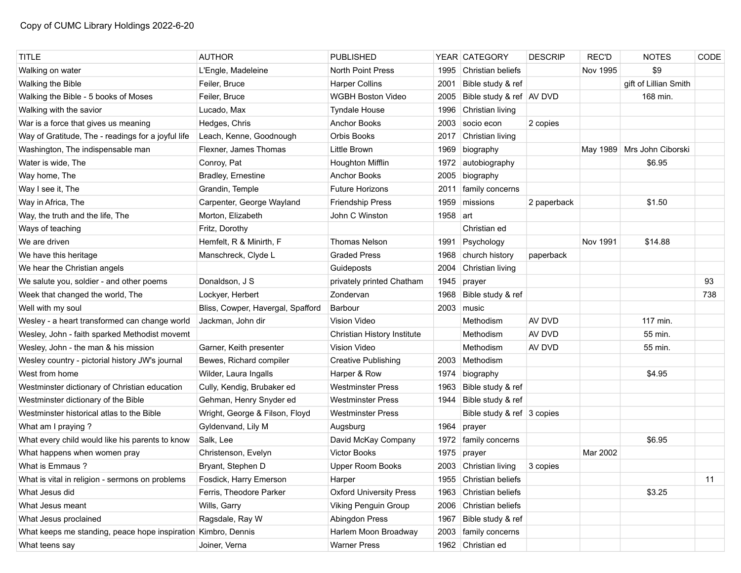| <b>TITLE</b>                                                  | <b>AUTHOR</b>                     | <b>PUBLISHED</b>               |              | YEAR CATEGORY              | <b>DESCRIP</b> | <b>REC'D</b> | <b>NOTES</b>               | CODE |
|---------------------------------------------------------------|-----------------------------------|--------------------------------|--------------|----------------------------|----------------|--------------|----------------------------|------|
| Walking on water                                              | L'Engle, Madeleine                | North Point Press              | 1995         | Christian beliefs          |                | Nov 1995     | \$9                        |      |
| Walking the Bible                                             | Feiler, Bruce                     | <b>Harper Collins</b>          | 2001         | Bible study & ref          |                |              | gift of Lillian Smith      |      |
| Walking the Bible - 5 books of Moses                          | Feiler, Bruce                     | <b>WGBH Boston Video</b>       | 2005         | Bible study & ref   AV DVD |                |              | 168 min.                   |      |
| Walking with the savior                                       | Lucado, Max                       | <b>Tyndale House</b>           | 1996         | Christian living           |                |              |                            |      |
| War is a force that gives us meaning                          | Hedges, Chris                     | <b>Anchor Books</b>            | 2003         | socio econ                 | 2 copies       |              |                            |      |
| Way of Gratitude, The - readings for a joyful life            | Leach, Kenne, Goodnough           | <b>Orbis Books</b>             | 2017         | Christian living           |                |              |                            |      |
| Washington, The indispensable man                             | Flexner, James Thomas             | Little Brown                   | 1969         | biography                  |                |              | May 1989 Mrs John Ciborski |      |
| Water is wide, The                                            | Conroy, Pat                       | Houghton Mifflin               | 1972         | autobiography              |                |              | \$6.95                     |      |
| Way home, The                                                 | Bradley, Ernestine                | <b>Anchor Books</b>            | 2005         | biography                  |                |              |                            |      |
| Way I see it, The                                             | Grandin, Temple                   | <b>Future Horizons</b>         | 2011         | family concerns            |                |              |                            |      |
| Way in Africa, The                                            | Carpenter, George Wayland         | <b>Friendship Press</b>        | 1959         | missions                   | 2 paperback    |              | \$1.50                     |      |
| Way, the truth and the life, The                              | Morton, Elizabeth                 | John C Winston                 | 1958 $ $ art |                            |                |              |                            |      |
| Ways of teaching                                              | Fritz, Dorothy                    |                                |              | Christian ed               |                |              |                            |      |
| We are driven                                                 | Hemfelt, R & Minirth, F           | <b>Thomas Nelson</b>           | 1991         | Psychology                 |                | Nov 1991     | \$14.88                    |      |
| We have this heritage                                         | Manschreck, Clyde L               | <b>Graded Press</b>            | 1968         | church history             | paperback      |              |                            |      |
| We hear the Christian angels                                  |                                   | Guideposts                     | 2004         | Christian living           |                |              |                            |      |
| We salute you, soldier - and other poems                      | Donaldson, J S                    | privately printed Chatham      | 1945         | prayer                     |                |              |                            | 93   |
| Week that changed the world, The                              | Lockyer, Herbert                  | Zondervan                      | 1968         | Bible study & ref          |                |              |                            | 738  |
| Well with my soul                                             | Bliss, Cowper, Havergal, Spafford | <b>Barbour</b>                 |              | $2003$ music               |                |              |                            |      |
| Wesley - a heart transformed can change world                 | Jackman, John dir                 | Vision Video                   |              | Methodism                  | AV DVD         |              | 117 min.                   |      |
| Wesley, John - faith sparked Methodist movemt                 |                                   | Christian History Institute    |              | Methodism                  | AV DVD         |              | 55 min.                    |      |
| Wesley, John - the man & his mission                          | Garner, Keith presenter           | <b>Vision Video</b>            |              | Methodism                  | AV DVD         |              | 55 min.                    |      |
| Wesley country - pictorial history JW's journal               | Bewes, Richard compiler           | <b>Creative Publishing</b>     |              | 2003 Methodism             |                |              |                            |      |
| West from home                                                | Wilder, Laura Ingalls             | Harper & Row                   | 1974         | biography                  |                |              | \$4.95                     |      |
| Westminster dictionary of Christian education                 | Cully, Kendig, Brubaker ed        | <b>Westminster Press</b>       | 1963         | Bible study & ref          |                |              |                            |      |
| Westminster dictionary of the Bible                           | Gehman, Henry Snyder ed           | <b>Westminster Press</b>       | 1944         | Bible study & ref          |                |              |                            |      |
| Westminster historical atlas to the Bible                     | Wright, George & Filson, Floyd    | <b>Westminster Press</b>       |              | Bible study & ref 3 copies |                |              |                            |      |
| What am I praying?                                            | Gyldenvand, Lily M                | Augsburg                       | 1964         | prayer                     |                |              |                            |      |
| What every child would like his parents to know               | Salk, Lee                         | David McKay Company            | 1972         | family concerns            |                |              | \$6.95                     |      |
| What happens when women pray                                  | Christenson, Evelyn               | Victor Books                   | 1975         | prayer                     |                | Mar 2002     |                            |      |
| What is Emmaus?                                               | Bryant, Stephen D                 | Upper Room Books               |              | 2003 Christian living      | 3 copies       |              |                            |      |
| What is vital in religion - sermons on problems               | Fosdick, Harry Emerson            | Harper                         |              | 1955 Christian beliefs     |                |              |                            | 11   |
| What Jesus did                                                | Ferris, Theodore Parker           | <b>Oxford University Press</b> | 1963         | Christian beliefs          |                |              | \$3.25                     |      |
| What Jesus meant                                              | Wills, Garry                      | Viking Penguin Group           |              | 2006 Christian beliefs     |                |              |                            |      |
| What Jesus proclained                                         | Ragsdale, Ray W                   | Abingdon Press                 | 1967         | Bible study & ref          |                |              |                            |      |
| What keeps me standing, peace hope inspiration Kimbro, Dennis |                                   | Harlem Moon Broadway           |              | 2003   family concerns     |                |              |                            |      |
| What teens say                                                | Joiner, Verna                     | <b>Warner Press</b>            |              | 1962 Christian ed          |                |              |                            |      |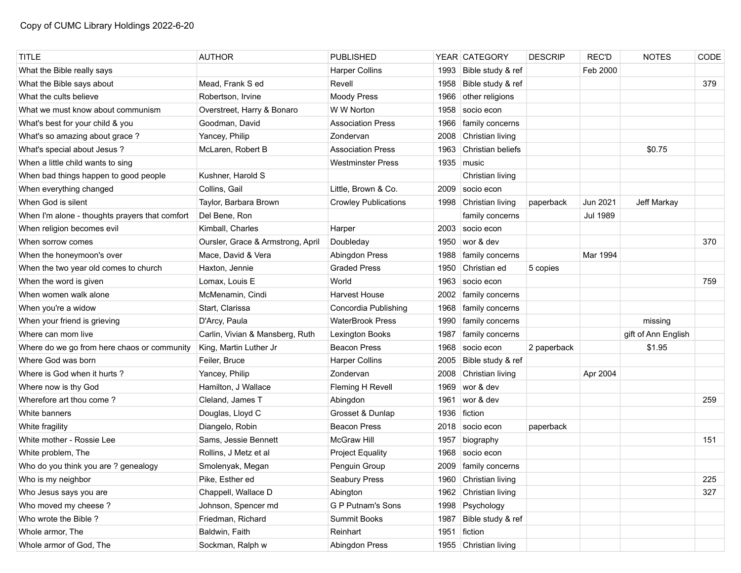| <b>TITLE</b>                                   | <b>AUTHOR</b>                     | <b>PUBLISHED</b>            |      | YEAR CATEGORY          | <b>DESCRIP</b> | <b>REC'D</b>    | <b>NOTES</b>        | CODE |
|------------------------------------------------|-----------------------------------|-----------------------------|------|------------------------|----------------|-----------------|---------------------|------|
| What the Bible really says                     |                                   | <b>Harper Collins</b>       | 1993 | Bible study & ref      |                | Feb 2000        |                     |      |
| What the Bible says about                      | Mead, Frank S ed                  | Revell                      | 1958 | Bible study & ref      |                |                 |                     | 379  |
| What the cults believe                         | Robertson, Irvine                 | <b>Moody Press</b>          | 1966 | other religions        |                |                 |                     |      |
| What we must know about communism              | Overstreet, Harry & Bonaro        | W W Norton                  | 1958 | socio econ             |                |                 |                     |      |
| What's best for your child & you               | Goodman, David                    | <b>Association Press</b>    | 1966 | family concerns        |                |                 |                     |      |
| What's so amazing about grace?                 | Yancey, Philip                    | Zondervan                   | 2008 | Christian living       |                |                 |                     |      |
| What's special about Jesus?                    | McLaren, Robert B                 | <b>Association Press</b>    | 1963 | Christian beliefs      |                |                 | \$0.75              |      |
| When a little child wants to sing              |                                   | <b>Westminster Press</b>    |      | 1935 music             |                |                 |                     |      |
| When bad things happen to good people          | Kushner, Harold S                 |                             |      | Christian living       |                |                 |                     |      |
| When everything changed                        | Collins, Gail                     | Little, Brown & Co.         | 2009 | socio econ             |                |                 |                     |      |
| When God is silent                             | Taylor, Barbara Brown             | <b>Crowley Publications</b> |      | 1998 Christian living  | paperback      | Jun 2021        | Jeff Markay         |      |
| When I'm alone - thoughts prayers that comfort | Del Bene, Ron                     |                             |      | family concerns        |                | <b>Jul 1989</b> |                     |      |
| When religion becomes evil                     | Kimball, Charles                  | Harper                      | 2003 | socio econ             |                |                 |                     |      |
| When sorrow comes                              | Oursler, Grace & Armstrong, April | Doubleday                   | 1950 | wor & dev              |                |                 |                     | 370  |
| When the honeymoon's over                      | Mace, David & Vera                | Abingdon Press              | 1988 | family concerns        |                | Mar 1994        |                     |      |
| When the two year old comes to church          | Haxton, Jennie                    | <b>Graded Press</b>         | 1950 | Christian ed           | 5 copies       |                 |                     |      |
| When the word is given                         | Lomax, Louis E                    | World                       | 1963 | socio econ             |                |                 |                     | 759  |
| When women walk alone                          | McMenamin, Cindi                  | <b>Harvest House</b>        | 2002 | family concerns        |                |                 |                     |      |
| When you're a widow                            | Start, Clarissa                   | Concordia Publishing        | 1968 | family concerns        |                |                 |                     |      |
| When your friend is grieving                   | D'Arcy, Paula                     | <b>WaterBrook Press</b>     | 1990 | family concerns        |                |                 | missing             |      |
| Where can mom live                             | Carlin, Vivian & Mansberg, Ruth   | Lexington Books             | 1987 | family concerns        |                |                 | gift of Ann English |      |
| Where do we go from here chaos or community    | King, Martin Luther Jr            | <b>Beacon Press</b>         | 1968 | socio econ             | 2 paperback    |                 | \$1.95              |      |
| Where God was born                             | Feiler, Bruce                     | <b>Harper Collins</b>       | 2005 | Bible study & ref      |                |                 |                     |      |
| Where is God when it hurts?                    | Yancey, Philip                    | Zondervan                   | 2008 | Christian living       |                | Apr 2004        |                     |      |
| Where now is thy God                           | Hamilton, J Wallace               | Fleming H Revell            | 1969 | wor & dev              |                |                 |                     |      |
| Wherefore art thou come?                       | Cleland, James T                  | Abingdon                    | 1961 | wor & dev              |                |                 |                     | 259  |
| White banners                                  | Douglas, Lloyd C                  | Grosset & Dunlap            | 1936 | fiction                |                |                 |                     |      |
| White fragility                                | Diangelo, Robin                   | <b>Beacon Press</b>         |      | 2018   socio econ      | paperback      |                 |                     |      |
| White mother - Rossie Lee                      | Sams, Jessie Bennett              | <b>McGraw Hill</b>          | 1957 | biography              |                |                 |                     | 151  |
| White problem, The                             | Rollins, J Metz et al             | <b>Project Equality</b>     | 1968 | socio econ             |                |                 |                     |      |
| Who do you think you are ? genealogy           | Smolenyak, Megan                  | Penguin Group               |      | 2009   family concerns |                |                 |                     |      |
| Who is my neighbor                             | Pike, Esther ed                   | Seabury Press               |      | 1960 Christian living  |                |                 |                     | 225  |
| Who Jesus says you are                         | Chappell, Wallace D               | Abington                    |      | 1962 Christian living  |                |                 |                     | 327  |
| Who moved my cheese?                           | Johnson, Spencer md               | G P Putnam's Sons           |      | 1998 Psychology        |                |                 |                     |      |
| Who wrote the Bible?                           | Friedman, Richard                 | Summit Books                | 1987 | Bible study & ref      |                |                 |                     |      |
| Whole armor, The                               | Baldwin, Faith                    | Reinhart                    | 1951 | fiction                |                |                 |                     |      |
| Whole armor of God, The                        | Sockman, Ralph w                  | Abingdon Press              |      | 1955 Christian living  |                |                 |                     |      |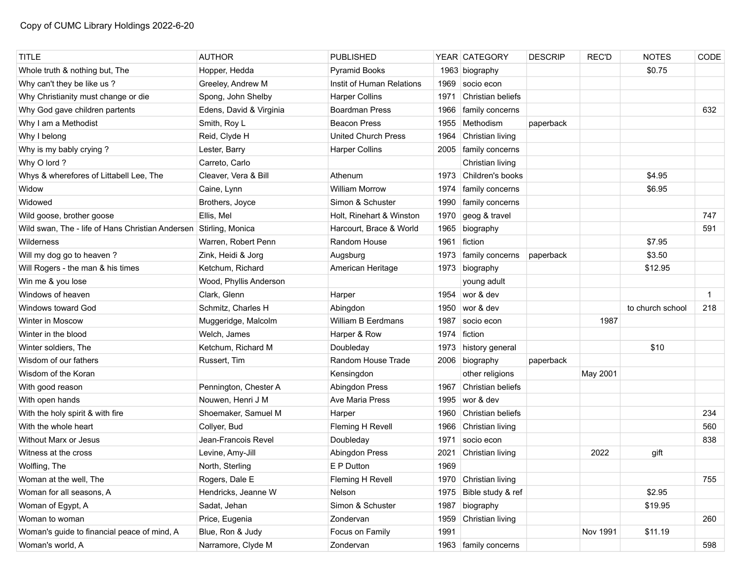| <b>TITLE</b>                                                      | <b>AUTHOR</b>           | <b>PUBLISHED</b>           |      | YEAR CATEGORY          | <b>DESCRIP</b> | <b>REC'D</b> | <b>NOTES</b>     | CODE |
|-------------------------------------------------------------------|-------------------------|----------------------------|------|------------------------|----------------|--------------|------------------|------|
| Whole truth & nothing but, The                                    | Hopper, Hedda           | <b>Pyramid Books</b>       |      | 1963 biography         |                |              | \$0.75           |      |
| Why can't they be like us?                                        | Greeley, Andrew M       | Instit of Human Relations  | 1969 | socio econ             |                |              |                  |      |
| Why Christianity must change or die                               | Spong, John Shelby      | <b>Harper Collins</b>      | 1971 | Christian beliefs      |                |              |                  |      |
| Why God gave children partents                                    | Edens, David & Virginia | <b>Boardman Press</b>      | 1966 | family concerns        |                |              |                  | 632  |
| Why I am a Methodist                                              | Smith, Roy L            | <b>Beacon Press</b>        | 1955 | Methodism              | paperback      |              |                  |      |
| Why I belong                                                      | Reid, Clyde H           | <b>United Church Press</b> | 1964 | Christian living       |                |              |                  |      |
| Why is my bably crying?                                           | Lester, Barry           | <b>Harper Collins</b>      | 2005 | family concerns        |                |              |                  |      |
| Why O lord ?                                                      | Carreto, Carlo          |                            |      | Christian living       |                |              |                  |      |
| Whys & wherefores of Littabell Lee, The                           | Cleaver, Vera & Bill    | Athenum                    | 1973 | Children's books       |                |              | \$4.95           |      |
| Widow                                                             | Caine, Lynn             | <b>William Morrow</b>      | 1974 | family concerns        |                |              | \$6.95           |      |
| Widowed                                                           | Brothers, Joyce         | Simon & Schuster           | 1990 | family concerns        |                |              |                  |      |
| Wild goose, brother goose                                         | Ellis, Mel              | Holt, Rinehart & Winston   | 1970 | geog & travel          |                |              |                  | 747  |
| Wild swan, The - life of Hans Christian Andersen Stirling, Monica |                         | Harcourt, Brace & World    | 1965 | biography              |                |              |                  | 591  |
| Wilderness                                                        | Warren, Robert Penn     | Random House               | 1961 | fiction                |                |              | \$7.95           |      |
| Will my dog go to heaven?                                         | Zink, Heidi & Jorg      | Augsburg                   | 1973 | family concerns        | paperback      |              | \$3.50           |      |
| Will Rogers - the man & his times                                 | Ketchum, Richard        | American Heritage          |      | 1973 biography         |                |              | \$12.95          |      |
| Win me & you lose                                                 | Wood, Phyllis Anderson  |                            |      | young adult            |                |              |                  |      |
| Windows of heaven                                                 | Clark, Glenn            | Harper                     |      | 1954 wor & dev         |                |              |                  | -1   |
| Windows toward God                                                | Schmitz, Charles H      | Abingdon                   | 1950 | wor & dev              |                |              | to church school | 218  |
| Winter in Moscow                                                  | Muggeridge, Malcolm     | William B Eerdmans         | 1987 | socio econ             |                | 1987         |                  |      |
| Winter in the blood                                               | Welch, James            | Harper & Row               | 1974 | fiction                |                |              |                  |      |
| Winter soldiers, The                                              | Ketchum, Richard M      | Doubleday                  | 1973 | history general        |                |              | \$10             |      |
| Wisdom of our fathers                                             | Russert, Tim            | Random House Trade         | 2006 | biography              | paperback      |              |                  |      |
| Wisdom of the Koran                                               |                         | Kensingdon                 |      | other religions        |                | May 2001     |                  |      |
| With good reason                                                  | Pennington, Chester A   | <b>Abingdon Press</b>      | 1967 | Christian beliefs      |                |              |                  |      |
| With open hands                                                   | Nouwen, Henri J M       | Ave Maria Press            | 1995 | wor & dev              |                |              |                  |      |
| With the holy spirit & with fire                                  | Shoemaker, Samuel M     | Harper                     | 1960 | Christian beliefs      |                |              |                  | 234  |
| With the whole heart                                              | Collyer, Bud            | Fleming H Revell           | 1966 | Christian living       |                |              |                  | 560  |
| Without Marx or Jesus                                             | Jean-Francois Revel     | Doubleday                  | 1971 | socio econ             |                |              |                  | 838  |
| Witness at the cross                                              | Levine, Amy-Jill        | Abingdon Press             | 2021 | Christian living       |                | 2022         | gift             |      |
| Wolfling, The                                                     | North, Sterling         | E P Dutton                 | 1969 |                        |                |              |                  |      |
| Woman at the well, The                                            | Rogers, Dale E          | Fleming H Revell           |      | 1970 Christian living  |                |              |                  | 755  |
| Woman for all seasons, A                                          | Hendricks, Jeanne W     | Nelson                     | 1975 | Bible study & ref      |                |              | \$2.95           |      |
| Woman of Egypt, A                                                 | Sadat, Jehan            | Simon & Schuster           | 1987 | biography              |                |              | \$19.95          |      |
| Woman to woman                                                    | Price, Eugenia          | Zondervan                  | 1959 | Christian living       |                |              |                  | 260  |
| Woman's guide to financial peace of mind, A                       | Blue, Ron & Judy        | Focus on Family            | 1991 |                        |                | Nov 1991     | \$11.19          |      |
| Woman's world, A                                                  | Narramore, Clyde M      | Zondervan                  |      | 1963   family concerns |                |              |                  | 598  |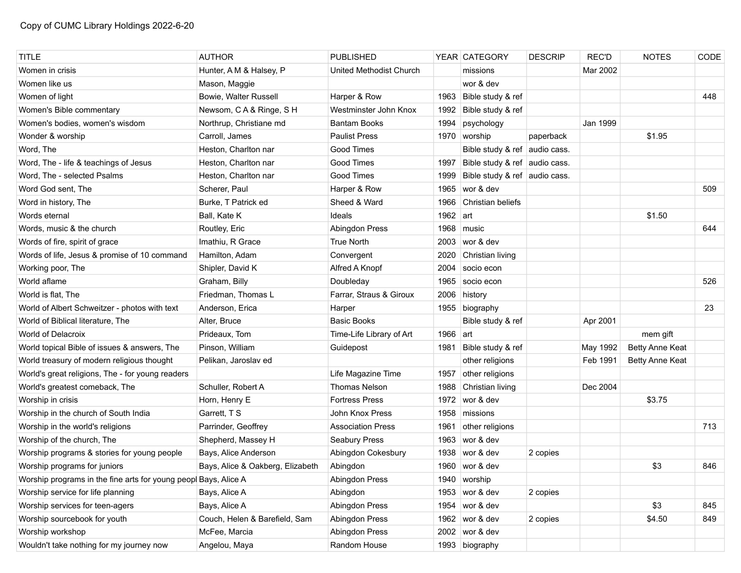| <b>TITLE</b>                                                    | <b>AUTHOR</b>                    | <b>PUBLISHED</b>         |              | YEAR CATEGORY                 | <b>DESCRIP</b> | <b>REC'D</b> | <b>NOTES</b>    | CODE |
|-----------------------------------------------------------------|----------------------------------|--------------------------|--------------|-------------------------------|----------------|--------------|-----------------|------|
| Women in crisis                                                 | Hunter, A M & Halsey, P          | United Methodist Church  |              | missions                      |                | Mar 2002     |                 |      |
| Women like us                                                   | Mason, Maggie                    |                          |              | wor & dev                     |                |              |                 |      |
| Women of light                                                  | Bowie, Walter Russell            | Harper & Row             |              | 1963 Bible study & ref        |                |              |                 | 448  |
| Women's Bible commentary                                        | Newsom, CA& Ringe, SH            | Westminster John Knox    | 1992         | Bible study & ref             |                |              |                 |      |
| Women's bodies, women's wisdom                                  | Northrup, Christiane md          | <b>Bantam Books</b>      | 1994         | psychology                    |                | Jan 1999     |                 |      |
| Wonder & worship                                                | Carroll, James                   | <b>Paulist Press</b>     |              | 1970 worship                  | paperback      |              | \$1.95          |      |
| Word, The                                                       | Heston, Charlton nar             | Good Times               |              | Bible study & ref audio cass. |                |              |                 |      |
| Word, The - life & teachings of Jesus                           | Heston, Charlton nar             | Good Times               | 1997         | Bible study & ref audio cass. |                |              |                 |      |
| Word, The - selected Psalms                                     | Heston, Charlton nar             | Good Times               | 1999         | Bible study & ref audio cass. |                |              |                 |      |
| Word God sent, The                                              | Scherer, Paul                    | Harper & Row             | 1965         | wor & dev                     |                |              |                 | 509  |
| Word in history, The                                            | Burke, T Patrick ed              | Sheed & Ward             |              | 1966 Christian beliefs        |                |              |                 |      |
| Words eternal                                                   | Ball, Kate K                     | Ideals                   | 1962 $ $ art |                               |                |              | \$1.50          |      |
| Words, music & the church                                       | Routley, Eric                    | Abingdon Press           |              | 1968 music                    |                |              |                 | 644  |
| Words of fire, spirit of grace                                  | Imathiu, R Grace                 | <b>True North</b>        |              | 2003 wor & dev                |                |              |                 |      |
| Words of life, Jesus & promise of 10 command                    | Hamilton, Adam                   | Convergent               | 2020         | Christian living              |                |              |                 |      |
| Working poor, The                                               | Shipler, David K                 | Alfred A Knopf           | 2004         | socio econ                    |                |              |                 |      |
| World aflame                                                    | Graham, Billy                    | Doubleday                |              | 1965 socio econ               |                |              |                 | 526  |
| World is flat, The                                              | Friedman, Thomas L               | Farrar, Straus & Giroux  | 2006         | history                       |                |              |                 |      |
| World of Albert Schweitzer - photos with text                   | Anderson, Erica                  | Harper                   |              | 1955 biography                |                |              |                 | 23   |
| World of Biblical literature, The                               | Alter, Bruce                     | <b>Basic Books</b>       |              | Bible study & ref             |                | Apr 2001     |                 |      |
| World of Delacroix                                              | Prideaux, Tom                    | Time-Life Library of Art | 1966 $art$   |                               |                |              | mem gift        |      |
| World topical Bible of issues & answers, The                    | Pinson, William                  | Guidepost                | 1981         | Bible study & ref             |                | May 1992     | Betty Anne Keat |      |
| World treasury of modern religious thought                      | Pelikan, Jaroslav ed             |                          |              | other religions               |                | Feb 1991     | Betty Anne Keat |      |
| World's great religions, The - for young readers                |                                  | Life Magazine Time       | 1957         | other religions               |                |              |                 |      |
| World's greatest comeback, The                                  | Schuller, Robert A               | <b>Thomas Nelson</b>     | 1988         | Christian living              |                | Dec 2004     |                 |      |
| Worship in crisis                                               | Horn, Henry E                    | <b>Fortress Press</b>    | 1972         | wor & dev                     |                |              | \$3.75          |      |
| Worship in the church of South India                            | Garrett, T S                     | John Knox Press          |              | 1958 missions                 |                |              |                 |      |
| Worship in the world's religions                                | Parrinder, Geoffrey              | <b>Association Press</b> | 1961         | other religions               |                |              |                 | 713  |
| Worship of the church, The                                      | Shepherd, Massey H               | Seabury Press            | 1963         | wor & dev                     |                |              |                 |      |
| Worship programs & stories for young people                     | Bays, Alice Anderson             | Abingdon Cokesbury       | 1938         | wor & dev                     | 2 copies       |              |                 |      |
| Worship programs for juniors                                    | Bays, Alice & Oakberg, Elizabeth | Abingdon                 |              | 1960 wor & dev                |                |              | \$3             | 846  |
| Worship programs in the fine arts for young peopl Bays, Alice A |                                  | Abingdon Press           |              | 1940 worship                  |                |              |                 |      |
| Worship service for life planning                               | Bays, Alice A                    | Abingdon                 |              | 1953 wor & dev                | 2 copies       |              |                 |      |
| Worship services for teen-agers                                 | Bays, Alice A                    | Abingdon Press           |              | 1954 wor & dev                |                |              | \$3             | 845  |
| Worship sourcebook for youth                                    | Couch, Helen & Barefield, Sam    | Abingdon Press           |              | 1962 wor & dev                | 2 copies       |              | \$4.50          | 849  |
| Worship workshop                                                | McFee, Marcia                    | Abingdon Press           |              | 2002 wor & dev                |                |              |                 |      |
| Wouldn't take nothing for my journey now                        | Angelou, Maya                    | Random House             |              | 1993 biography                |                |              |                 |      |